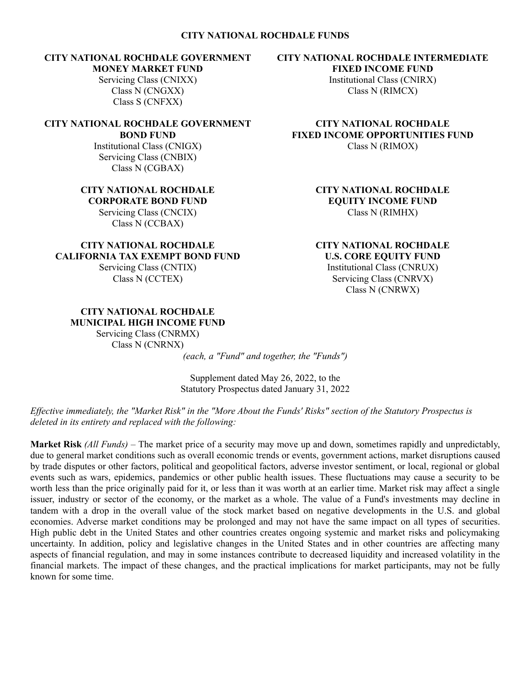#### **CITY NATIONAL ROCHDALE FUNDS**

#### **CITY NATIONAL ROCHDALE GOVERNMENT**

**MONEY MARKET FUND** Servicing Class (CNIXX) Class N (CNGXX) Class S (CNFXX)

#### **CITY NATIONAL ROCHDALE GOVERNMENT BOND FUND**

Institutional Class (CNIGX) Servicing Class (CNBIX) Class N (CGBAX)

#### **CITY NATIONAL ROCHDALE CORPORATE BOND FUND**

Servicing Class (CNCIX) Class N (CCBAX)

#### **CITY NATIONAL ROCHDALE CALIFORNIA TAX EXEMPT BOND FUND** Servicing Class (CNTIX)

Class N (CCTEX)

#### **CITY NATIONAL ROCHDALE MUNICIPAL HIGH INCOME FUND**

Servicing Class (CNRMX) Class N (CNRNX)

*(each, a "Fund" and together, the "Funds")*

Supplement dated May 26, 2022, to the Statutory Prospectus dated January 31, 2022

Effective immediately, the "Market Risk" in the "More About the Funds' Risks" section of the Statutory Prospectus is *deleted in its entirety and replaced with the following:*

**Market Risk** *(All Funds)* – The market price of a security may move up and down, sometimes rapidly and unpredictably, due to general market conditions such as overall economic trends or events, government actions, market disruptions caused by trade disputes or other factors, political and geopolitical factors, adverse investor sentiment, or local, regional or global events such as wars, epidemics, pandemics or other public health issues. These fluctuations may cause a security to be worth less than the price originally paid for it, or less than it was worth at an earlier time. Market risk may affect a single issuer, industry or sector of the economy, or the market as a whole. The value of a Fund's investments may decline in tandem with a drop in the overall value of the stock market based on negative developments in the U.S. and global economies. Adverse market conditions may be prolonged and may not have the same impact on all types of securities. High public debt in the United States and other countries creates ongoing systemic and market risks and policymaking uncertainty. In addition, policy and legislative changes in the United States and in other countries are affecting many aspects of financial regulation, and may in some instances contribute to decreased liquidity and increased volatility in the financial markets. The impact of these changes, and the practical implications for market participants, may not be fully known for some time.

**CITY NATIONAL ROCHDALE INTERMEDIATE FIXED INCOME FUND** Institutional Class (CNIRX) Class N (RIMCX)

#### **CITY NATIONAL ROCHDALE FIXED INCOME OPPORTUNITIES FUND** Class N (RIMOX)

**CITY NATIONAL ROCHDALE EQUITY INCOME FUND** Class N (RIMHX)

**CITY NATIONAL ROCHDALE U.S. CORE EQUITY FUND** Institutional Class (CNRUX) Servicing Class (CNRVX) Class N (CNRWX)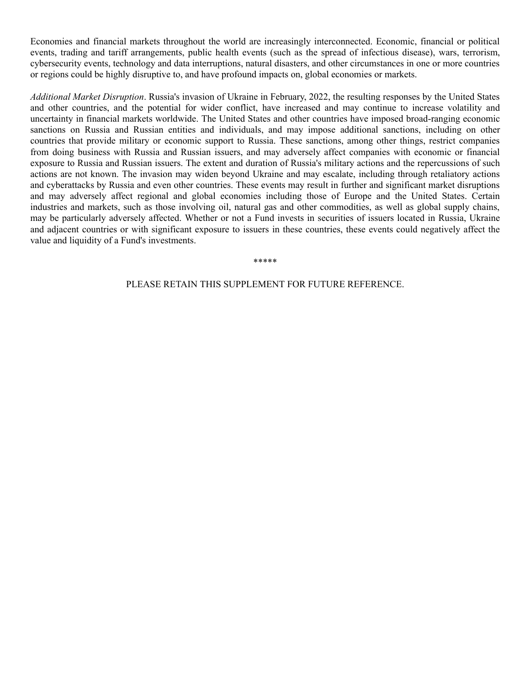Economies and financial markets throughout the world are increasingly interconnected. Economic, financial or political events, trading and tariff arrangements, public health events (such as the spread of infectious disease), wars, terrorism, cybersecurity events, technology and data interruptions, natural disasters, and other circumstances in one or more countries or regions could be highly disruptive to, and have profound impacts on, global economies or markets.

*Additional Market Disruption*. Russia's invasion of Ukraine in February, 2022, the resulting responses by the United States and other countries, and the potential for wider conflict, have increased and may continue to increase volatility and uncertainty in financial markets worldwide. The United States and other countries have imposed broad-ranging economic sanctions on Russia and Russian entities and individuals, and may impose additional sanctions, including on other countries that provide military or economic support to Russia. These sanctions, among other things, restrict companies from doing business with Russia and Russian issuers, and may adversely affect companies with economic or financial exposure to Russia and Russian issuers. The extent and duration of Russia's military actions and the repercussions of such actions are not known. The invasion may widen beyond Ukraine and may escalate, including through retaliatory actions and cyberattacks by Russia and even other countries. These events may result in further and significant market disruptions and may adversely affect regional and global economies including those of Europe and the United States. Certain industries and markets, such as those involving oil, natural gas and other commodities, as well as global supply chains, may be particularly adversely affected. Whether or not a Fund invests in securities of issuers located in Russia, Ukraine and adjacent countries or with significant exposure to issuers in these countries, these events could negatively affect the value and liquidity of a Fund's investments.

\*\*\*\*\*

PLEASE RETAIN THIS SUPPLEMENT FOR FUTURE REFERENCE.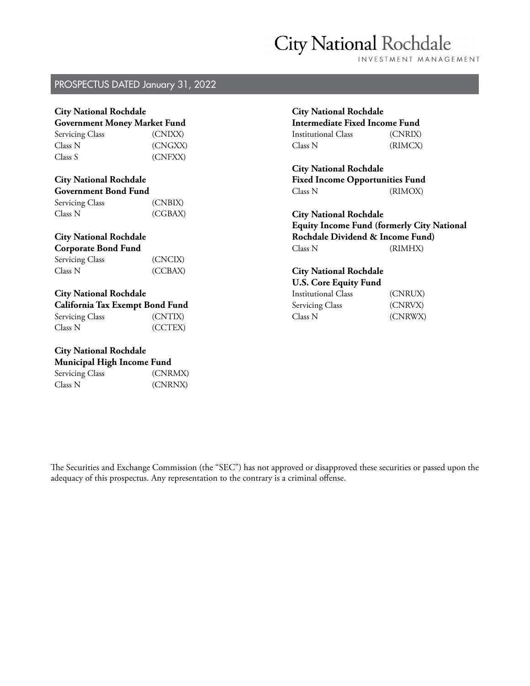# City National Rochdale

INVESTMENT MANAGEMENT

## PROSPECTUS DATED January 31, 2022

| <b>City National Rochdale</b>       |         | <b>City National Rochdale</b>          |                                                   |  |  |
|-------------------------------------|---------|----------------------------------------|---------------------------------------------------|--|--|
| <b>Government Money Market Fund</b> |         | <b>Intermediate Fixed Income Fund</b>  |                                                   |  |  |
| <b>Servicing Class</b>              | (CNIXX) | <b>Institutional Class</b>             | (CNRIX)                                           |  |  |
| Class N                             | (CNGXX) | Class N                                | (RIMCX)                                           |  |  |
| Class S                             | (CNFXX) |                                        |                                                   |  |  |
|                                     |         | <b>City National Rochdale</b>          |                                                   |  |  |
| <b>City National Rochdale</b>       |         | <b>Fixed Income Opportunities Fund</b> |                                                   |  |  |
| <b>Government Bond Fund</b>         |         | Class N                                | (RIMOX)                                           |  |  |
| <b>Servicing Class</b>              | (CNBIX) |                                        |                                                   |  |  |
| Class N                             | (CGBAX) | <b>City National Rochdale</b>          |                                                   |  |  |
|                                     |         |                                        | <b>Equity Income Fund (formerly City National</b> |  |  |
| <b>City National Rochdale</b>       |         | Rochdale Dividend & Income Fund)       |                                                   |  |  |
| <b>Corporate Bond Fund</b>          |         | Class N                                | (RIMHX)                                           |  |  |
| <b>Servicing Class</b>              | (CNCIX) |                                        |                                                   |  |  |
| Class N                             | (CCBAX) | <b>City National Rochdale</b>          |                                                   |  |  |
|                                     |         | <b>U.S. Core Equity Fund</b>           |                                                   |  |  |
| <b>City National Rochdale</b>       |         | <b>Institutional Class</b>             | (CNRUX)                                           |  |  |
| California Tax Exempt Bond Fund     |         | Servicing Class                        | (CNRVX)                                           |  |  |
| <b>Servicing Class</b>              | (CNTIX) | Class N                                | (CNRWX)                                           |  |  |
| Class N                             | (CCTEX) |                                        |                                                   |  |  |
|                                     |         |                                        |                                                   |  |  |

**City National Rochdale Municipal High Income Fund** Servicing Class (CNRMX) Class N (CNRNX)

The Securities and Exchange Commission (the "SEC") has not approved or disapproved these securities or passed upon the adequacy of this prospectus. Any representation to the contrary is a criminal offense.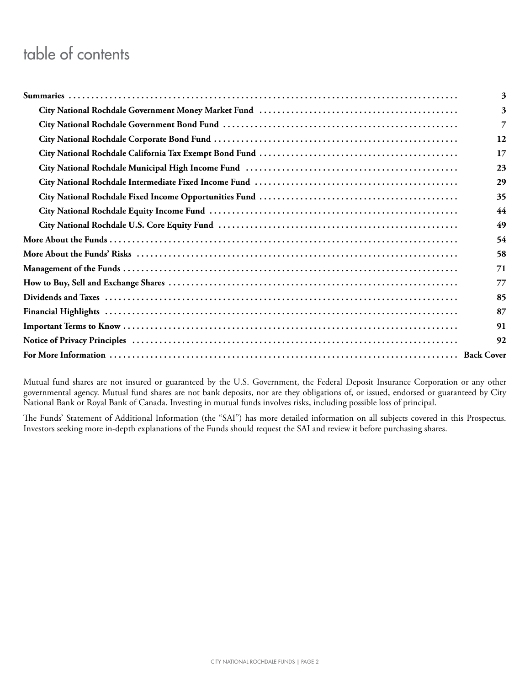## table of contents

|                                                                                                                                                                                                                                | 3  |
|--------------------------------------------------------------------------------------------------------------------------------------------------------------------------------------------------------------------------------|----|
|                                                                                                                                                                                                                                | 3  |
|                                                                                                                                                                                                                                | 7  |
|                                                                                                                                                                                                                                | 12 |
|                                                                                                                                                                                                                                | 17 |
|                                                                                                                                                                                                                                | 23 |
|                                                                                                                                                                                                                                | 29 |
|                                                                                                                                                                                                                                | 35 |
|                                                                                                                                                                                                                                | 44 |
|                                                                                                                                                                                                                                | 49 |
|                                                                                                                                                                                                                                | 54 |
|                                                                                                                                                                                                                                | 58 |
|                                                                                                                                                                                                                                | 71 |
|                                                                                                                                                                                                                                | 77 |
|                                                                                                                                                                                                                                | 85 |
| Financial Highlights (and according to the control of the control of the control of the control of the control of the control of the control of the control of the control of the control of the control of the control of the | 87 |
|                                                                                                                                                                                                                                | 91 |
|                                                                                                                                                                                                                                | 92 |
|                                                                                                                                                                                                                                |    |

Mutual fund shares are not insured or guaranteed by the U.S. Government, the Federal Deposit Insurance Corporation or any other governmental agency. Mutual fund shares are not bank deposits, nor are they obligations of, or issued, endorsed or guaranteed by City National Bank or Royal Bank of Canada. Investing in mutual funds involves risks, including possible loss of principal.

The Funds' Statement of Additional Information (the "SAI") has more detailed information on all subjects covered in this Prospectus. Investors seeking more in-depth explanations of the Funds should request the SAI and review it before purchasing shares.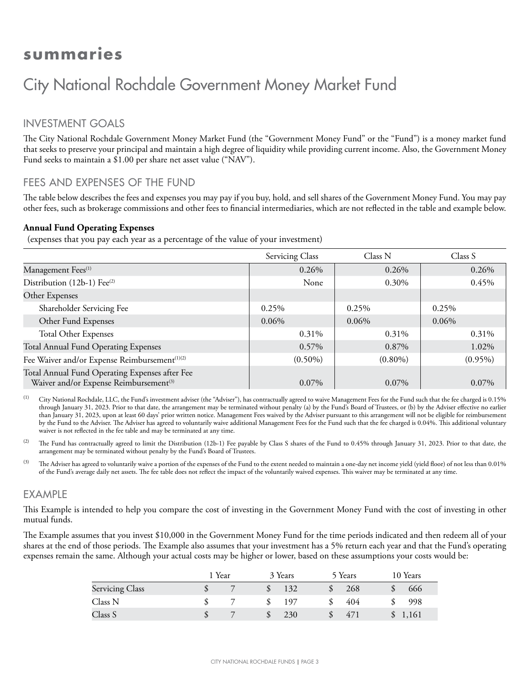## <span id="page-4-0"></span>**summaries**

## <span id="page-4-1"></span>City National Rochdale Government Money Market Fund

## INVESTMENT GOALS

The City National Rochdale Government Money Market Fund (the "Government Money Fund" or the "Fund") is a money market fund that seeks to preserve your principal and maintain a high degree of liquidity while providing current income. Also, the Government Money Fund seeks to maintain a \$1.00 per share net asset value ("NAV").

### FEES AND EXPENSES OF THE FUND

The table below describes the fees and expenses you may pay if you buy, hold, and sell shares of the Government Money Fund. You may pay other fees, such as brokerage commissions and other fees to financial intermediaries, which are not reflected in the table and example below.

#### **Annual Fund Operating Expenses**

(expenses that you pay each year as a percentage of the value of your investment)

|                                                                                                      | Servicing Class | Class <sub>N</sub> | Class S    |
|------------------------------------------------------------------------------------------------------|-----------------|--------------------|------------|
| Management Fees <sup>(1)</sup>                                                                       | 0.26%           | 0.26%              | $0.26\%$   |
| Distribution (12b-1) Fee <sup>(2)</sup>                                                              | None            | 0.30%              | 0.45%      |
| Other Expenses                                                                                       |                 |                    |            |
| Shareholder Servicing Fee                                                                            | $0.25\%$        | 0.25%              | 0.25%      |
| Other Fund Expenses                                                                                  | $0.06\%$        | $0.06\%$           | $0.06\%$   |
| <b>Total Other Expenses</b>                                                                          | 0.31%           | 0.31%              | 0.31%      |
| <b>Total Annual Fund Operating Expenses</b>                                                          | 0.57%           | 0.87%              | 1.02%      |
| Fee Waiver and/or Expense Reimbursement <sup>(1)(2)</sup>                                            | $(0.50\%)$      | $(0.80\%)$         | $(0.95\%)$ |
| Total Annual Fund Operating Expenses after Fee<br>Waiver and/or Expense Reimbursement <sup>(3)</sup> | $0.07\%$        | $0.07\%$           | $0.07\%$   |

<sup>(1)</sup> City National Rochdale, LLC, the Fund's investment adviser (the "Adviser"), has contractually agreed to waive Management Fees for the Fund such that the fee charged is 0.15% through January 31, 2023. Prior to that date, the arrangement may be terminated without penalty (a) by the Fund's Board of Trustees, or (b) by the Adviser effective no earlier than January 31, 2023, upon at least 60 days' prior written notice. Management Fees waived by the Adviser pursuant to this arrangement will not be eligible for reimbursement by the Fund to the Adviser. The Adviser has agreed to voluntarily waive additional Management Fees for the Fund such that the fee charged is 0.04%. This additional voluntary waiver is not reflected in the fee table and may be terminated at any time.

<sup>(2)</sup> The Fund has contractually agreed to limit the Distribution (12b-1) Fee payable by Class S shares of the Fund to 0.45% through January 31, 2023. Prior to that date, the arrangement may be terminated without penalty by the Fund's Board of Trustees.

(3) The Adviser has agreed to voluntarily waive a portion of the expenses of the Fund to the extent needed to maintain a one-day net income yield (yield floor) of not less than 0.01% of the Fund's average daily net assets. The fee table does not reflect the impact of the voluntarily waived expenses. This waiver may be terminated at any time.

### EXAMPLE

This Example is intended to help you compare the cost of investing in the Government Money Fund with the cost of investing in other mutual funds.

The Example assumes that you invest \$10,000 in the Government Money Fund for the time periods indicated and then redeem all of your shares at the end of those periods. The Example also assumes that your investment has a 5% return each year and that the Fund's operating expenses remain the same. Although your actual costs may be higher or lower, based on these assumptions your costs would be:

|                        | 1 Year |   | 3 Years | 5 Years | 10 Years |
|------------------------|--------|---|---------|---------|----------|
| <b>Servicing Class</b> |        |   | 132     | 268     | 666      |
| Class N                |        |   | 197     | 404     | 998      |
| Class S                |        | S | 230     | 471     | \$1,161  |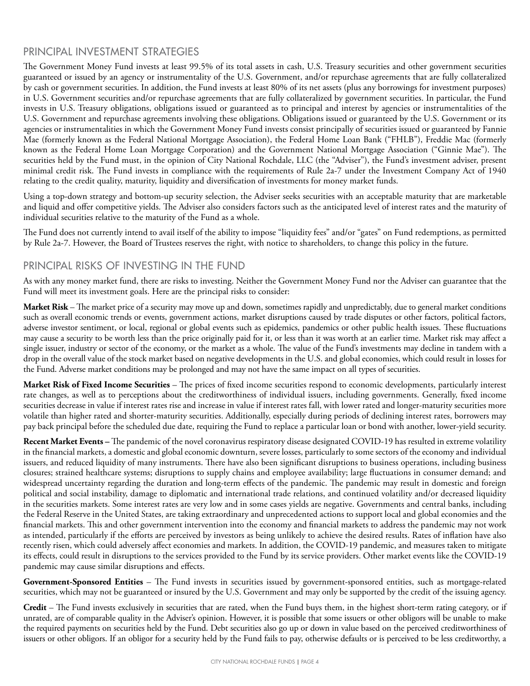## PRINCIPAL INVESTMENT STRATEGIES

The Government Money Fund invests at least 99.5% of its total assets in cash, U.S. Treasury securities and other government securities guaranteed or issued by an agency or instrumentality of the U.S. Government, and/or repurchase agreements that are fully collateralized by cash or government securities. In addition, the Fund invests at least 80% of its net assets (plus any borrowings for investment purposes) in U.S. Government securities and/or repurchase agreements that are fully collateralized by government securities. In particular, the Fund invests in U.S. Treasury obligations, obligations issued or guaranteed as to principal and interest by agencies or instrumentalities of the U.S. Government and repurchase agreements involving these obligations. Obligations issued or guaranteed by the U.S. Government or its agencies or instrumentalities in which the Government Money Fund invests consist principally of securities issued or guaranteed by Fannie Mae (formerly known as the Federal National Mortgage Association), the Federal Home Loan Bank ("FHLB"), Freddie Mac (formerly known as the Federal Home Loan Mortgage Corporation) and the Government National Mortgage Association ("Ginnie Mae"). The securities held by the Fund must, in the opinion of City National Rochdale, LLC (the "Adviser"), the Fund's investment adviser, present minimal credit risk. The Fund invests in compliance with the requirements of Rule 2a-7 under the Investment Company Act of 1940 relating to the credit quality, maturity, liquidity and diversification of investments for money market funds.

Using a top-down strategy and bottom-up security selection, the Adviser seeks securities with an acceptable maturity that are marketable and liquid and offer competitive yields. The Adviser also considers factors such as the anticipated level of interest rates and the maturity of individual securities relative to the maturity of the Fund as a whole.

The Fund does not currently intend to avail itself of the ability to impose "liquidity fees" and/or "gates" on Fund redemptions, as permitted by Rule 2a-7. However, the Board of Trustees reserves the right, with notice to shareholders, to change this policy in the future.

## PRINCIPAL RISKS OF INVESTING IN THE FUND

As with any money market fund, there are risks to investing. Neither the Government Money Fund nor the Adviser can guarantee that the Fund will meet its investment goals. Here are the principal risks to consider:

**Market Risk** – The market price of a security may move up and down, sometimes rapidly and unpredictably, due to general market conditions such as overall economic trends or events, government actions, market disruptions caused by trade disputes or other factors, political factors, adverse investor sentiment, or local, regional or global events such as epidemics, pandemics or other public health issues. These fluctuations may cause a security to be worth less than the price originally paid for it, or less than it was worth at an earlier time. Market risk may affect a single issuer, industry or sector of the economy, or the market as a whole. The value of the Fund's investments may decline in tandem with a drop in the overall value of the stock market based on negative developments in the U.S. and global economies, which could result in losses for the Fund. Adverse market conditions may be prolonged and may not have the same impact on all types of securities.

**Market Risk of Fixed Income Securities** – The prices of fixed income securities respond to economic developments, particularly interest rate changes, as well as to perceptions about the creditworthiness of individual issuers, including governments. Generally, fixed income securities decrease in value if interest rates rise and increase in value if interest rates fall, with lower rated and longer-maturity securities more volatile than higher rated and shorter-maturity securities. Additionally, especially during periods of declining interest rates, borrowers may pay back principal before the scheduled due date, requiring the Fund to replace a particular loan or bond with another, lower-yield security.

**Recent Market Events –** The pandemic of the novel coronavirus respiratory disease designated COVID-19 has resulted in extreme volatility in the financial markets, a domestic and global economic downturn, severe losses, particularly to some sectors of the economy and individual issuers, and reduced liquidity of many instruments. There have also been significant disruptions to business operations, including business closures; strained healthcare systems; disruptions to supply chains and employee availability; large fluctuations in consumer demand; and widespread uncertainty regarding the duration and long-term effects of the pandemic. The pandemic may result in domestic and foreign political and social instability, damage to diplomatic and international trade relations, and continued volatility and/or decreased liquidity in the securities markets. Some interest rates are very low and in some cases yields are negative. Governments and central banks, including the Federal Reserve in the United States, are taking extraordinary and unprecedented actions to support local and global economies and the financial markets. This and other government intervention into the economy and financial markets to address the pandemic may not work as intended, particularly if the efforts are perceived by investors as being unlikely to achieve the desired results. Rates of inflation have also recently risen, which could adversely affect economies and markets. In addition, the COVID-19 pandemic, and measures taken to mitigate its effects, could result in disruptions to the services provided to the Fund by its service providers. Other market events like the COVID-19 pandemic may cause similar disruptions and effects.

**Government-Sponsored Entities** – The Fund invests in securities issued by government-sponsored entities, such as mortgage-related securities, which may not be guaranteed or insured by the U.S. Government and may only be supported by the credit of the issuing agency.

**Credit** – The Fund invests exclusively in securities that are rated, when the Fund buys them, in the highest short-term rating category, or if unrated, are of comparable quality in the Adviser's opinion. However, it is possible that some issuers or other obligors will be unable to make the required payments on securities held by the Fund. Debt securities also go up or down in value based on the perceived creditworthiness of issuers or other obligors. If an obligor for a security held by the Fund fails to pay, otherwise defaults or is perceived to be less creditworthy, a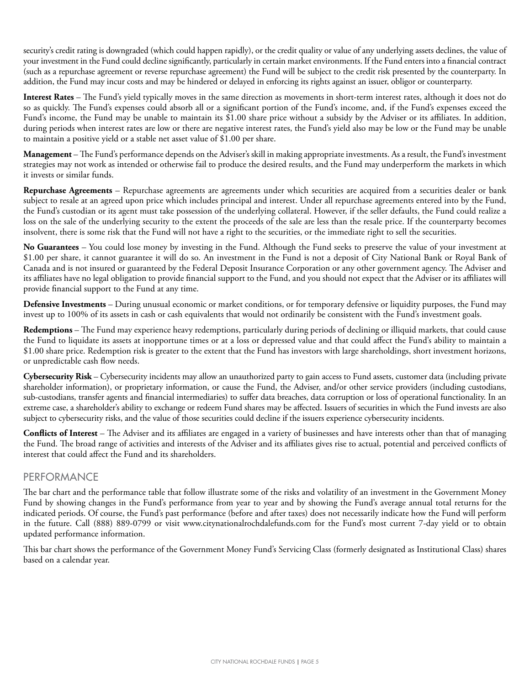security's credit rating is downgraded (which could happen rapidly), or the credit quality or value of any underlying assets declines, the value of your investment in the Fund could decline significantly, particularly in certain market environments. If the Fund enters into a financial contract (such as a repurchase agreement or reverse repurchase agreement) the Fund will be subject to the credit risk presented by the counterparty. In addition, the Fund may incur costs and may be hindered or delayed in enforcing its rights against an issuer, obligor or counterparty.

**Interest Rates** – The Fund's yield typically moves in the same direction as movements in short-term interest rates, although it does not do so as quickly. The Fund's expenses could absorb all or a significant portion of the Fund's income, and, if the Fund's expenses exceed the Fund's income, the Fund may be unable to maintain its \$1.00 share price without a subsidy by the Adviser or its affiliates. In addition, during periods when interest rates are low or there are negative interest rates, the Fund's yield also may be low or the Fund may be unable to maintain a positive yield or a stable net asset value of \$1.00 per share.

**Management** – The Fund's performance depends on the Adviser's skill in making appropriate investments. As a result, the Fund's investment strategies may not work as intended or otherwise fail to produce the desired results, and the Fund may underperform the markets in which it invests or similar funds.

Repurchase Agreements – Repurchase agreements are agreements under which securities are acquired from a securities dealer or bank subject to resale at an agreed upon price which includes principal and interest. Under all repurchase agreements entered into by the Fund, the Fund's custodian or its agent must take possession of the underlying collateral. However, if the seller defaults, the Fund could realize a loss on the sale of the underlying security to the extent the proceeds of the sale are less than the resale price. If the counterparty becomes insolvent, there is some risk that the Fund will not have a right to the securities, or the immediate right to sell the securities.

**No Guarantees** – You could lose money by investing in the Fund. Although the Fund seeks to preserve the value of your investment at \$1.00 per share, it cannot guarantee it will do so. An investment in the Fund is not a deposit of City National Bank or Royal Bank of Canada and is not insured or guaranteed by the Federal Deposit Insurance Corporation or any other government agency. The Adviser and its affiliates have no legal obligation to provide financial support to the Fund, and you should not expect that the Adviser or its affiliates will provide financial support to the Fund at any time.

**Defensive Investments** – During unusual economic or market conditions, or for temporary defensive or liquidity purposes, the Fund may invest up to 100% of its assets in cash or cash equivalents that would not ordinarily be consistent with the Fund's investment goals.

**Redemptions** – The Fund may experience heavy redemptions, particularly during periods of declining or illiquid markets, that could cause the Fund to liquidate its assets at inopportune times or at a loss or depressed value and that could affect the Fund's ability to maintain a \$1.00 share price. Redemption risk is greater to the extent that the Fund has investors with large shareholdings, short investment horizons, or unpredictable cash flow needs.

**Cybersecurity Risk** – Cybersecurity incidents may allow an unauthorized party to gain access to Fund assets, customer data (including private shareholder information), or proprietary information, or cause the Fund, the Adviser, and/or other service providers (including custodians, sub-custodians, transfer agents and financial intermediaries) to suffer data breaches, data corruption or loss of operational functionality. In an extreme case, a shareholder's ability to exchange or redeem Fund shares may be affected. Issuers of securities in which the Fund invests are also subject to cybersecurity risks, and the value of those securities could decline if the issuers experience cybersecurity incidents.

**Conflicts of Interest** – The Adviser and its affiliates are engaged in a variety of businesses and have interests other than that of managing the Fund. The broad range of activities and interests of the Adviser and its affiliates gives rise to actual, potential and perceived conflicts of interest that could affect the Fund and its shareholders.

#### **PERFORMANCE**

The bar chart and the performance table that follow illustrate some of the risks and volatility of an investment in the Government Money Fund by showing changes in the Fund's performance from year to year and by showing the Fund's average annual total returns for the indicated periods. Of course, the Fund's past performance (before and after taxes) does not necessarily indicate how the Fund will perform in the future. Call (888) 889-0799 or visit www.citynationalrochdalefunds.com for the Fund's most current 7-day yield or to obtain updated performance information.

This bar chart shows the performance of the Government Money Fund's Servicing Class (formerly designated as Institutional Class) shares based on a calendar year.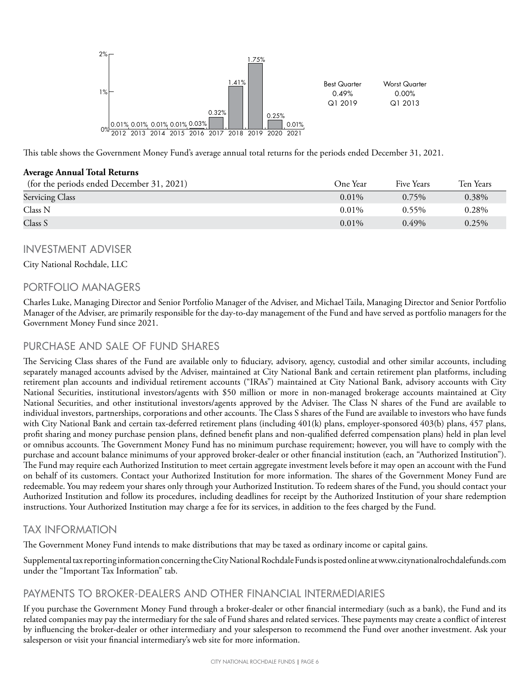

This table shows the Government Money Fund's average annual total returns for the periods ended December 31, 2021.

#### **Average Annual Total Returns**

| (for the periods ended December 31, 2021) | One Year | Five Years | Ten Years |
|-------------------------------------------|----------|------------|-----------|
| <b>Servicing Class</b>                    | $0.01\%$ | $0.75\%$   | 0.38%     |
| Class N                                   | $0.01\%$ | $0.55\%$   | 0.28%     |
| Class S                                   | $0.01\%$ | $0.49\%$   | 0.25%     |

#### INVESTMENT ADVISER

City National Rochdale, LLC

#### PORTFOLIO MANAGERS

Charles Luke, Managing Director and Senior Portfolio Manager of the Adviser, and Michael Taila, Managing Director and Senior Portfolio Manager of the Adviser, are primarily responsible for the day-to-day management of the Fund and have served as portfolio managers for the Government Money Fund since 2021.

### PURCHASE AND SALE OF FUND SHARES

The Servicing Class shares of the Fund are available only to fiduciary, advisory, agency, custodial and other similar accounts, including separately managed accounts advised by the Adviser, maintained at City National Bank and certain retirement plan platforms, including retirement plan accounts and individual retirement accounts ("IRAs") maintained at City National Bank, advisory accounts with City National Securities, institutional investors/agents with \$50 million or more in non-managed brokerage accounts maintained at City National Securities, and other institutional investors/agents approved by the Adviser. The Class N shares of the Fund are available to individual investors, partnerships, corporations and other accounts. The Class S shares of the Fund are available to investors who have funds with City National Bank and certain tax-deferred retirement plans (including 401(k) plans, employer-sponsored 403(b) plans, 457 plans, profit sharing and money purchase pension plans, defined benefit plans and non-qualified deferred compensation plans) held in plan level or omnibus accounts. The Government Money Fund has no minimum purchase requirement; however, you will have to comply with the purchase and account balance minimums of your approved broker-dealer or other financial institution (each, an "Authorized Institution"). The Fund may require each Authorized Institution to meet certain aggregate investment levels before it may open an account with the Fund on behalf of its customers. Contact your Authorized Institution for more information. The shares of the Government Money Fund are redeemable. You may redeem your shares only through your Authorized Institution. To redeem shares of the Fund, you should contact your Authorized Institution and follow its procedures, including deadlines for receipt by the Authorized Institution of your share redemption instructions. Your Authorized Institution may charge a fee for its services, in addition to the fees charged by the Fund.

### TAX INFORMATION

The Government Money Fund intends to make distributions that may be taxed as ordinary income or capital gains.

Supplemental tax reporting information concerning the City National Rochdale Funds is posted online at www.citynationalrochdalefunds.com under the "Important Tax Information" tab.

### PAYMENTS TO BROKER-DEALERS AND OTHER FINANCIAL INTERMEDIARIES

If you purchase the Government Money Fund through a broker-dealer or other financial intermediary (such as a bank), the Fund and its related companies may pay the intermediary for the sale of Fund shares and related services. These payments may create a conflict of interest by influencing the broker-dealer or other intermediary and your salesperson to recommend the Fund over another investment. Ask your salesperson or visit your financial intermediary's web site for more information.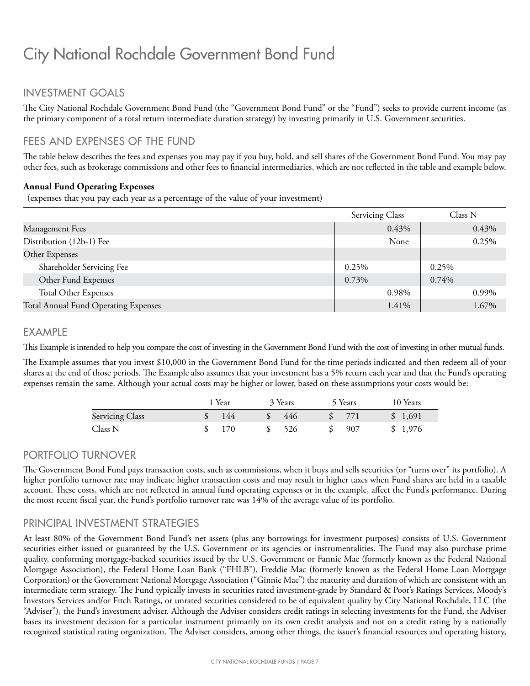## <span id="page-8-0"></span>City National Rochdale Government Bond Fund

## INVESTMENT GOALS

The City National Rochdale Government Bond Fund (the "Government Bond Fund" or the "Fund") seeks to provide current income (as the primary component of a total return intermediate duration strategy) by investing primarily in U.S. Government securities.

## FEES AND EXPENSES OF THE FUND

The table below describes the fees and expenses you may pay if you buy, hold, and sell shares of the Government Bond Fund. You may pay other fees, such as brokerage commissions and other fees to financial intermediaries, which are not reflected in the table and example below.

#### **Annual Fund Operating Expenses**

(expenses that you pay each year as a percentage of the value of your investment)

|                                      | Servicing Class | Class N |
|--------------------------------------|-----------------|---------|
| Management Fees                      | 0.43%           | 0.43%   |
| Distribution (12b-1) Fee             | None            | 0.25%   |
| Other Expenses                       |                 |         |
| Shareholder Servicing Fee            | 0.25%           | 0.25%   |
| Other Fund Expenses                  | 0.73%           | 0.74%   |
| <b>Total Other Expenses</b>          | 0.98%           | 0.99%   |
| Total Annual Fund Operating Expenses | 1.41%           | 1.67%   |

#### EXAMPLE

This Example is intended to help you compare the cost of investing in the Government Bond Fund with the cost of investing in other mutual funds.

The Example assumes that you invest \$10,000 in the Government Bond Fund for the time periods indicated and then redeem all of your shares at the end of those periods. The Example also assumes that your investment has a 5% return each year and that the Fund's operating expenses remain the same. Although your actual costs may be higher or lower, based on these assumptions your costs would be:

|                        | 1 Year | 3 Years | 5 Years | 10 Years |
|------------------------|--------|---------|---------|----------|
| <b>Servicing Class</b> | 144    | 446     | 771     | \$1,691  |
| Class N                | 170    | 526     | 907     | \$1,976  |

### PORTFOLIO TURNOVER

The Government Bond Fund pays transaction costs, such as commissions, when it buys and sells securities (or "turns over" its portfolio). A higher portfolio turnover rate may indicate higher transaction costs and may result in higher taxes when Fund shares are held in a taxable account. These costs, which are not reflected in annual fund operating expenses or in the example, affect the Fund's performance. During the most recent fiscal year, the Fund's portfolio turnover rate was 14% of the average value of its portfolio.

## PRINCIPAL INVESTMENT STRATEGIES

At least 80% of the Government Bond Fund's net assets (plus any borrowings for investment purposes) consists of U.S. Government securities either issued or guaranteed by the U.S. Government or its agencies or instrumentalities. The Fund may also purchase prime quality, conforming mortgage-backed securities issued by the U.S. Government or Fannie Mae (formerly known as the Federal National Mortgage Association), the Federal Home Loan Bank ("FHLB"), Freddie Mac (formerly known as the Federal Home Loan Mortgage Corporation) or the Government National Mortgage Association ("Ginnie Mae") the maturity and duration of which are consistent with an intermediate term strategy. The Fund typically invests in securities rated investment-grade by Standard & Poor's Ratings Services, Moody's Investors Services and/or Fitch Ratings, or unrated securities considered to be of equivalent quality by City National Rochdale, LLC (the "Adviser"), the Fund's investment adviser. Although the Adviser considers credit ratings in selecting investments for the Fund, the Adviser bases its investment decision for a particular instrument primarily on its own credit analysis and not on a credit rating by a nationally recognized statistical rating organization. The Adviser considers, among other things, the issuer's financial resources and operating history,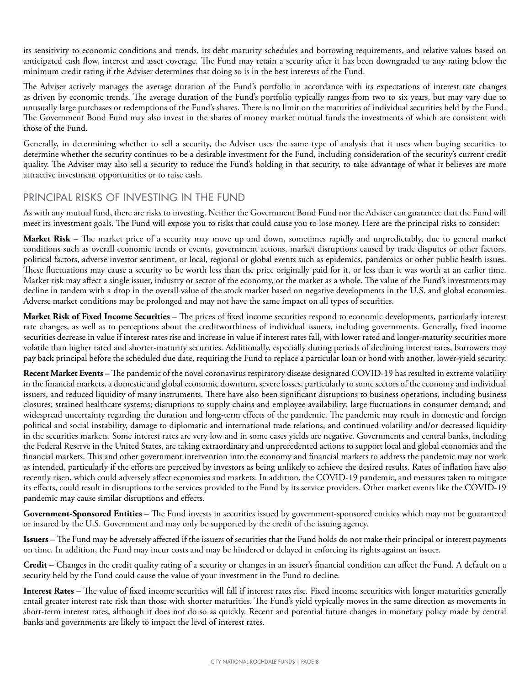its sensitivity to economic conditions and trends, its debt maturity schedules and borrowing requirements, and relative values based on anticipated cash flow, interest and asset coverage. The Fund may retain a security after it has been downgraded to any rating below the minimum credit rating if the Adviser determines that doing so is in the best interests of the Fund.

The Adviser actively manages the average duration of the Fund's portfolio in accordance with its expectations of interest rate changes as driven by economic trends. The average duration of the Fund's portfolio typically ranges from two to six years, but may vary due to unusually large purchases or redemptions of the Fund's shares. There is no limit on the maturities of individual securities held by the Fund. The Government Bond Fund may also invest in the shares of money market mutual funds the investments of which are consistent with those of the Fund.

Generally, in determining whether to sell a security, the Adviser uses the same type of analysis that it uses when buying securities to determine whether the security continues to be a desirable investment for the Fund, including consideration of the security's current credit quality. The Adviser may also sell a security to reduce the Fund's holding in that security, to take advantage of what it believes are more attractive investment opportunities or to raise cash.

#### PRINCIPAL RISKS OF INVESTING IN THE FUND

As with any mutual fund, there are risks to investing. Neither the Government Bond Fund nor the Adviser can guarantee that the Fund will meet its investment goals. The Fund will expose you to risks that could cause you to lose money. Here are the principal risks to consider:

**Market Risk** – The market price of a security may move up and down, sometimes rapidly and unpredictably, due to general market conditions such as overall economic trends or events, government actions, market disruptions caused by trade disputes or other factors, political factors, adverse investor sentiment, or local, regional or global events such as epidemics, pandemics or other public health issues. These fluctuations may cause a security to be worth less than the price originally paid for it, or less than it was worth at an earlier time. Market risk may affect a single issuer, industry or sector of the economy, or the market as a whole. The value of the Fund's investments may decline in tandem with a drop in the overall value of the stock market based on negative developments in the U.S. and global economies. Adverse market conditions may be prolonged and may not have the same impact on all types of securities.

**Market Risk of Fixed Income Securities** – The prices of fixed income securities respond to economic developments, particularly interest rate changes, as well as to perceptions about the creditworthiness of individual issuers, including governments. Generally, fixed income securities decrease in value if interest rates rise and increase in value if interest rates fall, with lower rated and longer-maturity securities more volatile than higher rated and shorter-maturity securities. Additionally, especially during periods of declining interest rates, borrowers may pay back principal before the scheduled due date, requiring the Fund to replace a particular loan or bond with another, lower-yield security.

**Recent Market Events –** The pandemic of the novel coronavirus respiratory disease designated COVID-19 has resulted in extreme volatility in the financial markets, a domestic and global economic downturn, severe losses, particularly to some sectors of the economy and individual issuers, and reduced liquidity of many instruments. There have also been significant disruptions to business operations, including business closures; strained healthcare systems; disruptions to supply chains and employee availability; large fluctuations in consumer demand; and widespread uncertainty regarding the duration and long-term effects of the pandemic. The pandemic may result in domestic and foreign political and social instability, damage to diplomatic and international trade relations, and continued volatility and/or decreased liquidity in the securities markets. Some interest rates are very low and in some cases yields are negative. Governments and central banks, including the Federal Reserve in the United States, are taking extraordinary and unprecedented actions to support local and global economies and the financial markets. This and other government intervention into the economy and financial markets to address the pandemic may not work as intended, particularly if the efforts are perceived by investors as being unlikely to achieve the desired results. Rates of inflation have also recently risen, which could adversely affect economies and markets. In addition, the COVID-19 pandemic, and measures taken to mitigate its effects, could result in disruptions to the services provided to the Fund by its service providers. Other market events like the COVID-19 pandemic may cause similar disruptions and effects.

**Government-Sponsored Entities** – The Fund invests in securities issued by government-sponsored entities which may not be guaranteed or insured by the U.S. Government and may only be supported by the credit of the issuing agency.

**Issuers** – The Fund may be adversely affected if the issuers of securities that the Fund holds do not make their principal or interest payments on time. In addition, the Fund may incur costs and may be hindered or delayed in enforcing its rights against an issuer.

**Credit** – Changes in the credit quality rating of a security or changes in an issuer's financial condition can affect the Fund. A default on a security held by the Fund could cause the value of your investment in the Fund to decline.

**Interest Rates** – The value of fixed income securities will fall if interest rates rise. Fixed income securities with longer maturities generally entail greater interest rate risk than those with shorter maturities. The Fund's yield typically moves in the same direction as movements in short-term interest rates, although it does not do so as quickly. Recent and potential future changes in monetary policy made by central banks and governments are likely to impact the level of interest rates.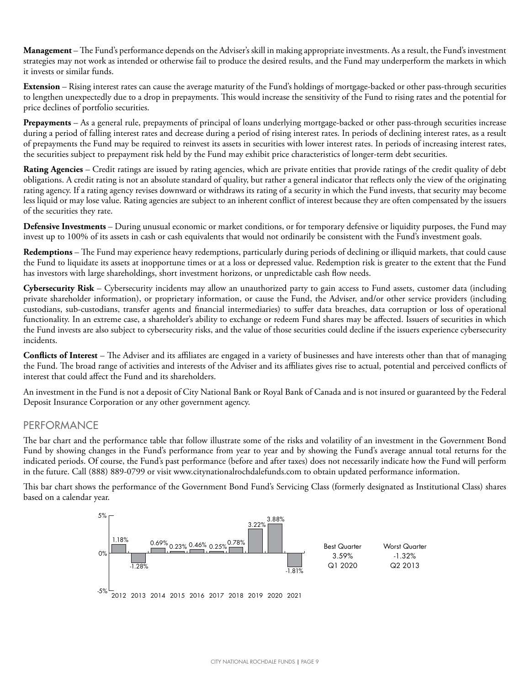**Management** – The Fund's performance depends on the Adviser's skill in making appropriate investments. As a result, the Fund's investment strategies may not work as intended or otherwise fail to produce the desired results, and the Fund may underperform the markets in which it invests or similar funds.

**Extension** – Rising interest rates can cause the average maturity of the Fund's holdings of mortgage-backed or other pass-through securities to lengthen unexpectedly due to a drop in prepayments. This would increase the sensitivity of the Fund to rising rates and the potential for price declines of portfolio securities.

**Prepayments** – As a general rule, prepayments of principal of loans underlying mortgage-backed or other pass-through securities increase during a period of falling interest rates and decrease during a period of rising interest rates. In periods of declining interest rates, as a result of prepayments the Fund may be required to reinvest its assets in securities with lower interest rates. In periods of increasing interest rates, the securities subject to prepayment risk held by the Fund may exhibit price characteristics of longer-term debt securities.

**Rating Agencies** – Credit ratings are issued by rating agencies, which are private entities that provide ratings of the credit quality of debt obligations. A credit rating is not an absolute standard of quality, but rather a general indicator that reflects only the view of the originating rating agency. If a rating agency revises downward or withdraws its rating of a security in which the Fund invests, that security may become less liquid or may lose value. Rating agencies are subject to an inherent conflict of interest because they are often compensated by the issuers of the securities they rate.

**Defensive Investments** – During unusual economic or market conditions, or for temporary defensive or liquidity purposes, the Fund may invest up to 100% of its assets in cash or cash equivalents that would not ordinarily be consistent with the Fund's investment goals.

**Redemptions** – The Fund may experience heavy redemptions, particularly during periods of declining or illiquid markets, that could cause the Fund to liquidate its assets at inopportune times or at a loss or depressed value. Redemption risk is greater to the extent that the Fund has investors with large shareholdings, short investment horizons, or unpredictable cash flow needs.

**Cybersecurity Risk** – Cybersecurity incidents may allow an unauthorized party to gain access to Fund assets, customer data (including private shareholder information), or proprietary information, or cause the Fund, the Adviser, and/or other service providers (including custodians, sub-custodians, transfer agents and financial intermediaries) to suffer data breaches, data corruption or loss of operational functionality. In an extreme case, a shareholder's ability to exchange or redeem Fund shares may be affected. Issuers of securities in which the Fund invests are also subject to cybersecurity risks, and the value of those securities could decline if the issuers experience cybersecurity incidents.

**Conflicts of Interest** – The Adviser and its affiliates are engaged in a variety of businesses and have interests other than that of managing the Fund. The broad range of activities and interests of the Adviser and its affiliates gives rise to actual, potential and perceived conflicts of interest that could affect the Fund and its shareholders.

An investment in the Fund is not a deposit of City National Bank or Royal Bank of Canada and is not insured or guaranteed by the Federal Deposit Insurance Corporation or any other government agency.

### PERFORMANCE

The bar chart and the performance table that follow illustrate some of the risks and volatility of an investment in the Government Bond Fund by showing changes in the Fund's performance from year to year and by showing the Fund's average annual total returns for the indicated periods. Of course, the Fund's past performance (before and after taxes) does not necessarily indicate how the Fund will perform in the future. Call (888) 889-0799 or visit www.citynationalrochdalefunds.com to obtain updated performance information.

This bar chart shows the performance of the Government Bond Fund's Servicing Class (formerly designated as Institutional Class) shares based on a calendar year.

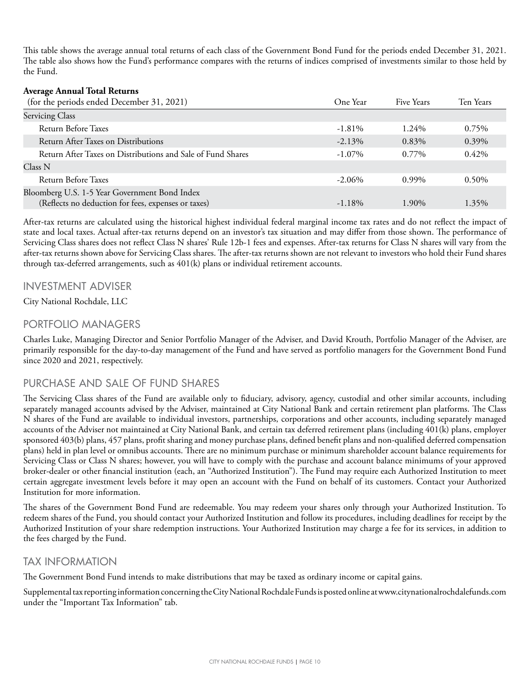This table shows the average annual total returns of each class of the Government Bond Fund for the periods ended December 31, 2021. The table also shows how the Fund's performance compares with the returns of indices comprised of investments similar to those held by the Fund.

#### **Average Annual Total Returns**

| (for the periods ended December 31, 2021)                                                            | One Year  | <b>Five Years</b> | Ten Years |
|------------------------------------------------------------------------------------------------------|-----------|-------------------|-----------|
| <b>Servicing Class</b>                                                                               |           |                   |           |
| Return Before Taxes                                                                                  | $-1.81\%$ | $1.24\%$          | 0.75%     |
| Return After Taxes on Distributions                                                                  | $-2.13\%$ | $0.83\%$          | 0.39%     |
| Return After Taxes on Distributions and Sale of Fund Shares                                          | $-1.07\%$ | $0.77\%$          | 0.42%     |
| Class N                                                                                              |           |                   |           |
| Return Before Taxes                                                                                  | $-2.06\%$ | $0.99\%$          | $0.50\%$  |
| Bloomberg U.S. 1-5 Year Government Bond Index<br>(Reflects no deduction for fees, expenses or taxes) | $-1.18\%$ | 1.90%             | 1.35%     |

After-tax returns are calculated using the historical highest individual federal marginal income tax rates and do not reflect the impact of state and local taxes. Actual after-tax returns depend on an investor's tax situation and may differ from those shown. The performance of Servicing Class shares does not reflect Class N shares' Rule 12b-1 fees and expenses. After-tax returns for Class N shares will vary from the after-tax returns shown above for Servicing Class shares. The after-tax returns shown are not relevant to investors who hold their Fund shares through tax-deferred arrangements, such as 401(k) plans or individual retirement accounts.

#### INVESTMENT ADVISER

City National Rochdale, LLC

#### PORTFOLIO MANAGERS

Charles Luke, Managing Director and Senior Portfolio Manager of the Adviser, and David Krouth, Portfolio Manager of the Adviser, are primarily responsible for the day-to-day management of the Fund and have served as portfolio managers for the Government Bond Fund since 2020 and 2021, respectively.

## PURCHASE AND SALE OF FUND SHARES

The Servicing Class shares of the Fund are available only to fiduciary, advisory, agency, custodial and other similar accounts, including separately managed accounts advised by the Adviser, maintained at City National Bank and certain retirement plan platforms. The Class N shares of the Fund are available to individual investors, partnerships, corporations and other accounts, including separately managed accounts of the Adviser not maintained at City National Bank, and certain tax deferred retirement plans (including 401(k) plans, employer sponsored 403(b) plans, 457 plans, profit sharing and money purchase plans, defined benefit plans and non-qualified deferred compensation plans) held in plan level or omnibus accounts. There are no minimum purchase or minimum shareholder account balance requirements for Servicing Class or Class N shares; however, you will have to comply with the purchase and account balance minimums of your approved broker-dealer or other financial institution (each, an "Authorized Institution"). The Fund may require each Authorized Institution to meet certain aggregate investment levels before it may open an account with the Fund on behalf of its customers. Contact your Authorized Institution for more information.

The shares of the Government Bond Fund are redeemable. You may redeem your shares only through your Authorized Institution. To redeem shares of the Fund, you should contact your Authorized Institution and follow its procedures, including deadlines for receipt by the Authorized Institution of your share redemption instructions. Your Authorized Institution may charge a fee for its services, in addition to the fees charged by the Fund.

#### TAX INFORMATION

The Government Bond Fund intends to make distributions that may be taxed as ordinary income or capital gains.

Supplemental tax reporting information concerning the City National Rochdale Funds is posted online at www.citynationalrochdalefunds.com under the "Important Tax Information" tab.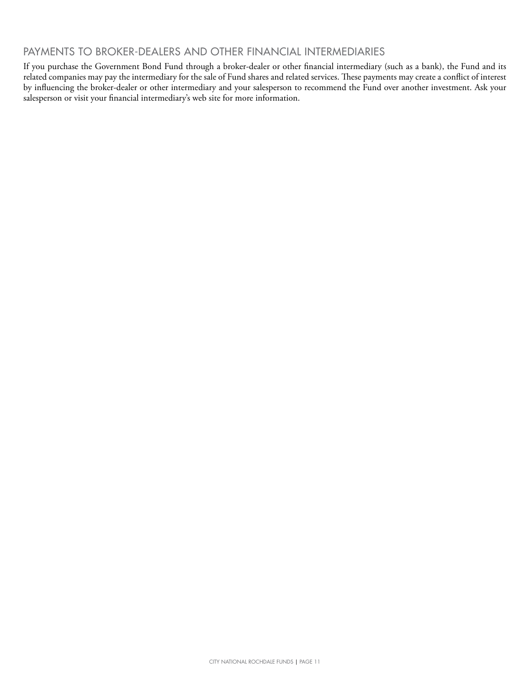## PAYMENTS TO BROKER-DEALERS AND OTHER FINANCIAL INTERMEDIARIES

If you purchase the Government Bond Fund through a broker-dealer or other financial intermediary (such as a bank), the Fund and its related companies may pay the intermediary for the sale of Fund shares and related services. These payments may create a conflict of interest by influencing the broker-dealer or other intermediary and your salesperson to recommend the Fund over another investment. Ask your salesperson or visit your financial intermediary's web site for more information.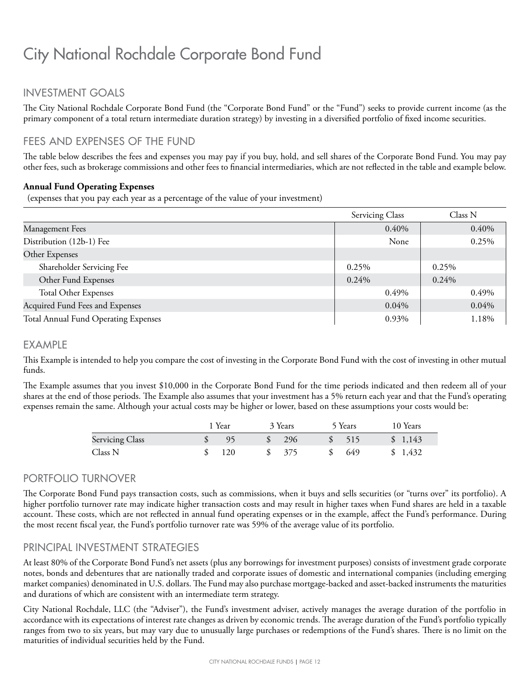## <span id="page-13-0"></span>City National Rochdale Corporate Bond Fund

## INVESTMENT GOALS

The City National Rochdale Corporate Bond Fund (the "Corporate Bond Fund" or the "Fund") seeks to provide current income (as the primary component of a total return intermediate duration strategy) by investing in a diversified portfolio of fixed income securities.

## FEES AND EXPENSES OF THE FUND

The table below describes the fees and expenses you may pay if you buy, hold, and sell shares of the Corporate Bond Fund. You may pay other fees, such as brokerage commissions and other fees to financial intermediaries, which are not reflected in the table and example below.

#### **Annual Fund Operating Expenses**

(expenses that you pay each year as a percentage of the value of your investment)

|                                      | Servicing Class | Class N |
|--------------------------------------|-----------------|---------|
| Management Fees                      | 0.40%           | 0.40%   |
| Distribution (12b-1) Fee             | None            | 0.25%   |
| Other Expenses                       |                 |         |
| Shareholder Servicing Fee            | 0.25%           | 0.25%   |
| Other Fund Expenses                  | 0.24%           | 0.24%   |
| <b>Total Other Expenses</b>          | 0.49%           | 0.49%   |
| Acquired Fund Fees and Expenses      | 0.04%           | 0.04%   |
| Total Annual Fund Operating Expenses | 0.93%           | 1.18%   |

#### EXAMPLE

This Example is intended to help you compare the cost of investing in the Corporate Bond Fund with the cost of investing in other mutual funds.

The Example assumes that you invest \$10,000 in the Corporate Bond Fund for the time periods indicated and then redeem all of your shares at the end of those periods. The Example also assumes that your investment has a 5% return each year and that the Fund's operating expenses remain the same. Although your actual costs may be higher or lower, based on these assumptions your costs would be:

|                        | 1 Year         | 3 Years | 5 Years | 10 Years |
|------------------------|----------------|---------|---------|----------|
| <b>Servicing Class</b> | O <sub>5</sub> | 296     | 515     | \$1,143  |
| Class N                | 120            | -375    | 649     | \$1,432  |

### PORTFOLIO TURNOVER

The Corporate Bond Fund pays transaction costs, such as commissions, when it buys and sells securities (or "turns over" its portfolio). A higher portfolio turnover rate may indicate higher transaction costs and may result in higher taxes when Fund shares are held in a taxable account. These costs, which are not reflected in annual fund operating expenses or in the example, affect the Fund's performance. During the most recent fiscal year, the Fund's portfolio turnover rate was 59% of the average value of its portfolio.

#### PRINCIPAL INVESTMENT STRATEGIES

At least 80% of the Corporate Bond Fund's net assets (plus any borrowings for investment purposes) consists of investment grade corporate notes, bonds and debentures that are nationally traded and corporate issues of domestic and international companies (including emerging market companies) denominated in U.S. dollars. The Fund may also purchase mortgage-backed and asset-backed instruments the maturities and durations of which are consistent with an intermediate term strategy.

City National Rochdale, LLC (the "Adviser"), the Fund's investment adviser, actively manages the average duration of the portfolio in accordance with its expectations of interest rate changes as driven by economic trends. The average duration of the Fund's portfolio typically ranges from two to six years, but may vary due to unusually large purchases or redemptions of the Fund's shares. There is no limit on the maturities of individual securities held by the Fund.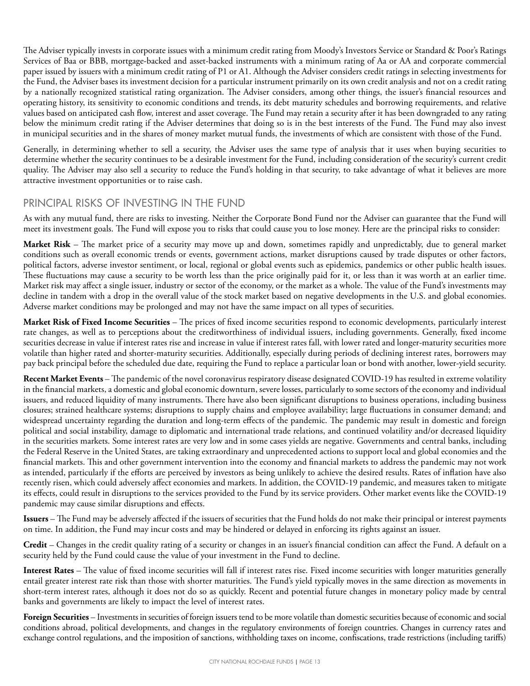The Adviser typically invests in corporate issues with a minimum credit rating from Moody's Investors Service or Standard & Poor's Ratings Services of Baa or BBB, mortgage-backed and asset-backed instruments with a minimum rating of Aa or AA and corporate commercial paper issued by issuers with a minimum credit rating of P1 or A1. Although the Adviser considers credit ratings in selecting investments for the Fund, the Adviser bases its investment decision for a particular instrument primarily on its own credit analysis and not on a credit rating by a nationally recognized statistical rating organization. The Adviser considers, among other things, the issuer's financial resources and operating history, its sensitivity to economic conditions and trends, its debt maturity schedules and borrowing requirements, and relative values based on anticipated cash flow, interest and asset coverage. The Fund may retain a security after it has been downgraded to any rating below the minimum credit rating if the Adviser determines that doing so is in the best interests of the Fund. The Fund may also invest in municipal securities and in the shares of money market mutual funds, the investments of which are consistent with those of the Fund.

Generally, in determining whether to sell a security, the Adviser uses the same type of analysis that it uses when buying securities to determine whether the security continues to be a desirable investment for the Fund, including consideration of the security's current credit quality. The Adviser may also sell a security to reduce the Fund's holding in that security, to take advantage of what it believes are more attractive investment opportunities or to raise cash.

## PRINCIPAL RISKS OF INVESTING IN THE FUND

As with any mutual fund, there are risks to investing. Neither the Corporate Bond Fund nor the Adviser can guarantee that the Fund will meet its investment goals. The Fund will expose you to risks that could cause you to lose money. Here are the principal risks to consider:

**Market Risk** – The market price of a security may move up and down, sometimes rapidly and unpredictably, due to general market conditions such as overall economic trends or events, government actions, market disruptions caused by trade disputes or other factors, political factors, adverse investor sentiment, or local, regional or global events such as epidemics, pandemics or other public health issues. These fluctuations may cause a security to be worth less than the price originally paid for it, or less than it was worth at an earlier time. Market risk may affect a single issuer, industry or sector of the economy, or the market as a whole. The value of the Fund's investments may decline in tandem with a drop in the overall value of the stock market based on negative developments in the U.S. and global economies. Adverse market conditions may be prolonged and may not have the same impact on all types of securities.

**Market Risk of Fixed Income Securities** – The prices of fixed income securities respond to economic developments, particularly interest rate changes, as well as to perceptions about the creditworthiness of individual issuers, including governments. Generally, fixed income securities decrease in value if interest rates rise and increase in value if interest rates fall, with lower rated and longer-maturity securities more volatile than higher rated and shorter-maturity securities. Additionally, especially during periods of declining interest rates, borrowers may pay back principal before the scheduled due date, requiring the Fund to replace a particular loan or bond with another, lower-yield security.

**Recent Market Events** – The pandemic of the novel coronavirus respiratory disease designated COVID-19 has resulted in extreme volatility in the financial markets, a domestic and global economic downturn, severe losses, particularly to some sectors of the economy and individual issuers, and reduced liquidity of many instruments. There have also been significant disruptions to business operations, including business closures; strained healthcare systems; disruptions to supply chains and employee availability; large fluctuations in consumer demand; and widespread uncertainty regarding the duration and long-term effects of the pandemic. The pandemic may result in domestic and foreign political and social instability, damage to diplomatic and international trade relations, and continued volatility and/or decreased liquidity in the securities markets. Some interest rates are very low and in some cases yields are negative. Governments and central banks, including the Federal Reserve in the United States, are taking extraordinary and unprecedented actions to support local and global economies and the financial markets. This and other government intervention into the economy and financial markets to address the pandemic may not work as intended, particularly if the efforts are perceived by investors as being unlikely to achieve the desired results. Rates of inflation have also recently risen, which could adversely affect economies and markets. In addition, the COVID-19 pandemic, and measures taken to mitigate its effects, could result in disruptions to the services provided to the Fund by its service providers. Other market events like the COVID-19 pandemic may cause similar disruptions and effects.

**Issuers** – The Fund may be adversely affected if the issuers of securities that the Fund holds do not make their principal or interest payments on time. In addition, the Fund may incur costs and may be hindered or delayed in enforcing its rights against an issuer.

**Credit** – Changes in the credit quality rating of a security or changes in an issuer's financial condition can affect the Fund. A default on a security held by the Fund could cause the value of your investment in the Fund to decline.

**Interest Rates** – The value of fixed income securities will fall if interest rates rise. Fixed income securities with longer maturities generally entail greater interest rate risk than those with shorter maturities. The Fund's yield typically moves in the same direction as movements in short-term interest rates, although it does not do so as quickly. Recent and potential future changes in monetary policy made by central banks and governments are likely to impact the level of interest rates.

**Foreign Securities** – Investments in securities of foreign issuers tend to be more volatile than domestic securities because of economic and social conditions abroad, political developments, and changes in the regulatory environments of foreign countries. Changes in currency rates and exchange control regulations, and the imposition of sanctions, withholding taxes on income, confiscations, trade restrictions (including tariffs)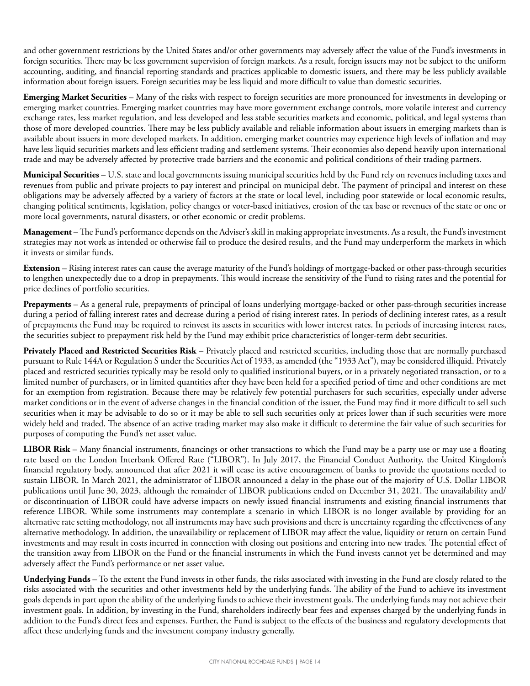and other government restrictions by the United States and/or other governments may adversely affect the value of the Fund's investments in foreign securities. There may be less government supervision of foreign markets. As a result, foreign issuers may not be subject to the uniform accounting, auditing, and financial reporting standards and practices applicable to domestic issuers, and there may be less publicly available information about foreign issuers. Foreign securities may be less liquid and more difficult to value than domestic securities.

**Emerging Market Securities** – Many of the risks with respect to foreign securities are more pronounced for investments in developing or emerging market countries. Emerging market countries may have more government exchange controls, more volatile interest and currency exchange rates, less market regulation, and less developed and less stable securities markets and economic, political, and legal systems than those of more developed countries. There may be less publicly available and reliable information about issuers in emerging markets than is available about issuers in more developed markets. In addition, emerging market countries may experience high levels of inflation and may have less liquid securities markets and less efficient trading and settlement systems. Their economies also depend heavily upon international trade and may be adversely affected by protective trade barriers and the economic and political conditions of their trading partners.

**Municipal Securities** – U.S. state and local governments issuing municipal securities held by the Fund rely on revenues including taxes and revenues from public and private projects to pay interest and principal on municipal debt. The payment of principal and interest on these obligations may be adversely affected by a variety of factors at the state or local level, including poor statewide or local economic results, changing political sentiments, legislation, policy changes or voter-based initiatives, erosion of the tax base or revenues of the state or one or more local governments, natural disasters, or other economic or credit problems.

**Management** – The Fund's performance depends on the Adviser's skill in making appropriate investments. As a result, the Fund's investment strategies may not work as intended or otherwise fail to produce the desired results, and the Fund may underperform the markets in which it invests or similar funds.

**Extension** – Rising interest rates can cause the average maturity of the Fund's holdings of mortgage-backed or other pass-through securities to lengthen unexpectedly due to a drop in prepayments. This would increase the sensitivity of the Fund to rising rates and the potential for price declines of portfolio securities.

**Prepayments** – As a general rule, prepayments of principal of loans underlying mortgage-backed or other pass-through securities increase during a period of falling interest rates and decrease during a period of rising interest rates. In periods of declining interest rates, as a result of prepayments the Fund may be required to reinvest its assets in securities with lower interest rates. In periods of increasing interest rates, the securities subject to prepayment risk held by the Fund may exhibit price characteristics of longer-term debt securities.

**Privately Placed and Restricted Securities Risk** – Privately placed and restricted securities, including those that are normally purchased pursuant to Rule 144A or Regulation S under the Securities Act of 1933, as amended (the "1933 Act"), may be considered illiquid. Privately placed and restricted securities typically may be resold only to qualified institutional buyers, or in a privately negotiated transaction, or to a limited number of purchasers, or in limited quantities after they have been held for a specified period of time and other conditions are met for an exemption from registration. Because there may be relatively few potential purchasers for such securities, especially under adverse market conditions or in the event of adverse changes in the financial condition of the issuer, the Fund may find it more difficult to sell such securities when it may be advisable to do so or it may be able to sell such securities only at prices lower than if such securities were more widely held and traded. The absence of an active trading market may also make it difficult to determine the fair value of such securities for purposes of computing the Fund's net asset value.

**LIBOR Risk** – Many financial instruments, financings or other transactions to which the Fund may be a party use or may use a floating rate based on the London Interbank Offered Rate ("LIBOR"). In July 2017, the Financial Conduct Authority, the United Kingdom's financial regulatory body, announced that after 2021 it will cease its active encouragement of banks to provide the quotations needed to sustain LIBOR. In March 2021, the administrator of LIBOR announced a delay in the phase out of the majority of U.S. Dollar LIBOR publications until June 30, 2023, although the remainder of LIBOR publications ended on December 31, 2021. The unavailability and/ or discontinuation of LIBOR could have adverse impacts on newly issued financial instruments and existing financial instruments that reference LIBOR. While some instruments may contemplate a scenario in which LIBOR is no longer available by providing for an alternative rate setting methodology, not all instruments may have such provisions and there is uncertainty regarding the effectiveness of any alternative methodology. In addition, the unavailability or replacement of LIBOR may affect the value, liquidity or return on certain Fund investments and may result in costs incurred in connection with closing out positions and entering into new trades. The potential effect of the transition away from LIBOR on the Fund or the financial instruments in which the Fund invests cannot yet be determined and may adversely affect the Fund's performance or net asset value.

**Underlying Funds** – To the extent the Fund invests in other funds, the risks associated with investing in the Fund are closely related to the risks associated with the securities and other investments held by the underlying funds. The ability of the Fund to achieve its investment goals depends in part upon the ability of the underlying funds to achieve their investment goals. The underlying funds may not achieve their investment goals. In addition, by investing in the Fund, shareholders indirectly bear fees and expenses charged by the underlying funds in addition to the Fund's direct fees and expenses. Further, the Fund is subject to the effects of the business and regulatory developments that affect these underlying funds and the investment company industry generally.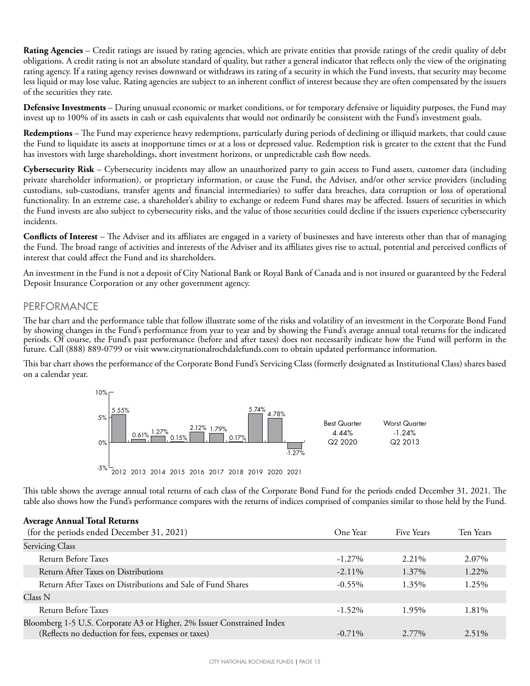**Rating Agencies** – Credit ratings are issued by rating agencies, which are private entities that provide ratings of the credit quality of debt obligations. A credit rating is not an absolute standard of quality, but rather a general indicator that reflects only the view of the originating rating agency. If a rating agency revises downward or withdraws its rating of a security in which the Fund invests, that security may become less liquid or may lose value. Rating agencies are subject to an inherent conflict of interest because they are often compensated by the issuers of the securities they rate.

**Defensive Investments** – During unusual economic or market conditions, or for temporary defensive or liquidity purposes, the Fund may invest up to 100% of its assets in cash or cash equivalents that would not ordinarily be consistent with the Fund's investment goals.

**Redemptions** – The Fund may experience heavy redemptions, particularly during periods of declining or illiquid markets, that could cause the Fund to liquidate its assets at inopportune times or at a loss or depressed value. Redemption risk is greater to the extent that the Fund has investors with large shareholdings, short investment horizons, or unpredictable cash flow needs.

**Cybersecurity Risk** – Cybersecurity incidents may allow an unauthorized party to gain access to Fund assets, customer data (including private shareholder information), or proprietary information, or cause the Fund, the Adviser, and/or other service providers (including custodians, sub-custodians, transfer agents and financial intermediaries) to suffer data breaches, data corruption or loss of operational functionality. In an extreme case, a shareholder's ability to exchange or redeem Fund shares may be affected. Issuers of securities in which the Fund invests are also subject to cybersecurity risks, and the value of those securities could decline if the issuers experience cybersecurity incidents.

**Conflicts of Interest** – The Adviser and its affiliates are engaged in a variety of businesses and have interests other than that of managing the Fund. The broad range of activities and interests of the Adviser and its affiliates gives rise to actual, potential and perceived conflicts of interest that could affect the Fund and its shareholders.

An investment in the Fund is not a deposit of City National Bank or Royal Bank of Canada and is not insured or guaranteed by the Federal Deposit Insurance Corporation or any other government agency.

### **PERFORMANCE**

The bar chart and the performance table that follow illustrate some of the risks and volatility of an investment in the Corporate Bond Fund by showing changes in the Fund's performance from year to year and by showing the Fund's average annual total returns for the indicated periods. Of course, the Fund's past performance (before and after taxes) does not necessarily indicate how the Fund will perform in the future. Call (888) 889-0799 or visit www.citynationalrochdalefunds.com to obtain updated performance information.

This bar chart shows the performance of the Corporate Bond Fund's Servicing Class (formerly designated as Institutional Class) shares based on a calendar year.



This table shows the average annual total returns of each class of the Corporate Bond Fund for the periods ended December 31, 2021. The table also shows how the Fund's performance compares with the returns of indices comprised of companies similar to those held by the Fund.

#### **Average Annual Total Returns**

| (for the periods ended December 31, 2021)                              | One Year  | Five Years | Ten Years |
|------------------------------------------------------------------------|-----------|------------|-----------|
| <b>Servicing Class</b>                                                 |           |            |           |
| Return Before Taxes                                                    | $-1.27\%$ | 2.21%      | 2.07%     |
| Return After Taxes on Distributions                                    | $-2.11\%$ | 1.37%      | 1.22%     |
| Return After Taxes on Distributions and Sale of Fund Shares            | $-0.55\%$ | 1.35%      | 1.25%     |
| Class N                                                                |           |            |           |
| Return Before Taxes                                                    | $-1.52\%$ | 1.95%      | 1.81%     |
| Bloomberg 1-5 U.S. Corporate A3 or Higher, 2% Issuer Constrained Index |           |            |           |
| (Reflects no deduction for fees, expenses or taxes)                    | $-0.71\%$ | 2.77%      | 2.51%     |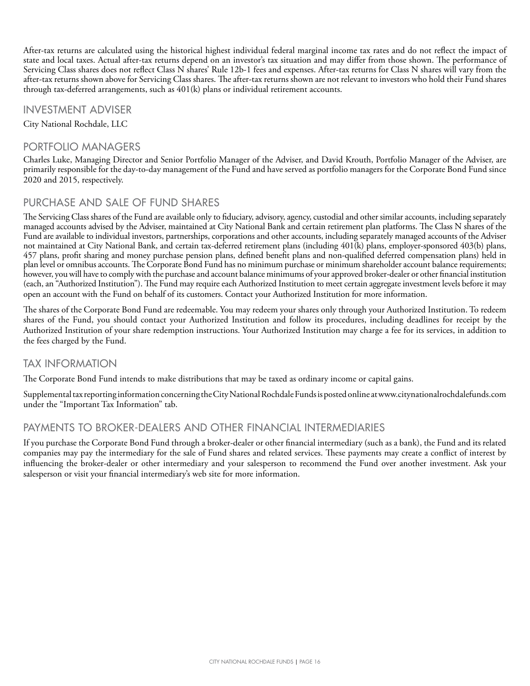After-tax returns are calculated using the historical highest individual federal marginal income tax rates and do not reflect the impact of state and local taxes. Actual after-tax returns depend on an investor's tax situation and may differ from those shown. The performance of Servicing Class shares does not reflect Class N shares' Rule 12b-1 fees and expenses. After-tax returns for Class N shares will vary from the after-tax returns shown above for Servicing Class shares. The after-tax returns shown are not relevant to investors who hold their Fund shares through tax-deferred arrangements, such as 401(k) plans or individual retirement accounts.

#### INVESTMENT ADVISER

City National Rochdale, LLC

## PORTFOLIO MANAGERS

Charles Luke, Managing Director and Senior Portfolio Manager of the Adviser, and David Krouth, Portfolio Manager of the Adviser, are primarily responsible for the day-to-day management of the Fund and have served as portfolio managers for the Corporate Bond Fund since 2020 and 2015, respectively.

## PURCHASE AND SALE OF FUND SHARES

The Servicing Class shares of the Fund are available only to fiduciary, advisory, agency, custodial and other similar accounts, including separately managed accounts advised by the Adviser, maintained at City National Bank and certain retirement plan platforms. The Class N shares of the Fund are available to individual investors, partnerships, corporations and other accounts, including separately managed accounts of the Adviser not maintained at City National Bank, and certain tax-deferred retirement plans (including 401(k) plans, employer-sponsored 403(b) plans, 457 plans, profit sharing and money purchase pension plans, defined benefit plans and non-qualified deferred compensation plans) held in plan level or omnibus accounts. The Corporate Bond Fund has no minimum purchase or minimum shareholder account balance requirements; however, you will have to comply with the purchase and account balance minimums of your approved broker-dealer or other financial institution (each, an "Authorized Institution"). The Fund may require each Authorized Institution to meet certain aggregate investment levels before it may open an account with the Fund on behalf of its customers. Contact your Authorized Institution for more information.

The shares of the Corporate Bond Fund are redeemable. You may redeem your shares only through your Authorized Institution. To redeem shares of the Fund, you should contact your Authorized Institution and follow its procedures, including deadlines for receipt by the Authorized Institution of your share redemption instructions. Your Authorized Institution may charge a fee for its services, in addition to the fees charged by the Fund.

### TAX INFORMATION

The Corporate Bond Fund intends to make distributions that may be taxed as ordinary income or capital gains.

Supplemental tax reporting information concerning the City National Rochdale Funds is posted online at www.citynationalrochdalefunds.com under the "Important Tax Information" tab.

### PAYMENTS TO BROKER-DEALERS AND OTHER FINANCIAL INTERMEDIARIES

If you purchase the Corporate Bond Fund through a broker-dealer or other financial intermediary (such as a bank), the Fund and its related companies may pay the intermediary for the sale of Fund shares and related services. These payments may create a conflict of interest by influencing the broker-dealer or other intermediary and your salesperson to recommend the Fund over another investment. Ask your salesperson or visit your financial intermediary's web site for more information.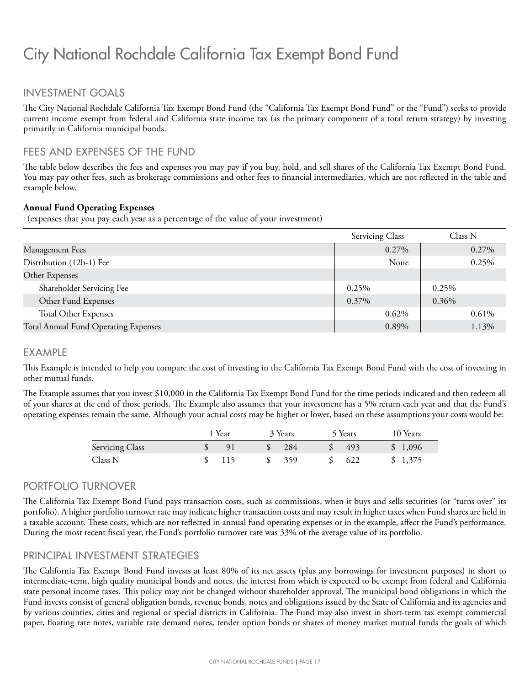## <span id="page-18-0"></span>INVESTMENT GOALS

The City National Rochdale California Tax Exempt Bond Fund (the "California Tax Exempt Bond Fund" or the "Fund") seeks to provide current income exempt from federal and California state income tax (as the primary component of a total return strategy) by investing primarily in California municipal bonds.

## FEES AND EXPENSES OF THE FUND

The table below describes the fees and expenses you may pay if you buy, hold, and sell shares of the California Tax Exempt Bond Fund. You may pay other fees, such as brokerage commissions and other fees to financial intermediaries, which are not reflected in the table and example below.

#### **Annual Fund Operating Expenses**

(expenses that you pay each year as a percentage of the value of your investment)

|                                      | Servicing Class | Class N |
|--------------------------------------|-----------------|---------|
| Management Fees                      | 0.27%           | 0.27%   |
| Distribution (12b-1) Fee             | None            | 0.25%   |
| Other Expenses                       |                 |         |
| Shareholder Servicing Fee            | 0.25%           | 0.25%   |
| Other Fund Expenses                  | 0.37%           | 0.36%   |
| <b>Total Other Expenses</b>          | $0.62\%$        | 0.61%   |
| Total Annual Fund Operating Expenses | 0.89%           | 1.13%   |

### EXAMPLE

This Example is intended to help you compare the cost of investing in the California Tax Exempt Bond Fund with the cost of investing in other mutual funds.

The Example assumes that you invest \$10,000 in the California Tax Exempt Bond Fund for the time periods indicated and then redeem all of your shares at the end of those periods. The Example also assumes that your investment has a 5% return each year and that the Fund's operating expenses remain the same. Although your actual costs may be higher or lower, based on these assumptions your costs would be:

|                        | 1 Year         | 3 Years | 5 Years | 10 Years |
|------------------------|----------------|---------|---------|----------|
| <b>Servicing Class</b> | Q <sub>1</sub> | 284     | 493     | \$1,096  |
| Class N                | 115            | 359     | 622     | \$1,375  |

### PORTFOLIO TURNOVER

The California Tax Exempt Bond Fund pays transaction costs, such as commissions, when it buys and sells securities (or "turns over" its portfolio). A higher portfolio turnover rate may indicate higher transaction costs and may result in higher taxes when Fund shares are held in a taxable account. These costs, which are not reflected in annual fund operating expenses or in the example, affect the Fund's performance. During the most recent fiscal year, the Fund's portfolio turnover rate was 33% of the average value of its portfolio.

### PRINCIPAL INVESTMENT STRATEGIES

The California Tax Exempt Bond Fund invests at least 80% of its net assets (plus any borrowings for investment purposes) in short to intermediate-term, high quality municipal bonds and notes, the interest from which is expected to be exempt from federal and California state personal income taxes. This policy may not be changed without shareholder approval. The municipal bond obligations in which the Fund invests consist of general obligation bonds, revenue bonds, notes and obligations issued by the State of California and its agencies and by various counties, cities and regional or special districts in California. The Fund may also invest in short-term tax exempt commercial paper, floating rate notes, variable rate demand notes, tender option bonds or shares of money market mutual funds the goals of which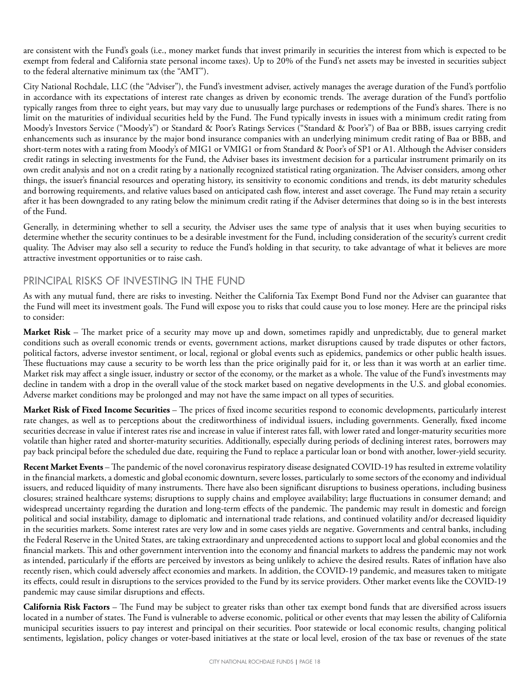are consistent with the Fund's goals (i.e., money market funds that invest primarily in securities the interest from which is expected to be exempt from federal and California state personal income taxes). Up to 20% of the Fund's net assets may be invested in securities subject to the federal alternative minimum tax (the "AMT").

City National Rochdale, LLC (the "Adviser"), the Fund's investment adviser, actively manages the average duration of the Fund's portfolio in accordance with its expectations of interest rate changes as driven by economic trends. The average duration of the Fund's portfolio typically ranges from three to eight years, but may vary due to unusually large purchases or redemptions of the Fund's shares. There is no limit on the maturities of individual securities held by the Fund. The Fund typically invests in issues with a minimum credit rating from Moody's Investors Service ("Moody's") or Standard & Poor's Ratings Services ("Standard & Poor's") of Baa or BBB, issues carrying credit enhancements such as insurance by the major bond insurance companies with an underlying minimum credit rating of Baa or BBB, and short-term notes with a rating from Moody's of MIG1 or VMIG1 or from Standard & Poor's of SP1 or A1. Although the Adviser considers credit ratings in selecting investments for the Fund, the Adviser bases its investment decision for a particular instrument primarily on its own credit analysis and not on a credit rating by a nationally recognized statistical rating organization. The Adviser considers, among other things, the issuer's financial resources and operating history, its sensitivity to economic conditions and trends, its debt maturity schedules and borrowing requirements, and relative values based on anticipated cash flow, interest and asset coverage. The Fund may retain a security after it has been downgraded to any rating below the minimum credit rating if the Adviser determines that doing so is in the best interests of the Fund.

Generally, in determining whether to sell a security, the Adviser uses the same type of analysis that it uses when buying securities to determine whether the security continues to be a desirable investment for the Fund, including consideration of the security's current credit quality. The Adviser may also sell a security to reduce the Fund's holding in that security, to take advantage of what it believes are more attractive investment opportunities or to raise cash.

## PRINCIPAL RISKS OF INVESTING IN THE FUND

As with any mutual fund, there are risks to investing. Neither the California Tax Exempt Bond Fund nor the Adviser can guarantee that the Fund will meet its investment goals. The Fund will expose you to risks that could cause you to lose money. Here are the principal risks to consider:

**Market Risk** – The market price of a security may move up and down, sometimes rapidly and unpredictably, due to general market conditions such as overall economic trends or events, government actions, market disruptions caused by trade disputes or other factors, political factors, adverse investor sentiment, or local, regional or global events such as epidemics, pandemics or other public health issues. These fluctuations may cause a security to be worth less than the price originally paid for it, or less than it was worth at an earlier time. Market risk may affect a single issuer, industry or sector of the economy, or the market as a whole. The value of the Fund's investments may decline in tandem with a drop in the overall value of the stock market based on negative developments in the U.S. and global economies. Adverse market conditions may be prolonged and may not have the same impact on all types of securities.

**Market Risk of Fixed Income Securities** – The prices of fixed income securities respond to economic developments, particularly interest rate changes, as well as to perceptions about the creditworthiness of individual issuers, including governments. Generally, fixed income securities decrease in value if interest rates rise and increase in value if interest rates fall, with lower rated and longer-maturity securities more volatile than higher rated and shorter-maturity securities. Additionally, especially during periods of declining interest rates, borrowers may pay back principal before the scheduled due date, requiring the Fund to replace a particular loan or bond with another, lower-yield security.

**Recent Market Events** – The pandemic of the novel coronavirus respiratory disease designated COVID-19 has resulted in extreme volatility in the financial markets, a domestic and global economic downturn, severe losses, particularly to some sectors of the economy and individual issuers, and reduced liquidity of many instruments. There have also been significant disruptions to business operations, including business closures; strained healthcare systems; disruptions to supply chains and employee availability; large fluctuations in consumer demand; and widespread uncertainty regarding the duration and long-term effects of the pandemic. The pandemic may result in domestic and foreign political and social instability, damage to diplomatic and international trade relations, and continued volatility and/or decreased liquidity in the securities markets. Some interest rates are very low and in some cases yields are negative. Governments and central banks, including the Federal Reserve in the United States, are taking extraordinary and unprecedented actions to support local and global economies and the financial markets. This and other government intervention into the economy and financial markets to address the pandemic may not work as intended, particularly if the efforts are perceived by investors as being unlikely to achieve the desired results. Rates of inflation have also recently risen, which could adversely affect economies and markets. In addition, the COVID-19 pandemic, and measures taken to mitigate its effects, could result in disruptions to the services provided to the Fund by its service providers. Other market events like the COVID-19 pandemic may cause similar disruptions and effects.

**California Risk Factors** – The Fund may be subject to greater risks than other tax exempt bond funds that are diversified across issuers located in a number of states. The Fund is vulnerable to adverse economic, political or other events that may lessen the ability of California municipal securities issuers to pay interest and principal on their securities. Poor statewide or local economic results, changing political sentiments, legislation, policy changes or voter-based initiatives at the state or local level, erosion of the tax base or revenues of the state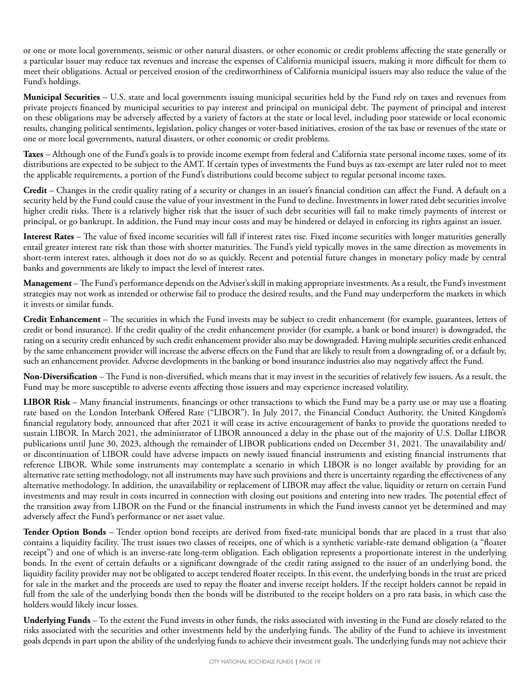or one or more local governments, seismic or other natural disasters, or other economic or credit problems affecting the state generally or a particular issuer may reduce tax revenues and increase the expenses of California municipal issuers, making it more difficult for them to meet their obligations. Actual or perceived erosion of the creditworthiness of California municipal issuers may also reduce the value of the Fund's holdings.

**Municipal Securities** – U.S. state and local governments issuing municipal securities held by the Fund rely on taxes and revenues from private projects financed by municipal securities to pay interest and principal on municipal debt. The payment of principal and interest on these obligations may be adversely affected by a variety of factors at the state or local level, including poor statewide or local economic results, changing political sentiments, legislation, policy changes or voter-based initiatives, erosion of the tax base or revenues of the state or one or more local governments, natural disasters, or other economic or credit problems.

**Taxes** – Although one of the Fund's goals is to provide income exempt from federal and California state personal income taxes, some of its distributions are expected to be subject to the AMT. If certain types of investments the Fund buys as tax-exempt are later ruled not to meet the applicable requirements, a portion of the Fund's distributions could become subject to regular personal income taxes.

**Credit** – Changes in the credit quality rating of a security or changes in an issuer's financial condition can affect the Fund. A default on a security held by the Fund could cause the value of your investment in the Fund to decline. Investments in lower rated debt securities involve higher credit risks. There is a relatively higher risk that the issuer of such debt securities will fail to make timely payments of interest or principal, or go bankrupt. In addition, the Fund may incur costs and may be hindered or delayed in enforcing its rights against an issuer.

**Interest Rates** – The value of fixed income securities will fall if interest rates rise. Fixed income securities with longer maturities generally entail greater interest rate risk than those with shorter maturities. The Fund's yield typically moves in the same direction as movements in short-term interest rates, although it does not do so as quickly. Recent and potential future changes in monetary policy made by central banks and governments are likely to impact the level of interest rates.

**Management** – The Fund's performance depends on the Adviser's skill in making appropriate investments. As a result, the Fund's investment strategies may not work as intended or otherwise fail to produce the desired results, and the Fund may underperform the markets in which it invests or similar funds.

**Credit Enhancement** – The securities in which the Fund invests may be subject to credit enhancement (for example, guarantees, letters of credit or bond insurance). If the credit quality of the credit enhancement provider (for example, a bank or bond insurer) is downgraded, the rating on a security credit enhanced by such credit enhancement provider also may be downgraded. Having multiple securities credit enhanced by the same enhancement provider will increase the adverse effects on the Fund that are likely to result from a downgrading of, or a default by, such an enhancement provider. Adverse developments in the banking or bond insurance industries also may negatively affect the Fund.

**Non-Diversification** – The Fund is non-diversified, which means that it may invest in the securities of relatively few issuers. As a result, the Fund may be more susceptible to adverse events affecting those issuers and may experience increased volatility.

**LIBOR Risk** – Many financial instruments, financings or other transactions to which the Fund may be a party use or may use a floating rate based on the London Interbank Offered Rate ("LIBOR"). In July 2017, the Financial Conduct Authority, the United Kingdom's financial regulatory body, announced that after 2021 it will cease its active encouragement of banks to provide the quotations needed to sustain LIBOR. In March 2021, the administrator of LIBOR announced a delay in the phase out of the majority of U.S. Dollar LIBOR publications until June 30, 2023, although the remainder of LIBOR publications ended on December 31, 2021. The unavailability and/ or discontinuation of LIBOR could have adverse impacts on newly issued financial instruments and existing financial instruments that reference LIBOR. While some instruments may contemplate a scenario in which LIBOR is no longer available by providing for an alternative rate setting methodology, not all instruments may have such provisions and there is uncertainty regarding the effectiveness of any alternative methodology. In addition, the unavailability or replacement of LIBOR may affect the value, liquidity or return on certain Fund investments and may result in costs incurred in connection with closing out positions and entering into new trades. The potential effect of the transition away from LIBOR on the Fund or the financial instruments in which the Fund invests cannot yet be determined and may adversely affect the Fund's performance or net asset value.

**Tender Option Bonds** – Tender option bond receipts are derived from fixed-rate municipal bonds that are placed in a trust that also contains a liquidity facility. The trust issues two classes of receipts, one of which is a synthetic variable-rate demand obligation (a "floater receipt") and one of which is an inverse-rate long-term obligation. Each obligation represents a proportionate interest in the underlying bonds. In the event of certain defaults or a significant downgrade of the credit rating assigned to the issuer of an underlying bond, the liquidity facility provider may not be obligated to accept tendered floater receipts. In this event, the underlying bonds in the trust are priced for sale in the market and the proceeds are used to repay the floater and inverse receipt holders. If the receipt holders cannot be repaid in full from the sale of the underlying bonds then the bonds will be distributed to the receipt holders on a pro rata basis, in which case the holders would likely incur losses.

**Underlying Funds** – To the extent the Fund invests in other funds, the risks associated with investing in the Fund are closely related to the risks associated with the securities and other investments held by the underlying funds. The ability of the Fund to achieve its investment goals depends in part upon the ability of the underlying funds to achieve their investment goals. The underlying funds may not achieve their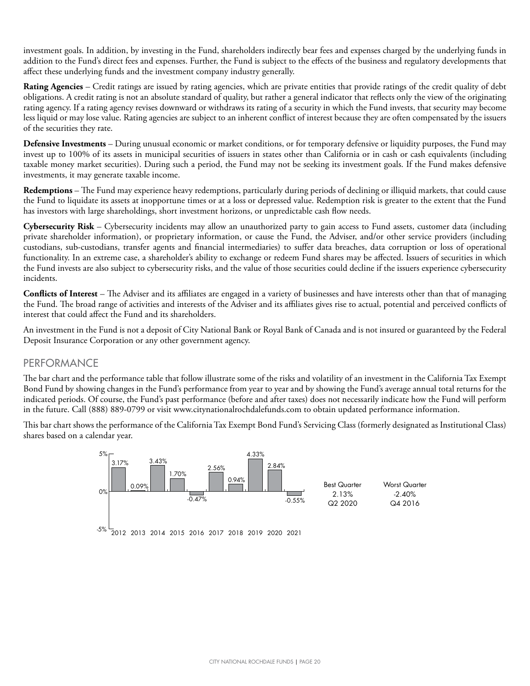investment goals. In addition, by investing in the Fund, shareholders indirectly bear fees and expenses charged by the underlying funds in addition to the Fund's direct fees and expenses. Further, the Fund is subject to the effects of the business and regulatory developments that affect these underlying funds and the investment company industry generally.

**Rating Agencies** – Credit ratings are issued by rating agencies, which are private entities that provide ratings of the credit quality of debt obligations. A credit rating is not an absolute standard of quality, but rather a general indicator that reflects only the view of the originating rating agency. If a rating agency revises downward or withdraws its rating of a security in which the Fund invests, that security may become less liquid or may lose value. Rating agencies are subject to an inherent conflict of interest because they are often compensated by the issuers of the securities they rate.

**Defensive Investments** – During unusual economic or market conditions, or for temporary defensive or liquidity purposes, the Fund may invest up to 100% of its assets in municipal securities of issuers in states other than California or in cash or cash equivalents (including taxable money market securities). During such a period, the Fund may not be seeking its investment goals. If the Fund makes defensive investments, it may generate taxable income.

**Redemptions** – The Fund may experience heavy redemptions, particularly during periods of declining or illiquid markets, that could cause the Fund to liquidate its assets at inopportune times or at a loss or depressed value. Redemption risk is greater to the extent that the Fund has investors with large shareholdings, short investment horizons, or unpredictable cash flow needs.

**Cybersecurity Risk** – Cybersecurity incidents may allow an unauthorized party to gain access to Fund assets, customer data (including private shareholder information), or proprietary information, or cause the Fund, the Adviser, and/or other service providers (including custodians, sub-custodians, transfer agents and financial intermediaries) to suffer data breaches, data corruption or loss of operational functionality. In an extreme case, a shareholder's ability to exchange or redeem Fund shares may be affected. Issuers of securities in which the Fund invests are also subject to cybersecurity risks, and the value of those securities could decline if the issuers experience cybersecurity incidents.

**Conflicts of Interest** – The Adviser and its affiliates are engaged in a variety of businesses and have interests other than that of managing the Fund. The broad range of activities and interests of the Adviser and its affiliates gives rise to actual, potential and perceived conflicts of interest that could affect the Fund and its shareholders.

An investment in the Fund is not a deposit of City National Bank or Royal Bank of Canada and is not insured or guaranteed by the Federal Deposit Insurance Corporation or any other government agency.

### PERFORMANCE

The bar chart and the performance table that follow illustrate some of the risks and volatility of an investment in the California Tax Exempt Bond Fund by showing changes in the Fund's performance from year to year and by showing the Fund's average annual total returns for the indicated periods. Of course, the Fund's past performance (before and after taxes) does not necessarily indicate how the Fund will perform in the future. Call (888) 889-0799 or visit www.citynationalrochdalefunds.com to obtain updated performance information.

This bar chart shows the performance of the California Tax Exempt Bond Fund's Servicing Class (formerly designated as Institutional Class) shares based on a calendar year.

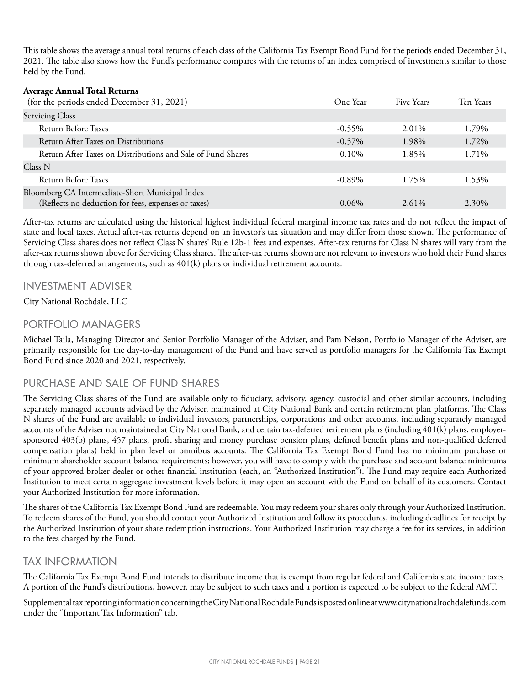This table shows the average annual total returns of each class of the California Tax Exempt Bond Fund for the periods ended December 31, 2021. The table also shows how the Fund's performance compares with the returns of an index comprised of investments similar to those held by the Fund.

#### **Average Annual Total Returns**

| (for the periods ended December 31, 2021)                                                              | One Year  | <b>Five Years</b> | Ten Years |
|--------------------------------------------------------------------------------------------------------|-----------|-------------------|-----------|
| <b>Servicing Class</b>                                                                                 |           |                   |           |
| Return Before Taxes                                                                                    | $-0.55\%$ | 2.01%             | 1.79%     |
| Return After Taxes on Distributions                                                                    | $-0.57\%$ | 1.98%             | 1.72%     |
| Return After Taxes on Distributions and Sale of Fund Shares                                            | $0.10\%$  | 1.85%             | 1.71%     |
| Class N                                                                                                |           |                   |           |
| Return Before Taxes                                                                                    | $-0.89\%$ | 1.75%             | 1.53%     |
| Bloomberg CA Intermediate-Short Municipal Index<br>(Reflects no deduction for fees, expenses or taxes) | $0.06\%$  | 2.61%             | 2.30%     |

After-tax returns are calculated using the historical highest individual federal marginal income tax rates and do not reflect the impact of state and local taxes. Actual after-tax returns depend on an investor's tax situation and may differ from those shown. The performance of Servicing Class shares does not reflect Class N shares' Rule 12b-1 fees and expenses. After-tax returns for Class N shares will vary from the after-tax returns shown above for Servicing Class shares. The after-tax returns shown are not relevant to investors who hold their Fund shares through tax-deferred arrangements, such as 401(k) plans or individual retirement accounts.

#### INVESTMENT ADVISER

City National Rochdale, LLC

#### PORTFOLIO MANAGERS

Michael Taila, Managing Director and Senior Portfolio Manager of the Adviser, and Pam Nelson, Portfolio Manager of the Adviser, are primarily responsible for the day-to-day management of the Fund and have served as portfolio managers for the California Tax Exempt Bond Fund since 2020 and 2021, respectively.

#### PURCHASE AND SALE OF FUND SHARES

The Servicing Class shares of the Fund are available only to fiduciary, advisory, agency, custodial and other similar accounts, including separately managed accounts advised by the Adviser, maintained at City National Bank and certain retirement plan platforms. The Class N shares of the Fund are available to individual investors, partnerships, corporations and other accounts, including separately managed accounts of the Adviser not maintained at City National Bank, and certain tax-deferred retirement plans (including 401(k) plans, employersponsored 403(b) plans, 457 plans, profit sharing and money purchase pension plans, defined benefit plans and non-qualified deferred compensation plans) held in plan level or omnibus accounts. The California Tax Exempt Bond Fund has no minimum purchase or minimum shareholder account balance requirements; however, you will have to comply with the purchase and account balance minimums of your approved broker-dealer or other financial institution (each, an "Authorized Institution"). The Fund may require each Authorized Institution to meet certain aggregate investment levels before it may open an account with the Fund on behalf of its customers. Contact your Authorized Institution for more information.

The shares of the California Tax Exempt Bond Fund are redeemable. You may redeem your shares only through your Authorized Institution. To redeem shares of the Fund, you should contact your Authorized Institution and follow its procedures, including deadlines for receipt by the Authorized Institution of your share redemption instructions. Your Authorized Institution may charge a fee for its services, in addition to the fees charged by the Fund.

#### TAX INFORMATION

The California Tax Exempt Bond Fund intends to distribute income that is exempt from regular federal and California state income taxes. A portion of the Fund's distributions, however, may be subject to such taxes and a portion is expected to be subject to the federal AMT.

Supplemental tax reporting information concerning the City National Rochdale Funds is posted online at www.citynationalrochdalefunds.com under the "Important Tax Information" tab.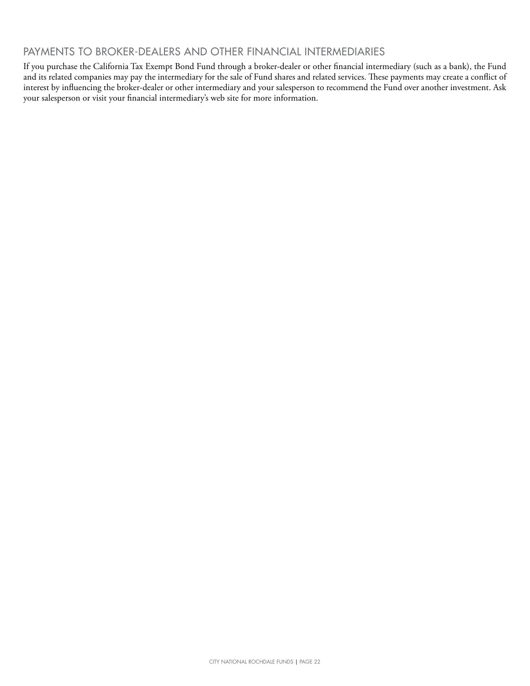## PAYMENTS TO BROKER-DEALERS AND OTHER FINANCIAL INTERMEDIARIES

If you purchase the California Tax Exempt Bond Fund through a broker-dealer or other financial intermediary (such as a bank), the Fund and its related companies may pay the intermediary for the sale of Fund shares and related services. These payments may create a conflict of interest by influencing the broker-dealer or other intermediary and your salesperson to recommend the Fund over another investment. Ask your salesperson or visit your financial intermediary's web site for more information.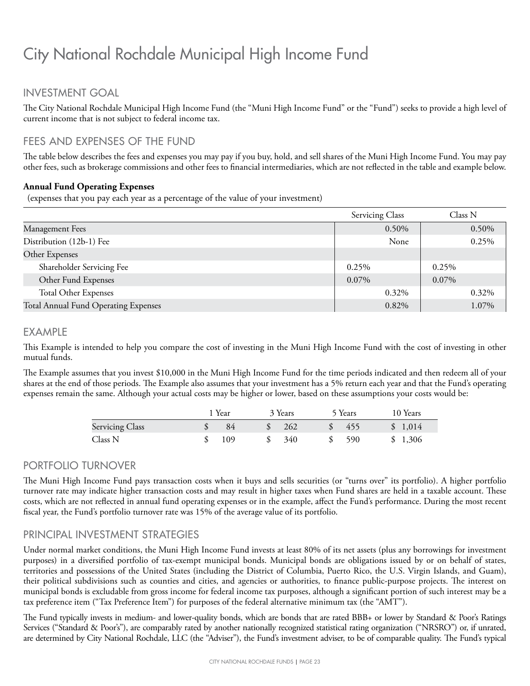## <span id="page-24-0"></span>City National Rochdale Municipal High Income Fund

## INVESTMENT GOAL

The City National Rochdale Municipal High Income Fund (the "Muni High Income Fund" or the "Fund") seeks to provide a high level of current income that is not subject to federal income tax.

## FEES AND EXPENSES OF THE FUND

The table below describes the fees and expenses you may pay if you buy, hold, and sell shares of the Muni High Income Fund. You may pay other fees, such as brokerage commissions and other fees to financial intermediaries, which are not reflected in the table and example below.

#### **Annual Fund Operating Expenses**

(expenses that you pay each year as a percentage of the value of your investment)

|                                      | Servicing Class | Class N  |
|--------------------------------------|-----------------|----------|
| Management Fees                      | 0.50%           | 0.50%    |
| Distribution (12b-1) Fee             | None            | 0.25%    |
| Other Expenses                       |                 |          |
| Shareholder Servicing Fee            | 0.25%           | 0.25%    |
| Other Fund Expenses                  | $0.07\%$        | $0.07\%$ |
| <b>Total Other Expenses</b>          | 0.32%           | 0.32%    |
| Total Annual Fund Operating Expenses | 0.82%           | 1.07%    |

#### EXAMPLE

This Example is intended to help you compare the cost of investing in the Muni High Income Fund with the cost of investing in other mutual funds.

The Example assumes that you invest \$10,000 in the Muni High Income Fund for the time periods indicated and then redeem all of your shares at the end of those periods. The Example also assumes that your investment has a 5% return each year and that the Fund's operating expenses remain the same. Although your actual costs may be higher or lower, based on these assumptions your costs would be:

|                        | Year . | 3 Years | 5 Years | 10 Years |
|------------------------|--------|---------|---------|----------|
| <b>Servicing Class</b> | 84     | 262     | 455     | \$1,014  |
| Class N                | 109    | 340     | 590     | \$1,306  |

### PORTFOLIO TURNOVER

The Muni High Income Fund pays transaction costs when it buys and sells securities (or "turns over" its portfolio). A higher portfolio turnover rate may indicate higher transaction costs and may result in higher taxes when Fund shares are held in a taxable account. These costs, which are not reflected in annual fund operating expenses or in the example, affect the Fund's performance. During the most recent fiscal year, the Fund's portfolio turnover rate was 15% of the average value of its portfolio.

## PRINCIPAL INVESTMENT STRATEGIES

Under normal market conditions, the Muni High Income Fund invests at least 80% of its net assets (plus any borrowings for investment purposes) in a diversified portfolio of tax-exempt municipal bonds. Municipal bonds are obligations issued by or on behalf of states, territories and possessions of the United States (including the District of Columbia, Puerto Rico, the U.S. Virgin Islands, and Guam), their political subdivisions such as counties and cities, and agencies or authorities, to finance public-purpose projects. The interest on municipal bonds is excludable from gross income for federal income tax purposes, although a significant portion of such interest may be a tax preference item ("Tax Preference Item") for purposes of the federal alternative minimum tax (the "AMT").

The Fund typically invests in medium- and lower-quality bonds, which are bonds that are rated BBB+ or lower by Standard & Poor's Ratings Services ("Standard & Poor's"), are comparably rated by another nationally recognized statistical rating organization ("NRSRO") or, if unrated, are determined by City National Rochdale, LLC (the "Adviser"), the Fund's investment adviser, to be of comparable quality. The Fund's typical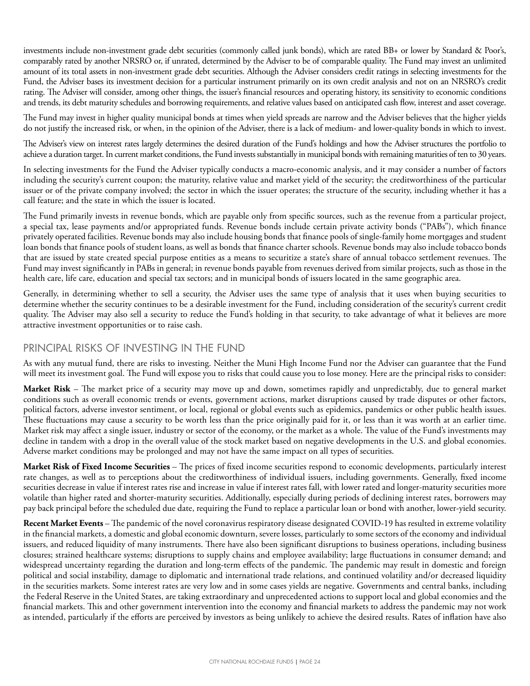investments include non-investment grade debt securities (commonly called junk bonds), which are rated BB+ or lower by Standard & Poor's, comparably rated by another NRSRO or, if unrated, determined by the Adviser to be of comparable quality. The Fund may invest an unlimited amount of its total assets in non-investment grade debt securities. Although the Adviser considers credit ratings in selecting investments for the Fund, the Adviser bases its investment decision for a particular instrument primarily on its own credit analysis and not on an NRSRO's credit rating. The Adviser will consider, among other things, the issuer's financial resources and operating history, its sensitivity to economic conditions and trends, its debt maturity schedules and borrowing requirements, and relative values based on anticipated cash flow, interest and asset coverage.

The Fund may invest in higher quality municipal bonds at times when yield spreads are narrow and the Adviser believes that the higher yields do not justify the increased risk, or when, in the opinion of the Adviser, there is a lack of medium- and lower-quality bonds in which to invest.

The Adviser's view on interest rates largely determines the desired duration of the Fund's holdings and how the Adviser structures the portfolio to achieve a duration target. In current market conditions, the Fund invests substantially in municipal bonds with remaining maturities of ten to 30 years.

In selecting investments for the Fund the Adviser typically conducts a macro-economic analysis, and it may consider a number of factors including the security's current coupon; the maturity, relative value and market yield of the security; the creditworthiness of the particular issuer or of the private company involved; the sector in which the issuer operates; the structure of the security, including whether it has a call feature; and the state in which the issuer is located.

The Fund primarily invests in revenue bonds, which are payable only from specific sources, such as the revenue from a particular project, a special tax, lease payments and/or appropriated funds. Revenue bonds include certain private activity bonds ("PABs"), which finance privately operated facilities. Revenue bonds may also include housing bonds that finance pools of single-family home mortgages and student loan bonds that finance pools of student loans, as well as bonds that finance charter schools. Revenue bonds may also include tobacco bonds that are issued by state created special purpose entities as a means to securitize a state's share of annual tobacco settlement revenues. The Fund may invest significantly in PABs in general; in revenue bonds payable from revenues derived from similar projects, such as those in the health care, life care, education and special tax sectors; and in municipal bonds of issuers located in the same geographic area.

Generally, in determining whether to sell a security, the Adviser uses the same type of analysis that it uses when buying securities to determine whether the security continues to be a desirable investment for the Fund, including consideration of the security's current credit quality. The Adviser may also sell a security to reduce the Fund's holding in that security, to take advantage of what it believes are more attractive investment opportunities or to raise cash.

## PRINCIPAL RISKS OF INVESTING IN THE FUND

As with any mutual fund, there are risks to investing. Neither the Muni High Income Fund nor the Adviser can guarantee that the Fund will meet its investment goal. The Fund will expose you to risks that could cause you to lose money. Here are the principal risks to consider:

**Market Risk** – The market price of a security may move up and down, sometimes rapidly and unpredictably, due to general market conditions such as overall economic trends or events, government actions, market disruptions caused by trade disputes or other factors, political factors, adverse investor sentiment, or local, regional or global events such as epidemics, pandemics or other public health issues. These fluctuations may cause a security to be worth less than the price originally paid for it, or less than it was worth at an earlier time. Market risk may affect a single issuer, industry or sector of the economy, or the market as a whole. The value of the Fund's investments may decline in tandem with a drop in the overall value of the stock market based on negative developments in the U.S. and global economies. Adverse market conditions may be prolonged and may not have the same impact on all types of securities.

**Market Risk of Fixed Income Securities** – The prices of fixed income securities respond to economic developments, particularly interest rate changes, as well as to perceptions about the creditworthiness of individual issuers, including governments. Generally, fixed income securities decrease in value if interest rates rise and increase in value if interest rates fall, with lower rated and longer-maturity securities more volatile than higher rated and shorter-maturity securities. Additionally, especially during periods of declining interest rates, borrowers may pay back principal before the scheduled due date, requiring the Fund to replace a particular loan or bond with another, lower-yield security.

**Recent Market Events** – The pandemic of the novel coronavirus respiratory disease designated COVID-19 has resulted in extreme volatility in the financial markets, a domestic and global economic downturn, severe losses, particularly to some sectors of the economy and individual issuers, and reduced liquidity of many instruments. There have also been significant disruptions to business operations, including business closures; strained healthcare systems; disruptions to supply chains and employee availability; large fluctuations in consumer demand; and widespread uncertainty regarding the duration and long-term effects of the pandemic. The pandemic may result in domestic and foreign political and social instability, damage to diplomatic and international trade relations, and continued volatility and/or decreased liquidity in the securities markets. Some interest rates are very low and in some cases yields are negative. Governments and central banks, including the Federal Reserve in the United States, are taking extraordinary and unprecedented actions to support local and global economies and the financial markets. This and other government intervention into the economy and financial markets to address the pandemic may not work as intended, particularly if the efforts are perceived by investors as being unlikely to achieve the desired results. Rates of inflation have also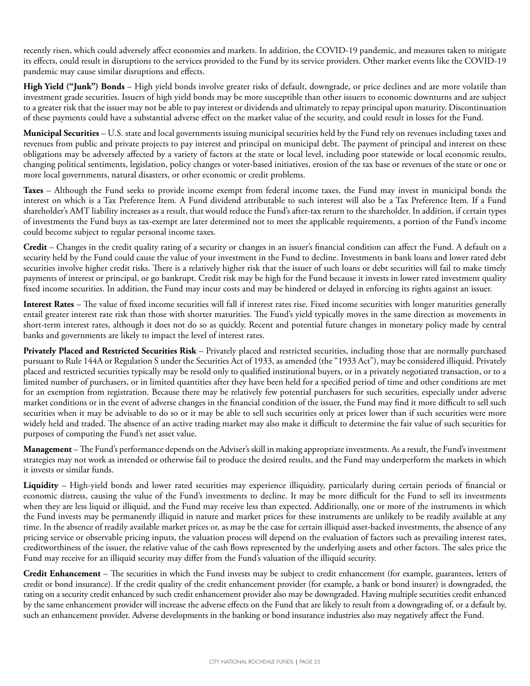recently risen, which could adversely affect economies and markets. In addition, the COVID-19 pandemic, and measures taken to mitigate its effects, could result in disruptions to the services provided to the Fund by its service providers. Other market events like the COVID-19 pandemic may cause similar disruptions and effects.

**High Yield ("Junk") Bonds** – High yield bonds involve greater risks of default, downgrade, or price declines and are more volatile than investment grade securities. Issuers of high yield bonds may be more susceptible than other issuers to economic downturns and are subject to a greater risk that the issuer may not be able to pay interest or dividends and ultimately to repay principal upon maturity. Discontinuation of these payments could have a substantial adverse effect on the market value of the security, and could result in losses for the Fund.

**Municipal Securities** – U.S. state and local governments issuing municipal securities held by the Fund rely on revenues including taxes and revenues from public and private projects to pay interest and principal on municipal debt. The payment of principal and interest on these obligations may be adversely affected by a variety of factors at the state or local level, including poor statewide or local economic results, changing political sentiments, legislation, policy changes or voter-based initiatives, erosion of the tax base or revenues of the state or one or more local governments, natural disasters, or other economic or credit problems.

**Taxes** – Although the Fund seeks to provide income exempt from federal income taxes, the Fund may invest in municipal bonds the interest on which is a Tax Preference Item. A Fund dividend attributable to such interest will also be a Tax Preference Item. If a Fund shareholder's AMT liability increases as a result, that would reduce the Fund's after-tax return to the shareholder. In addition, if certain types of investments the Fund buys as tax-exempt are later determined not to meet the applicable requirements, a portion of the Fund's income could become subject to regular personal income taxes.

**Credit** – Changes in the credit quality rating of a security or changes in an issuer's financial condition can affect the Fund. A default on a security held by the Fund could cause the value of your investment in the Fund to decline. Investments in bank loans and lower rated debt securities involve higher credit risks. There is a relatively higher risk that the issuer of such loans or debt securities will fail to make timely payments of interest or principal, or go bankrupt. Credit risk may be high for the Fund because it invests in lower rated investment quality fixed income securities. In addition, the Fund may incur costs and may be hindered or delayed in enforcing its rights against an issuer.

**Interest Rates** – The value of fixed income securities will fall if interest rates rise. Fixed income securities with longer maturities generally entail greater interest rate risk than those with shorter maturities. The Fund's yield typically moves in the same direction as movements in short-term interest rates, although it does not do so as quickly. Recent and potential future changes in monetary policy made by central banks and governments are likely to impact the level of interest rates.

**Privately Placed and Restricted Securities Risk** – Privately placed and restricted securities, including those that are normally purchased pursuant to Rule 144A or Regulation S under the Securities Act of 1933, as amended (the "1933 Act"), may be considered illiquid. Privately placed and restricted securities typically may be resold only to qualified institutional buyers, or in a privately negotiated transaction, or to a limited number of purchasers, or in limited quantities after they have been held for a specified period of time and other conditions are met for an exemption from registration. Because there may be relatively few potential purchasers for such securities, especially under adverse market conditions or in the event of adverse changes in the financial condition of the issuer, the Fund may find it more difficult to sell such securities when it may be advisable to do so or it may be able to sell such securities only at prices lower than if such securities were more widely held and traded. The absence of an active trading market may also make it difficult to determine the fair value of such securities for purposes of computing the Fund's net asset value.

**Management** – The Fund's performance depends on the Adviser's skill in making appropriate investments. As a result, the Fund's investment strategies may not work as intended or otherwise fail to produce the desired results, and the Fund may underperform the markets in which it invests or similar funds.

**Liquidity** – High-yield bonds and lower rated securities may experience illiquidity, particularly during certain periods of financial or economic distress, causing the value of the Fund's investments to decline. It may be more difficult for the Fund to sell its investments when they are less liquid or illiquid, and the Fund may receive less than expected. Additionally, one or more of the instruments in which the Fund invests may be permanently illiquid in nature and market prices for these instruments are unlikely to be readily available at any time. In the absence of readily available market prices or, as may be the case for certain illiquid asset-backed investments, the absence of any pricing service or observable pricing inputs, the valuation process will depend on the evaluation of factors such as prevailing interest rates, creditworthiness of the issuer, the relative value of the cash flows represented by the underlying assets and other factors. The sales price the Fund may receive for an illiquid security may differ from the Fund's valuation of the illiquid security.

**Credit Enhancement** – The securities in which the Fund invests may be subject to credit enhancement (for example, guarantees, letters of credit or bond insurance). If the credit quality of the credit enhancement provider (for example, a bank or bond insurer) is downgraded, the rating on a security credit enhanced by such credit enhancement provider also may be downgraded. Having multiple securities credit enhanced by the same enhancement provider will increase the adverse effects on the Fund that are likely to result from a downgrading of, or a default by, such an enhancement provider. Adverse developments in the banking or bond insurance industries also may negatively affect the Fund.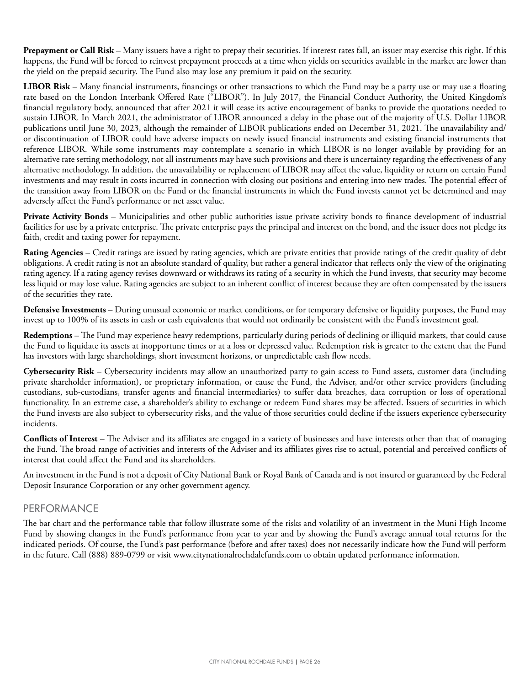**Prepayment or Call Risk** – Many issuers have a right to prepay their securities. If interest rates fall, an issuer may exercise this right. If this happens, the Fund will be forced to reinvest prepayment proceeds at a time when yields on securities available in the market are lower than the yield on the prepaid security. The Fund also may lose any premium it paid on the security.

**LIBOR Risk** – Many financial instruments, financings or other transactions to which the Fund may be a party use or may use a floating rate based on the London Interbank Offered Rate ("LIBOR"). In July 2017, the Financial Conduct Authority, the United Kingdom's financial regulatory body, announced that after 2021 it will cease its active encouragement of banks to provide the quotations needed to sustain LIBOR. In March 2021, the administrator of LIBOR announced a delay in the phase out of the majority of U.S. Dollar LIBOR publications until June 30, 2023, although the remainder of LIBOR publications ended on December 31, 2021. The unavailability and/ or discontinuation of LIBOR could have adverse impacts on newly issued financial instruments and existing financial instruments that reference LIBOR. While some instruments may contemplate a scenario in which LIBOR is no longer available by providing for an alternative rate setting methodology, not all instruments may have such provisions and there is uncertainty regarding the effectiveness of any alternative methodology. In addition, the unavailability or replacement of LIBOR may affect the value, liquidity or return on certain Fund investments and may result in costs incurred in connection with closing out positions and entering into new trades. The potential effect of the transition away from LIBOR on the Fund or the financial instruments in which the Fund invests cannot yet be determined and may adversely affect the Fund's performance or net asset value.

**Private Activity Bonds** – Municipalities and other public authorities issue private activity bonds to finance development of industrial facilities for use by a private enterprise. The private enterprise pays the principal and interest on the bond, and the issuer does not pledge its faith, credit and taxing power for repayment.

**Rating Agencies** – Credit ratings are issued by rating agencies, which are private entities that provide ratings of the credit quality of debt obligations. A credit rating is not an absolute standard of quality, but rather a general indicator that reflects only the view of the originating rating agency. If a rating agency revises downward or withdraws its rating of a security in which the Fund invests, that security may become less liquid or may lose value. Rating agencies are subject to an inherent conflict of interest because they are often compensated by the issuers of the securities they rate.

**Defensive Investments** – During unusual economic or market conditions, or for temporary defensive or liquidity purposes, the Fund may invest up to 100% of its assets in cash or cash equivalents that would not ordinarily be consistent with the Fund's investment goal.

**Redemptions** – The Fund may experience heavy redemptions, particularly during periods of declining or illiquid markets, that could cause the Fund to liquidate its assets at inopportune times or at a loss or depressed value. Redemption risk is greater to the extent that the Fund has investors with large shareholdings, short investment horizons, or unpredictable cash flow needs.

**Cybersecurity Risk** – Cybersecurity incidents may allow an unauthorized party to gain access to Fund assets, customer data (including private shareholder information), or proprietary information, or cause the Fund, the Adviser, and/or other service providers (including custodians, sub-custodians, transfer agents and financial intermediaries) to suffer data breaches, data corruption or loss of operational functionality. In an extreme case, a shareholder's ability to exchange or redeem Fund shares may be affected. Issuers of securities in which the Fund invests are also subject to cybersecurity risks, and the value of those securities could decline if the issuers experience cybersecurity incidents.

**Conflicts of Interest** – The Adviser and its affiliates are engaged in a variety of businesses and have interests other than that of managing the Fund. The broad range of activities and interests of the Adviser and its affiliates gives rise to actual, potential and perceived conflicts of interest that could affect the Fund and its shareholders.

An investment in the Fund is not a deposit of City National Bank or Royal Bank of Canada and is not insured or guaranteed by the Federal Deposit Insurance Corporation or any other government agency.

### **PERFORMANCE**

The bar chart and the performance table that follow illustrate some of the risks and volatility of an investment in the Muni High Income Fund by showing changes in the Fund's performance from year to year and by showing the Fund's average annual total returns for the indicated periods. Of course, the Fund's past performance (before and after taxes) does not necessarily indicate how the Fund will perform in the future. Call (888) 889-0799 or visit www.citynationalrochdalefunds.com to obtain updated performance information.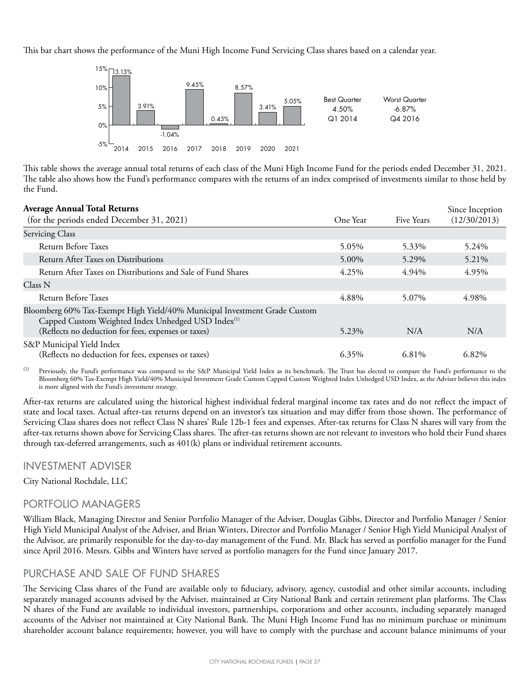This bar chart shows the performance of the Muni High Income Fund Servicing Class shares based on a calendar year.



This table shows the average annual total returns of each class of the Muni High Income Fund for the periods ended December 31, 2021. The table also shows how the Fund's performance compares with the returns of an index comprised of investments similar to those held by the Fund.

| <b>Average Annual Total Returns</b><br>(for the periods ended December 31, 2021)                                                                                                                   | One Year | Five Years | Since Inception<br>(12/30/2013) |
|----------------------------------------------------------------------------------------------------------------------------------------------------------------------------------------------------|----------|------------|---------------------------------|
| <b>Servicing Class</b>                                                                                                                                                                             |          |            |                                 |
| Return Before Taxes                                                                                                                                                                                | 5.05%    | 5.33%      | 5.24%                           |
| Return After Taxes on Distributions                                                                                                                                                                | 5.00%    | 5.29%      | 5.21%                           |
| Return After Taxes on Distributions and Sale of Fund Shares                                                                                                                                        | 4.25%    | 4.94%      | 4.95%                           |
| Class N                                                                                                                                                                                            |          |            |                                 |
| Return Before Taxes                                                                                                                                                                                | 4.88%    | 5.07%      | 4.98%                           |
| Bloomberg 60% Tax-Exempt High Yield/40% Municipal Investment Grade Custom<br>Capped Custom Weighted Index Unhedged USD Index <sup>(1)</sup><br>(Reflects no deduction for fees, expenses or taxes) | 5.23%    | N/A        | N/A                             |
| S&P Municipal Yield Index<br>(Reflects no deduction for fees, expenses or taxes)                                                                                                                   | 6.35%    | 6.81%      | 6.82%                           |

(1) Previously, the Fund's performance was compared to the S&P Municipal Yield Index as its benchmark. The Trust has elected to compare the Fund's performance to the Bloomberg 60% Tax-Exempt High Yield/40% Municipal Investment Grade Custom Capped Custom Weighted Index Unhedged USD Index, as the Adviser believes this index is more aligned with the Fund's investment strategy.

After-tax returns are calculated using the historical highest individual federal marginal income tax rates and do not reflect the impact of state and local taxes. Actual after-tax returns depend on an investor's tax situation and may differ from those shown. The performance of Servicing Class shares does not reflect Class N shares' Rule 12b-1 fees and expenses. After-tax returns for Class N shares will vary from the after-tax returns shown above for Servicing Class shares. The after-tax returns shown are not relevant to investors who hold their Fund shares through tax-deferred arrangements, such as 401(k) plans or individual retirement accounts.

### INVESTMENT ADVISER

City National Rochdale, LLC

## PORTFOLIO MANAGERS

William Black, Managing Director and Senior Portfolio Manager of the Adviser, Douglas Gibbs, Director and Portfolio Manager / Senior High Yield Municipal Analyst of the Adviser, and Brian Winters, Director and Portfolio Manager / Senior High Yield Municipal Analyst of the Advisor, are primarily responsible for the day-to-day management of the Fund. Mr. Black has served as portfolio manager for the Fund since April 2016. Messrs. Gibbs and Winters have served as portfolio managers for the Fund since January 2017.

## PURCHASE AND SALE OF FUND SHARES

The Servicing Class shares of the Fund are available only to fiduciary, advisory, agency, custodial and other similar accounts, including separately managed accounts advised by the Adviser, maintained at City National Bank and certain retirement plan platforms. The Class N shares of the Fund are available to individual investors, partnerships, corporations and other accounts, including separately managed accounts of the Adviser not maintained at City National Bank. The Muni High Income Fund has no minimum purchase or minimum shareholder account balance requirements; however, you will have to comply with the purchase and account balance minimums of your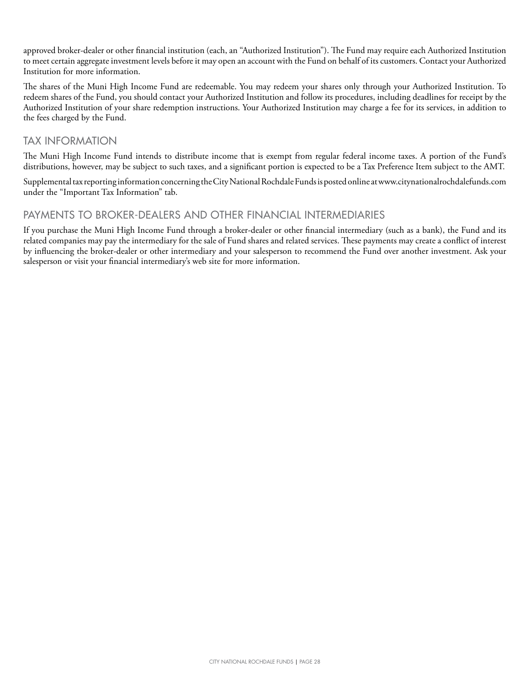approved broker-dealer or other financial institution (each, an "Authorized Institution"). The Fund may require each Authorized Institution to meet certain aggregate investment levels before it may open an account with the Fund on behalf of its customers. Contact your Authorized Institution for more information.

The shares of the Muni High Income Fund are redeemable. You may redeem your shares only through your Authorized Institution. To redeem shares of the Fund, you should contact your Authorized Institution and follow its procedures, including deadlines for receipt by the Authorized Institution of your share redemption instructions. Your Authorized Institution may charge a fee for its services, in addition to the fees charged by the Fund.

#### TAX INFORMATION

The Muni High Income Fund intends to distribute income that is exempt from regular federal income taxes. A portion of the Fund's distributions, however, may be subject to such taxes, and a significant portion is expected to be a Tax Preference Item subject to the AMT.

Supplemental tax reporting information concerning the City National Rochdale Funds is posted online at www.citynationalrochdalefunds.com under the "Important Tax Information" tab.

### PAYMENTS TO BROKER-DEALERS AND OTHER FINANCIAL INTERMEDIARIES

If you purchase the Muni High Income Fund through a broker-dealer or other financial intermediary (such as a bank), the Fund and its related companies may pay the intermediary for the sale of Fund shares and related services. These payments may create a conflict of interest by influencing the broker-dealer or other intermediary and your salesperson to recommend the Fund over another investment. Ask your salesperson or visit your financial intermediary's web site for more information.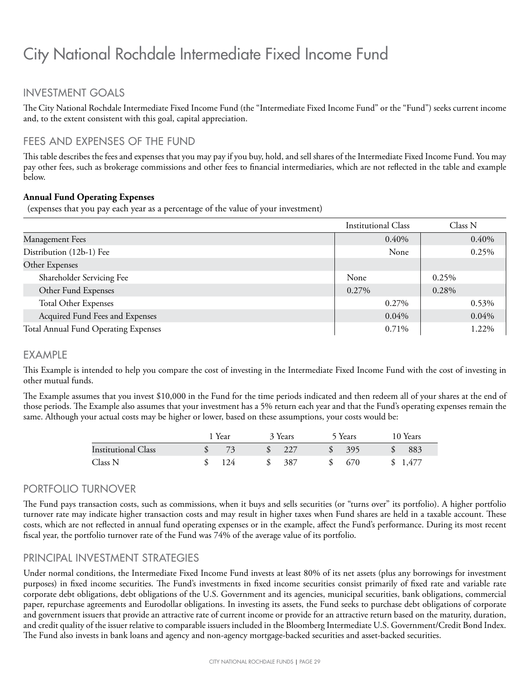## <span id="page-30-0"></span>City National Rochdale Intermediate Fixed Income Fund

## INVESTMENT GOALS

The City National Rochdale Intermediate Fixed Income Fund (the "Intermediate Fixed Income Fund" or the "Fund") seeks current income and, to the extent consistent with this goal, capital appreciation.

## FEES AND EXPENSES OF THE FUND

This table describes the fees and expenses that you may pay if you buy, hold, and sell shares of the Intermediate Fixed Income Fund. You may pay other fees, such as brokerage commissions and other fees to financial intermediaries, which are not reflected in the table and example below.

#### **Annual Fund Operating Expenses**

(expenses that you pay each year as a percentage of the value of your investment)

|                                      | <b>Institutional Class</b> | Class N |
|--------------------------------------|----------------------------|---------|
| Management Fees                      | 0.40%                      | 0.40%   |
| Distribution (12b-1) Fee             | None                       | 0.25%   |
| Other Expenses                       |                            |         |
| Shareholder Servicing Fee            | None                       | 0.25%   |
| Other Fund Expenses                  | 0.27%                      | 0.28%   |
| <b>Total Other Expenses</b>          | 0.27%                      | 0.53%   |
| Acquired Fund Fees and Expenses      | 0.04%                      | 0.04%   |
| Total Annual Fund Operating Expenses | 0.71%                      | 1.22%   |

#### EXAMPLE

This Example is intended to help you compare the cost of investing in the Intermediate Fixed Income Fund with the cost of investing in other mutual funds.

The Example assumes that you invest \$10,000 in the Fund for the time periods indicated and then redeem all of your shares at the end of those periods. The Example also assumes that your investment has a 5% return each year and that the Fund's operating expenses remain the same. Although your actual costs may be higher or lower, based on these assumptions, your costs would be:

|                     | 1 Year |               | 3 Years | 5 Years | 10 Years |
|---------------------|--------|---------------|---------|---------|----------|
| Institutional Class | 73     | $\mathcal{S}$ | 227     | -395    | 883      |
| Class N             | 124    | S             | 387     | 670     | \$1,477  |

### PORTFOLIO TURNOVER

The Fund pays transaction costs, such as commissions, when it buys and sells securities (or "turns over" its portfolio). A higher portfolio turnover rate may indicate higher transaction costs and may result in higher taxes when Fund shares are held in a taxable account. These costs, which are not reflected in annual fund operating expenses or in the example, affect the Fund's performance. During its most recent fiscal year, the portfolio turnover rate of the Fund was 74% of the average value of its portfolio.

### PRINCIPAL INVESTMENT STRATEGIES

Under normal conditions, the Intermediate Fixed Income Fund invests at least 80% of its net assets (plus any borrowings for investment purposes) in fixed income securities. The Fund's investments in fixed income securities consist primarily of fixed rate and variable rate corporate debt obligations, debt obligations of the U.S. Government and its agencies, municipal securities, bank obligations, commercial paper, repurchase agreements and Eurodollar obligations. In investing its assets, the Fund seeks to purchase debt obligations of corporate and government issuers that provide an attractive rate of current income or provide for an attractive return based on the maturity, duration, and credit quality of the issuer relative to comparable issuers included in the Bloomberg Intermediate U.S. Government/Credit Bond Index. The Fund also invests in bank loans and agency and non-agency mortgage-backed securities and asset-backed securities.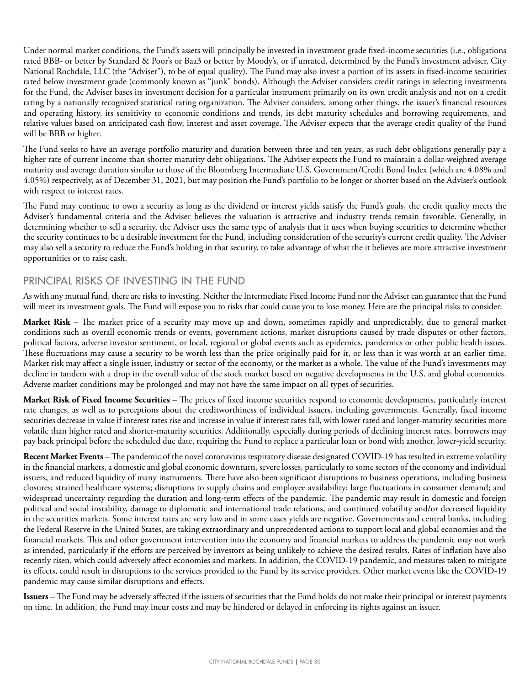Under normal market conditions, the Fund's assets will principally be invested in investment grade fixed-income securities (i.e., obligations rated BBB- or better by Standard & Poor's or Baa3 or better by Moody's, or if unrated, determined by the Fund's investment adviser, City National Rochdale, LLC (the "Adviser"), to be of equal quality). The Fund may also invest a portion of its assets in fixed-income securities rated below investment grade (commonly known as "junk" bonds). Although the Adviser considers credit ratings in selecting investments for the Fund, the Adviser bases its investment decision for a particular instrument primarily on its own credit analysis and not on a credit rating by a nationally recognized statistical rating organization. The Adviser considers, among other things, the issuer's financial resources and operating history, its sensitivity to economic conditions and trends, its debt maturity schedules and borrowing requirements, and relative values based on anticipated cash flow, interest and asset coverage. The Adviser expects that the average credit quality of the Fund will be BBB or higher.

The Fund seeks to have an average portfolio maturity and duration between three and ten years, as such debt obligations generally pay a higher rate of current income than shorter maturity debt obligations. The Adviser expects the Fund to maintain a dollar-weighted average maturity and average duration similar to those of the Bloomberg Intermediate U.S. Government/Credit Bond Index (which are 4.08% and 4.05%) respectively, as of December 31, 2021, but may position the Fund's portfolio to be longer or shorter based on the Adviser's outlook with respect to interest rates.

The Fund may continue to own a security as long as the dividend or interest yields satisfy the Fund's goals, the credit quality meets the Adviser's fundamental criteria and the Adviser believes the valuation is attractive and industry trends remain favorable. Generally, in determining whether to sell a security, the Adviser uses the same type of analysis that it uses when buying securities to determine whether the security continues to be a desirable investment for the Fund, including consideration of the security's current credit quality. The Adviser may also sell a security to reduce the Fund's holding in that security, to take advantage of what the it believes are more attractive investment opportunities or to raise cash.

## PRINCIPAL RISKS OF INVESTING IN THE FUND

As with any mutual fund, there are risks to investing. Neither the Intermediate Fixed Income Fund nor the Adviser can guarantee that the Fund will meet its investment goals. The Fund will expose you to risks that could cause you to lose money. Here are the principal risks to consider:

**Market Risk** – The market price of a security may move up and down, sometimes rapidly and unpredictably, due to general market conditions such as overall economic trends or events, government actions, market disruptions caused by trade disputes or other factors, political factors, adverse investor sentiment, or local, regional or global events such as epidemics, pandemics or other public health issues. These fluctuations may cause a security to be worth less than the price originally paid for it, or less than it was worth at an earlier time. Market risk may affect a single issuer, industry or sector of the economy, or the market as a whole. The value of the Fund's investments may decline in tandem with a drop in the overall value of the stock market based on negative developments in the U.S. and global economies. Adverse market conditions may be prolonged and may not have the same impact on all types of securities.

**Market Risk of Fixed Income Securities** – The prices of fixed income securities respond to economic developments, particularly interest rate changes, as well as to perceptions about the creditworthiness of individual issuers, including governments. Generally, fixed income securities decrease in value if interest rates rise and increase in value if interest rates fall, with lower rated and longer-maturity securities more volatile than higher rated and shorter-maturity securities. Additionally, especially during periods of declining interest rates, borrowers may pay back principal before the scheduled due date, requiring the Fund to replace a particular loan or bond with another, lower-yield security.

**Recent Market Events** – The pandemic of the novel coronavirus respiratory disease designated COVID-19 has resulted in extreme volatility in the financial markets, a domestic and global economic downturn, severe losses, particularly to some sectors of the economy and individual issuers, and reduced liquidity of many instruments. There have also been significant disruptions to business operations, including business closures; strained healthcare systems; disruptions to supply chains and employee availability; large fluctuations in consumer demand; and widespread uncertainty regarding the duration and long-term effects of the pandemic. The pandemic may result in domestic and foreign political and social instability, damage to diplomatic and international trade relations, and continued volatility and/or decreased liquidity in the securities markets. Some interest rates are very low and in some cases yields are negative. Governments and central banks, including the Federal Reserve in the United States, are taking extraordinary and unprecedented actions to support local and global economies and the financial markets. This and other government intervention into the economy and financial markets to address the pandemic may not work as intended, particularly if the efforts are perceived by investors as being unlikely to achieve the desired results. Rates of inflation have also recently risen, which could adversely affect economies and markets. In addition, the COVID-19 pandemic, and measures taken to mitigate its effects, could result in disruptions to the services provided to the Fund by its service providers. Other market events like the COVID-19 pandemic may cause similar disruptions and effects.

**Issuers** – The Fund may be adversely affected if the issuers of securities that the Fund holds do not make their principal or interest payments on time. In addition, the Fund may incur costs and may be hindered or delayed in enforcing its rights against an issuer.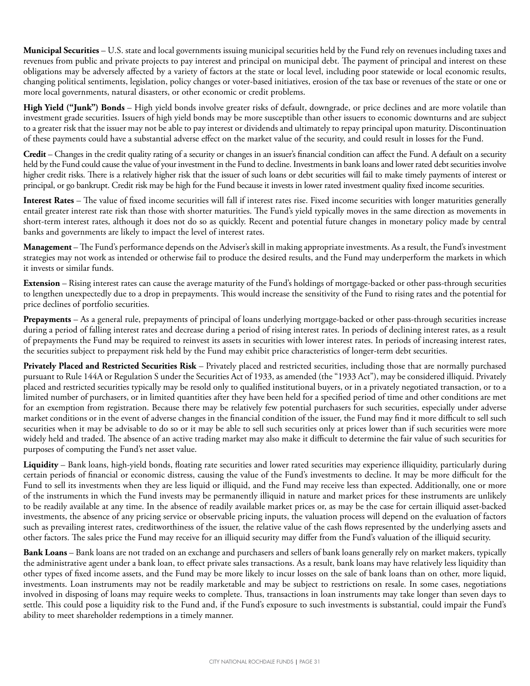**Municipal Securities** – U.S. state and local governments issuing municipal securities held by the Fund rely on revenues including taxes and revenues from public and private projects to pay interest and principal on municipal debt. The payment of principal and interest on these obligations may be adversely affected by a variety of factors at the state or local level, including poor statewide or local economic results, changing political sentiments, legislation, policy changes or voter-based initiatives, erosion of the tax base or revenues of the state or one or more local governments, natural disasters, or other economic or credit problems.

**High Yield ("Junk") Bonds** – High yield bonds involve greater risks of default, downgrade, or price declines and are more volatile than investment grade securities. Issuers of high yield bonds may be more susceptible than other issuers to economic downturns and are subject to a greater risk that the issuer may not be able to pay interest or dividends and ultimately to repay principal upon maturity. Discontinuation of these payments could have a substantial adverse effect on the market value of the security, and could result in losses for the Fund.

**Credit** – Changes in the credit quality rating of a security or changes in an issuer's financial condition can affect the Fund. A default on a security held by the Fund could cause the value of your investment in the Fund to decline. Investments in bank loans and lower rated debt securities involve higher credit risks. There is a relatively higher risk that the issuer of such loans or debt securities will fail to make timely payments of interest or principal, or go bankrupt. Credit risk may be high for the Fund because it invests in lower rated investment quality fixed income securities.

**Interest Rates** – The value of fixed income securities will fall if interest rates rise. Fixed income securities with longer maturities generally entail greater interest rate risk than those with shorter maturities. The Fund's yield typically moves in the same direction as movements in short-term interest rates, although it does not do so as quickly. Recent and potential future changes in monetary policy made by central banks and governments are likely to impact the level of interest rates.

**Management** – The Fund's performance depends on the Adviser's skill in making appropriate investments. As a result, the Fund's investment strategies may not work as intended or otherwise fail to produce the desired results, and the Fund may underperform the markets in which it invests or similar funds.

**Extension** – Rising interest rates can cause the average maturity of the Fund's holdings of mortgage-backed or other pass-through securities to lengthen unexpectedly due to a drop in prepayments. This would increase the sensitivity of the Fund to rising rates and the potential for price declines of portfolio securities.

**Prepayments** – As a general rule, prepayments of principal of loans underlying mortgage-backed or other pass-through securities increase during a period of falling interest rates and decrease during a period of rising interest rates. In periods of declining interest rates, as a result of prepayments the Fund may be required to reinvest its assets in securities with lower interest rates. In periods of increasing interest rates, the securities subject to prepayment risk held by the Fund may exhibit price characteristics of longer-term debt securities.

**Privately Placed and Restricted Securities Risk** – Privately placed and restricted securities, including those that are normally purchased pursuant to Rule 144A or Regulation S under the Securities Act of 1933, as amended (the "1933 Act"), may be considered illiquid. Privately placed and restricted securities typically may be resold only to qualified institutional buyers, or in a privately negotiated transaction, or to a limited number of purchasers, or in limited quantities after they have been held for a specified period of time and other conditions are met for an exemption from registration. Because there may be relatively few potential purchasers for such securities, especially under adverse market conditions or in the event of adverse changes in the financial condition of the issuer, the Fund may find it more difficult to sell such securities when it may be advisable to do so or it may be able to sell such securities only at prices lower than if such securities were more widely held and traded. The absence of an active trading market may also make it difficult to determine the fair value of such securities for purposes of computing the Fund's net asset value.

**Liquidity** – Bank loans, high-yield bonds, floating rate securities and lower rated securities may experience illiquidity, particularly during certain periods of financial or economic distress, causing the value of the Fund's investments to decline. It may be more difficult for the Fund to sell its investments when they are less liquid or illiquid, and the Fund may receive less than expected. Additionally, one or more of the instruments in which the Fund invests may be permanently illiquid in nature and market prices for these instruments are unlikely to be readily available at any time. In the absence of readily available market prices or, as may be the case for certain illiquid asset-backed investments, the absence of any pricing service or observable pricing inputs, the valuation process will depend on the evaluation of factors such as prevailing interest rates, creditworthiness of the issuer, the relative value of the cash flows represented by the underlying assets and other factors. The sales price the Fund may receive for an illiquid security may differ from the Fund's valuation of the illiquid security.

**Bank Loans** – Bank loans are not traded on an exchange and purchasers and sellers of bank loans generally rely on market makers, typically the administrative agent under a bank loan, to effect private sales transactions. As a result, bank loans may have relatively less liquidity than other types of fixed income assets, and the Fund may be more likely to incur losses on the sale of bank loans than on other, more liquid, investments. Loan instruments may not be readily marketable and may be subject to restrictions on resale. In some cases, negotiations involved in disposing of loans may require weeks to complete. Thus, transactions in loan instruments may take longer than seven days to settle. This could pose a liquidity risk to the Fund and, if the Fund's exposure to such investments is substantial, could impair the Fund's ability to meet shareholder redemptions in a timely manner.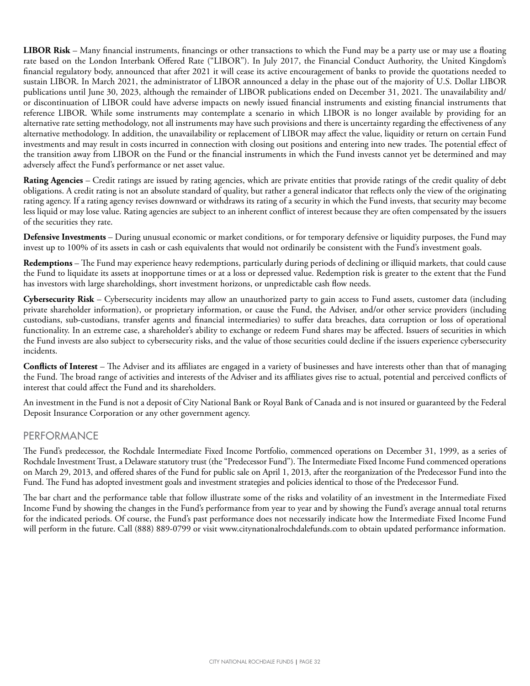**LIBOR Risk** – Many financial instruments, financings or other transactions to which the Fund may be a party use or may use a floating rate based on the London Interbank Offered Rate ("LIBOR"). In July 2017, the Financial Conduct Authority, the United Kingdom's financial regulatory body, announced that after 2021 it will cease its active encouragement of banks to provide the quotations needed to sustain LIBOR. In March 2021, the administrator of LIBOR announced a delay in the phase out of the majority of U.S. Dollar LIBOR publications until June 30, 2023, although the remainder of LIBOR publications ended on December 31, 2021. The unavailability and/ or discontinuation of LIBOR could have adverse impacts on newly issued financial instruments and existing financial instruments that reference LIBOR. While some instruments may contemplate a scenario in which LIBOR is no longer available by providing for an alternative rate setting methodology, not all instruments may have such provisions and there is uncertainty regarding the effectiveness of any alternative methodology. In addition, the unavailability or replacement of LIBOR may affect the value, liquidity or return on certain Fund investments and may result in costs incurred in connection with closing out positions and entering into new trades. The potential effect of the transition away from LIBOR on the Fund or the financial instruments in which the Fund invests cannot yet be determined and may adversely affect the Fund's performance or net asset value.

**Rating Agencies** – Credit ratings are issued by rating agencies, which are private entities that provide ratings of the credit quality of debt obligations. A credit rating is not an absolute standard of quality, but rather a general indicator that reflects only the view of the originating rating agency. If a rating agency revises downward or withdraws its rating of a security in which the Fund invests, that security may become less liquid or may lose value. Rating agencies are subject to an inherent conflict of interest because they are often compensated by the issuers of the securities they rate.

**Defensive Investments** – During unusual economic or market conditions, or for temporary defensive or liquidity purposes, the Fund may invest up to 100% of its assets in cash or cash equivalents that would not ordinarily be consistent with the Fund's investment goals.

**Redemptions** – The Fund may experience heavy redemptions, particularly during periods of declining or illiquid markets, that could cause the Fund to liquidate its assets at inopportune times or at a loss or depressed value. Redemption risk is greater to the extent that the Fund has investors with large shareholdings, short investment horizons, or unpredictable cash flow needs.

**Cybersecurity Risk** – Cybersecurity incidents may allow an unauthorized party to gain access to Fund assets, customer data (including private shareholder information), or proprietary information, or cause the Fund, the Adviser, and/or other service providers (including custodians, sub-custodians, transfer agents and financial intermediaries) to suffer data breaches, data corruption or loss of operational functionality. In an extreme case, a shareholder's ability to exchange or redeem Fund shares may be affected. Issuers of securities in which the Fund invests are also subject to cybersecurity risks, and the value of those securities could decline if the issuers experience cybersecurity incidents.

**Conflicts of Interest** – The Adviser and its affiliates are engaged in a variety of businesses and have interests other than that of managing the Fund. The broad range of activities and interests of the Adviser and its affiliates gives rise to actual, potential and perceived conflicts of interest that could affect the Fund and its shareholders.

An investment in the Fund is not a deposit of City National Bank or Royal Bank of Canada and is not insured or guaranteed by the Federal Deposit Insurance Corporation or any other government agency.

### PERFORMANCE

The Fund's predecessor, the Rochdale Intermediate Fixed Income Portfolio, commenced operations on December 31, 1999, as a series of Rochdale Investment Trust, a Delaware statutory trust (the "Predecessor Fund"). The Intermediate Fixed Income Fund commenced operations on March 29, 2013, and offered shares of the Fund for public sale on April 1, 2013, after the reorganization of the Predecessor Fund into the Fund. The Fund has adopted investment goals and investment strategies and policies identical to those of the Predecessor Fund.

The bar chart and the performance table that follow illustrate some of the risks and volatility of an investment in the Intermediate Fixed Income Fund by showing the changes in the Fund's performance from year to year and by showing the Fund's average annual total returns for the indicated periods. Of course, the Fund's past performance does not necessarily indicate how the Intermediate Fixed Income Fund will perform in the future. Call (888) 889-0799 or visit www.citynationalrochdalefunds.com to obtain updated performance information.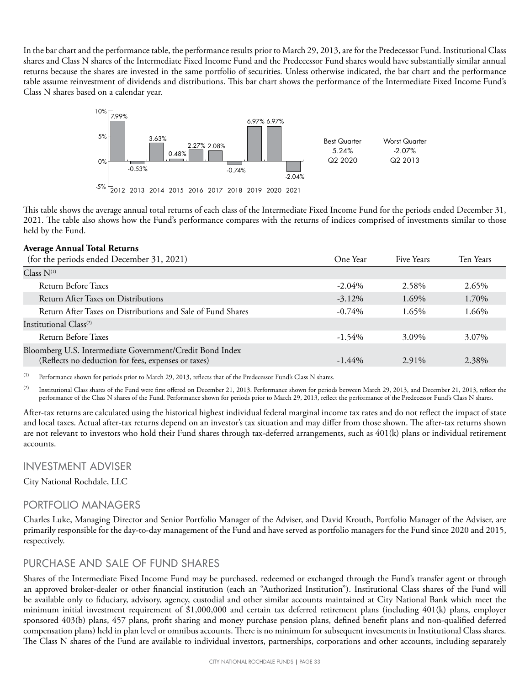In the bar chart and the performance table, the performance results prior to March 29, 2013, are for the Predecessor Fund. Institutional Class shares and Class N shares of the Intermediate Fixed Income Fund and the Predecessor Fund shares would have substantially similar annual returns because the shares are invested in the same portfolio of securities. Unless otherwise indicated, the bar chart and the performance table assume reinvestment of dividends and distributions. This bar chart shows the performance of the Intermediate Fixed Income Fund's Class N shares based on a calendar year.



This table shows the average annual total returns of each class of the Intermediate Fixed Income Fund for the periods ended December 31, 2021. The table also shows how the Fund's performance compares with the returns of indices comprised of investments similar to those held by the Fund.

#### **Average Annual Total Returns**

| (for the periods ended December 31, 2021)                                                                       | One Year  | Five Years | Ten Years |
|-----------------------------------------------------------------------------------------------------------------|-----------|------------|-----------|
| Class $N^{(1)}$                                                                                                 |           |            |           |
| Return Before Taxes                                                                                             | $-2.04\%$ | 2.58%      | 2.65%     |
| Return After Taxes on Distributions                                                                             | $-3.12\%$ | 1.69%      | 1.70%     |
| Return After Taxes on Distributions and Sale of Fund Shares                                                     | $-0.74\%$ | 1.65%      | 1.66%     |
| Institutional Class <sup>(2)</sup>                                                                              |           |            |           |
| Return Before Taxes                                                                                             | $-1.54\%$ | 3.09%      | 3.07%     |
| Bloomberg U.S. Intermediate Government/Credit Bond Index<br>(Reflects no deduction for fees, expenses or taxes) | $-1.44\%$ | 2.91%      | 2.38%     |

(1) Performance shown for periods prior to March 29, 2013, reflects that of the Predecessor Fund's Class N shares.

<sup>(2)</sup> Institutional Class shares of the Fund were first offered on December 21, 2013. Performance shown for periods between March 29, 2013, and December 21, 2013, reflect the performance of the Class N shares of the Fund. Performance shown for periods prior to March 29, 2013, reflect the performance of the Predecessor Fund's Class N shares.

After-tax returns are calculated using the historical highest individual federal marginal income tax rates and do not reflect the impact of state and local taxes. Actual after-tax returns depend on an investor's tax situation and may differ from those shown. The after-tax returns shown are not relevant to investors who hold their Fund shares through tax-deferred arrangements, such as 401(k) plans or individual retirement accounts.

#### INVESTMENT ADVISER

City National Rochdale, LLC

### PORTFOLIO MANAGERS

Charles Luke, Managing Director and Senior Portfolio Manager of the Adviser, and David Krouth, Portfolio Manager of the Adviser, are primarily responsible for the day-to-day management of the Fund and have served as portfolio managers for the Fund since 2020 and 2015, respectively.

### PURCHASE AND SALE OF FUND SHARES

Shares of the Intermediate Fixed Income Fund may be purchased, redeemed or exchanged through the Fund's transfer agent or through an approved broker-dealer or other financial institution (each an "Authorized Institution"). Institutional Class shares of the Fund will be available only to fiduciary, advisory, agency, custodial and other similar accounts maintained at City National Bank which meet the minimum initial investment requirement of \$1,000,000 and certain tax deferred retirement plans (including 401(k) plans, employer sponsored 403(b) plans, 457 plans, profit sharing and money purchase pension plans, defined benefit plans and non-qualified deferred compensation plans) held in plan level or omnibus accounts. There is no minimum for subsequent investments in Institutional Class shares. The Class N shares of the Fund are available to individual investors, partnerships, corporations and other accounts, including separately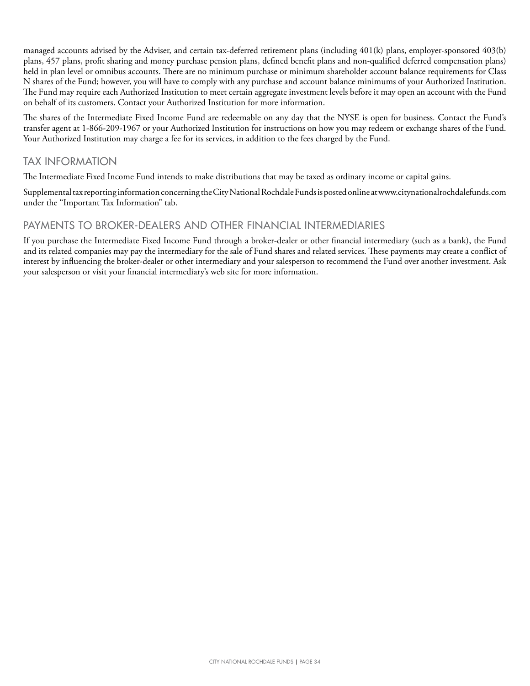managed accounts advised by the Adviser, and certain tax-deferred retirement plans (including 401(k) plans, employer-sponsored 403(b) plans, 457 plans, profit sharing and money purchase pension plans, defined benefit plans and non-qualified deferred compensation plans) held in plan level or omnibus accounts. There are no minimum purchase or minimum shareholder account balance requirements for Class N shares of the Fund; however, you will have to comply with any purchase and account balance minimums of your Authorized Institution. The Fund may require each Authorized Institution to meet certain aggregate investment levels before it may open an account with the Fund on behalf of its customers. Contact your Authorized Institution for more information.

The shares of the Intermediate Fixed Income Fund are redeemable on any day that the NYSE is open for business. Contact the Fund's transfer agent at 1-866-209-1967 or your Authorized Institution for instructions on how you may redeem or exchange shares of the Fund. Your Authorized Institution may charge a fee for its services, in addition to the fees charged by the Fund.

#### TAX INFORMATION

The Intermediate Fixed Income Fund intends to make distributions that may be taxed as ordinary income or capital gains.

Supplemental tax reporting information concerning the City National Rochdale Funds is posted online at www.citynationalrochdalefunds.com under the "Important Tax Information" tab.

#### PAYMENTS TO BROKER-DEALERS AND OTHER FINANCIAL INTERMEDIARIES

If you purchase the Intermediate Fixed Income Fund through a broker-dealer or other financial intermediary (such as a bank), the Fund and its related companies may pay the intermediary for the sale of Fund shares and related services. These payments may create a conflict of interest by influencing the broker-dealer or other intermediary and your salesperson to recommend the Fund over another investment. Ask your salesperson or visit your financial intermediary's web site for more information.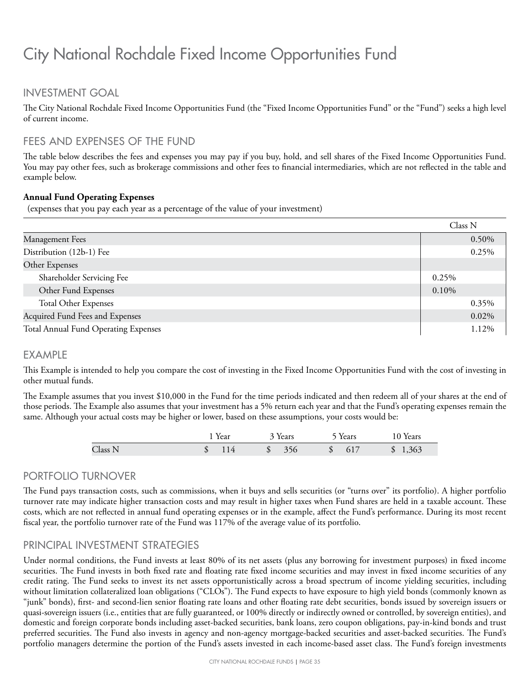# City National Rochdale Fixed Income Opportunities Fund

## INVESTMENT GOAL

The City National Rochdale Fixed Income Opportunities Fund (the "Fixed Income Opportunities Fund" or the "Fund") seeks a high level of current income.

## FEES AND EXPENSES OF THE FUND

The table below describes the fees and expenses you may pay if you buy, hold, and sell shares of the Fixed Income Opportunities Fund. You may pay other fees, such as brokerage commissions and other fees to financial intermediaries, which are not reflected in the table and example below.

#### **Annual Fund Operating Expenses**

(expenses that you pay each year as a percentage of the value of your investment)

|                                      | Class N  |
|--------------------------------------|----------|
| Management Fees                      | 0.50%    |
| Distribution (12b-1) Fee             | 0.25%    |
| Other Expenses                       |          |
| Shareholder Servicing Fee            | 0.25%    |
| Other Fund Expenses                  | $0.10\%$ |
| <b>Total Other Expenses</b>          | 0.35%    |
| Acquired Fund Fees and Expenses      | 0.02%    |
| Total Annual Fund Operating Expenses | 1.12%    |

### EXAMPLE

This Example is intended to help you compare the cost of investing in the Fixed Income Opportunities Fund with the cost of investing in other mutual funds.

The Example assumes that you invest \$10,000 in the Fund for the time periods indicated and then redeem all of your shares at the end of those periods. The Example also assumes that your investment has a 5% return each year and that the Fund's operating expenses remain the same. Although your actual costs may be higher or lower, based on these assumptions, your costs would be:

|         | Year | 3 Years              | Years      | 10 Years |
|---------|------|----------------------|------------|----------|
| Class N |      | 356<br>$\mathcal{S}$ | -617<br>\$ | \$1,363  |

## PORTFOLIO TURNOVER

The Fund pays transaction costs, such as commissions, when it buys and sells securities (or "turns over" its portfolio). A higher portfolio turnover rate may indicate higher transaction costs and may result in higher taxes when Fund shares are held in a taxable account. These costs, which are not reflected in annual fund operating expenses or in the example, affect the Fund's performance. During its most recent fiscal year, the portfolio turnover rate of the Fund was 117% of the average value of its portfolio.

## PRINCIPAL INVESTMENT STRATEGIES

Under normal conditions, the Fund invests at least 80% of its net assets (plus any borrowing for investment purposes) in fixed income securities. The Fund invests in both fixed rate and floating rate fixed income securities and may invest in fixed income securities of any credit rating. The Fund seeks to invest its net assets opportunistically across a broad spectrum of income yielding securities, including without limitation collateralized loan obligations ("CLOs"). The Fund expects to have exposure to high yield bonds (commonly known as "junk" bonds), first- and second-lien senior floating rate loans and other floating rate debt securities, bonds issued by sovereign issuers or quasi-sovereign issuers (i.e., entities that are fully guaranteed, or 100% directly or indirectly owned or controlled, by sovereign entities), and domestic and foreign corporate bonds including asset-backed securities, bank loans, zero coupon obligations, pay-in-kind bonds and trust preferred securities. The Fund also invests in agency and non-agency mortgage-backed securities and asset-backed securities. The Fund's portfolio managers determine the portion of the Fund's assets invested in each income-based asset class. The Fund's foreign investments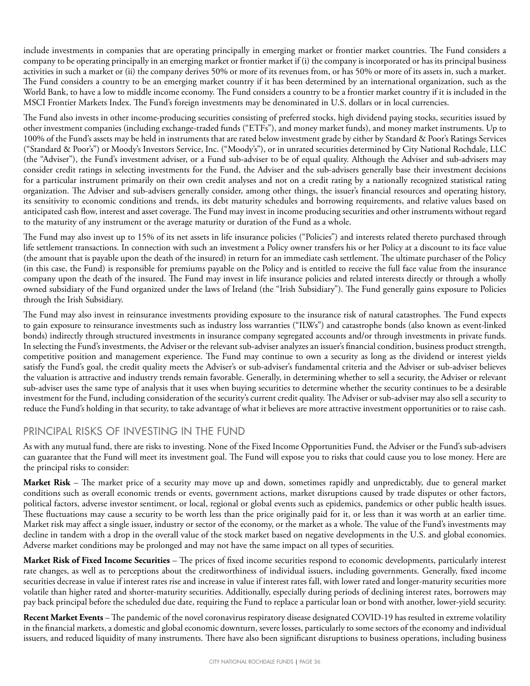include investments in companies that are operating principally in emerging market or frontier market countries. The Fund considers a company to be operating principally in an emerging market or frontier market if (i) the company is incorporated or has its principal business activities in such a market or (ii) the company derives 50% or more of its revenues from, or has 50% or more of its assets in, such a market. The Fund considers a country to be an emerging market country if it has been determined by an international organization, such as the World Bank, to have a low to middle income economy. The Fund considers a country to be a frontier market country if it is included in the MSCI Frontier Markets Index. The Fund's foreign investments may be denominated in U.S. dollars or in local currencies.

The Fund also invests in other income-producing securities consisting of preferred stocks, high dividend paying stocks, securities issued by other investment companies (including exchange-traded funds ("ETFs"), and money market funds), and money market instruments. Up to 100% of the Fund's assets may be held in instruments that are rated below investment grade by either by Standard & Poor's Ratings Services ("Standard & Poor's") or Moody's Investors Service, Inc. ("Moody's"), or in unrated securities determined by City National Rochdale, LLC (the "Adviser"), the Fund's investment adviser, or a Fund sub-adviser to be of equal quality. Although the Adviser and sub-advisers may consider credit ratings in selecting investments for the Fund, the Adviser and the sub-advisers generally base their investment decisions for a particular instrument primarily on their own credit analyses and not on a credit rating by a nationally recognized statistical rating organization. The Adviser and sub-advisers generally consider, among other things, the issuer's financial resources and operating history, its sensitivity to economic conditions and trends, its debt maturity schedules and borrowing requirements, and relative values based on anticipated cash flow, interest and asset coverage. The Fund may invest in income producing securities and other instruments without regard to the maturity of any instrument or the average maturity or duration of the Fund as a whole.

The Fund may also invest up to 15% of its net assets in life insurance policies ("Policies") and interests related thereto purchased through life settlement transactions. In connection with such an investment a Policy owner transfers his or her Policy at a discount to its face value (the amount that is payable upon the death of the insured) in return for an immediate cash settlement. The ultimate purchaser of the Policy (in this case, the Fund) is responsible for premiums payable on the Policy and is entitled to receive the full face value from the insurance company upon the death of the insured. The Fund may invest in life insurance policies and related interests directly or through a wholly owned subsidiary of the Fund organized under the laws of Ireland (the "Irish Subsidiary"). The Fund generally gains exposure to Policies through the Irish Subsidiary.

The Fund may also invest in reinsurance investments providing exposure to the insurance risk of natural catastrophes. The Fund expects to gain exposure to reinsurance investments such as industry loss warranties ("ILWs") and catastrophe bonds (also known as event-linked bonds) indirectly through structured investments in insurance company segregated accounts and/or through investments in private funds. In selecting the Fund's investments, the Adviser or the relevant sub-adviser analyzes an issuer's financial condition, business product strength, competitive position and management experience. The Fund may continue to own a security as long as the dividend or interest yields satisfy the Fund's goal, the credit quality meets the Adviser's or sub-adviser's fundamental criteria and the Adviser or sub-adviser believes the valuation is attractive and industry trends remain favorable. Generally, in determining whether to sell a security, the Adviser or relevant sub-adviser uses the same type of analysis that it uses when buying securities to determine whether the security continues to be a desirable investment for the Fund, including consideration of the security's current credit quality. The Adviser or sub-adviser may also sell a security to reduce the Fund's holding in that security, to take advantage of what it believes are more attractive investment opportunities or to raise cash.

## PRINCIPAL RISKS OF INVESTING IN THE FUND

As with any mutual fund, there are risks to investing. None of the Fixed Income Opportunities Fund, the Adviser or the Fund's sub-advisers can guarantee that the Fund will meet its investment goal. The Fund will expose you to risks that could cause you to lose money. Here are the principal risks to consider:

**Market Risk** – The market price of a security may move up and down, sometimes rapidly and unpredictably, due to general market conditions such as overall economic trends or events, government actions, market disruptions caused by trade disputes or other factors, political factors, adverse investor sentiment, or local, regional or global events such as epidemics, pandemics or other public health issues. These fluctuations may cause a security to be worth less than the price originally paid for it, or less than it was worth at an earlier time. Market risk may affect a single issuer, industry or sector of the economy, or the market as a whole. The value of the Fund's investments may decline in tandem with a drop in the overall value of the stock market based on negative developments in the U.S. and global economies. Adverse market conditions may be prolonged and may not have the same impact on all types of securities.

**Market Risk of Fixed Income Securities** – The prices of fixed income securities respond to economic developments, particularly interest rate changes, as well as to perceptions about the creditworthiness of individual issuers, including governments. Generally, fixed income securities decrease in value if interest rates rise and increase in value if interest rates fall, with lower rated and longer-maturity securities more volatile than higher rated and shorter-maturity securities. Additionally, especially during periods of declining interest rates, borrowers may pay back principal before the scheduled due date, requiring the Fund to replace a particular loan or bond with another, lower-yield security.

Recent Market Events - The pandemic of the novel coronavirus respiratory disease designated COVID-19 has resulted in extreme volatility in the financial markets, a domestic and global economic downturn, severe losses, particularly to some sectors of the economy and individual issuers, and reduced liquidity of many instruments. There have also been significant disruptions to business operations, including business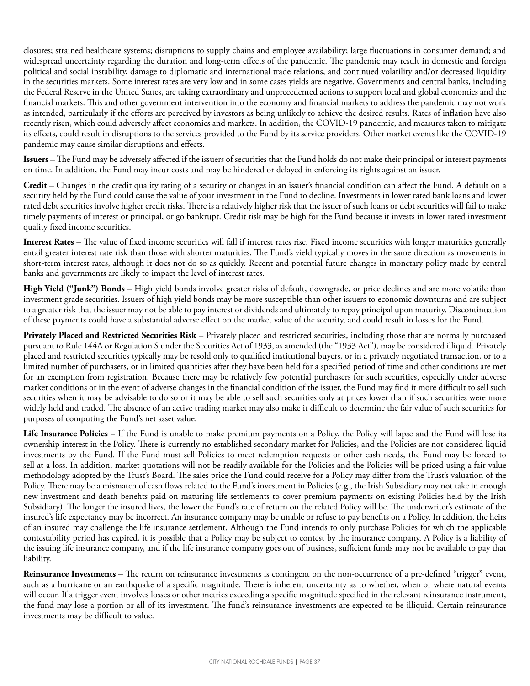closures; strained healthcare systems; disruptions to supply chains and employee availability; large fluctuations in consumer demand; and widespread uncertainty regarding the duration and long-term effects of the pandemic. The pandemic may result in domestic and foreign political and social instability, damage to diplomatic and international trade relations, and continued volatility and/or decreased liquidity in the securities markets. Some interest rates are very low and in some cases yields are negative. Governments and central banks, including the Federal Reserve in the United States, are taking extraordinary and unprecedented actions to support local and global economies and the financial markets. This and other government intervention into the economy and financial markets to address the pandemic may not work as intended, particularly if the efforts are perceived by investors as being unlikely to achieve the desired results. Rates of inflation have also recently risen, which could adversely affect economies and markets. In addition, the COVID-19 pandemic, and measures taken to mitigate its effects, could result in disruptions to the services provided to the Fund by its service providers. Other market events like the COVID-19 pandemic may cause similar disruptions and effects.

**Issuers** – The Fund may be adversely affected if the issuers of securities that the Fund holds do not make their principal or interest payments on time. In addition, the Fund may incur costs and may be hindered or delayed in enforcing its rights against an issuer.

**Credit** – Changes in the credit quality rating of a security or changes in an issuer's financial condition can affect the Fund. A default on a security held by the Fund could cause the value of your investment in the Fund to decline. Investments in lower rated bank loans and lower rated debt securities involve higher credit risks. There is a relatively higher risk that the issuer of such loans or debt securities will fail to make timely payments of interest or principal, or go bankrupt. Credit risk may be high for the Fund because it invests in lower rated investment quality fixed income securities.

**Interest Rates** – The value of fixed income securities will fall if interest rates rise. Fixed income securities with longer maturities generally entail greater interest rate risk than those with shorter maturities. The Fund's yield typically moves in the same direction as movements in short-term interest rates, although it does not do so as quickly. Recent and potential future changes in monetary policy made by central banks and governments are likely to impact the level of interest rates.

**High Yield ("Junk") Bonds** – High yield bonds involve greater risks of default, downgrade, or price declines and are more volatile than investment grade securities. Issuers of high yield bonds may be more susceptible than other issuers to economic downturns and are subject to a greater risk that the issuer may not be able to pay interest or dividends and ultimately to repay principal upon maturity. Discontinuation of these payments could have a substantial adverse effect on the market value of the security, and could result in losses for the Fund.

**Privately Placed and Restricted Securities Risk** – Privately placed and restricted securities, including those that are normally purchased pursuant to Rule 144A or Regulation S under the Securities Act of 1933, as amended (the "1933 Act"), may be considered illiquid. Privately placed and restricted securities typically may be resold only to qualified institutional buyers, or in a privately negotiated transaction, or to a limited number of purchasers, or in limited quantities after they have been held for a specified period of time and other conditions are met for an exemption from registration. Because there may be relatively few potential purchasers for such securities, especially under adverse market conditions or in the event of adverse changes in the financial condition of the issuer, the Fund may find it more difficult to sell such securities when it may be advisable to do so or it may be able to sell such securities only at prices lower than if such securities were more widely held and traded. The absence of an active trading market may also make it difficult to determine the fair value of such securities for purposes of computing the Fund's net asset value.

**Life Insurance Policies** – If the Fund is unable to make premium payments on a Policy, the Policy will lapse and the Fund will lose its ownership interest in the Policy. There is currently no established secondary market for Policies, and the Policies are not considered liquid investments by the Fund. If the Fund must sell Policies to meet redemption requests or other cash needs, the Fund may be forced to sell at a loss. In addition, market quotations will not be readily available for the Policies and the Policies will be priced using a fair value methodology adopted by the Trust's Board. The sales price the Fund could receive for a Policy may differ from the Trust's valuation of the Policy. There may be a mismatch of cash flows related to the Fund's investment in Policies (e.g., the Irish Subsidiary may not take in enough new investment and death benefits paid on maturing life settlements to cover premium payments on existing Policies held by the Irish Subsidiary). The longer the insured lives, the lower the Fund's rate of return on the related Policy will be. The underwriter's estimate of the insured's life expectancy may be incorrect. An insurance company may be unable or refuse to pay benefits on a Policy. In addition, the heirs of an insured may challenge the life insurance settlement. Although the Fund intends to only purchase Policies for which the applicable contestability period has expired, it is possible that a Policy may be subject to contest by the insurance company. A Policy is a liability of the issuing life insurance company, and if the life insurance company goes out of business, sufficient funds may not be available to pay that liability.

**Reinsurance Investments** – The return on reinsurance investments is contingent on the non-occurrence of a pre-defined "trigger" event, such as a hurricane or an earthquake of a specific magnitude. There is inherent uncertainty as to whether, when or where natural events will occur. If a trigger event involves losses or other metrics exceeding a specific magnitude specified in the relevant reinsurance instrument, the fund may lose a portion or all of its investment. The fund's reinsurance investments are expected to be illiquid. Certain reinsurance investments may be difficult to value.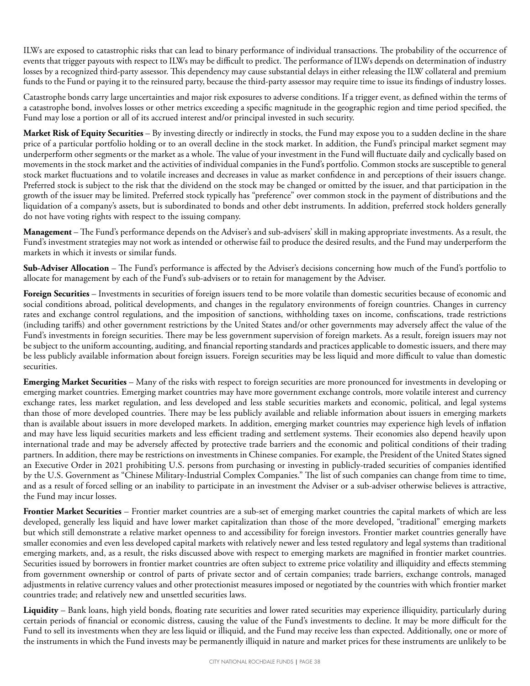ILWs are exposed to catastrophic risks that can lead to binary performance of individual transactions. The probability of the occurrence of events that trigger payouts with respect to ILWs may be difficult to predict. The performance of ILWs depends on determination of industry losses by a recognized third-party assessor. This dependency may cause substantial delays in either releasing the ILW collateral and premium funds to the Fund or paying it to the reinsured party, because the third-party assessor may require time to issue its findings of industry losses.

Catastrophe bonds carry large uncertainties and major risk exposures to adverse conditions. If a trigger event, as defined within the terms of a catastrophe bond, involves losses or other metrics exceeding a specific magnitude in the geographic region and time period specified, the Fund may lose a portion or all of its accrued interest and/or principal invested in such security.

**Market Risk of Equity Securities** – By investing directly or indirectly in stocks, the Fund may expose you to a sudden decline in the share price of a particular portfolio holding or to an overall decline in the stock market. In addition, the Fund's principal market segment may underperform other segments or the market as a whole. The value of your investment in the Fund will fluctuate daily and cyclically based on movements in the stock market and the activities of individual companies in the Fund's portfolio. Common stocks are susceptible to general stock market fluctuations and to volatile increases and decreases in value as market confidence in and perceptions of their issuers change. Preferred stock is subject to the risk that the dividend on the stock may be changed or omitted by the issuer, and that participation in the growth of the issuer may be limited. Preferred stock typically has "preference" over common stock in the payment of distributions and the liquidation of a company's assets, but is subordinated to bonds and other debt instruments. In addition, preferred stock holders generally do not have voting rights with respect to the issuing company.

**Management** – The Fund's performance depends on the Adviser's and sub-advisers' skill in making appropriate investments. As a result, the Fund's investment strategies may not work as intended or otherwise fail to produce the desired results, and the Fund may underperform the markets in which it invests or similar funds.

**Sub-Adviser Allocation** – The Fund's performance is affected by the Adviser's decisions concerning how much of the Fund's portfolio to allocate for management by each of the Fund's sub-advisers or to retain for management by the Adviser.

**Foreign Securities** – Investments in securities of foreign issuers tend to be more volatile than domestic securities because of economic and social conditions abroad, political developments, and changes in the regulatory environments of foreign countries. Changes in currency rates and exchange control regulations, and the imposition of sanctions, withholding taxes on income, confiscations, trade restrictions (including tariffs) and other government restrictions by the United States and/or other governments may adversely affect the value of the Fund's investments in foreign securities. There may be less government supervision of foreign markets. As a result, foreign issuers may not be subject to the uniform accounting, auditing, and financial reporting standards and practices applicable to domestic issuers, and there may be less publicly available information about foreign issuers. Foreign securities may be less liquid and more difficult to value than domestic securities.

**Emerging Market Securities** – Many of the risks with respect to foreign securities are more pronounced for investments in developing or emerging market countries. Emerging market countries may have more government exchange controls, more volatile interest and currency exchange rates, less market regulation, and less developed and less stable securities markets and economic, political, and legal systems than those of more developed countries. There may be less publicly available and reliable information about issuers in emerging markets than is available about issuers in more developed markets. In addition, emerging market countries may experience high levels of inflation and may have less liquid securities markets and less efficient trading and settlement systems. Their economies also depend heavily upon international trade and may be adversely affected by protective trade barriers and the economic and political conditions of their trading partners. In addition, there may be restrictions on investments in Chinese companies. For example, the President of the United States signed an Executive Order in 2021 prohibiting U.S. persons from purchasing or investing in publicly-traded securities of companies identified by the U.S. Government as "Chinese Military-Industrial Complex Companies." The list of such companies can change from time to time, and as a result of forced selling or an inability to participate in an investment the Adviser or a sub-adviser otherwise believes is attractive, the Fund may incur losses.

**Frontier Market Securities** – Frontier market countries are a sub-set of emerging market countries the capital markets of which are less developed, generally less liquid and have lower market capitalization than those of the more developed, "traditional" emerging markets but which still demonstrate a relative market openness to and accessibility for foreign investors. Frontier market countries generally have smaller economies and even less developed capital markets with relatively newer and less tested regulatory and legal systems than traditional emerging markets, and, as a result, the risks discussed above with respect to emerging markets are magnified in frontier market countries. Securities issued by borrowers in frontier market countries are often subject to extreme price volatility and illiquidity and effects stemming from government ownership or control of parts of private sector and of certain companies; trade barriers, exchange controls, managed adjustments in relative currency values and other protectionist measures imposed or negotiated by the countries with which frontier market countries trade; and relatively new and unsettled securities laws.

**Liquidity** – Bank loans, high yield bonds, floating rate securities and lower rated securities may experience illiquidity, particularly during certain periods of financial or economic distress, causing the value of the Fund's investments to decline. It may be more difficult for the Fund to sell its investments when they are less liquid or illiquid, and the Fund may receive less than expected. Additionally, one or more of the instruments in which the Fund invests may be permanently illiquid in nature and market prices for these instruments are unlikely to be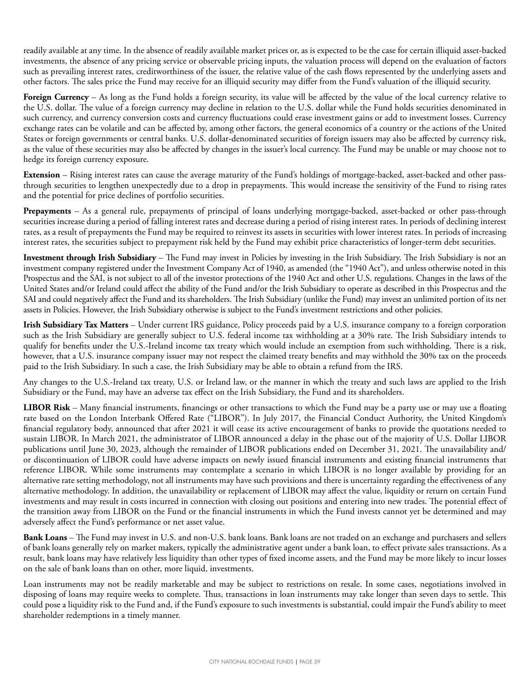readily available at any time. In the absence of readily available market prices or, as is expected to be the case for certain illiquid asset-backed investments, the absence of any pricing service or observable pricing inputs, the valuation process will depend on the evaluation of factors such as prevailing interest rates, creditworthiness of the issuer, the relative value of the cash flows represented by the underlying assets and other factors. The sales price the Fund may receive for an illiquid security may differ from the Fund's valuation of the illiquid security.

**Foreign Currency** – As long as the Fund holds a foreign security, its value will be affected by the value of the local currency relative to the U.S. dollar. The value of a foreign currency may decline in relation to the U.S. dollar while the Fund holds securities denominated in such currency, and currency conversion costs and currency fluctuations could erase investment gains or add to investment losses. Currency exchange rates can be volatile and can be affected by, among other factors, the general economics of a country or the actions of the United States or foreign governments or central banks. U.S. dollar-denominated securities of foreign issuers may also be affected by currency risk, as the value of these securities may also be affected by changes in the issuer's local currency. The Fund may be unable or may choose not to hedge its foreign currency exposure.

**Extension** – Rising interest rates can cause the average maturity of the Fund's holdings of mortgage-backed, asset-backed and other passthrough securities to lengthen unexpectedly due to a drop in prepayments. This would increase the sensitivity of the Fund to rising rates and the potential for price declines of portfolio securities.

**Prepayments** – As a general rule, prepayments of principal of loans underlying mortgage-backed, asset-backed or other pass-through securities increase during a period of falling interest rates and decrease during a period of rising interest rates. In periods of declining interest rates, as a result of prepayments the Fund may be required to reinvest its assets in securities with lower interest rates. In periods of increasing interest rates, the securities subject to prepayment risk held by the Fund may exhibit price characteristics of longer-term debt securities.

**Investment through Irish Subsidiary** – The Fund may invest in Policies by investing in the Irish Subsidiary. The Irish Subsidiary is not an investment company registered under the Investment Company Act of 1940, as amended (the "1940 Act"), and unless otherwise noted in this Prospectus and the SAI, is not subject to all of the investor protections of the 1940 Act and other U.S. regulations. Changes in the laws of the United States and/or Ireland could affect the ability of the Fund and/or the Irish Subsidiary to operate as described in this Prospectus and the SAI and could negatively affect the Fund and its shareholders. The Irish Subsidiary (unlike the Fund) may invest an unlimited portion of its net assets in Policies. However, the Irish Subsidiary otherwise is subject to the Fund's investment restrictions and other policies.

**Irish Subsidiary Tax Matters** – Under current IRS guidance, Policy proceeds paid by a U.S. insurance company to a foreign corporation such as the Irish Subsidiary are generally subject to U.S. federal income tax withholding at a 30% rate. The Irish Subsidiary intends to qualify for benefits under the U.S.-Ireland income tax treaty which would include an exemption from such withholding. There is a risk, however, that a U.S. insurance company issuer may not respect the claimed treaty benefits and may withhold the 30% tax on the proceeds paid to the Irish Subsidiary. In such a case, the Irish Subsidiary may be able to obtain a refund from the IRS.

Any changes to the U.S.-Ireland tax treaty, U.S. or Ireland law, or the manner in which the treaty and such laws are applied to the Irish Subsidiary or the Fund, may have an adverse tax effect on the Irish Subsidiary, the Fund and its shareholders.

**LIBOR Risk** – Many financial instruments, financings or other transactions to which the Fund may be a party use or may use a floating rate based on the London Interbank Offered Rate ("LIBOR"). In July 2017, the Financial Conduct Authority, the United Kingdom's financial regulatory body, announced that after 2021 it will cease its active encouragement of banks to provide the quotations needed to sustain LIBOR. In March 2021, the administrator of LIBOR announced a delay in the phase out of the majority of U.S. Dollar LIBOR publications until June 30, 2023, although the remainder of LIBOR publications ended on December 31, 2021. The unavailability and/ or discontinuation of LIBOR could have adverse impacts on newly issued financial instruments and existing financial instruments that reference LIBOR. While some instruments may contemplate a scenario in which LIBOR is no longer available by providing for an alternative rate setting methodology, not all instruments may have such provisions and there is uncertainty regarding the effectiveness of any alternative methodology. In addition, the unavailability or replacement of LIBOR may affect the value, liquidity or return on certain Fund investments and may result in costs incurred in connection with closing out positions and entering into new trades. The potential effect of the transition away from LIBOR on the Fund or the financial instruments in which the Fund invests cannot yet be determined and may adversely affect the Fund's performance or net asset value.

**Bank Loans** – The Fund may invest in U.S. and non-U.S. bank loans. Bank loans are not traded on an exchange and purchasers and sellers of bank loans generally rely on market makers, typically the administrative agent under a bank loan, to effect private sales transactions. As a result, bank loans may have relatively less liquidity than other types of fixed income assets, and the Fund may be more likely to incur losses on the sale of bank loans than on other, more liquid, investments.

Loan instruments may not be readily marketable and may be subject to restrictions on resale. In some cases, negotiations involved in disposing of loans may require weeks to complete. Thus, transactions in loan instruments may take longer than seven days to settle. This could pose a liquidity risk to the Fund and, if the Fund's exposure to such investments is substantial, could impair the Fund's ability to meet shareholder redemptions in a timely manner.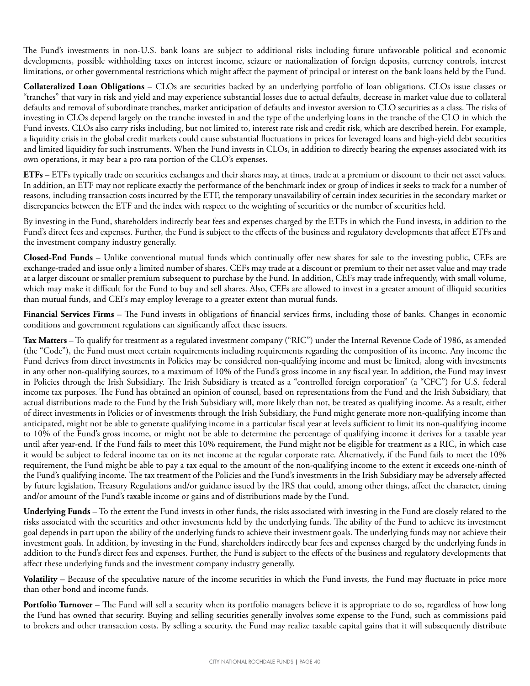The Fund's investments in non-U.S. bank loans are subject to additional risks including future unfavorable political and economic developments, possible withholding taxes on interest income, seizure or nationalization of foreign deposits, currency controls, interest limitations, or other governmental restrictions which might affect the payment of principal or interest on the bank loans held by the Fund.

**Collateralized Loan Obligations** – CLOs are securities backed by an underlying portfolio of loan obligations. CLOs issue classes or "tranches" that vary in risk and yield and may experience substantial losses due to actual defaults, decrease in market value due to collateral defaults and removal of subordinate tranches, market anticipation of defaults and investor aversion to CLO securities as a class. The risks of investing in CLOs depend largely on the tranche invested in and the type of the underlying loans in the tranche of the CLO in which the Fund invests. CLOs also carry risks including, but not limited to, interest rate risk and credit risk, which are described herein. For example, a liquidity crisis in the global credit markets could cause substantial fluctuations in prices for leveraged loans and high-yield debt securities and limited liquidity for such instruments. When the Fund invests in CLOs, in addition to directly bearing the expenses associated with its own operations, it may bear a pro rata portion of the CLO's expenses.

**ETFs** – ETFs typically trade on securities exchanges and their shares may, at times, trade at a premium or discount to their net asset values. In addition, an ETF may not replicate exactly the performance of the benchmark index or group of indices it seeks to track for a number of reasons, including transaction costs incurred by the ETF, the temporary unavailability of certain index securities in the secondary market or discrepancies between the ETF and the index with respect to the weighting of securities or the number of securities held.

By investing in the Fund, shareholders indirectly bear fees and expenses charged by the ETFs in which the Fund invests, in addition to the Fund's direct fees and expenses. Further, the Fund is subject to the effects of the business and regulatory developments that affect ETFs and the investment company industry generally.

**Closed-End Funds** – Unlike conventional mutual funds which continually offer new shares for sale to the investing public, CEFs are exchange-traded and issue only a limited number of shares. CEFs may trade at a discount or premium to their net asset value and may trade at a larger discount or smaller premium subsequent to purchase by the Fund. In addition, CEFs may trade infrequently, with small volume, which may make it difficult for the Fund to buy and sell shares. Also, CEFs are allowed to invest in a greater amount of illiquid securities than mutual funds, and CEFs may employ leverage to a greater extent than mutual funds.

**Financial Services Firms** – The Fund invests in obligations of financial services firms, including those of banks. Changes in economic conditions and government regulations can significantly affect these issuers.

**Tax Matters** – To qualify for treatment as a regulated investment company ("RIC") under the Internal Revenue Code of 1986, as amended (the "Code"), the Fund must meet certain requirements including requirements regarding the composition of its income. Any income the Fund derives from direct investments in Policies may be considered non-qualifying income and must be limited, along with investments in any other non-qualifying sources, to a maximum of 10% of the Fund's gross income in any fiscal year. In addition, the Fund may invest in Policies through the Irish Subsidiary. The Irish Subsidiary is treated as a "controlled foreign corporation" (a "CFC") for U.S. federal income tax purposes. The Fund has obtained an opinion of counsel, based on representations from the Fund and the Irish Subsidiary, that actual distributions made to the Fund by the Irish Subsidiary will, more likely than not, be treated as qualifying income. As a result, either of direct investments in Policies or of investments through the Irish Subsidiary, the Fund might generate more non-qualifying income than anticipated, might not be able to generate qualifying income in a particular fiscal year at levels sufficient to limit its non-qualifying income to 10% of the Fund's gross income, or might not be able to determine the percentage of qualifying income it derives for a taxable year until after year-end. If the Fund fails to meet this 10% requirement, the Fund might not be eligible for treatment as a RIC, in which case it would be subject to federal income tax on its net income at the regular corporate rate. Alternatively, if the Fund fails to meet the 10% requirement, the Fund might be able to pay a tax equal to the amount of the non-qualifying income to the extent it exceeds one-ninth of the Fund's qualifying income. The tax treatment of the Policies and the Fund's investments in the Irish Subsidiary may be adversely affected by future legislation, Treasury Regulations and/or guidance issued by the IRS that could, among other things, affect the character, timing and/or amount of the Fund's taxable income or gains and of distributions made by the Fund.

**Underlying Funds** – To the extent the Fund invests in other funds, the risks associated with investing in the Fund are closely related to the risks associated with the securities and other investments held by the underlying funds. The ability of the Fund to achieve its investment goal depends in part upon the ability of the underlying funds to achieve their investment goals. The underlying funds may not achieve their investment goals. In addition, by investing in the Fund, shareholders indirectly bear fees and expenses charged by the underlying funds in addition to the Fund's direct fees and expenses. Further, the Fund is subject to the effects of the business and regulatory developments that affect these underlying funds and the investment company industry generally.

**Volatility** – Because of the speculative nature of the income securities in which the Fund invests, the Fund may fluctuate in price more than other bond and income funds.

Portfolio Turnover - The Fund will sell a security when its portfolio managers believe it is appropriate to do so, regardless of how long the Fund has owned that security. Buying and selling securities generally involves some expense to the Fund, such as commissions paid to brokers and other transaction costs. By selling a security, the Fund may realize taxable capital gains that it will subsequently distribute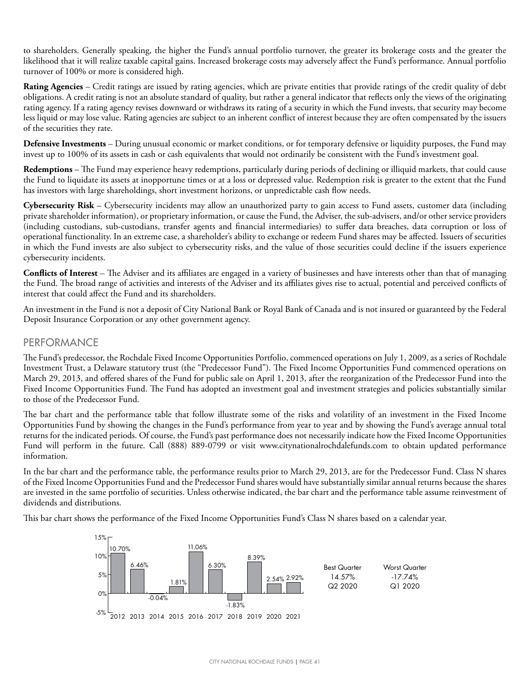to shareholders. Generally speaking, the higher the Fund's annual portfolio turnover, the greater its brokerage costs and the greater the likelihood that it will realize taxable capital gains. Increased brokerage costs may adversely affect the Fund's performance. Annual portfolio turnover of 100% or more is considered high.

**Rating Agencies** – Credit ratings are issued by rating agencies, which are private entities that provide ratings of the credit quality of debt obligations. A credit rating is not an absolute standard of quality, but rather a general indicator that reflects only the views of the originating rating agency. If a rating agency revises downward or withdraws its rating of a security in which the Fund invests, that security may become less liquid or may lose value. Rating agencies are subject to an inherent conflict of interest because they are often compensated by the issuers of the securities they rate.

**Defensive Investments** – During unusual economic or market conditions, or for temporary defensive or liquidity purposes, the Fund may invest up to 100% of its assets in cash or cash equivalents that would not ordinarily be consistent with the Fund's investment goal.

**Redemptions** – The Fund may experience heavy redemptions, particularly during periods of declining or illiquid markets, that could cause the Fund to liquidate its assets at inopportune times or at a loss or depressed value. Redemption risk is greater to the extent that the Fund has investors with large shareholdings, short investment horizons, or unpredictable cash flow needs.

**Cybersecurity Risk** – Cybersecurity incidents may allow an unauthorized party to gain access to Fund assets, customer data (including private shareholder information), or proprietary information, or cause the Fund, the Adviser, the sub-advisers, and/or other service providers (including custodians, sub-custodians, transfer agents and financial intermediaries) to suffer data breaches, data corruption or loss of operational functionality. In an extreme case, a shareholder's ability to exchange or redeem Fund shares may be affected. Issuers of securities in which the Fund invests are also subject to cybersecurity risks, and the value of those securities could decline if the issuers experience cybersecurity incidents.

**Conflicts of Interest** – The Adviser and its affiliates are engaged in a variety of businesses and have interests other than that of managing the Fund. The broad range of activities and interests of the Adviser and its affiliates gives rise to actual, potential and perceived conflicts of interest that could affect the Fund and its shareholders.

An investment in the Fund is not a deposit of City National Bank or Royal Bank of Canada and is not insured or guaranteed by the Federal Deposit Insurance Corporation or any other government agency.

## **PERFORMANCE**

The Fund's predecessor, the Rochdale Fixed Income Opportunities Portfolio, commenced operations on July 1, 2009, as a series of Rochdale Investment Trust, a Delaware statutory trust (the "Predecessor Fund"). The Fixed Income Opportunities Fund commenced operations on March 29, 2013, and offered shares of the Fund for public sale on April 1, 2013, after the reorganization of the Predecessor Fund into the Fixed Income Opportunities Fund. The Fund has adopted an investment goal and investment strategies and policies substantially similar to those of the Predecessor Fund.

The bar chart and the performance table that follow illustrate some of the risks and volatility of an investment in the Fixed Income Opportunities Fund by showing the changes in the Fund's performance from year to year and by showing the Fund's average annual total returns for the indicated periods. Of course, the Fund's past performance does not necessarily indicate how the Fixed Income Opportunities Fund will perform in the future. Call (888) 889-0799 or visit www.citynationalrochdalefunds.com to obtain updated performance information.

In the bar chart and the performance table, the performance results prior to March 29, 2013, are for the Predecessor Fund. Class N shares of the Fixed Income Opportunities Fund and the Predecessor Fund shares would have substantially similar annual returns because the shares are invested in the same portfolio of securities. Unless otherwise indicated, the bar chart and the performance table assume reinvestment of dividends and distributions.

This bar chart shows the performance of the Fixed Income Opportunities Fund's Class N shares based on a calendar year.

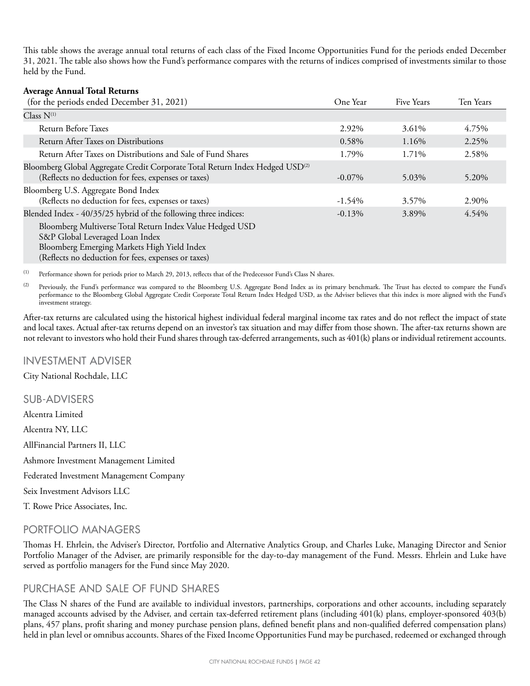This table shows the average annual total returns of each class of the Fixed Income Opportunities Fund for the periods ended December 31, 2021. The table also shows how the Fund's performance compares with the returns of indices comprised of investments similar to those held by the Fund.

#### **Average Annual Total Returns**

| (for the periods ended December 31, 2021)                                                                                                                                                         | One Year  | Five Years | Ten Years |
|---------------------------------------------------------------------------------------------------------------------------------------------------------------------------------------------------|-----------|------------|-----------|
| $Class N^{(1)}$                                                                                                                                                                                   |           |            |           |
| Return Before Taxes                                                                                                                                                                               | 2.92%     | 3.61%      | 4.75%     |
| Return After Taxes on Distributions                                                                                                                                                               | 0.58%     | 1.16%      | 2.25%     |
| Return After Taxes on Distributions and Sale of Fund Shares                                                                                                                                       | 1.79%     | 1.71%      | 2.58%     |
| Bloomberg Global Aggregate Credit Corporate Total Return Index Hedged USD <sup>(2)</sup><br>(Reflects no deduction for fees, expenses or taxes)                                                   | $-0.07\%$ | 5.03%      | 5.20%     |
| Bloomberg U.S. Aggregate Bond Index<br>(Reflects no deduction for fees, expenses or taxes)                                                                                                        | $-1.54%$  | 3.57%      | 2.90%     |
| Blended Index - 40/35/25 hybrid of the following three indices:                                                                                                                                   | $-0.13\%$ | 3.89%      | 4.54%     |
| Bloomberg Multiverse Total Return Index Value Hedged USD<br>S&P Global Leveraged Loan Index<br>Bloomberg Emerging Markets High Yield Index<br>(Reflects no deduction for fees, expenses or taxes) |           |            |           |

(1) Performance shown for periods prior to March 29, 2013, reflects that of the Predecessor Fund's Class N shares.

<sup>(2)</sup> Previously, the Fund's performance was compared to the Bloomberg U.S. Aggregate Bond Index as its primary benchmark. The Trust has elected to compare the Fund's performance to the Bloomberg Global Aggregate Credit Corporate Total Return Index Hedged USD, as the Adviser believes that this index is more aligned with the Fund's investment strategy.

After-tax returns are calculated using the historical highest individual federal marginal income tax rates and do not reflect the impact of state and local taxes. Actual after-tax returns depend on an investor's tax situation and may differ from those shown. The after-tax returns shown are not relevant to investors who hold their Fund shares through tax-deferred arrangements, such as 401(k) plans or individual retirement accounts.

### INVESTMENT ADVISER

City National Rochdale, LLC

#### SUB-ADVISERS

Alcentra Limited

Alcentra NY, LLC

AllFinancial Partners II, LLC

Ashmore Investment Management Limited

Federated Investment Management Company

Seix Investment Advisors LLC

T. Rowe Price Associates, Inc.

### PORTFOLIO MANAGERS

Thomas H. Ehrlein, the Adviser's Director, Portfolio and Alternative Analytics Group, and Charles Luke, Managing Director and Senior Portfolio Manager of the Adviser, are primarily responsible for the day-to-day management of the Fund. Messrs. Ehrlein and Luke have served as portfolio managers for the Fund since May 2020.

### PURCHASE AND SALE OF FUND SHARES

The Class N shares of the Fund are available to individual investors, partnerships, corporations and other accounts, including separately managed accounts advised by the Adviser, and certain tax-deferred retirement plans (including 401(k) plans, employer-sponsored 403(b) plans, 457 plans, profit sharing and money purchase pension plans, defined benefit plans and non-qualified deferred compensation plans) held in plan level or omnibus accounts. Shares of the Fixed Income Opportunities Fund may be purchased, redeemed or exchanged through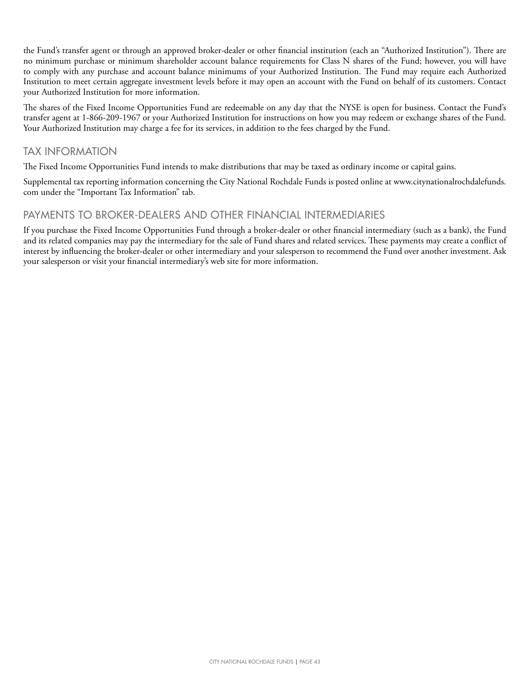the Fund's transfer agent or through an approved broker-dealer or other financial institution (each an "Authorized Institution"). There are no minimum purchase or minimum shareholder account balance requirements for Class N shares of the Fund; however, you will have to comply with any purchase and account balance minimums of your Authorized Institution. The Fund may require each Authorized Institution to meet certain aggregate investment levels before it may open an account with the Fund on behalf of its customers. Contact your Authorized Institution for more information.

The shares of the Fixed Income Opportunities Fund are redeemable on any day that the NYSE is open for business. Contact the Fund's transfer agent at 1-866-209-1967 or your Authorized Institution for instructions on how you may redeem or exchange shares of the Fund. Your Authorized Institution may charge a fee for its services, in addition to the fees charged by the Fund.

## TAX INFORMATION

The Fixed Income Opportunities Fund intends to make distributions that may be taxed as ordinary income or capital gains.

Supplemental tax reporting information concerning the City National Rochdale Funds is posted online at www.citynationalrochdalefunds. com under the "Important Tax Information" tab.

### PAYMENTS TO BROKER-DEALERS AND OTHER FINANCIAL INTERMEDIARIES

If you purchase the Fixed Income Opportunities Fund through a broker-dealer or other financial intermediary (such as a bank), the Fund and its related companies may pay the intermediary for the sale of Fund shares and related services. These payments may create a conflict of interest by influencing the broker-dealer or other intermediary and your salesperson to recommend the Fund over another investment. Ask your salesperson or visit your financial intermediary's web site for more information.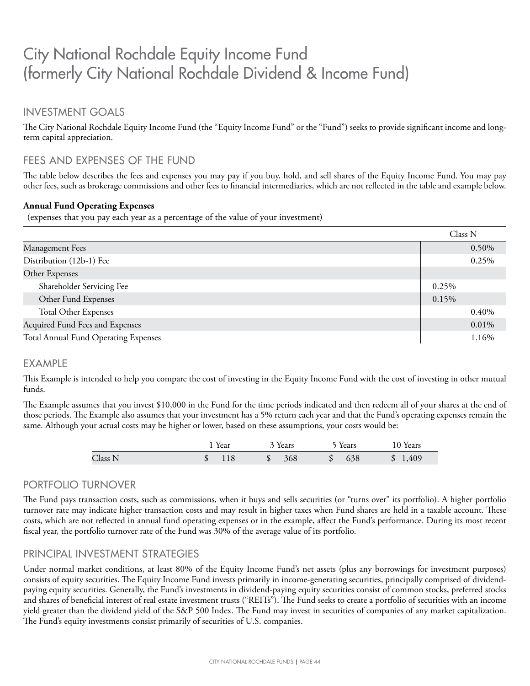# City National Rochdale Equity Income Fund (formerly City National Rochdale Dividend & Income Fund)

## INVESTMENT GOALS

The City National Rochdale Equity Income Fund (the "Equity Income Fund" or the "Fund") seeks to provide significant income and longterm capital appreciation.

## FEES AND EXPENSES OF THE FUND

The table below describes the fees and expenses you may pay if you buy, hold, and sell shares of the Equity Income Fund. You may pay other fees, such as brokerage commissions and other fees to financial intermediaries, which are not reflected in the table and example below.

#### **Annual Fund Operating Expenses**

(expenses that you pay each year as a percentage of the value of your investment)

|                                      | Class N |
|--------------------------------------|---------|
| Management Fees                      | 0.50%   |
| Distribution (12b-1) Fee             | 0.25%   |
| Other Expenses                       |         |
| Shareholder Servicing Fee            | 0.25%   |
| Other Fund Expenses                  | 0.15%   |
| <b>Total Other Expenses</b>          | 0.40%   |
| Acquired Fund Fees and Expenses      | 0.01%   |
| Total Annual Fund Operating Expenses | 1.16%   |

### EXAMPLE

This Example is intended to help you compare the cost of investing in the Equity Income Fund with the cost of investing in other mutual funds.

The Example assumes that you invest \$10,000 in the Fund for the time periods indicated and then redeem all of your shares at the end of those periods. The Example also assumes that your investment has a 5% return each year and that the Fund's operating expenses remain the same. Although your actual costs may be higher or lower, based on these assumptions, your costs would be:

|         | Year                 | 3 Years              | 5 Years             | 10 Years |
|---------|----------------------|----------------------|---------------------|----------|
| Class N | 118<br>$\mathcal{S}$ | 368<br>$\mathcal{S}$ | 638<br><sup>S</sup> | \$1,409  |

## PORTFOLIO TURNOVER

The Fund pays transaction costs, such as commissions, when it buys and sells securities (or "turns over" its portfolio). A higher portfolio turnover rate may indicate higher transaction costs and may result in higher taxes when Fund shares are held in a taxable account. These costs, which are not reflected in annual fund operating expenses or in the example, affect the Fund's performance. During its most recent fiscal year, the portfolio turnover rate of the Fund was 30% of the average value of its portfolio.

## PRINCIPAL INVESTMENT STRATEGIES

Under normal market conditions, at least 80% of the Equity Income Fund's net assets (plus any borrowings for investment purposes) consists of equity securities. The Equity Income Fund invests primarily in income-generating securities, principally comprised of dividendpaying equity securities. Generally, the Fund's investments in dividend-paying equity securities consist of common stocks, preferred stocks and shares of beneficial interest of real estate investment trusts ("REITs"). The Fund seeks to create a portfolio of securities with an income yield greater than the dividend yield of the S&P 500 Index. The Fund may invest in securities of companies of any market capitalization. The Fund's equity investments consist primarily of securities of U.S. companies.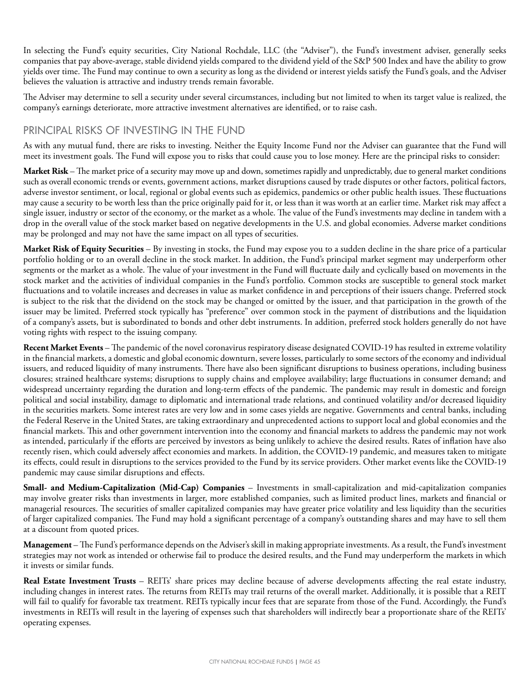In selecting the Fund's equity securities, City National Rochdale, LLC (the "Adviser"), the Fund's investment adviser, generally seeks companies that pay above-average, stable dividend yields compared to the dividend yield of the S&P 500 Index and have the ability to grow yields over time. The Fund may continue to own a security as long as the dividend or interest yields satisfy the Fund's goals, and the Adviser believes the valuation is attractive and industry trends remain favorable.

The Adviser may determine to sell a security under several circumstances, including but not limited to when its target value is realized, the company's earnings deteriorate, more attractive investment alternatives are identified, or to raise cash.

# PRINCIPAL RISKS OF INVESTING IN THE FUND

As with any mutual fund, there are risks to investing. Neither the Equity Income Fund nor the Adviser can guarantee that the Fund will meet its investment goals. The Fund will expose you to risks that could cause you to lose money. Here are the principal risks to consider:

**Market Risk** – The market price of a security may move up and down, sometimes rapidly and unpredictably, due to general market conditions such as overall economic trends or events, government actions, market disruptions caused by trade disputes or other factors, political factors, adverse investor sentiment, or local, regional or global events such as epidemics, pandemics or other public health issues. These fluctuations may cause a security to be worth less than the price originally paid for it, or less than it was worth at an earlier time. Market risk may affect a single issuer, industry or sector of the economy, or the market as a whole. The value of the Fund's investments may decline in tandem with a drop in the overall value of the stock market based on negative developments in the U.S. and global economies. Adverse market conditions may be prolonged and may not have the same impact on all types of securities.

**Market Risk of Equity Securities** – By investing in stocks, the Fund may expose you to a sudden decline in the share price of a particular portfolio holding or to an overall decline in the stock market. In addition, the Fund's principal market segment may underperform other segments or the market as a whole. The value of your investment in the Fund will fluctuate daily and cyclically based on movements in the stock market and the activities of individual companies in the Fund's portfolio. Common stocks are susceptible to general stock market fluctuations and to volatile increases and decreases in value as market confidence in and perceptions of their issuers change. Preferred stock is subject to the risk that the dividend on the stock may be changed or omitted by the issuer, and that participation in the growth of the issuer may be limited. Preferred stock typically has "preference" over common stock in the payment of distributions and the liquidation of a company's assets, but is subordinated to bonds and other debt instruments. In addition, preferred stock holders generally do not have voting rights with respect to the issuing company.

**Recent Market Events** – The pandemic of the novel coronavirus respiratory disease designated COVID-19 has resulted in extreme volatility in the financial markets, a domestic and global economic downturn, severe losses, particularly to some sectors of the economy and individual issuers, and reduced liquidity of many instruments. There have also been significant disruptions to business operations, including business closures; strained healthcare systems; disruptions to supply chains and employee availability; large fluctuations in consumer demand; and widespread uncertainty regarding the duration and long-term effects of the pandemic. The pandemic may result in domestic and foreign political and social instability, damage to diplomatic and international trade relations, and continued volatility and/or decreased liquidity in the securities markets. Some interest rates are very low and in some cases yields are negative. Governments and central banks, including the Federal Reserve in the United States, are taking extraordinary and unprecedented actions to support local and global economies and the financial markets. This and other government intervention into the economy and financial markets to address the pandemic may not work as intended, particularly if the efforts are perceived by investors as being unlikely to achieve the desired results. Rates of inflation have also recently risen, which could adversely affect economies and markets. In addition, the COVID-19 pandemic, and measures taken to mitigate its effects, could result in disruptions to the services provided to the Fund by its service providers. Other market events like the COVID-19 pandemic may cause similar disruptions and effects.

**Small- and Medium-Capitalization (Mid-Cap) Companies** – Investments in small-capitalization and mid-capitalization companies may involve greater risks than investments in larger, more established companies, such as limited product lines, markets and financial or managerial resources. The securities of smaller capitalized companies may have greater price volatility and less liquidity than the securities of larger capitalized companies. The Fund may hold a significant percentage of a company's outstanding shares and may have to sell them at a discount from quoted prices.

**Management** – The Fund's performance depends on the Adviser's skill in making appropriate investments. As a result, the Fund's investment strategies may not work as intended or otherwise fail to produce the desired results, and the Fund may underperform the markets in which it invests or similar funds.

Real Estate Investment Trusts - REITs' share prices may decline because of adverse developments affecting the real estate industry, including changes in interest rates. The returns from REITs may trail returns of the overall market. Additionally, it is possible that a REIT will fail to qualify for favorable tax treatment. REITs typically incur fees that are separate from those of the Fund. Accordingly, the Fund's investments in REITs will result in the layering of expenses such that shareholders will indirectly bear a proportionate share of the REITs' operating expenses.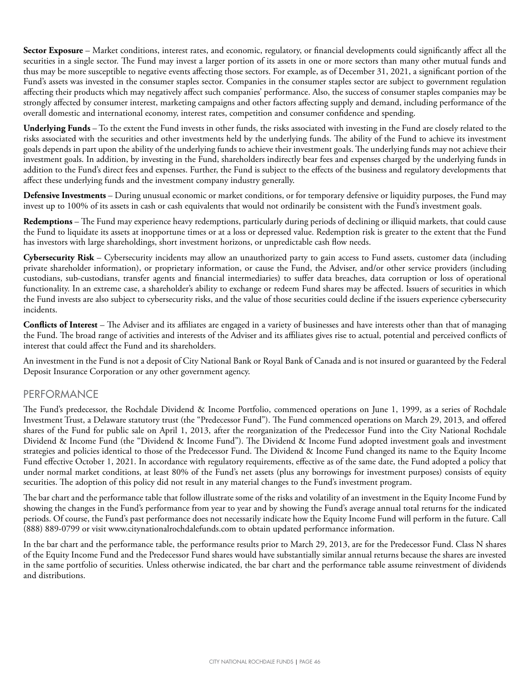Sector Exposure – Market conditions, interest rates, and economic, regulatory, or financial developments could significantly affect all the securities in a single sector. The Fund may invest a larger portion of its assets in one or more sectors than many other mutual funds and thus may be more susceptible to negative events affecting those sectors. For example, as of December 31, 2021, a significant portion of the Fund's assets was invested in the consumer staples sector. Companies in the consumer staples sector are subject to government regulation affecting their products which may negatively affect such companies' performance. Also, the success of consumer staples companies may be strongly affected by consumer interest, marketing campaigns and other factors affecting supply and demand, including performance of the overall domestic and international economy, interest rates, competition and consumer confidence and spending.

**Underlying Funds** – To the extent the Fund invests in other funds, the risks associated with investing in the Fund are closely related to the risks associated with the securities and other investments held by the underlying funds. The ability of the Fund to achieve its investment goals depends in part upon the ability of the underlying funds to achieve their investment goals. The underlying funds may not achieve their investment goals. In addition, by investing in the Fund, shareholders indirectly bear fees and expenses charged by the underlying funds in addition to the Fund's direct fees and expenses. Further, the Fund is subject to the effects of the business and regulatory developments that affect these underlying funds and the investment company industry generally.

**Defensive Investments** – During unusual economic or market conditions, or for temporary defensive or liquidity purposes, the Fund may invest up to 100% of its assets in cash or cash equivalents that would not ordinarily be consistent with the Fund's investment goals.

**Redemptions** – The Fund may experience heavy redemptions, particularly during periods of declining or illiquid markets, that could cause the Fund to liquidate its assets at inopportune times or at a loss or depressed value. Redemption risk is greater to the extent that the Fund has investors with large shareholdings, short investment horizons, or unpredictable cash flow needs.

**Cybersecurity Risk** – Cybersecurity incidents may allow an unauthorized party to gain access to Fund assets, customer data (including private shareholder information), or proprietary information, or cause the Fund, the Adviser, and/or other service providers (including custodians, sub-custodians, transfer agents and financial intermediaries) to suffer data breaches, data corruption or loss of operational functionality. In an extreme case, a shareholder's ability to exchange or redeem Fund shares may be affected. Issuers of securities in which the Fund invests are also subject to cybersecurity risks, and the value of those securities could decline if the issuers experience cybersecurity incidents.

**Conflicts of Interest** – The Adviser and its affiliates are engaged in a variety of businesses and have interests other than that of managing the Fund. The broad range of activities and interests of the Adviser and its affiliates gives rise to actual, potential and perceived conflicts of interest that could affect the Fund and its shareholders.

An investment in the Fund is not a deposit of City National Bank or Royal Bank of Canada and is not insured or guaranteed by the Federal Deposit Insurance Corporation or any other government agency.

## **PERFORMANCE**

The Fund's predecessor, the Rochdale Dividend & Income Portfolio, commenced operations on June 1, 1999, as a series of Rochdale Investment Trust, a Delaware statutory trust (the "Predecessor Fund"). The Fund commenced operations on March 29, 2013, and offered shares of the Fund for public sale on April 1, 2013, after the reorganization of the Predecessor Fund into the City National Rochdale Dividend & Income Fund (the "Dividend & Income Fund"). The Dividend & Income Fund adopted investment goals and investment strategies and policies identical to those of the Predecessor Fund. The Dividend & Income Fund changed its name to the Equity Income Fund effective October 1, 2021. In accordance with regulatory requirements, effective as of the same date, the Fund adopted a policy that under normal market conditions, at least 80% of the Fund's net assets (plus any borrowings for investment purposes) consists of equity securities. The adoption of this policy did not result in any material changes to the Fund's investment program.

The bar chart and the performance table that follow illustrate some of the risks and volatility of an investment in the Equity Income Fund by showing the changes in the Fund's performance from year to year and by showing the Fund's average annual total returns for the indicated periods. Of course, the Fund's past performance does not necessarily indicate how the Equity Income Fund will perform in the future. Call (888) 889-0799 or visit www.citynationalrochdalefunds.com to obtain updated performance information.

In the bar chart and the performance table, the performance results prior to March 29, 2013, are for the Predecessor Fund. Class N shares of the Equity Income Fund and the Predecessor Fund shares would have substantially similar annual returns because the shares are invested in the same portfolio of securities. Unless otherwise indicated, the bar chart and the performance table assume reinvestment of dividends and distributions.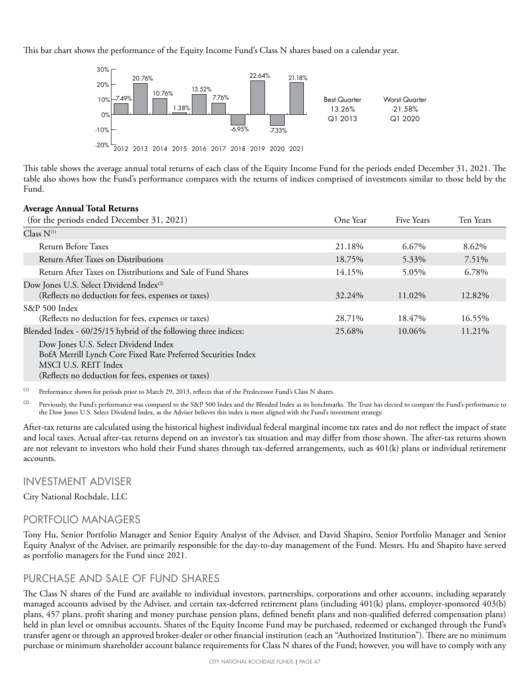This bar chart shows the performance of the Equity Income Fund's Class N shares based on a calendar year.



This table shows the average annual total returns of each class of the Equity Income Fund for the periods ended December 31, 2021. The table also shows how the Fund's performance compares with the returns of indices comprised of investments similar to those held by the Fund.

#### **Average Annual Total Returns**

| (for the periods ended December 31, 2021)                                                                                                                                            | One Year | <b>Five Years</b> | Ten Years |
|--------------------------------------------------------------------------------------------------------------------------------------------------------------------------------------|----------|-------------------|-----------|
| Class $N^{(1)}$                                                                                                                                                                      |          |                   |           |
| Return Before Taxes                                                                                                                                                                  | 21.18%   | 6.67%             | 8.62%     |
| Return After Taxes on Distributions                                                                                                                                                  | 18.75%   | 5.33%             | 7.51%     |
| Return After Taxes on Distributions and Sale of Fund Shares                                                                                                                          | 14.15%   | 5.05%             | 6.78%     |
| Dow Jones U.S. Select Dividend Index <sup>(2)</sup><br>(Reflects no deduction for fees, expenses or taxes)                                                                           | 32.24%   | 11.02%            | 12.82%    |
| S&P 500 Index<br>(Reflects no deduction for fees, expenses or taxes)                                                                                                                 | 28.71%   | 18.47%            | 16.55%    |
| Blended Index - 60/25/15 hybrid of the following three indices:                                                                                                                      | 25.68%   | 10.06%            | 11.21%    |
| Dow Jones U.S. Select Dividend Index<br>BofA Merrill Lynch Core Fixed Rate Preferred Securities Index<br>MSCI U.S. REIT Index<br>(Reflects no deduction for fees, expenses or taxes) |          |                   |           |

(1) Performance shown for periods prior to March 29, 2013, reflects that of the Predecessor Fund's Class N shares.

<sup>(2)</sup> Previously, the Fund's performance was compared to the S&P 500 Index and the Blended Index as its benchmarks. The Trust has elected to compare the Fund's performance to the Dow Jones U.S. Select Dividend Index, as the Adviser believes this index is more aligned with the Fund's investment strategy.

After-tax returns are calculated using the historical highest individual federal marginal income tax rates and do not reflect the impact of state and local taxes. Actual after-tax returns depend on an investor's tax situation and may differ from those shown. The after-tax returns shown are not relevant to investors who hold their Fund shares through tax-deferred arrangements, such as 401(k) plans or individual retirement accounts.

#### INVESTMENT ADVISER

City National Rochdale, LLC

### PORTFOLIO MANAGERS

Tony Hu, Senior Portfolio Manager and Senior Equity Analyst of the Adviser, and David Shapiro, Senior Portfolio Manager and Senior Equity Analyst of the Adviser, are primarily responsible for the day-to-day management of the Fund. Messrs. Hu and Shapiro have served as portfolio managers for the Fund since 2021.

## PURCHASE AND SALE OF FUND SHARES

The Class N shares of the Fund are available to individual investors, partnerships, corporations and other accounts, including separately managed accounts advised by the Adviser, and certain tax-deferred retirement plans (including 401(k) plans, employer-sponsored 403(b) plans, 457 plans, profit sharing and money purchase pension plans, defined benefit plans and non-qualified deferred compensation plans) held in plan level or omnibus accounts. Shares of the Equity Income Fund may be purchased, redeemed or exchanged through the Fund's transfer agent or through an approved broker-dealer or other financial institution (each an "Authorized Institution"). There are no minimum purchase or minimum shareholder account balance requirements for Class N shares of the Fund; however, you will have to comply with any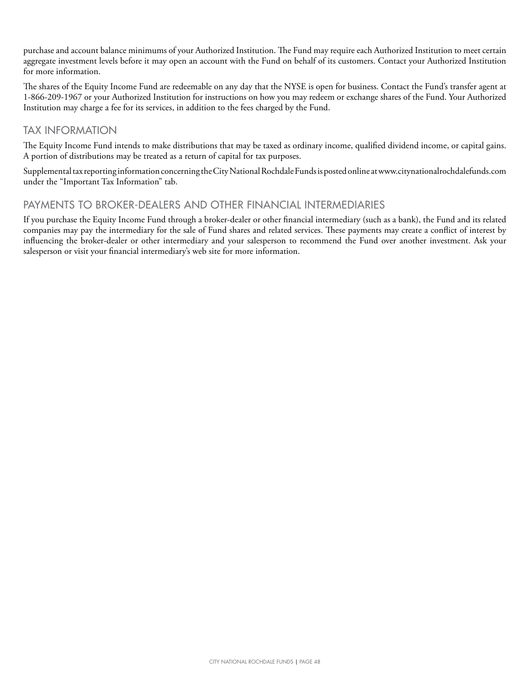purchase and account balance minimums of your Authorized Institution. The Fund may require each Authorized Institution to meet certain aggregate investment levels before it may open an account with the Fund on behalf of its customers. Contact your Authorized Institution for more information.

The shares of the Equity Income Fund are redeemable on any day that the NYSE is open for business. Contact the Fund's transfer agent at 1-866-209-1967 or your Authorized Institution for instructions on how you may redeem or exchange shares of the Fund. Your Authorized Institution may charge a fee for its services, in addition to the fees charged by the Fund.

### TAX INFORMATION

The Equity Income Fund intends to make distributions that may be taxed as ordinary income, qualified dividend income, or capital gains. A portion of distributions may be treated as a return of capital for tax purposes.

Supplemental tax reporting information concerning the City National Rochdale Funds is posted online at www.citynationalrochdalefunds.com under the "Important Tax Information" tab.

## PAYMENTS TO BROKER-DEALERS AND OTHER FINANCIAL INTERMEDIARIES

If you purchase the Equity Income Fund through a broker-dealer or other financial intermediary (such as a bank), the Fund and its related companies may pay the intermediary for the sale of Fund shares and related services. These payments may create a conflict of interest by influencing the broker-dealer or other intermediary and your salesperson to recommend the Fund over another investment. Ask your salesperson or visit your financial intermediary's web site for more information.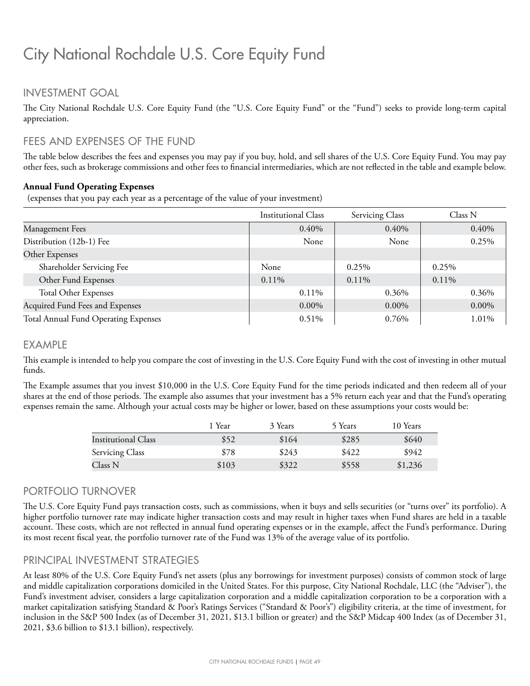## INVESTMENT GOAL

The City National Rochdale U.S. Core Equity Fund (the "U.S. Core Equity Fund" or the "Fund") seeks to provide long-term capital appreciation.

# FEES AND EXPENSES OF THE FUND

The table below describes the fees and expenses you may pay if you buy, hold, and sell shares of the U.S. Core Equity Fund. You may pay other fees, such as brokerage commissions and other fees to financial intermediaries, which are not reflected in the table and example below.

#### **Annual Fund Operating Expenses**

(expenses that you pay each year as a percentage of the value of your investment)

|                                      | <b>Institutional Class</b> | <b>Servicing Class</b> | Class N  |
|--------------------------------------|----------------------------|------------------------|----------|
| Management Fees                      | 0.40%                      | 0.40%                  | 0.40%    |
| Distribution (12b-1) Fee             | None                       | None                   | 0.25%    |
| Other Expenses                       |                            |                        |          |
| Shareholder Servicing Fee            | None                       | 0.25%                  | 0.25%    |
| Other Fund Expenses                  | $0.11\%$                   | 0.11%                  | 0.11%    |
| <b>Total Other Expenses</b>          | $0.11\%$                   | 0.36%                  | 0.36%    |
| Acquired Fund Fees and Expenses      | $0.00\%$                   | $0.00\%$               | $0.00\%$ |
| Total Annual Fund Operating Expenses | 0.51%                      | 0.76%                  | 1.01%    |

### EXAMPLE

This example is intended to help you compare the cost of investing in the U.S. Core Equity Fund with the cost of investing in other mutual funds.

The Example assumes that you invest \$10,000 in the U.S. Core Equity Fund for the time periods indicated and then redeem all of your shares at the end of those periods. The example also assumes that your investment has a 5% return each year and that the Fund's operating expenses remain the same. Although your actual costs may be higher or lower, based on these assumptions your costs would be:

|                        | 1 Year | 3 Years | 5 Years | 10 Years |
|------------------------|--------|---------|---------|----------|
| Institutional Class    | \$52   | \$164   | \$285   | \$640    |
| <b>Servicing Class</b> | \$78   | \$243   | \$422   | \$942    |
| Class N                | \$103  | \$322   | \$558   | \$1,236  |

## PORTFOLIO TURNOVER

The U.S. Core Equity Fund pays transaction costs, such as commissions, when it buys and sells securities (or "turns over" its portfolio). A higher portfolio turnover rate may indicate higher transaction costs and may result in higher taxes when Fund shares are held in a taxable account. These costs, which are not reflected in annual fund operating expenses or in the example, affect the Fund's performance. During its most recent fiscal year, the portfolio turnover rate of the Fund was 13% of the average value of its portfolio.

## PRINCIPAL INVESTMENT STRATEGIES

At least 80% of the U.S. Core Equity Fund's net assets (plus any borrowings for investment purposes) consists of common stock of large and middle capitalization corporations domiciled in the United States. For this purpose, City National Rochdale, LLC (the "Adviser"), the Fund's investment adviser, considers a large capitalization corporation and a middle capitalization corporation to be a corporation with a market capitalization satisfying Standard & Poor's Ratings Services ("Standard & Poor's") eligibility criteria, at the time of investment, for inclusion in the S&P 500 Index (as of December 31, 2021, \$13.1 billion or greater) and the S&P Midcap 400 Index (as of December 31, 2021, \$3.6 billion to \$13.1 billion), respectively.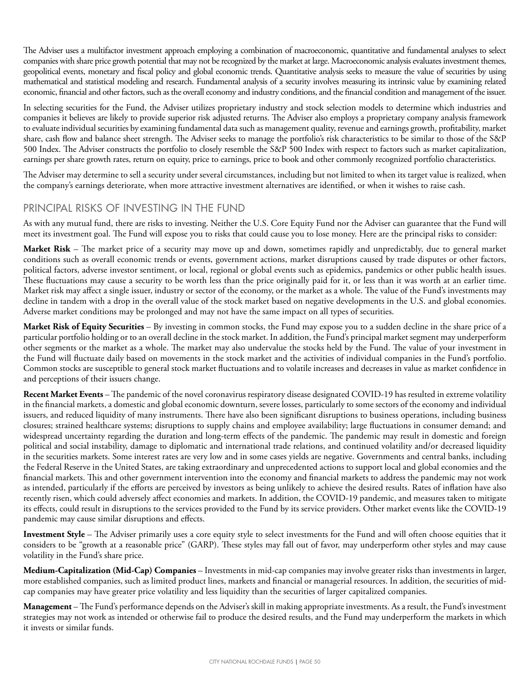The Adviser uses a multifactor investment approach employing a combination of macroeconomic, quantitative and fundamental analyses to select companies with share price growth potential that may not be recognized by the market at large. Macroeconomic analysis evaluates investment themes, geopolitical events, monetary and fiscal policy and global economic trends. Quantitative analysis seeks to measure the value of securities by using mathematical and statistical modeling and research. Fundamental analysis of a security involves measuring its intrinsic value by examining related economic, financial and other factors, such as the overall economy and industry conditions, and the financial condition and management of the issuer.

In selecting securities for the Fund, the Adviser utilizes proprietary industry and stock selection models to determine which industries and companies it believes are likely to provide superior risk adjusted returns. The Adviser also employs a proprietary company analysis framework to evaluate individual securities by examining fundamental data such as management quality, revenue and earnings growth, profitability, market share, cash flow and balance sheet strength. The Adviser seeks to manage the portfolio's risk characteristics to be similar to those of the S&P 500 Index. The Adviser constructs the portfolio to closely resemble the S&P 500 Index with respect to factors such as market capitalization, earnings per share growth rates, return on equity, price to earnings, price to book and other commonly recognized portfolio characteristics.

The Adviser may determine to sell a security under several circumstances, including but not limited to when its target value is realized, when the company's earnings deteriorate, when more attractive investment alternatives are identified, or when it wishes to raise cash.

# PRINCIPAL RISKS OF INVESTING IN THE FUND

As with any mutual fund, there are risks to investing. Neither the U.S. Core Equity Fund nor the Adviser can guarantee that the Fund will meet its investment goal. The Fund will expose you to risks that could cause you to lose money. Here are the principal risks to consider:

**Market Risk** – The market price of a security may move up and down, sometimes rapidly and unpredictably, due to general market conditions such as overall economic trends or events, government actions, market disruptions caused by trade disputes or other factors, political factors, adverse investor sentiment, or local, regional or global events such as epidemics, pandemics or other public health issues. These fluctuations may cause a security to be worth less than the price originally paid for it, or less than it was worth at an earlier time. Market risk may affect a single issuer, industry or sector of the economy, or the market as a whole. The value of the Fund's investments may decline in tandem with a drop in the overall value of the stock market based on negative developments in the U.S. and global economies. Adverse market conditions may be prolonged and may not have the same impact on all types of securities.

**Market Risk of Equity Securities** – By investing in common stocks, the Fund may expose you to a sudden decline in the share price of a particular portfolio holding or to an overall decline in the stock market. In addition, the Fund's principal market segment may underperform other segments or the market as a whole. The market may also undervalue the stocks held by the Fund. The value of your investment in the Fund will fluctuate daily based on movements in the stock market and the activities of individual companies in the Fund's portfolio. Common stocks are susceptible to general stock market fluctuations and to volatile increases and decreases in value as market confidence in and perceptions of their issuers change.

**Recent Market Events** – The pandemic of the novel coronavirus respiratory disease designated COVID-19 has resulted in extreme volatility in the financial markets, a domestic and global economic downturn, severe losses, particularly to some sectors of the economy and individual issuers, and reduced liquidity of many instruments. There have also been significant disruptions to business operations, including business closures; strained healthcare systems; disruptions to supply chains and employee availability; large fluctuations in consumer demand; and widespread uncertainty regarding the duration and long-term effects of the pandemic. The pandemic may result in domestic and foreign political and social instability, damage to diplomatic and international trade relations, and continued volatility and/or decreased liquidity in the securities markets. Some interest rates are very low and in some cases yields are negative. Governments and central banks, including the Federal Reserve in the United States, are taking extraordinary and unprecedented actions to support local and global economies and the financial markets. This and other government intervention into the economy and financial markets to address the pandemic may not work as intended, particularly if the efforts are perceived by investors as being unlikely to achieve the desired results. Rates of inflation have also recently risen, which could adversely affect economies and markets. In addition, the COVID-19 pandemic, and measures taken to mitigate its effects, could result in disruptions to the services provided to the Fund by its service providers. Other market events like the COVID-19 pandemic may cause similar disruptions and effects.

**Investment Style** – The Adviser primarily uses a core equity style to select investments for the Fund and will often choose equities that it considers to be "growth at a reasonable price" (GARP). These styles may fall out of favor, may underperform other styles and may cause volatility in the Fund's share price.

**Medium-Capitalization (Mid-Cap) Companies** – Investments in mid-cap companies may involve greater risks than investments in larger, more established companies, such as limited product lines, markets and financial or managerial resources. In addition, the securities of midcap companies may have greater price volatility and less liquidity than the securities of larger capitalized companies.

**Management** – The Fund's performance depends on the Adviser's skill in making appropriate investments. As a result, the Fund's investment strategies may not work as intended or otherwise fail to produce the desired results, and the Fund may underperform the markets in which it invests or similar funds.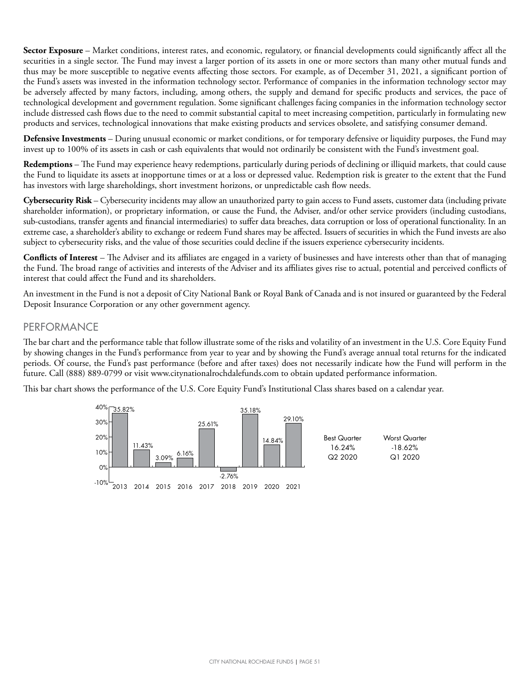**Sector Exposure** – Market conditions, interest rates, and economic, regulatory, or financial developments could significantly affect all the securities in a single sector. The Fund may invest a larger portion of its assets in one or more sectors than many other mutual funds and thus may be more susceptible to negative events affecting those sectors. For example, as of December 31, 2021, a significant portion of the Fund's assets was invested in the information technology sector. Performance of companies in the information technology sector may be adversely affected by many factors, including, among others, the supply and demand for specific products and services, the pace of technological development and government regulation. Some significant challenges facing companies in the information technology sector include distressed cash flows due to the need to commit substantial capital to meet increasing competition, particularly in formulating new products and services, technological innovations that make existing products and services obsolete, and satisfying consumer demand.

**Defensive Investments** – During unusual economic or market conditions, or for temporary defensive or liquidity purposes, the Fund may invest up to 100% of its assets in cash or cash equivalents that would not ordinarily be consistent with the Fund's investment goal.

**Redemptions** – The Fund may experience heavy redemptions, particularly during periods of declining or illiquid markets, that could cause the Fund to liquidate its assets at inopportune times or at a loss or depressed value. Redemption risk is greater to the extent that the Fund has investors with large shareholdings, short investment horizons, or unpredictable cash flow needs.

**Cybersecurity Risk** – Cybersecurity incidents may allow an unauthorized party to gain access to Fund assets, customer data (including private shareholder information), or proprietary information, or cause the Fund, the Adviser, and/or other service providers (including custodians, sub-custodians, transfer agents and financial intermediaries) to suffer data breaches, data corruption or loss of operational functionality. In an extreme case, a shareholder's ability to exchange or redeem Fund shares may be affected. Issuers of securities in which the Fund invests are also subject to cybersecurity risks, and the value of those securities could decline if the issuers experience cybersecurity incidents.

**Conflicts of Interest** – The Adviser and its affiliates are engaged in a variety of businesses and have interests other than that of managing the Fund. The broad range of activities and interests of the Adviser and its affiliates gives rise to actual, potential and perceived conflicts of interest that could affect the Fund and its shareholders.

An investment in the Fund is not a deposit of City National Bank or Royal Bank of Canada and is not insured or guaranteed by the Federal Deposit Insurance Corporation or any other government agency.

### **PERFORMANCE**

The bar chart and the performance table that follow illustrate some of the risks and volatility of an investment in the U.S. Core Equity Fund by showing changes in the Fund's performance from year to year and by showing the Fund's average annual total returns for the indicated periods. Of course, the Fund's past performance (before and after taxes) does not necessarily indicate how the Fund will perform in the future. Call (888) 889-0799 or visit www.citynationalrochdalefunds.com to obtain updated performance information.

This bar chart shows the performance of the U.S. Core Equity Fund's Institutional Class shares based on a calendar year.

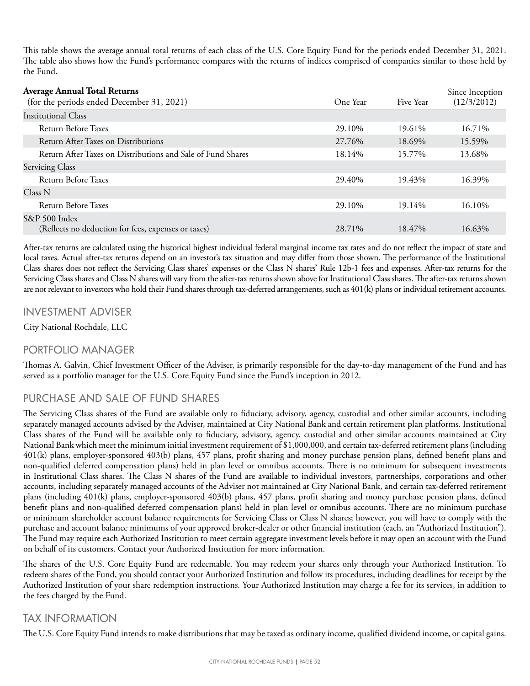This table shows the average annual total returns of each class of the U.S. Core Equity Fund for the periods ended December 31, 2021. The table also shows how the Fund's performance compares with the returns of indices comprised of companies similar to those held by the Fund.

| <b>Average Annual Total Returns</b>                         |          |           | Since Inception |
|-------------------------------------------------------------|----------|-----------|-----------------|
| (for the periods ended December 31, 2021)                   | One Year | Five Year | (12/3/2012)     |
| Institutional Class                                         |          |           |                 |
| Return Before Taxes                                         | 29.10%   | 19.61%    | 16.71%          |
| Return After Taxes on Distributions                         | 27.76%   | 18.69%    | 15.59%          |
| Return After Taxes on Distributions and Sale of Fund Shares | 18.14%   | 15.77%    | 13.68%          |
| <b>Servicing Class</b>                                      |          |           |                 |
| Return Before Taxes                                         | 29.40%   | 19.43%    | 16.39%          |
| Class N                                                     |          |           |                 |
| Return Before Taxes                                         | 29.10\%  | 19.14%    | 16.10\%         |
| S&P 500 Index                                               |          |           |                 |
| (Reflects no deduction for fees, expenses or taxes)         | 28.71\%  | 18.47%    | 16.63%          |

After-tax returns are calculated using the historical highest individual federal marginal income tax rates and do not reflect the impact of state and local taxes. Actual after-tax returns depend on an investor's tax situation and may differ from those shown. The performance of the Institutional Class shares does not reflect the Servicing Class shares' expenses or the Class N shares' Rule 12b-1 fees and expenses. After-tax returns for the Servicing Class shares and Class N shares will vary from the after-tax returns shown above for Institutional Class shares. The after-tax returns shown are not relevant to investors who hold their Fund shares through tax-deferred arrangements, such as 401(k) plans or individual retirement accounts.

## INVESTMENT ADVISER

City National Rochdale, LLC

# PORTFOLIO MANAGER

Thomas A. Galvin, Chief Investment Officer of the Adviser, is primarily responsible for the day-to-day management of the Fund and has served as a portfolio manager for the U.S. Core Equity Fund since the Fund's inception in 2012.

## PURCHASE AND SALE OF FUND SHARES

The Servicing Class shares of the Fund are available only to fiduciary, advisory, agency, custodial and other similar accounts, including separately managed accounts advised by the Adviser, maintained at City National Bank and certain retirement plan platforms. Institutional Class shares of the Fund will be available only to fiduciary, advisory, agency, custodial and other similar accounts maintained at City National Bank which meet the minimum initial investment requirement of \$1,000,000, and certain tax-deferred retirement plans (including 401(k) plans, employer-sponsored 403(b) plans, 457 plans, profit sharing and money purchase pension plans, defined benefit plans and non-qualified deferred compensation plans) held in plan level or omnibus accounts. There is no minimum for subsequent investments in Institutional Class shares. The Class N shares of the Fund are available to individual investors, partnerships, corporations and other accounts, including separately managed accounts of the Adviser not maintained at City National Bank, and certain tax-deferred retirement plans (including 401(k) plans, employer-sponsored 403(b) plans, 457 plans, profit sharing and money purchase pension plans, defined benefit plans and non-qualified deferred compensation plans) held in plan level or omnibus accounts. There are no minimum purchase or minimum shareholder account balance requirements for Servicing Class or Class N shares; however, you will have to comply with the purchase and account balance minimums of your approved broker-dealer or other financial institution (each, an "Authorized Institution"). The Fund may require each Authorized Institution to meet certain aggregate investment levels before it may open an account with the Fund on behalf of its customers. Contact your Authorized Institution for more information.

The shares of the U.S. Core Equity Fund are redeemable. You may redeem your shares only through your Authorized Institution. To redeem shares of the Fund, you should contact your Authorized Institution and follow its procedures, including deadlines for receipt by the Authorized Institution of your share redemption instructions. Your Authorized Institution may charge a fee for its services, in addition to the fees charged by the Fund.

## TAX INFORMATION

The U.S. Core Equity Fund intends to make distributions that may be taxed as ordinary income, qualified dividend income, or capital gains.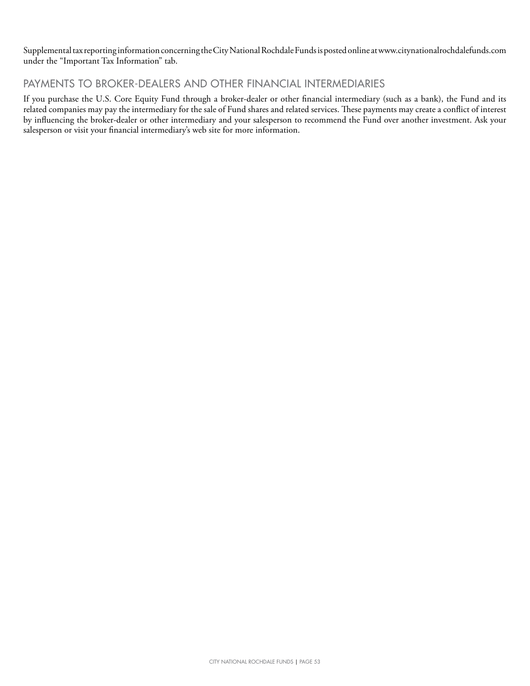Supplemental tax reporting information concerning the City National Rochdale Funds is posted online at www.citynationalrochdalefunds.com under the "Important Tax Information" tab.

#### PAYMENTS TO BROKER-DEALERS AND OTHER FINANCIAL INTERMEDIARIES

If you purchase the U.S. Core Equity Fund through a broker-dealer or other financial intermediary (such as a bank), the Fund and its related companies may pay the intermediary for the sale of Fund shares and related services. These payments may create a conflict of interest by influencing the broker-dealer or other intermediary and your salesperson to recommend the Fund over another investment. Ask your salesperson or visit your financial intermediary's web site for more information.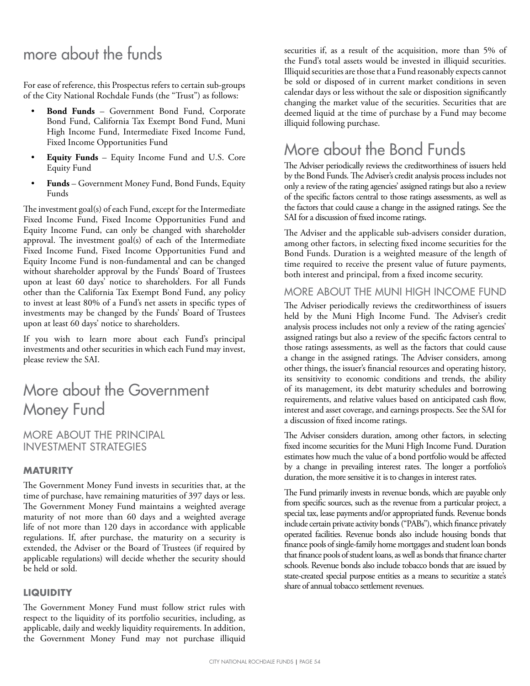# more about the funds

For ease of reference, this Prospectus refers to certain sub-groups of the City National Rochdale Funds (the "Trust") as follows:

- **Bond Funds** Government Bond Fund, Corporate Bond Fund, California Tax Exempt Bond Fund, Muni High Income Fund, Intermediate Fixed Income Fund, Fixed Income Opportunities Fund
- **Equity Funds** Equity Income Fund and U.S. Core Equity Fund
- **Funds** Government Money Fund, Bond Funds, Equity Funds

The investment goal(s) of each Fund, except for the Intermediate Fixed Income Fund, Fixed Income Opportunities Fund and Equity Income Fund, can only be changed with shareholder approval. The investment goal(s) of each of the Intermediate Fixed Income Fund, Fixed Income Opportunities Fund and Equity Income Fund is non-fundamental and can be changed without shareholder approval by the Funds' Board of Trustees upon at least 60 days' notice to shareholders. For all Funds other than the California Tax Exempt Bond Fund, any policy to invest at least 80% of a Fund's net assets in specific types of investments may be changed by the Funds' Board of Trustees upon at least 60 days' notice to shareholders.

If you wish to learn more about each Fund's principal investments and other securities in which each Fund may invest, please review the SAI.

# More about the Government Money Fund

## MORE ABOUT THE PRINCIPAL INVESTMENT STRATEGIES

### **MATURITY**

The Government Money Fund invests in securities that, at the time of purchase, have remaining maturities of 397 days or less. The Government Money Fund maintains a weighted average maturity of not more than 60 days and a weighted average life of not more than 120 days in accordance with applicable regulations. If, after purchase, the maturity on a security is extended, the Adviser or the Board of Trustees (if required by applicable regulations) will decide whether the security should be held or sold.

### **LIQUIDITY**

The Government Money Fund must follow strict rules with respect to the liquidity of its portfolio securities, including, as applicable, daily and weekly liquidity requirements. In addition, the Government Money Fund may not purchase illiquid

securities if, as a result of the acquisition, more than 5% of the Fund's total assets would be invested in illiquid securities. Illiquid securities are those that a Fund reasonably expects cannot be sold or disposed of in current market conditions in seven calendar days or less without the sale or disposition significantly changing the market value of the securities. Securities that are deemed liquid at the time of purchase by a Fund may become illiquid following purchase.

# More about the Bond Funds

The Adviser periodically reviews the creditworthiness of issuers held by the Bond Funds. The Adviser's credit analysis process includes not only a review of the rating agencies' assigned ratings but also a review of the specific factors central to those ratings assessments, as well as the factors that could cause a change in the assigned ratings. See the SAI for a discussion of fixed income ratings.

The Adviser and the applicable sub-advisers consider duration, among other factors, in selecting fixed income securities for the Bond Funds. Duration is a weighted measure of the length of time required to receive the present value of future payments, both interest and principal, from a fixed income security.

## MORE ABOUT THE MUNI HIGH INCOME FUND

The Adviser periodically reviews the creditworthiness of issuers held by the Muni High Income Fund. The Adviser's credit analysis process includes not only a review of the rating agencies' assigned ratings but also a review of the specific factors central to those ratings assessments, as well as the factors that could cause a change in the assigned ratings. The Adviser considers, among other things, the issuer's financial resources and operating history, its sensitivity to economic conditions and trends, the ability of its management, its debt maturity schedules and borrowing requirements, and relative values based on anticipated cash flow, interest and asset coverage, and earnings prospects. See the SAI for a discussion of fixed income ratings.

The Adviser considers duration, among other factors, in selecting fixed income securities for the Muni High Income Fund. Duration estimates how much the value of a bond portfolio would be affected by a change in prevailing interest rates. The longer a portfolio's duration, the more sensitive it is to changes in interest rates.

The Fund primarily invests in revenue bonds, which are payable only from specific sources, such as the revenue from a particular project, a special tax, lease payments and/or appropriated funds. Revenue bonds include certain private activity bonds ("PABs"), which finance privately operated facilities. Revenue bonds also include housing bonds that finance pools of single-family home mortgages and student loan bonds that finance pools of student loans, as well as bonds that finance charter schools. Revenue bonds also include tobacco bonds that are issued by state-created special purpose entities as a means to securitize a state's share of annual tobacco settlement revenues.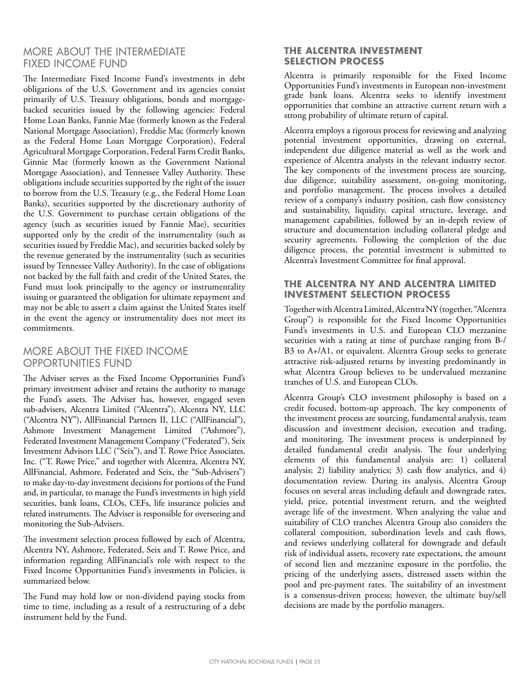## MORE ABOUT THE INTERMEDIATE FIXED INCOME FUND

The Intermediate Fixed Income Fund's investments in debt obligations of the U.S. Government and its agencies consist primarily of U.S. Treasury obligations, bonds and mortgagebacked securities issued by the following agencies: Federal Home Loan Banks, Fannie Mae (formerly known as the Federal National Mortgage Association), Freddie Mac (formerly known as the Federal Home Loan Mortgage Corporation), Federal Agricultural Mortgage Corporation, Federal Farm Credit Banks, Ginnie Mae (formerly known as the Government National Mortgage Association), and Tennessee Valley Authority. These obligations include securities supported by the right of the issuer to borrow from the U.S. Treasury (e.g., the Federal Home Loan Banks), securities supported by the discretionary authority of the U.S. Government to purchase certain obligations of the agency (such as securities issued by Fannie Mae), securities supported only by the credit of the instrumentality (such as securities issued by Freddie Mac), and securities backed solely by the revenue generated by the instrumentality (such as securities issued by Tennessee Valley Authority). In the case of obligations not backed by the full faith and credit of the United States, the Fund must look principally to the agency or instrumentality issuing or guaranteed the obligation for ultimate repayment and may not be able to assert a claim against the United States itself in the event the agency or instrumentality does not meet its commitments.

## MORE ABOUT THE FIXED INCOME OPPORTUNITIES FUND

The Adviser serves as the Fixed Income Opportunities Fund's primary investment adviser and retains the authority to manage the Fund's assets. The Adviser has, however, engaged seven sub-advisers, Alcentra Limited ("Alcentra"), Alcentra NY, LLC ("Alcentra NY"), AllFinancial Partners II, LLC ("AllFinancial"), Ashmore Investment Management Limited ("Ashmore"), Federated Investment Management Company ("Federated"), Seix Investment Advisors LLC ("Seix"), and T. Rowe Price Associates, Inc. ("T. Rowe Price," and together with Alcentra, Alcentra NY, AllFinancial, Ashmore, Federated and Seix, the "Sub-Advisers") to make day-to-day investment decisions for portions of the Fund and, in particular, to manage the Fund's investments in high yield securities, bank loans, CLOs, CEFs, life insurance policies and related instruments. The Adviser is responsible for overseeing and monitoring the Sub-Advisers.

The investment selection process followed by each of Alcentra, Alcentra NY, Ashmore, Federated, Seix and T. Rowe Price, and information regarding AllFinancial's role with respect to the Fixed Income Opportunities Fund's investments in Policies, is summarized below.

The Fund may hold low or non-dividend paying stocks from time to time, including as a result of a restructuring of a debt instrument held by the Fund.

#### **THE ALCENTRA INVESTMENT SELECTION PROCESS**

Alcentra is primarily responsible for the Fixed Income Opportunities Fund's investments in European non-investment grade bank loans. Alcentra seeks to identify investment opportunities that combine an attractive current return with a strong probability of ultimate return of capital.

Alcentra employs a rigorous process for reviewing and analyzing potential investment opportunities, drawing on external, independent due diligence material as well as the work and experience of Alcentra analysts in the relevant industry sector. The key components of the investment process are sourcing, due diligence, suitability assessment, on-going monitoring, and portfolio management. The process involves a detailed review of a company's industry position, cash flow consistency and sustainability, liquidity, capital structure, leverage, and management capabilities, followed by an in-depth review of structure and documentation including collateral pledge and security agreements. Following the completion of the due diligence process, the potential investment is submitted to Alcentra's Investment Committee for final approval.

#### **THE ALCENTRA NY AND ALCENTRA LIMITED INVESTMENT SELECTION PROCESS**

Together with Alcentra Limited, Alcentra NY (together, "Alcentra Group") is responsible for the Fixed Income Opportunities Fund's investments in U.S. and European CLO mezzanine securities with a rating at time of purchase ranging from B-/ B3 to A+/A1, or equivalent. Alcentra Group seeks to generate attractive risk-adjusted returns by investing predominantly in what Alcentra Group believes to be undervalued mezzanine tranches of U.S. and European CLOs.

Alcentra Group's CLO investment philosophy is based on a credit focused, bottom-up approach. The key components of the investment process are sourcing, fundamental analysis, team discussion and investment decision, execution and trading, and monitoring. The investment process is underpinned by detailed fundamental credit analysis. The four underlying elements of this fundamental analysis are: 1) collateral analysis; 2) liability analytics; 3) cash flow analytics, and 4) documentation review. During its analysis, Alcentra Group focuses on several areas including default and downgrade rates, yield, price, potential investment return, and the weighted average life of the investment. When analyzing the value and suitability of CLO tranches Alcentra Group also considers the collateral composition, subordination levels and cash flows, and reviews underlying collateral for downgrade and default risk of individual assets, recovery rate expectations, the amount of second lien and mezzanine exposure in the portfolio, the pricing of the underlying assets, distressed assets within the pool and pre-payment rates. The suitability of an investment is a consensus-driven process; however, the ultimate buy/sell decisions are made by the portfolio managers.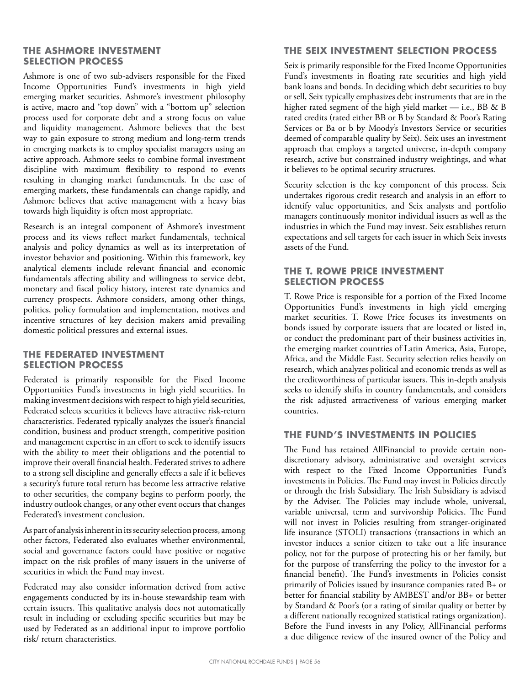#### **THE ASHMORE INVESTMENT SELECTION PROCESS**

Ashmore is one of two sub-advisers responsible for the Fixed Income Opportunities Fund's investments in high yield emerging market securities. Ashmore's investment philosophy is active, macro and "top down" with a "bottom up" selection process used for corporate debt and a strong focus on value and liquidity management. Ashmore believes that the best way to gain exposure to strong medium and long-term trends in emerging markets is to employ specialist managers using an active approach. Ashmore seeks to combine formal investment discipline with maximum flexibility to respond to events resulting in changing market fundamentals. In the case of emerging markets, these fundamentals can change rapidly, and Ashmore believes that active management with a heavy bias towards high liquidity is often most appropriate.

Research is an integral component of Ashmore's investment process and its views reflect market fundamentals, technical analysis and policy dynamics as well as its interpretation of investor behavior and positioning. Within this framework, key analytical elements include relevant financial and economic fundamentals affecting ability and willingness to service debt, monetary and fiscal policy history, interest rate dynamics and currency prospects. Ashmore considers, among other things, politics, policy formulation and implementation, motives and incentive structures of key decision makers amid prevailing domestic political pressures and external issues.

#### **THE FEDERATED INVESTMENT SELECTION PROCESS**

Federated is primarily responsible for the Fixed Income Opportunities Fund's investments in high yield securities. In making investment decisions with respect to high yield securities, Federated selects securities it believes have attractive risk-return characteristics. Federated typically analyzes the issuer's financial condition, business and product strength, competitive position and management expertise in an effort to seek to identify issuers with the ability to meet their obligations and the potential to improve their overall financial health. Federated strives to adhere to a strong sell discipline and generally effects a sale if it believes a security's future total return has become less attractive relative to other securities, the company begins to perform poorly, the industry outlook changes, or any other event occurs that changes Federated's investment conclusion.

As part of analysis inherent in its security selection process, among other factors, Federated also evaluates whether environmental, social and governance factors could have positive or negative impact on the risk profiles of many issuers in the universe of securities in which the Fund may invest.

Federated may also consider information derived from active engagements conducted by its in-house stewardship team with certain issuers. This qualitative analysis does not automatically result in including or excluding specific securities but may be used by Federated as an additional input to improve portfolio risk/ return characteristics.

#### **THE SEIX INVESTMENT SELECTION PROCESS**

Seix is primarily responsible for the Fixed Income Opportunities Fund's investments in floating rate securities and high yield bank loans and bonds. In deciding which debt securities to buy or sell, Seix typically emphasizes debt instruments that are in the higher rated segment of the high yield market — i.e., BB & B rated credits (rated either BB or B by Standard & Poor's Rating Services or Ba or b by Moody's Investors Service or securities deemed of comparable quality by Seix). Seix uses an investment approach that employs a targeted universe, in-depth company research, active but constrained industry weightings, and what it believes to be optimal security structures.

Security selection is the key component of this process. Seix undertakes rigorous credit research and analysis in an effort to identify value opportunities, and Seix analysts and portfolio managers continuously monitor individual issuers as well as the industries in which the Fund may invest. Seix establishes return expectations and sell targets for each issuer in which Seix invests assets of the Fund.

#### **THE T. ROWE PRICE INVESTMENT SELECTION PROCESS**

T. Rowe Price is responsible for a portion of the Fixed Income Opportunities Fund's investments in high yield emerging market securities. T. Rowe Price focuses its investments on bonds issued by corporate issuers that are located or listed in, or conduct the predominant part of their business activities in, the emerging market countries of Latin America, Asia, Europe, Africa, and the Middle East. Security selection relies heavily on research, which analyzes political and economic trends as well as the creditworthiness of particular issuers. This in-depth analysis seeks to identify shifts in country fundamentals, and considers the risk adjusted attractiveness of various emerging market countries.

#### **THE FUND'S INVESTMENTS IN POLICIES**

The Fund has retained AllFinancial to provide certain nondiscretionary advisory, administrative and oversight services with respect to the Fixed Income Opportunities Fund's investments in Policies. The Fund may invest in Policies directly or through the Irish Subsidiary. The Irish Subsidiary is advised by the Adviser. The Policies may include whole, universal, variable universal, term and survivorship Policies. The Fund will not invest in Policies resulting from stranger-originated life insurance (STOLI) transactions (transactions in which an investor induces a senior citizen to take out a life insurance policy, not for the purpose of protecting his or her family, but for the purpose of transferring the policy to the investor for a financial benefit). The Fund's investments in Policies consist primarily of Policies issued by insurance companies rated B+ or better for financial stability by AMBEST and/or BB+ or better by Standard & Poor's (or a rating of similar quality or better by a different nationally recognized statistical ratings organization). Before the Fund invests in any Policy, AllFinancial performs a due diligence review of the insured owner of the Policy and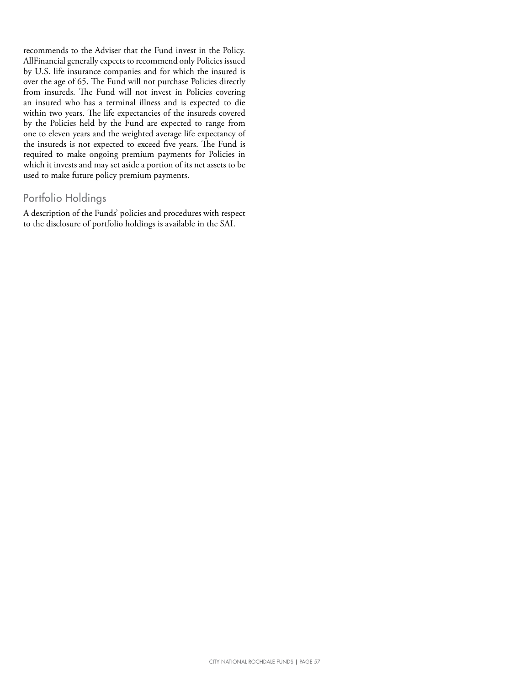recommends to the Adviser that the Fund invest in the Policy. AllFinancial generally expects to recommend only Policies issued by U.S. life insurance companies and for which the insured is over the age of 65. The Fund will not purchase Policies directly from insureds. The Fund will not invest in Policies covering an insured who has a terminal illness and is expected to die within two years. The life expectancies of the insureds covered by the Policies held by the Fund are expected to range from one to eleven years and the weighted average life expectancy of the insureds is not expected to exceed five years. The Fund is required to make ongoing premium payments for Policies in which it invests and may set aside a portion of its net assets to be used to make future policy premium payments.

# Portfolio Holdings

A description of the Funds' policies and procedures with respect to the disclosure of portfolio holdings is available in the SAI.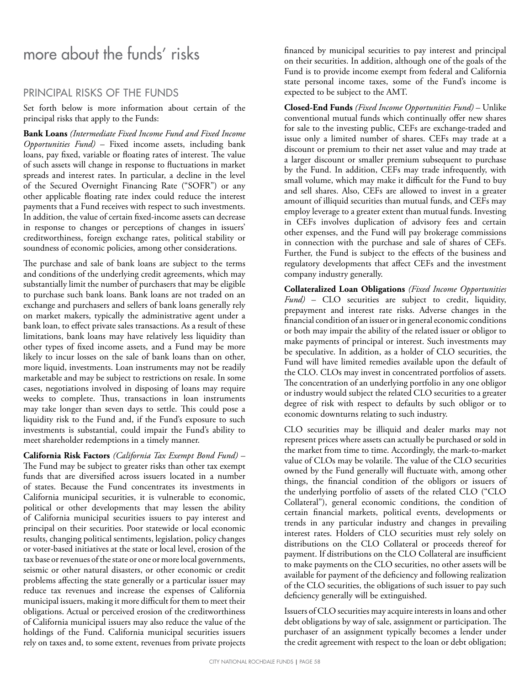# more about the funds' risks

## PRINCIPAL RISKS OF THE FUNDS

Set forth below is more information about certain of the principal risks that apply to the Funds:

**Bank Loans** *(Intermediate Fixed Income Fund and Fixed Income Opportunities Fund)* – Fixed income assets, including bank loans, pay fixed, variable or floating rates of interest. The value of such assets will change in response to fluctuations in market spreads and interest rates. In particular, a decline in the level of the Secured Overnight Financing Rate ("SOFR") or any other applicable floating rate index could reduce the interest payments that a Fund receives with respect to such investments. In addition, the value of certain fixed-income assets can decrease in response to changes or perceptions of changes in issuers' creditworthiness, foreign exchange rates, political stability or soundness of economic policies, among other considerations.

The purchase and sale of bank loans are subject to the terms and conditions of the underlying credit agreements, which may substantially limit the number of purchasers that may be eligible to purchase such bank loans. Bank loans are not traded on an exchange and purchasers and sellers of bank loans generally rely on market makers, typically the administrative agent under a bank loan, to effect private sales transactions. As a result of these limitations, bank loans may have relatively less liquidity than other types of fixed income assets, and a Fund may be more likely to incur losses on the sale of bank loans than on other, more liquid, investments. Loan instruments may not be readily marketable and may be subject to restrictions on resale. In some cases, negotiations involved in disposing of loans may require weeks to complete. Thus, transactions in loan instruments may take longer than seven days to settle. This could pose a liquidity risk to the Fund and, if the Fund's exposure to such investments is substantial, could impair the Fund's ability to meet shareholder redemptions in a timely manner.

**California Risk Factors** *(California Tax Exempt Bond Fund)* – The Fund may be subject to greater risks than other tax exempt funds that are diversified across issuers located in a number of states. Because the Fund concentrates its investments in California municipal securities, it is vulnerable to economic, political or other developments that may lessen the ability of California municipal securities issuers to pay interest and principal on their securities. Poor statewide or local economic results, changing political sentiments, legislation, policy changes or voter-based initiatives at the state or local level, erosion of the tax base or revenues of the state or one or more local governments, seismic or other natural disasters, or other economic or credit problems affecting the state generally or a particular issuer may reduce tax revenues and increase the expenses of California municipal issuers, making it more difficult for them to meet their obligations. Actual or perceived erosion of the creditworthiness of California municipal issuers may also reduce the value of the holdings of the Fund. California municipal securities issuers rely on taxes and, to some extent, revenues from private projects financed by municipal securities to pay interest and principal on their securities. In addition, although one of the goals of the Fund is to provide income exempt from federal and California state personal income taxes, some of the Fund's income is expected to be subject to the AMT.

**Closed-End Funds** *(Fixed Income Opportunities Fund)* – Unlike conventional mutual funds which continually offer new shares for sale to the investing public, CEFs are exchange-traded and issue only a limited number of shares. CEFs may trade at a discount or premium to their net asset value and may trade at a larger discount or smaller premium subsequent to purchase by the Fund. In addition, CEFs may trade infrequently, with small volume, which may make it difficult for the Fund to buy and sell shares. Also, CEFs are allowed to invest in a greater amount of illiquid securities than mutual funds, and CEFs may employ leverage to a greater extent than mutual funds. Investing in CEFs involves duplication of advisory fees and certain other expenses, and the Fund will pay brokerage commissions in connection with the purchase and sale of shares of CEFs. Further, the Fund is subject to the effects of the business and regulatory developments that affect CEFs and the investment company industry generally.

**Collateralized Loan Obligations** *(Fixed Income Opportunities Fund)* – CLO securities are subject to credit, liquidity, prepayment and interest rate risks. Adverse changes in the financial condition of an issuer or in general economic conditions or both may impair the ability of the related issuer or obligor to make payments of principal or interest. Such investments may be speculative. In addition, as a holder of CLO securities, the Fund will have limited remedies available upon the default of the CLO. CLOs may invest in concentrated portfolios of assets. The concentration of an underlying portfolio in any one obligor or industry would subject the related CLO securities to a greater degree of risk with respect to defaults by such obligor or to economic downturns relating to such industry.

CLO securities may be illiquid and dealer marks may not represent prices where assets can actually be purchased or sold in the market from time to time. Accordingly, the mark-to-market value of CLOs may be volatile. The value of the CLO securities owned by the Fund generally will fluctuate with, among other things, the financial condition of the obligors or issuers of the underlying portfolio of assets of the related CLO ("CLO Collateral"), general economic conditions, the condition of certain financial markets, political events, developments or trends in any particular industry and changes in prevailing interest rates. Holders of CLO securities must rely solely on distributions on the CLO Collateral or proceeds thereof for payment. If distributions on the CLO Collateral are insufficient to make payments on the CLO securities, no other assets will be available for payment of the deficiency and following realization of the CLO securities, the obligations of such issuer to pay such deficiency generally will be extinguished.

Issuers of CLO securities may acquire interests in loans and other debt obligations by way of sale, assignment or participation. The purchaser of an assignment typically becomes a lender under the credit agreement with respect to the loan or debt obligation;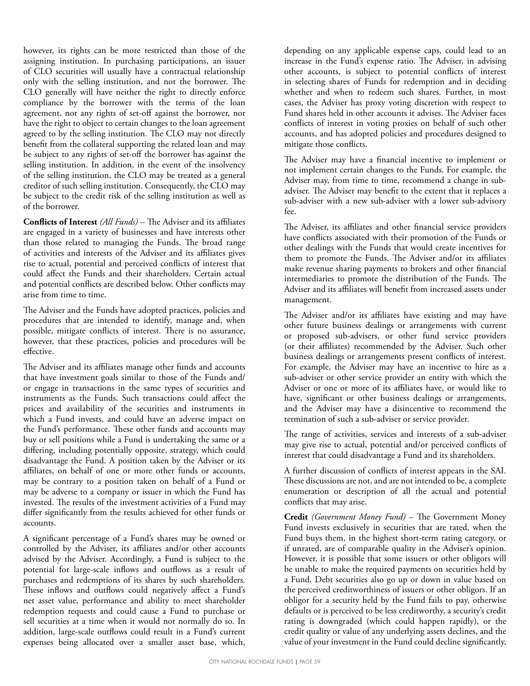however, its rights can be more restricted than those of the assigning institution. In purchasing participations, an issuer of CLO securities will usually have a contractual relationship only with the selling institution, and not the borrower. The CLO generally will have neither the right to directly enforce compliance by the borrower with the terms of the loan agreement, nor any rights of set-off against the borrower, nor have the right to object to certain changes to the loan agreement agreed to by the selling institution. The CLO may not directly benefit from the collateral supporting the related loan and may be subject to any rights of set-off the borrower has against the selling institution. In addition, in the event of the insolvency of the selling institution, the CLO may be treated as a general creditor of such selling institution. Consequently, the CLO may be subject to the credit risk of the selling institution as well as of the borrower.

**Conflicts of Interest** *(All Funds)* – The Adviser and its affiliates are engaged in a variety of businesses and have interests other than those related to managing the Funds. The broad range of activities and interests of the Adviser and its affiliates gives rise to actual, potential and perceived conflicts of interest that could affect the Funds and their shareholders. Certain actual and potential conflicts are described below. Other conflicts may arise from time to time.

The Adviser and the Funds have adopted practices, policies and procedures that are intended to identify, manage and, when possible, mitigate conflicts of interest. There is no assurance, however, that these practices, policies and procedures will be effective.

The Adviser and its affiliates manage other funds and accounts that have investment goals similar to those of the Funds and/ or engage in transactions in the same types of securities and instruments as the Funds. Such transactions could affect the prices and availability of the securities and instruments in which a Fund invests, and could have an adverse impact on the Fund's performance. These other funds and accounts may buy or sell positions while a Fund is undertaking the same or a differing, including potentially opposite, strategy, which could disadvantage the Fund. A position taken by the Adviser or its affiliates, on behalf of one or more other funds or accounts, may be contrary to a position taken on behalf of a Fund or may be adverse to a company or issuer in which the Fund has invested. The results of the investment activities of a Fund may differ significantly from the results achieved for other funds or accounts.

A significant percentage of a Fund's shares may be owned or controlled by the Adviser, its affiliates and/or other accounts advised by the Adviser. Accordingly, a Fund is subject to the potential for large-scale inflows and outflows as a result of purchases and redemptions of its shares by such shareholders. These inflows and outflows could negatively affect a Fund's net asset value, performance and ability to meet shareholder redemption requests and could cause a Fund to purchase or sell securities at a time when it would not normally do so. In addition, large-scale outflows could result in a Fund's current expenses being allocated over a smaller asset base, which, depending on any applicable expense caps, could lead to an increase in the Fund's expense ratio. The Adviser, in advising other accounts, is subject to potential conflicts of interest in selecting shares of Funds for redemption and in deciding whether and when to redeem such shares. Further, in most cases, the Adviser has proxy voting discretion with respect to Fund shares held in other accounts it advises. The Adviser faces conflicts of interest in voting proxies on behalf of such other accounts, and has adopted policies and procedures designed to mitigate those conflicts.

The Adviser may have a financial incentive to implement or not implement certain changes to the Funds. For example, the Adviser may, from time to time, recommend a change in subadviser. The Adviser may benefit to the extent that it replaces a sub-adviser with a new sub-adviser with a lower sub-advisory fee.

The Adviser, its affiliates and other financial service providers have conflicts associated with their promotion of the Funds or other dealings with the Funds that would create incentives for them to promote the Funds. The Adviser and/or its affiliates make revenue sharing payments to brokers and other financial intermediaries to promote the distribution of the Funds. The Adviser and its affiliates will benefit from increased assets under management.

The Adviser and/or its affiliates have existing and may have other future business dealings or arrangements with current or proposed sub-advisers, or other fund service providers (or their affiliates) recommended by the Adviser. Such other business dealings or arrangements present conflicts of interest. For example, the Adviser may have an incentive to hire as a sub-adviser or other service provider an entity with which the Adviser or one or more of its affiliates have, or would like to have, significant or other business dealings or arrangements, and the Adviser may have a disincentive to recommend the termination of such a sub-adviser or service provider.

The range of activities, services and interests of a sub-adviser may give rise to actual, potential and/or perceived conflicts of interest that could disadvantage a Fund and its shareholders.

A further discussion of conflicts of interest appears in the SAI. These discussions are not, and are not intended to be, a complete enumeration or description of all the actual and potential conflicts that may arise.

**Credit** *(Government Money Fund)* – The Government Money Fund invests exclusively in securities that are rated, when the Fund buys them, in the highest short-term rating category, or if unrated, are of comparable quality in the Adviser's opinion. However, it is possible that some issuers or other obligors will be unable to make the required payments on securities held by a Fund. Debt securities also go up or down in value based on the perceived creditworthiness of issuers or other obligors. If an obligor for a security held by the Fund fails to pay, otherwise defaults or is perceived to be less creditworthy, a security's credit rating is downgraded (which could happen rapidly), or the credit quality or value of any underlying assets declines, and the value of your investment in the Fund could decline significantly,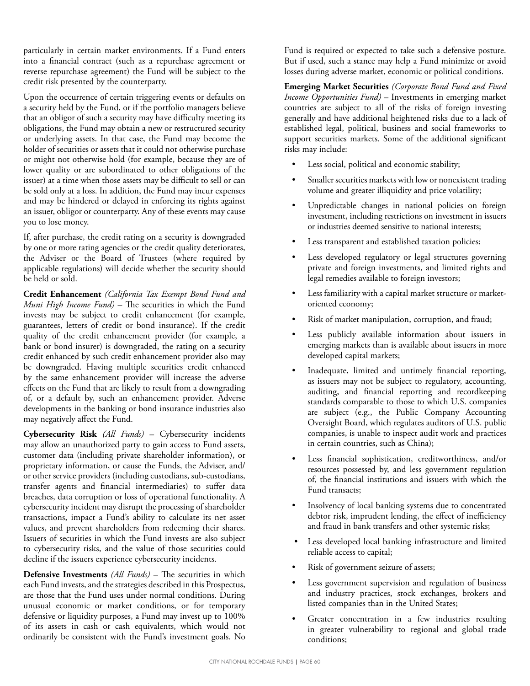particularly in certain market environments. If a Fund enters into a financial contract (such as a repurchase agreement or reverse repurchase agreement) the Fund will be subject to the credit risk presented by the counterparty.

Upon the occurrence of certain triggering events or defaults on a security held by the Fund, or if the portfolio managers believe that an obligor of such a security may have difficulty meeting its obligations, the Fund may obtain a new or restructured security or underlying assets. In that case, the Fund may become the holder of securities or assets that it could not otherwise purchase or might not otherwise hold (for example, because they are of lower quality or are subordinated to other obligations of the issuer) at a time when those assets may be difficult to sell or can be sold only at a loss. In addition, the Fund may incur expenses and may be hindered or delayed in enforcing its rights against an issuer, obligor or counterparty. Any of these events may cause you to lose money.

If, after purchase, the credit rating on a security is downgraded by one or more rating agencies or the credit quality deteriorates, the Adviser or the Board of Trustees (where required by applicable regulations) will decide whether the security should be held or sold.

**Credit Enhancement** *(California Tax Exempt Bond Fund and Muni High Income Fund)* – The securities in which the Fund invests may be subject to credit enhancement (for example, guarantees, letters of credit or bond insurance). If the credit quality of the credit enhancement provider (for example, a bank or bond insurer) is downgraded, the rating on a security credit enhanced by such credit enhancement provider also may be downgraded. Having multiple securities credit enhanced by the same enhancement provider will increase the adverse effects on the Fund that are likely to result from a downgrading of, or a default by, such an enhancement provider. Adverse developments in the banking or bond insurance industries also may negatively affect the Fund.

**Cybersecurity Risk** *(All Funds)* – Cybersecurity incidents may allow an unauthorized party to gain access to Fund assets, customer data (including private shareholder information), or proprietary information, or cause the Funds, the Adviser, and/ or other service providers (including custodians, sub-custodians, transfer agents and financial intermediaries) to suffer data breaches, data corruption or loss of operational functionality. A cybersecurity incident may disrupt the processing of shareholder transactions, impact a Fund's ability to calculate its net asset values, and prevent shareholders from redeeming their shares. Issuers of securities in which the Fund invests are also subject to cybersecurity risks, and the value of those securities could decline if the issuers experience cybersecurity incidents.

**Defensive Investments** *(All Funds)* – The securities in which each Fund invests, and the strategies described in this Prospectus, are those that the Fund uses under normal conditions. During unusual economic or market conditions, or for temporary defensive or liquidity purposes, a Fund may invest up to 100% of its assets in cash or cash equivalents, which would not ordinarily be consistent with the Fund's investment goals. No Fund is required or expected to take such a defensive posture. But if used, such a stance may help a Fund minimize or avoid losses during adverse market, economic or political conditions.

**Emerging Market Securities** *(Corporate Bond Fund and Fixed Income Opportunities Fund)* – Investments in emerging market countries are subject to all of the risks of foreign investing generally and have additional heightened risks due to a lack of established legal, political, business and social frameworks to support securities markets. Some of the additional significant risks may include:

- Less social, political and economic stability;
- Smaller securities markets with low or nonexistent trading volume and greater illiquidity and price volatility;
- Unpredictable changes in national policies on foreign investment, including restrictions on investment in issuers or industries deemed sensitive to national interests;
- Less transparent and established taxation policies;
- Less developed regulatory or legal structures governing private and foreign investments, and limited rights and legal remedies available to foreign investors;
- Less familiarity with a capital market structure or marketoriented economy;
- Risk of market manipulation, corruption, and fraud;
- Less publicly available information about issuers in emerging markets than is available about issuers in more developed capital markets;
- Inadequate, limited and untimely financial reporting, as issuers may not be subject to regulatory, accounting, auditing, and financial reporting and recordkeeping standards comparable to those to which U.S. companies are subject (e.g., the Public Company Accounting Oversight Board, which regulates auditors of U.S. public companies, is unable to inspect audit work and practices in certain countries, such as China);
- Less financial sophistication, creditworthiness, and/or resources possessed by, and less government regulation of, the financial institutions and issuers with which the Fund transacts;
- Insolvency of local banking systems due to concentrated debtor risk, imprudent lending, the effect of inefficiency and fraud in bank transfers and other systemic risks;
- Less developed local banking infrastructure and limited reliable access to capital;
- Risk of government seizure of assets;
- Less government supervision and regulation of business and industry practices, stock exchanges, brokers and listed companies than in the United States;
- Greater concentration in a few industries resulting in greater vulnerability to regional and global trade conditions;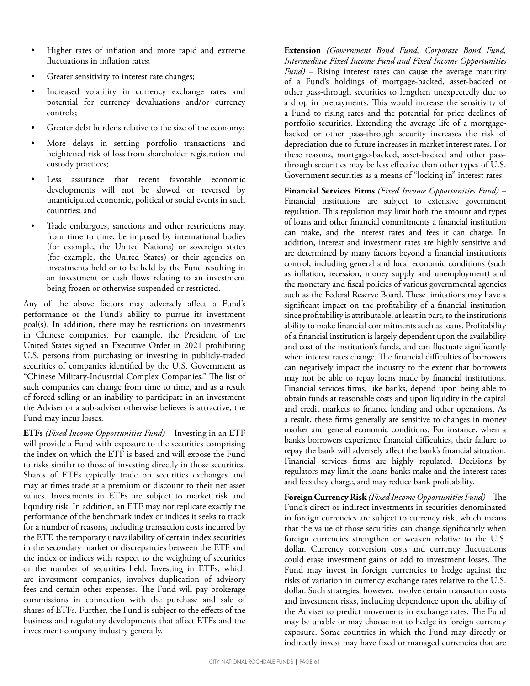- Higher rates of inflation and more rapid and extreme fluctuations in inflation rates;
- Greater sensitivity to interest rate changes;
- Increased volatility in currency exchange rates and potential for currency devaluations and/or currency controls;
- Greater debt burdens relative to the size of the economy;
- More delays in settling portfolio transactions and heightened risk of loss from shareholder registration and custody practices;
- Less assurance that recent favorable economic developments will not be slowed or reversed by unanticipated economic, political or social events in such countries; and
- Trade embargoes, sanctions and other restrictions may, from time to time, be imposed by international bodies (for example, the United Nations) or sovereign states (for example, the United States) or their agencies on investments held or to be held by the Fund resulting in an investment or cash flows relating to an investment being frozen or otherwise suspended or restricted.

Any of the above factors may adversely affect a Fund's performance or the Fund's ability to pursue its investment goal(s). In addition, there may be restrictions on investments in Chinese companies. For example, the President of the United States signed an Executive Order in 2021 prohibiting U.S. persons from purchasing or investing in publicly-traded securities of companies identified by the U.S. Government as "Chinese Military-Industrial Complex Companies." The list of such companies can change from time to time, and as a result of forced selling or an inability to participate in an investment the Adviser or a sub-adviser otherwise believes is attractive, the Fund may incur losses.

**ETFs** *(Fixed Income Opportunities Fund)* – Investing in an ETF will provide a Fund with exposure to the securities comprising the index on which the ETF is based and will expose the Fund to risks similar to those of investing directly in those securities. Shares of ETFs typically trade on securities exchanges and may at times trade at a premium or discount to their net asset values. Investments in ETFs are subject to market risk and liquidity risk. In addition, an ETF may not replicate exactly the performance of the benchmark index or indices it seeks to track for a number of reasons, including transaction costs incurred by the ETF, the temporary unavailability of certain index securities in the secondary market or discrepancies between the ETF and the index or indices with respect to the weighting of securities or the number of securities held. Investing in ETFs, which are investment companies, involves duplication of advisory fees and certain other expenses. The Fund will pay brokerage commissions in connection with the purchase and sale of shares of ETFs. Further, the Fund is subject to the effects of the business and regulatory developments that affect ETFs and the investment company industry generally.

**Extension** *(Government Bond Fund, Corporate Bond Fund, Intermediate Fixed Income Fund and Fixed Income Opportunities Fund)* – Rising interest rates can cause the average maturity of a Fund's holdings of mortgage-backed, asset-backed or other pass-through securities to lengthen unexpectedly due to a drop in prepayments. This would increase the sensitivity of a Fund to rising rates and the potential for price declines of portfolio securities. Extending the average life of a mortgagebacked or other pass-through security increases the risk of depreciation due to future increases in market interest rates. For these reasons, mortgage-backed, asset-backed and other passthrough securities may be less effective than other types of U.S. Government securities as a means of "locking in" interest rates.

**Financial Services Firms** *(Fixed Income Opportunities Fund)* – Financial institutions are subject to extensive government regulation. This regulation may limit both the amount and types of loans and other financial commitments a financial institution can make, and the interest rates and fees it can charge. In addition, interest and investment rates are highly sensitive and are determined by many factors beyond a financial institution's control, including general and local economic conditions (such as inflation, recession, money supply and unemployment) and the monetary and fiscal policies of various governmental agencies such as the Federal Reserve Board. These limitations may have a significant impact on the profitability of a financial institution since profitability is attributable, at least in part, to the institution's ability to make financial commitments such as loans. Profitability of a financial institution is largely dependent upon the availability and cost of the institution's funds, and can fluctuate significantly when interest rates change. The financial difficulties of borrowers can negatively impact the industry to the extent that borrowers may not be able to repay loans made by financial institutions. Financial services firms, like banks, depend upon being able to obtain funds at reasonable costs and upon liquidity in the capital and credit markets to finance lending and other operations. As a result, these firms generally are sensitive to changes in money market and general economic conditions. For instance, when a bank's borrowers experience financial difficulties, their failure to repay the bank will adversely affect the bank's financial situation. Financial services firms are highly regulated. Decisions by regulators may limit the loans banks make and the interest rates and fees they charge, and may reduce bank profitability.

**Foreign Currency Risk** *(Fixed Income Opportunities Fund)* – The Fund's direct or indirect investments in securities denominated in foreign currencies are subject to currency risk, which means that the value of those securities can change significantly when foreign currencies strengthen or weaken relative to the U.S. dollar. Currency conversion costs and currency fluctuations could erase investment gains or add to investment losses. The Fund may invest in foreign currencies to hedge against the risks of variation in currency exchange rates relative to the U.S. dollar. Such strategies, however, involve certain transaction costs and investment risks, including dependence upon the ability of the Adviser to predict movements in exchange rates. The Fund may be unable or may choose not to hedge its foreign currency exposure. Some countries in which the Fund may directly or indirectly invest may have fixed or managed currencies that are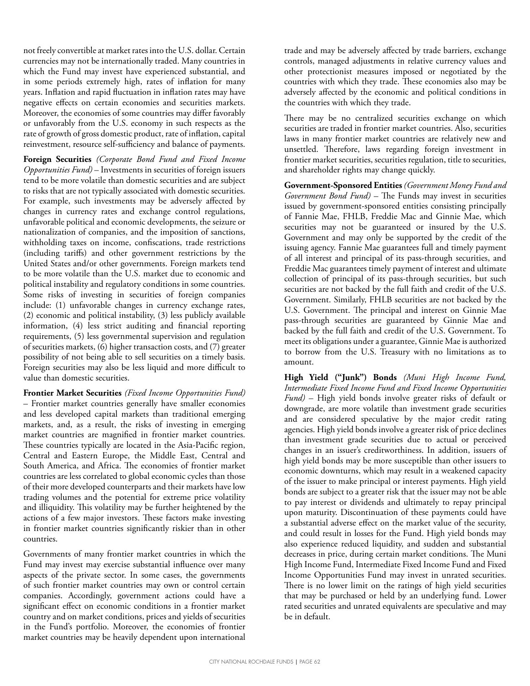not freely convertible at market rates into the U.S. dollar. Certain currencies may not be internationally traded. Many countries in which the Fund may invest have experienced substantial, and in some periods extremely high, rates of inflation for many years. Inflation and rapid fluctuation in inflation rates may have negative effects on certain economies and securities markets. Moreover, the economies of some countries may differ favorably or unfavorably from the U.S. economy in such respects as the rate of growth of gross domestic product, rate of inflation, capital reinvestment, resource self-sufficiency and balance of payments.

**Foreign Securities** *(Corporate Bond Fund and Fixed Income Opportunities Fund)* – Investments in securities of foreign issuers tend to be more volatile than domestic securities and are subject to risks that are not typically associated with domestic securities. For example, such investments may be adversely affected by changes in currency rates and exchange control regulations, unfavorable political and economic developments, the seizure or nationalization of companies, and the imposition of sanctions, withholding taxes on income, confiscations, trade restrictions (including tariffs) and other government restrictions by the United States and/or other governments. Foreign markets tend to be more volatile than the U.S. market due to economic and political instability and regulatory conditions in some countries. Some risks of investing in securities of foreign companies include: (1) unfavorable changes in currency exchange rates, (2) economic and political instability, (3) less publicly available information, (4) less strict auditing and financial reporting requirements, (5) less governmental supervision and regulation of securities markets, (6) higher transaction costs, and (7) greater possibility of not being able to sell securities on a timely basis. Foreign securities may also be less liquid and more difficult to value than domestic securities.

**Frontier Market Securities** *(Fixed Income Opportunities Fund)*  – Frontier market countries generally have smaller economies and less developed capital markets than traditional emerging markets, and, as a result, the risks of investing in emerging market countries are magnified in frontier market countries. These countries typically are located in the Asia-Pacific region, Central and Eastern Europe, the Middle East, Central and South America, and Africa. The economies of frontier market countries are less correlated to global economic cycles than those of their more developed counterparts and their markets have low trading volumes and the potential for extreme price volatility and illiquidity. This volatility may be further heightened by the actions of a few major investors. These factors make investing in frontier market countries significantly riskier than in other countries.

Governments of many frontier market countries in which the Fund may invest may exercise substantial influence over many aspects of the private sector. In some cases, the governments of such frontier market countries may own or control certain companies. Accordingly, government actions could have a significant effect on economic conditions in a frontier market country and on market conditions, prices and yields of securities in the Fund's portfolio. Moreover, the economies of frontier market countries may be heavily dependent upon international trade and may be adversely affected by trade barriers, exchange controls, managed adjustments in relative currency values and other protectionist measures imposed or negotiated by the countries with which they trade. These economies also may be adversely affected by the economic and political conditions in the countries with which they trade.

There may be no centralized securities exchange on which securities are traded in frontier market countries. Also, securities laws in many frontier market countries are relatively new and unsettled. Therefore, laws regarding foreign investment in frontier market securities, securities regulation, title to securities, and shareholder rights may change quickly.

**Government-Sponsored Entities** *(Government Money Fund and Government Bond Fund)* – The Funds may invest in securities issued by government-sponsored entities consisting principally of Fannie Mae, FHLB, Freddie Mac and Ginnie Mae, which securities may not be guaranteed or insured by the U.S. Government and may only be supported by the credit of the issuing agency. Fannie Mae guarantees full and timely payment of all interest and principal of its pass-through securities, and Freddie Mac guarantees timely payment of interest and ultimate collection of principal of its pass-through securities, but such securities are not backed by the full faith and credit of the U.S. Government. Similarly, FHLB securities are not backed by the U.S. Government. The principal and interest on Ginnie Mae pass-through securities are guaranteed by Ginnie Mae and backed by the full faith and credit of the U.S. Government. To meet its obligations under a guarantee, Ginnie Mae is authorized to borrow from the U.S. Treasury with no limitations as to amount.

**High Yield ("Junk") Bonds** *(Muni High Income Fund, Intermediate Fixed Income Fund and Fixed Income Opportunities Fund)* – High yield bonds involve greater risks of default or downgrade, are more volatile than investment grade securities and are considered speculative by the major credit rating agencies. High yield bonds involve a greater risk of price declines than investment grade securities due to actual or perceived changes in an issuer's creditworthiness. In addition, issuers of high yield bonds may be more susceptible than other issuers to economic downturns, which may result in a weakened capacity of the issuer to make principal or interest payments. High yield bonds are subject to a greater risk that the issuer may not be able to pay interest or dividends and ultimately to repay principal upon maturity. Discontinuation of these payments could have a substantial adverse effect on the market value of the security, and could result in losses for the Fund. High yield bonds may also experience reduced liquidity, and sudden and substantial decreases in price, during certain market conditions. The Muni High Income Fund, Intermediate Fixed Income Fund and Fixed Income Opportunities Fund may invest in unrated securities. There is no lower limit on the ratings of high yield securities that may be purchased or held by an underlying fund. Lower rated securities and unrated equivalents are speculative and may be in default.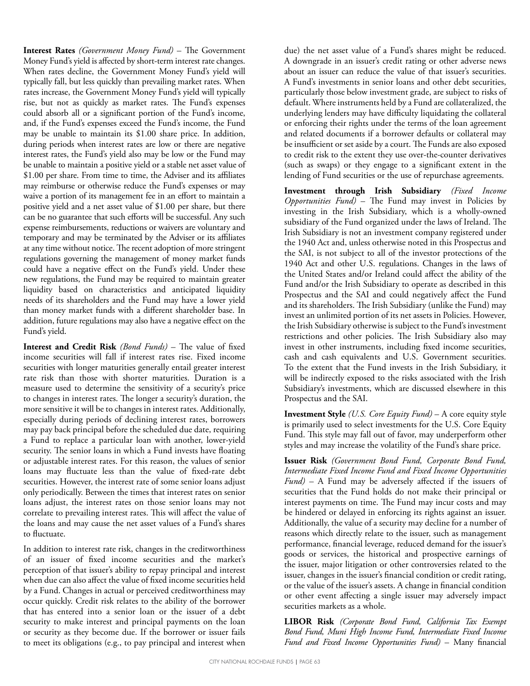**Interest Rates** *(Government Money Fund)* – The Government Money Fund's yield is affected by short-term interest rate changes. When rates decline, the Government Money Fund's yield will typically fall, but less quickly than prevailing market rates. When rates increase, the Government Money Fund's yield will typically rise, but not as quickly as market rates. The Fund's expenses could absorb all or a significant portion of the Fund's income, and, if the Fund's expenses exceed the Fund's income, the Fund may be unable to maintain its \$1.00 share price. In addition, during periods when interest rates are low or there are negative interest rates, the Fund's yield also may be low or the Fund may be unable to maintain a positive yield or a stable net asset value of \$1.00 per share. From time to time, the Adviser and its affiliates may reimburse or otherwise reduce the Fund's expenses or may waive a portion of its management fee in an effort to maintain a positive yield and a net asset value of \$1.00 per share, but there can be no guarantee that such efforts will be successful. Any such expense reimbursements, reductions or waivers are voluntary and temporary and may be terminated by the Adviser or its affiliates at any time without notice. The recent adoption of more stringent regulations governing the management of money market funds could have a negative effect on the Fund's yield. Under these new regulations, the Fund may be required to maintain greater liquidity based on characteristics and anticipated liquidity needs of its shareholders and the Fund may have a lower yield than money market funds with a different shareholder base. In addition, future regulations may also have a negative effect on the Fund's yield.

**Interest and Credit Risk** *(Bond Funds)* – The value of fixed income securities will fall if interest rates rise. Fixed income securities with longer maturities generally entail greater interest rate risk than those with shorter maturities. Duration is a measure used to determine the sensitivity of a security's price to changes in interest rates. The longer a security's duration, the more sensitive it will be to changes in interest rates. Additionally, especially during periods of declining interest rates, borrowers may pay back principal before the scheduled due date, requiring a Fund to replace a particular loan with another, lower-yield security. The senior loans in which a Fund invests have floating or adjustable interest rates. For this reason, the values of senior loans may fluctuate less than the value of fixed-rate debt securities. However, the interest rate of some senior loans adjust only periodically. Between the times that interest rates on senior loans adjust, the interest rates on those senior loans may not correlate to prevailing interest rates. This will affect the value of the loans and may cause the net asset values of a Fund's shares to fluctuate.

In addition to interest rate risk, changes in the creditworthiness of an issuer of fixed income securities and the market's perception of that issuer's ability to repay principal and interest when due can also affect the value of fixed income securities held by a Fund. Changes in actual or perceived creditworthiness may occur quickly. Credit risk relates to the ability of the borrower that has entered into a senior loan or the issuer of a debt security to make interest and principal payments on the loan or security as they become due. If the borrower or issuer fails to meet its obligations (e.g., to pay principal and interest when

due) the net asset value of a Fund's shares might be reduced. A downgrade in an issuer's credit rating or other adverse news about an issuer can reduce the value of that issuer's securities. A Fund's investments in senior loans and other debt securities, particularly those below investment grade, are subject to risks of default. Where instruments held by a Fund are collateralized, the underlying lenders may have difficulty liquidating the collateral or enforcing their rights under the terms of the loan agreement and related documents if a borrower defaults or collateral may be insufficient or set aside by a court. The Funds are also exposed to credit risk to the extent they use over-the-counter derivatives (such as swaps) or they engage to a significant extent in the lending of Fund securities or the use of repurchase agreements.

**Investment through Irish Subsidiary** *(Fixed Income Opportunities Fund)* – The Fund may invest in Policies by investing in the Irish Subsidiary, which is a wholly-owned subsidiary of the Fund organized under the laws of Ireland. The Irish Subsidiary is not an investment company registered under the 1940 Act and, unless otherwise noted in this Prospectus and the SAI, is not subject to all of the investor protections of the 1940 Act and other U.S. regulations. Changes in the laws of the United States and/or Ireland could affect the ability of the Fund and/or the Irish Subsidiary to operate as described in this Prospectus and the SAI and could negatively affect the Fund and its shareholders. The Irish Subsidiary (unlike the Fund) may invest an unlimited portion of its net assets in Policies. However, the Irish Subsidiary otherwise is subject to the Fund's investment restrictions and other policies. The Irish Subsidiary also may invest in other instruments, including fixed income securities, cash and cash equivalents and U.S. Government securities. To the extent that the Fund invests in the Irish Subsidiary, it will be indirectly exposed to the risks associated with the Irish Subsidiary's investments, which are discussed elsewhere in this Prospectus and the SAI.

**Investment Style** *(U.S. Core Equity Fund)* - A core equity style is primarily used to select investments for the U.S. Core Equity Fund. This style may fall out of favor, may underperform other styles and may increase the volatility of the Fund's share price.

**Issuer Risk** *(Government Bond Fund, Corporate Bond Fund, Intermediate Fixed Income Fund and Fixed Income Opportunities Fund)* – A Fund may be adversely affected if the issuers of securities that the Fund holds do not make their principal or interest payments on time. The Fund may incur costs and may be hindered or delayed in enforcing its rights against an issuer. Additionally, the value of a security may decline for a number of reasons which directly relate to the issuer, such as management performance, financial leverage, reduced demand for the issuer's goods or services, the historical and prospective earnings of the issuer, major litigation or other controversies related to the issuer, changes in the issuer's financial condition or credit rating, or the value of the issuer's assets. A change in financial condition or other event affecting a single issuer may adversely impact securities markets as a whole.

**LIBOR Risk** *(Corporate Bond Fund, California Tax Exempt Bond Fund, Muni High Income Fund, Intermediate Fixed Income*  Fund and Fixed Income Opportunities Fund) - Many financial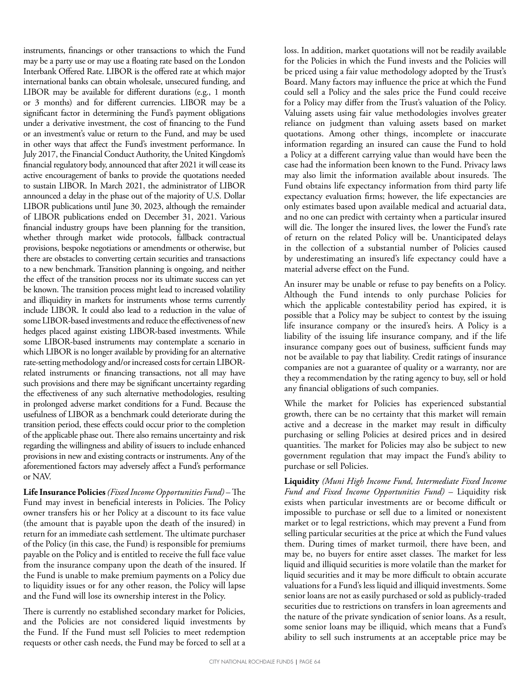instruments, financings or other transactions to which the Fund may be a party use or may use a floating rate based on the London Interbank Offered Rate. LIBOR is the offered rate at which major international banks can obtain wholesale, unsecured funding, and LIBOR may be available for different durations (e.g., 1 month or 3 months) and for different currencies. LIBOR may be a significant factor in determining the Fund's payment obligations under a derivative investment, the cost of financing to the Fund or an investment's value or return to the Fund, and may be used in other ways that affect the Fund's investment performance. In July 2017, the Financial Conduct Authority, the United Kingdom's financial regulatory body, announced that after 2021 it will cease its active encouragement of banks to provide the quotations needed to sustain LIBOR. In March 2021, the administrator of LIBOR announced a delay in the phase out of the majority of U.S. Dollar LIBOR publications until June 30, 2023, although the remainder of LIBOR publications ended on December 31, 2021. Various financial industry groups have been planning for the transition, whether through market wide protocols, fallback contractual provisions, bespoke negotiations or amendments or otherwise, but there are obstacles to converting certain securities and transactions to a new benchmark. Transition planning is ongoing, and neither the effect of the transition process nor its ultimate success can yet be known. The transition process might lead to increased volatility and illiquidity in markets for instruments whose terms currently include LIBOR. It could also lead to a reduction in the value of some LIBOR-based investments and reduce the effectiveness of new hedges placed against existing LIBOR-based investments. While some LIBOR-based instruments may contemplate a scenario in which LIBOR is no longer available by providing for an alternative rate-setting methodology and/or increased costs for certain LIBORrelated instruments or financing transactions, not all may have such provisions and there may be significant uncertainty regarding the effectiveness of any such alternative methodologies, resulting in prolonged adverse market conditions for a Fund. Because the usefulness of LIBOR as a benchmark could deteriorate during the transition period, these effects could occur prior to the completion of the applicable phase out. There also remains uncertainty and risk regarding the willingness and ability of issuers to include enhanced provisions in new and existing contracts or instruments. Any of the aforementioned factors may adversely affect a Fund's performance or NAV.

**Life Insurance Policies***(Fixed Income Opportunities Fund)* – The Fund may invest in beneficial interests in Policies. The Policy owner transfers his or her Policy at a discount to its face value (the amount that is payable upon the death of the insured) in return for an immediate cash settlement. The ultimate purchaser of the Policy (in this case, the Fund) is responsible for premiums payable on the Policy and is entitled to receive the full face value from the insurance company upon the death of the insured. If the Fund is unable to make premium payments on a Policy due to liquidity issues or for any other reason, the Policy will lapse and the Fund will lose its ownership interest in the Policy.

There is currently no established secondary market for Policies, and the Policies are not considered liquid investments by the Fund. If the Fund must sell Policies to meet redemption requests or other cash needs, the Fund may be forced to sell at a loss. In addition, market quotations will not be readily available for the Policies in which the Fund invests and the Policies will be priced using a fair value methodology adopted by the Trust's Board. Many factors may influence the price at which the Fund could sell a Policy and the sales price the Fund could receive for a Policy may differ from the Trust's valuation of the Policy. Valuing assets using fair value methodologies involves greater reliance on judgment than valuing assets based on market quotations. Among other things, incomplete or inaccurate information regarding an insured can cause the Fund to hold a Policy at a different carrying value than would have been the case had the information been known to the Fund. Privacy laws may also limit the information available about insureds. The Fund obtains life expectancy information from third party life expectancy evaluation firms; however, the life expectancies are only estimates based upon available medical and actuarial data, and no one can predict with certainty when a particular insured will die. The longer the insured lives, the lower the Fund's rate of return on the related Policy will be. Unanticipated delays in the collection of a substantial number of Policies caused by underestimating an insured's life expectancy could have a material adverse effect on the Fund.

An insurer may be unable or refuse to pay benefits on a Policy. Although the Fund intends to only purchase Policies for which the applicable contestability period has expired, it is possible that a Policy may be subject to contest by the issuing life insurance company or the insured's heirs. A Policy is a liability of the issuing life insurance company, and if the life insurance company goes out of business, sufficient funds may not be available to pay that liability. Credit ratings of insurance companies are not a guarantee of quality or a warranty, nor are they a recommendation by the rating agency to buy, sell or hold any financial obligations of such companies.

While the market for Policies has experienced substantial growth, there can be no certainty that this market will remain active and a decrease in the market may result in difficulty purchasing or selling Policies at desired prices and in desired quantities. The market for Policies may also be subject to new government regulation that may impact the Fund's ability to purchase or sell Policies.

**Liquidity** *(Muni High Income Fund, Intermediate Fixed Income Fund and Fixed Income Opportunities Fund)* – Liquidity risk exists when particular investments are or become difficult or impossible to purchase or sell due to a limited or nonexistent market or to legal restrictions, which may prevent a Fund from selling particular securities at the price at which the Fund values them. During times of market turmoil, there have been, and may be, no buyers for entire asset classes. The market for less liquid and illiquid securities is more volatile than the market for liquid securities and it may be more difficult to obtain accurate valuations for a Fund's less liquid and illiquid investments. Some senior loans are not as easily purchased or sold as publicly-traded securities due to restrictions on transfers in loan agreements and the nature of the private syndication of senior loans. As a result, some senior loans may be illiquid, which means that a Fund's ability to sell such instruments at an acceptable price may be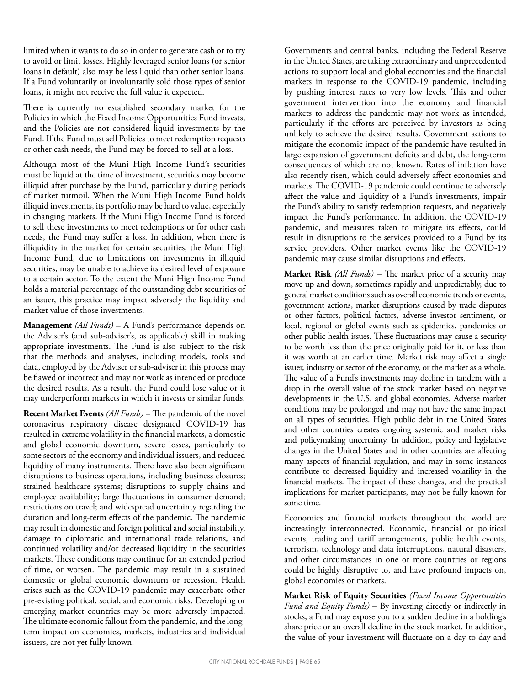limited when it wants to do so in order to generate cash or to try to avoid or limit losses. Highly leveraged senior loans (or senior loans in default) also may be less liquid than other senior loans. If a Fund voluntarily or involuntarily sold those types of senior loans, it might not receive the full value it expected.

There is currently no established secondary market for the Policies in which the Fixed Income Opportunities Fund invests, and the Policies are not considered liquid investments by the Fund. If the Fund must sell Policies to meet redemption requests or other cash needs, the Fund may be forced to sell at a loss.

Although most of the Muni High Income Fund's securities must be liquid at the time of investment, securities may become illiquid after purchase by the Fund, particularly during periods of market turmoil. When the Muni High Income Fund holds illiquid investments, its portfolio may be hard to value, especially in changing markets. If the Muni High Income Fund is forced to sell these investments to meet redemptions or for other cash needs, the Fund may suffer a loss. In addition, when there is illiquidity in the market for certain securities, the Muni High Income Fund, due to limitations on investments in illiquid securities, may be unable to achieve its desired level of exposure to a certain sector. To the extent the Muni High Income Fund holds a material percentage of the outstanding debt securities of an issuer, this practice may impact adversely the liquidity and market value of those investments.

**Management** *(All Funds)* – A Fund's performance depends on the Adviser's (and sub-adviser's, as applicable) skill in making appropriate investments. The Fund is also subject to the risk that the methods and analyses, including models, tools and data, employed by the Adviser or sub-adviser in this process may be flawed or incorrect and may not work as intended or produce the desired results. As a result, the Fund could lose value or it may underperform markets in which it invests or similar funds.

**Recent Market Events** *(All Funds)* – The pandemic of the novel coronavirus respiratory disease designated COVID-19 has resulted in extreme volatility in the financial markets, a domestic and global economic downturn, severe losses, particularly to some sectors of the economy and individual issuers, and reduced liquidity of many instruments. There have also been significant disruptions to business operations, including business closures; strained healthcare systems; disruptions to supply chains and employee availability; large fluctuations in consumer demand; restrictions on travel; and widespread uncertainty regarding the duration and long-term effects of the pandemic. The pandemic may result in domestic and foreign political and social instability, damage to diplomatic and international trade relations, and continued volatility and/or decreased liquidity in the securities markets. These conditions may continue for an extended period of time, or worsen. The pandemic may result in a sustained domestic or global economic downturn or recession. Health crises such as the COVID-19 pandemic may exacerbate other pre-existing political, social, and economic risks. Developing or emerging market countries may be more adversely impacted. The ultimate economic fallout from the pandemic, and the longterm impact on economies, markets, industries and individual issuers, are not yet fully known.

Governments and central banks, including the Federal Reserve in the United States, are taking extraordinary and unprecedented actions to support local and global economies and the financial markets in response to the COVID-19 pandemic, including by pushing interest rates to very low levels. This and other government intervention into the economy and financial markets to address the pandemic may not work as intended, particularly if the efforts are perceived by investors as being unlikely to achieve the desired results. Government actions to mitigate the economic impact of the pandemic have resulted in large expansion of government deficits and debt, the long-term consequences of which are not known. Rates of inflation have also recently risen, which could adversely affect economies and markets. The COVID-19 pandemic could continue to adversely affect the value and liquidity of a Fund's investments, impair the Fund's ability to satisfy redemption requests, and negatively impact the Fund's performance. In addition, the COVID-19 pandemic, and measures taken to mitigate its effects, could result in disruptions to the services provided to a Fund by its service providers. Other market events like the COVID-19 pandemic may cause similar disruptions and effects.

**Market Risk** *(All Funds)* – The market price of a security may move up and down, sometimes rapidly and unpredictably, due to general market conditions such as overall economic trends or events, government actions, market disruptions caused by trade disputes or other factors, political factors, adverse investor sentiment, or local, regional or global events such as epidemics, pandemics or other public health issues. These fluctuations may cause a security to be worth less than the price originally paid for it, or less than it was worth at an earlier time. Market risk may affect a single issuer, industry or sector of the economy, or the market as a whole. The value of a Fund's investments may decline in tandem with a drop in the overall value of the stock market based on negative developments in the U.S. and global economies. Adverse market conditions may be prolonged and may not have the same impact on all types of securities. High public debt in the United States and other countries creates ongoing systemic and market risks and policymaking uncertainty. In addition, policy and legislative changes in the United States and in other countries are affecting many aspects of financial regulation, and may in some instances contribute to decreased liquidity and increased volatility in the financial markets. The impact of these changes, and the practical implications for market participants, may not be fully known for some time.

Economies and financial markets throughout the world are increasingly interconnected. Economic, financial or political events, trading and tariff arrangements, public health events, terrorism, technology and data interruptions, natural disasters, and other circumstances in one or more countries or regions could be highly disruptive to, and have profound impacts on, global economies or markets.

**Market Risk of Equity Securities** *(Fixed Income Opportunities Fund and Equity Funds)* – By investing directly or indirectly in stocks, a Fund may expose you to a sudden decline in a holding's share price or an overall decline in the stock market. In addition, the value of your investment will fluctuate on a day-to-day and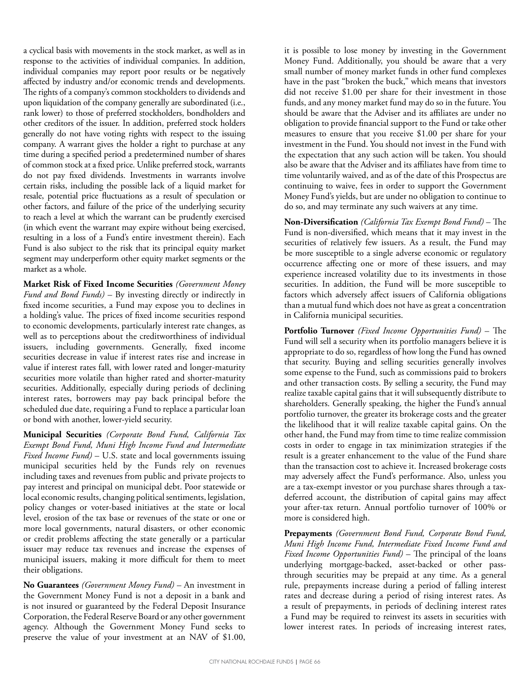a cyclical basis with movements in the stock market, as well as in response to the activities of individual companies. In addition, individual companies may report poor results or be negatively affected by industry and/or economic trends and developments. The rights of a company's common stockholders to dividends and upon liquidation of the company generally are subordinated (i.e., rank lower) to those of preferred stockholders, bondholders and other creditors of the issuer. In addition, preferred stock holders generally do not have voting rights with respect to the issuing company. A warrant gives the holder a right to purchase at any time during a specified period a predetermined number of shares of common stock at a fixed price. Unlike preferred stock, warrants do not pay fixed dividends. Investments in warrants involve certain risks, including the possible lack of a liquid market for resale, potential price fluctuations as a result of speculation or other factors, and failure of the price of the underlying security to reach a level at which the warrant can be prudently exercised (in which event the warrant may expire without being exercised, resulting in a loss of a Fund's entire investment therein). Each Fund is also subject to the risk that its principal equity market segment may underperform other equity market segments or the market as a whole.

**Market Risk of Fixed Income Securities** *(Government Money Fund and Bond Funds)* – By investing directly or indirectly in fixed income securities, a Fund may expose you to declines in a holding's value. The prices of fixed income securities respond to economic developments, particularly interest rate changes, as well as to perceptions about the creditworthiness of individual issuers, including governments. Generally, fixed income securities decrease in value if interest rates rise and increase in value if interest rates fall, with lower rated and longer-maturity securities more volatile than higher rated and shorter-maturity securities. Additionally, especially during periods of declining interest rates, borrowers may pay back principal before the scheduled due date, requiring a Fund to replace a particular loan or bond with another, lower-yield security.

**Municipal Securities** *(Corporate Bond Fund, California Tax Exempt Bond Fund, Muni High Income Fund and Intermediate Fixed Income Fund)* – U.S. state and local governments issuing municipal securities held by the Funds rely on revenues including taxes and revenues from public and private projects to pay interest and principal on municipal debt. Poor statewide or local economic results, changing political sentiments, legislation, policy changes or voter-based initiatives at the state or local level, erosion of the tax base or revenues of the state or one or more local governments, natural disasters, or other economic or credit problems affecting the state generally or a particular issuer may reduce tax revenues and increase the expenses of municipal issuers, making it more difficult for them to meet their obligations.

**No Guarantees** *(Government Money Fund)* – An investment in the Government Money Fund is not a deposit in a bank and is not insured or guaranteed by the Federal Deposit Insurance Corporation, the Federal Reserve Board or any other government agency. Although the Government Money Fund seeks to preserve the value of your investment at an NAV of \$1.00, it is possible to lose money by investing in the Government Money Fund. Additionally, you should be aware that a very small number of money market funds in other fund complexes have in the past "broken the buck," which means that investors did not receive \$1.00 per share for their investment in those funds, and any money market fund may do so in the future. You should be aware that the Adviser and its affiliates are under no obligation to provide financial support to the Fund or take other measures to ensure that you receive \$1.00 per share for your investment in the Fund. You should not invest in the Fund with the expectation that any such action will be taken. You should also be aware that the Adviser and its affiliates have from time to time voluntarily waived, and as of the date of this Prospectus are continuing to waive, fees in order to support the Government Money Fund's yields, but are under no obligation to continue to do so, and may terminate any such waivers at any time.

**Non-Diversification** *(California Tax Exempt Bond Fund)* – The Fund is non-diversified, which means that it may invest in the securities of relatively few issuers. As a result, the Fund may be more susceptible to a single adverse economic or regulatory occurrence affecting one or more of these issuers, and may experience increased volatility due to its investments in those securities. In addition, the Fund will be more susceptible to factors which adversely affect issuers of California obligations than a mutual fund which does not have as great a concentration in California municipal securities.

**Portfolio Turnover** *(Fixed Income Opportunities Fund)* – The Fund will sell a security when its portfolio managers believe it is appropriate to do so, regardless of how long the Fund has owned that security. Buying and selling securities generally involves some expense to the Fund, such as commissions paid to brokers and other transaction costs. By selling a security, the Fund may realize taxable capital gains that it will subsequently distribute to shareholders. Generally speaking, the higher the Fund's annual portfolio turnover, the greater its brokerage costs and the greater the likelihood that it will realize taxable capital gains. On the other hand, the Fund may from time to time realize commission costs in order to engage in tax minimization strategies if the result is a greater enhancement to the value of the Fund share than the transaction cost to achieve it. Increased brokerage costs may adversely affect the Fund's performance. Also, unless you are a tax-exempt investor or you purchase shares through a taxdeferred account, the distribution of capital gains may affect your after-tax return. Annual portfolio turnover of 100% or more is considered high.

**Prepayments** *(Government Bond Fund, Corporate Bond Fund, Muni High Income Fund, Intermediate Fixed Income Fund and Fixed Income Opportunities Fund)* – The principal of the loans underlying mortgage-backed, asset-backed or other passthrough securities may be prepaid at any time. As a general rule, prepayments increase during a period of falling interest rates and decrease during a period of rising interest rates. As a result of prepayments, in periods of declining interest rates a Fund may be required to reinvest its assets in securities with lower interest rates. In periods of increasing interest rates,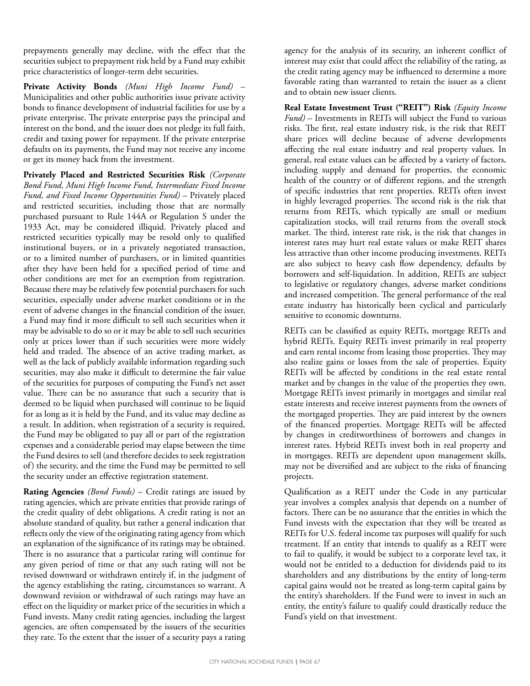prepayments generally may decline, with the effect that the securities subject to prepayment risk held by a Fund may exhibit price characteristics of longer-term debt securities.

**Private Activity Bonds** *(Muni High Income Fund)* – Municipalities and other public authorities issue private activity bonds to finance development of industrial facilities for use by a private enterprise. The private enterprise pays the principal and interest on the bond, and the issuer does not pledge its full faith, credit and taxing power for repayment. If the private enterprise defaults on its payments, the Fund may not receive any income or get its money back from the investment.

**Privately Placed and Restricted Securities Risk** *(Corporate Bond Fund, Muni High Income Fund, Intermediate Fixed Income Fund, and Fixed Income Opportunities Fund)* – Privately placed and restricted securities, including those that are normally purchased pursuant to Rule 144A or Regulation S under the 1933 Act, may be considered illiquid. Privately placed and restricted securities typically may be resold only to qualified institutional buyers, or in a privately negotiated transaction, or to a limited number of purchasers, or in limited quantities after they have been held for a specified period of time and other conditions are met for an exemption from registration. Because there may be relatively few potential purchasers for such securities, especially under adverse market conditions or in the event of adverse changes in the financial condition of the issuer, a Fund may find it more difficult to sell such securities when it may be advisable to do so or it may be able to sell such securities only at prices lower than if such securities were more widely held and traded. The absence of an active trading market, as well as the lack of publicly available information regarding such securities, may also make it difficult to determine the fair value of the securities for purposes of computing the Fund's net asset value. There can be no assurance that such a security that is deemed to be liquid when purchased will continue to be liquid for as long as it is held by the Fund, and its value may decline as a result. In addition, when registration of a security is required, the Fund may be obligated to pay all or part of the registration expenses and a considerable period may elapse between the time the Fund desires to sell (and therefore decides to seek registration of) the security, and the time the Fund may be permitted to sell the security under an effective registration statement.

**Rating Agencies** *(Bond Funds)* – Credit ratings are issued by rating agencies, which are private entities that provide ratings of the credit quality of debt obligations. A credit rating is not an absolute standard of quality, but rather a general indication that reflects only the view of the originating rating agency from which an explanation of the significance of its ratings may be obtained. There is no assurance that a particular rating will continue for any given period of time or that any such rating will not be revised downward or withdrawn entirely if, in the judgment of the agency establishing the rating, circumstances so warrant. A downward revision or withdrawal of such ratings may have an effect on the liquidity or market price of the securities in which a Fund invests. Many credit rating agencies, including the largest agencies, are often compensated by the issuers of the securities they rate. To the extent that the issuer of a security pays a rating agency for the analysis of its security, an inherent conflict of interest may exist that could affect the reliability of the rating, as the credit rating agency may be influenced to determine a more favorable rating than warranted to retain the issuer as a client and to obtain new issuer clients.

**Real Estate Investment Trust ("REIT") Risk** *(Equity Income Fund)* – Investments in REITs will subject the Fund to various risks. The first, real estate industry risk, is the risk that REIT share prices will decline because of adverse developments affecting the real estate industry and real property values. In general, real estate values can be affected by a variety of factors, including supply and demand for properties, the economic health of the country or of different regions, and the strength of specific industries that rent properties. REITs often invest in highly leveraged properties. The second risk is the risk that returns from REITs, which typically are small or medium capitalization stocks, will trail returns from the overall stock market. The third, interest rate risk, is the risk that changes in interest rates may hurt real estate values or make REIT shares less attractive than other income producing investments. REITs are also subject to heavy cash flow dependency, defaults by borrowers and self-liquidation. In addition, REITs are subject to legislative or regulatory changes, adverse market conditions and increased competition. The general performance of the real estate industry has historically been cyclical and particularly sensitive to economic downturns.

REITs can be classified as equity REITs, mortgage REITs and hybrid REITs. Equity REITs invest primarily in real property and earn rental income from leasing those properties. They may also realize gains or losses from the sale of properties. Equity REITs will be affected by conditions in the real estate rental market and by changes in the value of the properties they own. Mortgage REITs invest primarily in mortgages and similar real estate interests and receive interest payments from the owners of the mortgaged properties. They are paid interest by the owners of the financed properties. Mortgage REITs will be affected by changes in creditworthiness of borrowers and changes in interest rates. Hybrid REITs invest both in real property and in mortgages. REITs are dependent upon management skills, may not be diversified and are subject to the risks of financing projects.

Qualification as a REIT under the Code in any particular year involves a complex analysis that depends on a number of factors. There can be no assurance that the entities in which the Fund invests with the expectation that they will be treated as REITs for U.S. federal income tax purposes will qualify for such treatment. If an entity that intends to qualify as a REIT were to fail to qualify, it would be subject to a corporate level tax, it would not be entitled to a deduction for dividends paid to its shareholders and any distributions by the entity of long-term capital gains would not be treated as long-term capital gains by the entity's shareholders. If the Fund were to invest in such an entity, the entity's failure to qualify could drastically reduce the Fund's yield on that investment.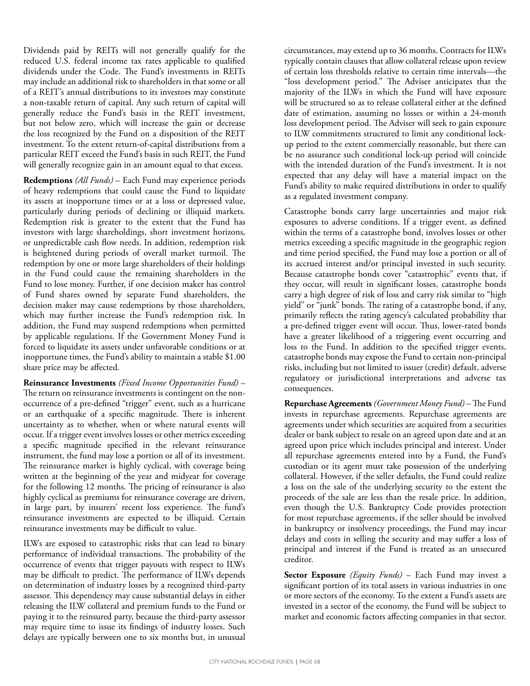Dividends paid by REITs will not generally qualify for the reduced U.S. federal income tax rates applicable to qualified dividends under the Code. The Fund's investments in REITs may include an additional risk to shareholders in that some or all of a REIT's annual distributions to its investors may constitute a non-taxable return of capital. Any such return of capital will generally reduce the Fund's basis in the REIT investment, but not below zero, which will increase the gain or decrease the loss recognized by the Fund on a disposition of the REIT investment. To the extent return-of-capital distributions from a particular REIT exceed the Fund's basis in such REIT, the Fund will generally recognize gain in an amount equal to that excess.

**Redemptions** *(All Funds)* – Each Fund may experience periods of heavy redemptions that could cause the Fund to liquidate its assets at inopportune times or at a loss or depressed value, particularly during periods of declining or illiquid markets. Redemption risk is greater to the extent that the Fund has investors with large shareholdings, short investment horizons, or unpredictable cash flow needs. In addition, redemption risk is heightened during periods of overall market turmoil. The redemption by one or more large shareholders of their holdings in the Fund could cause the remaining shareholders in the Fund to lose money. Further, if one decision maker has control of Fund shares owned by separate Fund shareholders, the decision maker may cause redemptions by those shareholders, which may further increase the Fund's redemption risk. In addition, the Fund may suspend redemptions when permitted by applicable regulations. If the Government Money Fund is forced to liquidate its assets under unfavorable conditions or at inopportune times, the Fund's ability to maintain a stable \$1.00 share price may be affected.

**Reinsurance Investments** *(Fixed Income Opportunities Fund)* – The return on reinsurance investments is contingent on the nonoccurrence of a pre-defined "trigger" event, such as a hurricane or an earthquake of a specific magnitude. There is inherent uncertainty as to whether, when or where natural events will occur. If a trigger event involves losses or other metrics exceeding a specific magnitude specified in the relevant reinsurance instrument, the fund may lose a portion or all of its investment. The reinsurance market is highly cyclical, with coverage being written at the beginning of the year and midyear for coverage for the following 12 months. The pricing of reinsurance is also highly cyclical as premiums for reinsurance coverage are driven, in large part, by insurers' recent loss experience. The fund's reinsurance investments are expected to be illiquid. Certain reinsurance investments may be difficult to value.

ILWs are exposed to catastrophic risks that can lead to binary performance of individual transactions. The probability of the occurrence of events that trigger payouts with respect to ILWs may be difficult to predict. The performance of ILWs depends on determination of industry losses by a recognized third-party assessor. This dependency may cause substantial delays in either releasing the ILW collateral and premium funds to the Fund or paying it to the reinsured party, because the third-party assessor may require time to issue its findings of industry losses. Such delays are typically between one to six months but, in unusual

circumstances, may extend up to 36 months. Contracts for ILWs typically contain clauses that allow collateral release upon review of certain loss thresholds relative to certain time intervals—the "loss development period." The Adviser anticipates that the majority of the ILWs in which the Fund will have exposure will be structured so as to release collateral either at the defined date of estimation, assuming no losses or within a 24-month loss development period. The Adviser will seek to gain exposure to ILW commitments structured to limit any conditional lockup period to the extent commercially reasonable, but there can be no assurance such conditional lock-up period will coincide with the intended duration of the Fund's investment. It is not expected that any delay will have a material impact on the Fund's ability to make required distributions in order to qualify as a regulated investment company.

Catastrophe bonds carry large uncertainties and major risk exposures to adverse conditions. If a trigger event, as defined within the terms of a catastrophe bond, involves losses or other metrics exceeding a specific magnitude in the geographic region and time period specified, the Fund may lose a portion or all of its accrued interest and/or principal invested in such security. Because catastrophe bonds cover "catastrophic" events that, if they occur, will result in significant losses, catastrophe bonds carry a high degree of risk of loss and carry risk similar to "high yield" or "junk" bonds. The rating of a catastrophe bond, if any, primarily reflects the rating agency's calculated probability that a pre-defined trigger event will occur. Thus, lower-rated bonds have a greater likelihood of a triggering event occurring and loss to the Fund. In addition to the specified trigger events, catastrophe bonds may expose the Fund to certain non-principal risks, including but not limited to issuer (credit) default, adverse regulatory or jurisdictional interpretations and adverse tax consequences.

**Repurchase Agreements** *(Government Money Fund)* – The Fund invests in repurchase agreements. Repurchase agreements are agreements under which securities are acquired from a securities dealer or bank subject to resale on an agreed upon date and at an agreed upon price which includes principal and interest. Under all repurchase agreements entered into by a Fund, the Fund's custodian or its agent must take possession of the underlying collateral. However, if the seller defaults, the Fund could realize a loss on the sale of the underlying security to the extent the proceeds of the sale are less than the resale price. In addition, even though the U.S. Bankruptcy Code provides protection for most repurchase agreements, if the seller should be involved in bankruptcy or insolvency proceedings, the Fund may incur delays and costs in selling the security and may suffer a loss of principal and interest if the Fund is treated as an unsecured creditor.

**Sector Exposure** *(Equity Funds)* – Each Fund may invest a significant portion of its total assets in various industries in one or more sectors of the economy. To the extent a Fund's assets are invested in a sector of the economy, the Fund will be subject to market and economic factors affecting companies in that sector.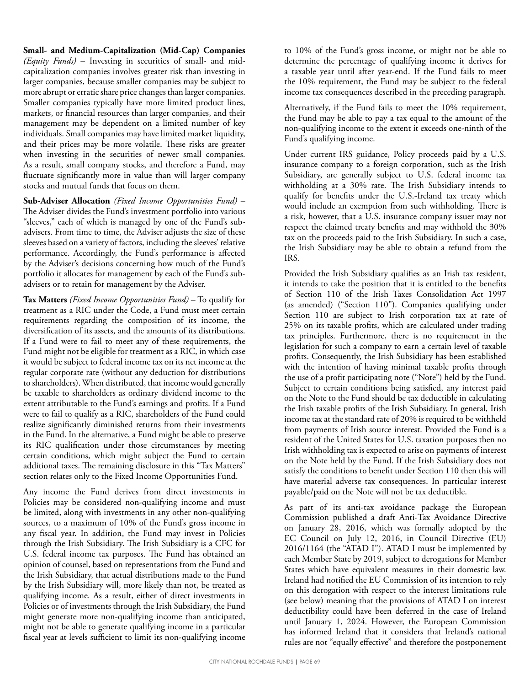**Small- and Medium-Capitalization (Mid-Cap) Companies** *(Equity Funds)* – Investing in securities of small- and midcapitalization companies involves greater risk than investing in larger companies, because smaller companies may be subject to more abrupt or erratic share price changes than larger companies. Smaller companies typically have more limited product lines, markets, or financial resources than larger companies, and their management may be dependent on a limited number of key individuals. Small companies may have limited market liquidity, and their prices may be more volatile. These risks are greater when investing in the securities of newer small companies. As a result, small company stocks, and therefore a Fund, may fluctuate significantly more in value than will larger company stocks and mutual funds that focus on them.

**Sub-Adviser Allocation** *(Fixed Income Opportunities Fund)* – The Adviser divides the Fund's investment portfolio into various "sleeves," each of which is managed by one of the Fund's subadvisers. From time to time, the Adviser adjusts the size of these sleeves based on a variety of factors, including the sleeves' relative performance. Accordingly, the Fund's performance is affected by the Adviser's decisions concerning how much of the Fund's portfolio it allocates for management by each of the Fund's subadvisers or to retain for management by the Adviser.

**Tax Matters** *(Fixed Income Opportunities Fund)* – To qualify for treatment as a RIC under the Code, a Fund must meet certain requirements regarding the composition of its income, the diversification of its assets, and the amounts of its distributions. If a Fund were to fail to meet any of these requirements, the Fund might not be eligible for treatment as a RIC, in which case it would be subject to federal income tax on its net income at the regular corporate rate (without any deduction for distributions to shareholders). When distributed, that income would generally be taxable to shareholders as ordinary dividend income to the extent attributable to the Fund's earnings and profits. If a Fund were to fail to qualify as a RIC, shareholders of the Fund could realize significantly diminished returns from their investments in the Fund. In the alternative, a Fund might be able to preserve its RIC qualification under those circumstances by meeting certain conditions, which might subject the Fund to certain additional taxes. The remaining disclosure in this "Tax Matters" section relates only to the Fixed Income Opportunities Fund.

Any income the Fund derives from direct investments in Policies may be considered non-qualifying income and must be limited, along with investments in any other non-qualifying sources, to a maximum of 10% of the Fund's gross income in any fiscal year. In addition, the Fund may invest in Policies through the Irish Subsidiary. The Irish Subsidiary is a CFC for U.S. federal income tax purposes. The Fund has obtained an opinion of counsel, based on representations from the Fund and the Irish Subsidiary, that actual distributions made to the Fund by the Irish Subsidiary will, more likely than not, be treated as qualifying income. As a result, either of direct investments in Policies or of investments through the Irish Subsidiary, the Fund might generate more non-qualifying income than anticipated, might not be able to generate qualifying income in a particular fiscal year at levels sufficient to limit its non-qualifying income to 10% of the Fund's gross income, or might not be able to determine the percentage of qualifying income it derives for a taxable year until after year-end. If the Fund fails to meet the 10% requirement, the Fund may be subject to the federal income tax consequences described in the preceding paragraph.

Alternatively, if the Fund fails to meet the 10% requirement, the Fund may be able to pay a tax equal to the amount of the non-qualifying income to the extent it exceeds one-ninth of the Fund's qualifying income.

Under current IRS guidance, Policy proceeds paid by a U.S. insurance company to a foreign corporation, such as the Irish Subsidiary, are generally subject to U.S. federal income tax withholding at a 30% rate. The Irish Subsidiary intends to qualify for benefits under the U.S.-Ireland tax treaty which would include an exemption from such withholding. There is a risk, however, that a U.S. insurance company issuer may not respect the claimed treaty benefits and may withhold the 30% tax on the proceeds paid to the Irish Subsidiary. In such a case, the Irish Subsidiary may be able to obtain a refund from the IRS.

Provided the Irish Subsidiary qualifies as an Irish tax resident, it intends to take the position that it is entitled to the benefits of Section 110 of the Irish Taxes Consolidation Act 1997 (as amended) ("Section 110"). Companies qualifying under Section 110 are subject to Irish corporation tax at rate of 25% on its taxable profits, which are calculated under trading tax principles. Furthermore, there is no requirement in the legislation for such a company to earn a certain level of taxable profits. Consequently, the Irish Subsidiary has been established with the intention of having minimal taxable profits through the use of a profit participating note ("Note") held by the Fund. Subject to certain conditions being satisfied, any interest paid on the Note to the Fund should be tax deductible in calculating the Irish taxable profits of the Irish Subsidiary. In general, Irish income tax at the standard rate of 20% is required to be withheld from payments of Irish source interest. Provided the Fund is a resident of the United States for U.S. taxation purposes then no Irish withholding tax is expected to arise on payments of interest on the Note held by the Fund. If the Irish Subsidiary does not satisfy the conditions to benefit under Section 110 then this will have material adverse tax consequences. In particular interest payable/paid on the Note will not be tax deductible.

As part of its anti-tax avoidance package the European Commission published a draft Anti-Tax Avoidance Directive on January 28, 2016, which was formally adopted by the EC Council on July 12, 2016, in Council Directive (EU) 2016/1164 (the "ATAD I"). ATAD I must be implemented by each Member State by 2019, subject to derogations for Member States which have equivalent measures in their domestic law. Ireland had notified the EU Commission of its intention to rely on this derogation with respect to the interest limitations rule (see below) meaning that the provisions of ATAD I on interest deductibility could have been deferred in the case of Ireland until January 1, 2024. However, the European Commission has informed Ireland that it considers that Ireland's national rules are not "equally effective" and therefore the postponement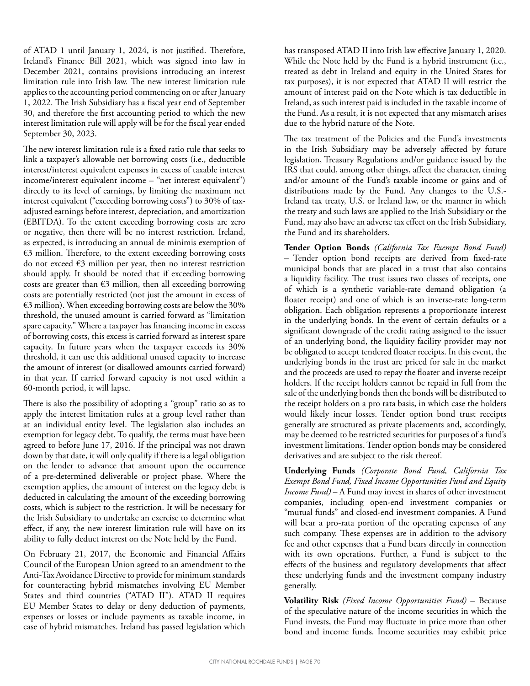of ATAD 1 until January 1, 2024, is not justified. Therefore, Ireland's Finance Bill 2021, which was signed into law in December 2021, contains provisions introducing an interest limitation rule into Irish law. The new interest limitation rule applies to the accounting period commencing on or after January 1, 2022. The Irish Subsidiary has a fiscal year end of September 30, and therefore the first accounting period to which the new interest limitation rule will apply will be for the fiscal year ended September 30, 2023.

The new interest limitation rule is a fixed ratio rule that seeks to link a taxpayer's allowable net borrowing costs (i.e., deductible interest/interest equivalent expenses in excess of taxable interest income/interest equivalent income – "net interest equivalent") directly to its level of earnings, by limiting the maximum net interest equivalent ("exceeding borrowing costs") to 30% of taxadjusted earnings before interest, depreciation, and amortization (EBITDA). To the extent exceeding borrowing costs are zero or negative, then there will be no interest restriction. Ireland, as expected, is introducing an annual de minimis exemption of €3 million. Therefore, to the extent exceeding borrowing costs do not exceed €3 million per year, then no interest restriction should apply. It should be noted that if exceeding borrowing costs are greater than  $\epsilon$ 3 million, then all exceeding borrowing costs are potentially restricted (not just the amount in excess of  $€3$  million). When exceeding borrowing costs are below the 30% threshold, the unused amount is carried forward as "limitation spare capacity." Where a taxpayer has financing income in excess of borrowing costs, this excess is carried forward as interest spare capacity. In future years when the taxpayer exceeds its 30% threshold, it can use this additional unused capacity to increase the amount of interest (or disallowed amounts carried forward) in that year. If carried forward capacity is not used within a 60-month period, it will lapse.

There is also the possibility of adopting a "group" ratio so as to apply the interest limitation rules at a group level rather than at an individual entity level. The legislation also includes an exemption for legacy debt. To qualify, the terms must have been agreed to before June 17, 2016. If the principal was not drawn down by that date, it will only qualify if there is a legal obligation on the lender to advance that amount upon the occurrence of a pre-determined deliverable or project phase. Where the exemption applies, the amount of interest on the legacy debt is deducted in calculating the amount of the exceeding borrowing costs, which is subject to the restriction. It will be necessary for the Irish Subsidiary to undertake an exercise to determine what effect, if any, the new interest limitation rule will have on its ability to fully deduct interest on the Note held by the Fund.

On February 21, 2017, the Economic and Financial Affairs Council of the European Union agreed to an amendment to the Anti-Tax Avoidance Directive to provide for minimum standards for counteracting hybrid mismatches involving EU Member States and third countries ("ATAD II"). ATAD II requires EU Member States to delay or deny deduction of payments, expenses or losses or include payments as taxable income, in case of hybrid mismatches. Ireland has passed legislation which has transposed ATAD II into Irish law effective January 1, 2020. While the Note held by the Fund is a hybrid instrument (i.e., treated as debt in Ireland and equity in the United States for tax purposes), it is not expected that ATAD II will restrict the amount of interest paid on the Note which is tax deductible in Ireland, as such interest paid is included in the taxable income of the Fund. As a result, it is not expected that any mismatch arises due to the hybrid nature of the Note.

The tax treatment of the Policies and the Fund's investments in the Irish Subsidiary may be adversely affected by future legislation, Treasury Regulations and/or guidance issued by the IRS that could, among other things, affect the character, timing and/or amount of the Fund's taxable income or gains and of distributions made by the Fund. Any changes to the U.S.- Ireland tax treaty, U.S. or Ireland law, or the manner in which the treaty and such laws are applied to the Irish Subsidiary or the Fund, may also have an adverse tax effect on the Irish Subsidiary, the Fund and its shareholders.

**Tender Option Bonds** *(California Tax Exempt Bond Fund)* – Tender option bond receipts are derived from fixed-rate municipal bonds that are placed in a trust that also contains a liquidity facility. The trust issues two classes of receipts, one of which is a synthetic variable-rate demand obligation (a floater receipt) and one of which is an inverse-rate long-term obligation. Each obligation represents a proportionate interest in the underlying bonds. In the event of certain defaults or a significant downgrade of the credit rating assigned to the issuer of an underlying bond, the liquidity facility provider may not be obligated to accept tendered floater receipts. In this event, the underlying bonds in the trust are priced for sale in the market and the proceeds are used to repay the floater and inverse receipt holders. If the receipt holders cannot be repaid in full from the sale of the underlying bonds then the bonds will be distributed to the receipt holders on a pro rata basis, in which case the holders would likely incur losses. Tender option bond trust receipts generally are structured as private placements and, accordingly, may be deemed to be restricted securities for purposes of a fund's investment limitations. Tender option bonds may be considered derivatives and are subject to the risk thereof.

**Underlying Funds** *(Corporate Bond Fund, California Tax Exempt Bond Fund, Fixed Income Opportunities Fund and Equity Income Fund)* – A Fund may invest in shares of other investment companies, including open-end investment companies or "mutual funds" and closed-end investment companies. A Fund will bear a pro-rata portion of the operating expenses of any such company. These expenses are in addition to the advisory fee and other expenses that a Fund bears directly in connection with its own operations. Further, a Fund is subject to the effects of the business and regulatory developments that affect these underlying funds and the investment company industry generally.

**Volatility Risk** *(Fixed Income Opportunities Fund)* – Because of the speculative nature of the income securities in which the Fund invests, the Fund may fluctuate in price more than other bond and income funds. Income securities may exhibit price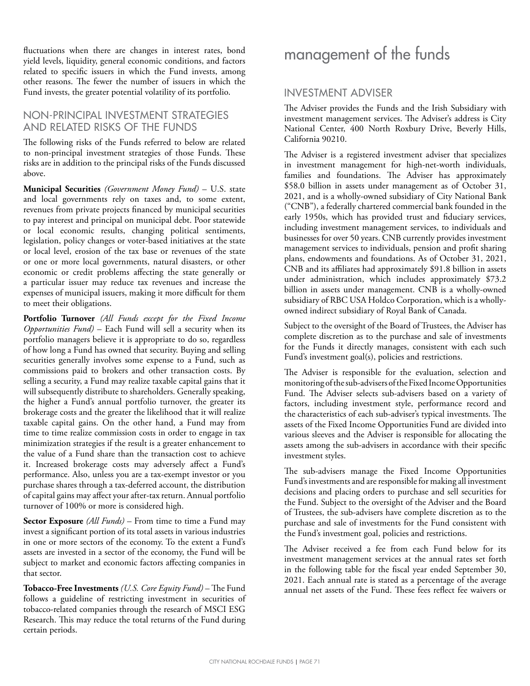fluctuations when there are changes in interest rates, bond yield levels, liquidity, general economic conditions, and factors related to specific issuers in which the Fund invests, among other reasons. The fewer the number of issuers in which the Fund invests, the greater potential volatility of its portfolio.

## NON-PRINCIPAL INVESTMENT STRATEGIES AND RELATED RISKS OF THE FUNDS

The following risks of the Funds referred to below are related to non-principal investment strategies of those Funds. These risks are in addition to the principal risks of the Funds discussed above.

**Municipal Securities** *(Government Money Fund)* – U.S. state and local governments rely on taxes and, to some extent, revenues from private projects financed by municipal securities to pay interest and principal on municipal debt. Poor statewide or local economic results, changing political sentiments, legislation, policy changes or voter-based initiatives at the state or local level, erosion of the tax base or revenues of the state or one or more local governments, natural disasters, or other economic or credit problems affecting the state generally or a particular issuer may reduce tax revenues and increase the expenses of municipal issuers, making it more difficult for them to meet their obligations.

**Portfolio Turnover** *(All Funds except for the Fixed Income Opportunities Fund)* – Each Fund will sell a security when its portfolio managers believe it is appropriate to do so, regardless of how long a Fund has owned that security. Buying and selling securities generally involves some expense to a Fund, such as commissions paid to brokers and other transaction costs. By selling a security, a Fund may realize taxable capital gains that it will subsequently distribute to shareholders. Generally speaking, the higher a Fund's annual portfolio turnover, the greater its brokerage costs and the greater the likelihood that it will realize taxable capital gains. On the other hand, a Fund may from time to time realize commission costs in order to engage in tax minimization strategies if the result is a greater enhancement to the value of a Fund share than the transaction cost to achieve it. Increased brokerage costs may adversely affect a Fund's performance. Also, unless you are a tax-exempt investor or you purchase shares through a tax-deferred account, the distribution of capital gains may affect your after-tax return. Annual portfolio turnover of 100% or more is considered high.

**Sector Exposure** *(All Funds)* – From time to time a Fund may invest a significant portion of its total assets in various industries in one or more sectors of the economy. To the extent a Fund's assets are invested in a sector of the economy, the Fund will be subject to market and economic factors affecting companies in that sector.

**Tobacco-Free Investments** *(U.S. Core Equity Fund)* – The Fund follows a guideline of restricting investment in securities of tobacco-related companies through the research of MSCI ESG Research. This may reduce the total returns of the Fund during certain periods.

# management of the funds

## INVESTMENT ADVISER

The Adviser provides the Funds and the Irish Subsidiary with investment management services. The Adviser's address is City National Center, 400 North Roxbury Drive, Beverly Hills, California 90210.

The Adviser is a registered investment adviser that specializes in investment management for high-net-worth individuals, families and foundations. The Adviser has approximately \$58.0 billion in assets under management as of October 31, 2021, and is a wholly-owned subsidiary of City National Bank ("CNB"), a federally chartered commercial bank founded in the early 1950s, which has provided trust and fiduciary services, including investment management services, to individuals and businesses for over 50 years. CNB currently provides investment management services to individuals, pension and profit sharing plans, endowments and foundations. As of October 31, 2021, CNB and its affiliates had approximately \$91.8 billion in assets under administration, which includes approximately \$73.2 billion in assets under management. CNB is a wholly-owned subsidiary of RBC USA Holdco Corporation, which is a whollyowned indirect subsidiary of Royal Bank of Canada.

Subject to the oversight of the Board of Trustees, the Adviser has complete discretion as to the purchase and sale of investments for the Funds it directly manages, consistent with each such Fund's investment goal(s), policies and restrictions.

The Adviser is responsible for the evaluation, selection and monitoring of the sub-advisers of the Fixed Income Opportunities Fund. The Adviser selects sub-advisers based on a variety of factors, including investment style, performance record and the characteristics of each sub-adviser's typical investments. The assets of the Fixed Income Opportunities Fund are divided into various sleeves and the Adviser is responsible for allocating the assets among the sub-advisers in accordance with their specific investment styles.

The sub-advisers manage the Fixed Income Opportunities Fund's investments and are responsible for making all investment decisions and placing orders to purchase and sell securities for the Fund. Subject to the oversight of the Adviser and the Board of Trustees, the sub-advisers have complete discretion as to the purchase and sale of investments for the Fund consistent with the Fund's investment goal, policies and restrictions.

The Adviser received a fee from each Fund below for its investment management services at the annual rates set forth in the following table for the fiscal year ended September 30, 2021. Each annual rate is stated as a percentage of the average annual net assets of the Fund. These fees reflect fee waivers or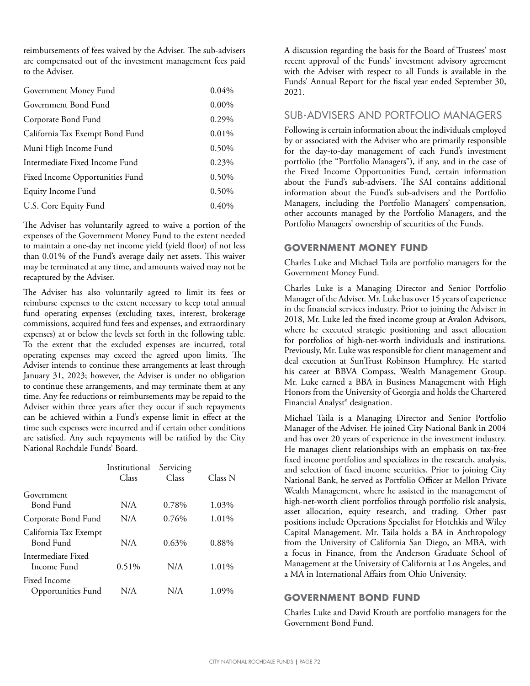reimbursements of fees waived by the Adviser. The sub-advisers are compensated out of the investment management fees paid to the Adviser.

| Government Money Fund           | 0.04%    |
|---------------------------------|----------|
| Government Bond Fund            | $0.00\%$ |
| Corporate Bond Fund             | 0.29%    |
| California Tax Exempt Bond Fund | 0.01%    |
| Muni High Income Fund           | 0.50%    |
| Intermediate Fixed Income Fund  | 0.23%    |
| Fixed Income Opportunities Fund | 0.50%    |
| <b>Equity Income Fund</b>       | 0.50%    |
| U.S. Core Equity Fund           | 0.40%    |

The Adviser has voluntarily agreed to waive a portion of the expenses of the Government Money Fund to the extent needed to maintain a one-day net income yield (yield floor) of not less than 0.01% of the Fund's average daily net assets. This waiver may be terminated at any time, and amounts waived may not be recaptured by the Adviser.

The Adviser has also voluntarily agreed to limit its fees or reimburse expenses to the extent necessary to keep total annual fund operating expenses (excluding taxes, interest, brokerage commissions, acquired fund fees and expenses, and extraordinary expenses) at or below the levels set forth in the following table. To the extent that the excluded expenses are incurred, total operating expenses may exceed the agreed upon limits. The Adviser intends to continue these arrangements at least through January 31, 2023; however, the Adviser is under no obligation to continue these arrangements, and may terminate them at any time. Any fee reductions or reimbursements may be repaid to the Adviser within three years after they occur if such repayments can be achieved within a Fund's expense limit in effect at the time such expenses were incurred and if certain other conditions are satisfied. Any such repayments will be ratified by the City National Rochdale Funds' Board.

|                                    | Institutional<br>Class | Servicing<br>Class | Class N |
|------------------------------------|------------------------|--------------------|---------|
| Government<br>Bond Fund            | N/A                    | 0.78%              | 1.03%   |
| Corporate Bond Fund                | N/A                    | 0.76%              | 1.01%   |
| California Tax Exempt<br>Bond Fund | N/A                    | 0.63%              | 0.88%   |
| Intermediate Fixed<br>Income Fund  | 0.51%                  | N/A                | 1.01%   |
| Fixed Income<br>Opportunities Fund | N/A                    | N/A                | 1.09%   |

A discussion regarding the basis for the Board of Trustees' most recent approval of the Funds' investment advisory agreement with the Adviser with respect to all Funds is available in the Funds' Annual Report for the fiscal year ended September 30, 2021.

#### SUB-ADVISERS AND PORTFOLIO MANAGERS

Following is certain information about the individuals employed by or associated with the Adviser who are primarily responsible for the day-to-day management of each Fund's investment portfolio (the "Portfolio Managers"), if any, and in the case of the Fixed Income Opportunities Fund, certain information about the Fund's sub-advisers. The SAI contains additional information about the Fund's sub-advisers and the Portfolio Managers, including the Portfolio Managers' compensation, other accounts managed by the Portfolio Managers, and the Portfolio Managers' ownership of securities of the Funds.

#### **GOVERNMENT MONEY FUND**

Charles Luke and Michael Taila are portfolio managers for the Government Money Fund.

Charles Luke is a Managing Director and Senior Portfolio Manager of the Adviser. Mr. Luke has over 15 years of experience in the financial services industry. Prior to joining the Adviser in 2018, Mr. Luke led the fixed income group at Avalon Advisors, where he executed strategic positioning and asset allocation for portfolios of high-net-worth individuals and institutions. Previously, Mr. Luke was responsible for client management and deal execution at SunTrust Robinson Humphrey. He started his career at BBVA Compass, Wealth Management Group. Mr. Luke earned a BBA in Business Management with High Honors from the University of Georgia and holds the Chartered Financial Analyst® designation.

Michael Taila is a Managing Director and Senior Portfolio Manager of the Adviser. He joined City National Bank in 2004 and has over 20 years of experience in the investment industry. He manages client relationships with an emphasis on tax-free fixed income portfolios and specializes in the research, analysis, and selection of fixed income securities. Prior to joining City National Bank, he served as Portfolio Officer at Mellon Private Wealth Management, where he assisted in the management of high-net-worth client portfolios through portfolio risk analysis, asset allocation, equity research, and trading. Other past positions include Operations Specialist for Hotchkis and Wiley Capital Management. Mr. Taila holds a BA in Anthropology from the University of California San Diego, an MBA, with a focus in Finance, from the Anderson Graduate School of Management at the University of California at Los Angeles, and a MA in International Affairs from Ohio University.

#### **GOVERNMENT BOND FUND**

Charles Luke and David Krouth are portfolio managers for the Government Bond Fund.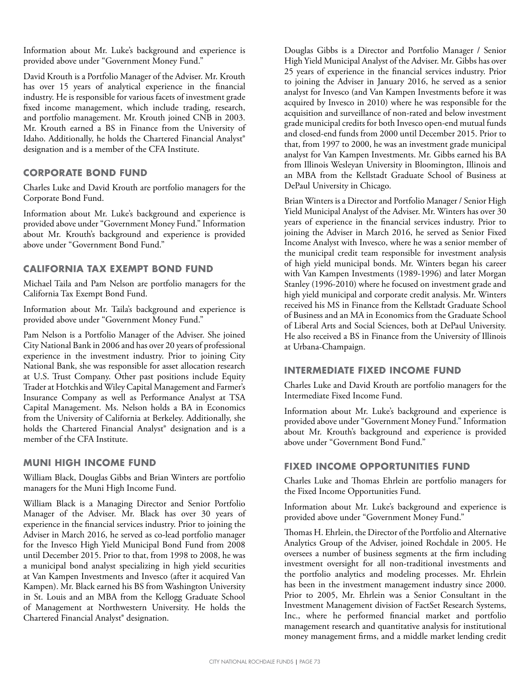Information about Mr. Luke's background and experience is provided above under "Government Money Fund."

David Krouth is a Portfolio Manager of the Adviser. Mr. Krouth has over 15 years of analytical experience in the financial industry. He is responsible for various facets of investment grade fixed income management, which include trading, research, and portfolio management. Mr. Krouth joined CNB in 2003. Mr. Krouth earned a BS in Finance from the University of Idaho. Additionally, he holds the Chartered Financial Analyst® designation and is a member of the CFA Institute.

#### **CORPORATE BOND FUND**

Charles Luke and David Krouth are portfolio managers for the Corporate Bond Fund.

Information about Mr. Luke's background and experience is provided above under "Government Money Fund." Information about Mr. Krouth's background and experience is provided above under "Government Bond Fund."

#### **CALIFORNIA TAX EXEMPT BOND FUND**

Michael Taila and Pam Nelson are portfolio managers for the California Tax Exempt Bond Fund.

Information about Mr. Taila's background and experience is provided above under "Government Money Fund."

Pam Nelson is a Portfolio Manager of the Adviser. She joined City National Bank in 2006 and has over 20 years of professional experience in the investment industry. Prior to joining City National Bank, she was responsible for asset allocation research at U.S. Trust Company. Other past positions include Equity Trader at Hotchkis and Wiley Capital Management and Farmer's Insurance Company as well as Performance Analyst at TSA Capital Management. Ms. Nelson holds a BA in Economics from the University of California at Berkeley. Additionally, she holds the Chartered Financial Analyst® designation and is a member of the CFA Institute.

#### **MUNI HIGH INCOME FUND**

William Black, Douglas Gibbs and Brian Winters are portfolio managers for the Muni High Income Fund.

William Black is a Managing Director and Senior Portfolio Manager of the Adviser. Mr. Black has over 30 years of experience in the financial services industry. Prior to joining the Adviser in March 2016, he served as co-lead portfolio manager for the Invesco High Yield Municipal Bond Fund from 2008 until December 2015. Prior to that, from 1998 to 2008, he was a municipal bond analyst specializing in high yield securities at Van Kampen Investments and Invesco (after it acquired Van Kampen). Mr. Black earned his BS from Washington University in St. Louis and an MBA from the Kellogg Graduate School of Management at Northwestern University. He holds the Chartered Financial Analyst® designation.

Douglas Gibbs is a Director and Portfolio Manager / Senior High Yield Municipal Analyst of the Adviser. Mr. Gibbs has over 25 years of experience in the financial services industry. Prior to joining the Adviser in January 2016, he served as a senior analyst for Invesco (and Van Kampen Investments before it was acquired by Invesco in 2010) where he was responsible for the acquisition and surveillance of non-rated and below investment grade municipal credits for both Invesco open-end mutual funds and closed-end funds from 2000 until December 2015. Prior to that, from 1997 to 2000, he was an investment grade municipal analyst for Van Kampen Investments. Mr. Gibbs earned his BA from Illinois Wesleyan University in Bloomington, Illinois and an MBA from the Kellstadt Graduate School of Business at DePaul University in Chicago.

Brian Winters is a Director and Portfolio Manager / Senior High Yield Municipal Analyst of the Adviser. Mr. Winters has over 30 years of experience in the financial services industry. Prior to joining the Adviser in March 2016, he served as Senior Fixed Income Analyst with Invesco, where he was a senior member of the municipal credit team responsible for investment analysis of high yield municipal bonds. Mr. Winters began his career with Van Kampen Investments (1989-1996) and later Morgan Stanley (1996-2010) where he focused on investment grade and high yield municipal and corporate credit analysis. Mr. Winters received his MS in Finance from the Kellstadt Graduate School of Business and an MA in Economics from the Graduate School of Liberal Arts and Social Sciences, both at DePaul University. He also received a BS in Finance from the University of Illinois at Urbana-Champaign.

#### **INTERMEDIATE FIXED INCOME FUND**

Charles Luke and David Krouth are portfolio managers for the Intermediate Fixed Income Fund.

Information about Mr. Luke's background and experience is provided above under "Government Money Fund." Information about Mr. Krouth's background and experience is provided above under "Government Bond Fund."

#### **FIXED INCOME OPPORTUNITIES FUND**

Charles Luke and Thomas Ehrlein are portfolio managers for the Fixed Income Opportunities Fund.

Information about Mr. Luke's background and experience is provided above under "Government Money Fund."

Thomas H. Ehrlein, the Director of the Portfolio and Alternative Analytics Group of the Adviser, joined Rochdale in 2005. He oversees a number of business segments at the firm including investment oversight for all non-traditional investments and the portfolio analytics and modeling processes. Mr. Ehrlein has been in the investment management industry since 2000. Prior to 2005, Mr. Ehrlein was a Senior Consultant in the Investment Management division of FactSet Research Systems, Inc., where he performed financial market and portfolio management research and quantitative analysis for institutional money management firms, and a middle market lending credit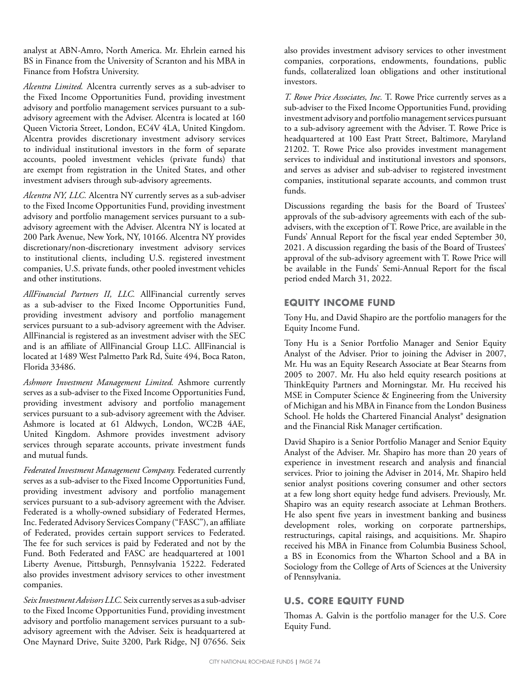analyst at ABN-Amro, North America. Mr. Ehrlein earned his BS in Finance from the University of Scranton and his MBA in Finance from Hofstra University.

*Alcentra Limited.* Alcentra currently serves as a sub-adviser to the Fixed Income Opportunities Fund, providing investment advisory and portfolio management services pursuant to a subadvisory agreement with the Adviser. Alcentra is located at 160 Queen Victoria Street, London, EC4V 4LA, United Kingdom. Alcentra provides discretionary investment advisory services to individual institutional investors in the form of separate accounts, pooled investment vehicles (private funds) that are exempt from registration in the United States, and other investment advisers through sub-advisory agreements.

*Alcentra NY, LLC.* Alcentra NY currently serves as a sub-adviser to the Fixed Income Opportunities Fund, providing investment advisory and portfolio management services pursuant to a subadvisory agreement with the Adviser. Alcentra NY is located at 200 Park Avenue, New York, NY, 10166. Alcentra NY provides discretionary/non-discretionary investment advisory services to institutional clients, including U.S. registered investment companies, U.S. private funds, other pooled investment vehicles and other institutions.

*AllFinancial Partners II, LLC.* AllFinancial currently serves as a sub-adviser to the Fixed Income Opportunities Fund, providing investment advisory and portfolio management services pursuant to a sub-advisory agreement with the Adviser. AllFinancial is registered as an investment adviser with the SEC and is an affiliate of AllFinancial Group LLC. AllFinancial is located at 1489 West Palmetto Park Rd, Suite 494, Boca Raton, Florida 33486.

*Ashmore Investment Management Limited.* Ashmore currently serves as a sub-adviser to the Fixed Income Opportunities Fund, providing investment advisory and portfolio management services pursuant to a sub-advisory agreement with the Adviser. Ashmore is located at 61 Aldwych, London, WC2B 4AE, United Kingdom. Ashmore provides investment advisory services through separate accounts, private investment funds and mutual funds.

*Federated Investment Management Company.* Federated currently serves as a sub-adviser to the Fixed Income Opportunities Fund, providing investment advisory and portfolio management services pursuant to a sub-advisory agreement with the Adviser. Federated is a wholly-owned subsidiary of Federated Hermes, Inc. Federated Advisory Services Company ("FASC"), an affiliate of Federated, provides certain support services to Federated. The fee for such services is paid by Federated and not by the Fund. Both Federated and FASC are headquartered at 1001 Liberty Avenue, Pittsburgh, Pennsylvania 15222. Federated also provides investment advisory services to other investment companies.

*Seix Investment Advisors LLC.* Seix currently serves as a sub-adviser to the Fixed Income Opportunities Fund, providing investment advisory and portfolio management services pursuant to a subadvisory agreement with the Adviser. Seix is headquartered at One Maynard Drive, Suite 3200, Park Ridge, NJ 07656. Seix

also provides investment advisory services to other investment companies, corporations, endowments, foundations, public funds, collateralized loan obligations and other institutional investors.

*T. Rowe Price Associates, Inc.* T. Rowe Price currently serves as a sub-adviser to the Fixed Income Opportunities Fund, providing investment advisory and portfolio management services pursuant to a sub-advisory agreement with the Adviser. T. Rowe Price is headquartered at 100 East Pratt Street, Baltimore, Maryland 21202. T. Rowe Price also provides investment management services to individual and institutional investors and sponsors, and serves as adviser and sub-adviser to registered investment companies, institutional separate accounts, and common trust funds.

Discussions regarding the basis for the Board of Trustees' approvals of the sub-advisory agreements with each of the subadvisers, with the exception of T. Rowe Price, are available in the Funds' Annual Report for the fiscal year ended September 30, 2021. A discussion regarding the basis of the Board of Trustees' approval of the sub-advisory agreement with T. Rowe Price will be available in the Funds' Semi-Annual Report for the fiscal period ended March 31, 2022.

#### **EQUITY INCOME FUND**

Tony Hu, and David Shapiro are the portfolio managers for the Equity Income Fund.

Tony Hu is a Senior Portfolio Manager and Senior Equity Analyst of the Adviser. Prior to joining the Adviser in 2007, Mr. Hu was an Equity Research Associate at Bear Stearns from 2005 to 2007. Mr. Hu also held equity research positions at ThinkEquity Partners and Morningstar. Mr. Hu received his MSE in Computer Science & Engineering from the University of Michigan and his MBA in Finance from the London Business School. He holds the Chartered Financial Analyst<sup>®</sup> designation and the Financial Risk Manager certification.

David Shapiro is a Senior Portfolio Manager and Senior Equity Analyst of the Adviser. Mr. Shapiro has more than 20 years of experience in investment research and analysis and financial services. Prior to joining the Adviser in 2014, Mr. Shapiro held senior analyst positions covering consumer and other sectors at a few long short equity hedge fund advisers. Previously, Mr. Shapiro was an equity research associate at Lehman Brothers. He also spent five years in investment banking and business development roles, working on corporate partnerships, restructurings, capital raisings, and acquisitions. Mr. Shapiro received his MBA in Finance from Columbia Business School, a BS in Economics from the Wharton School and a BA in Sociology from the College of Arts of Sciences at the University of Pennsylvania.

## **U.S. CORE EQUITY FUND**

Thomas A. Galvin is the portfolio manager for the U.S. Core Equity Fund.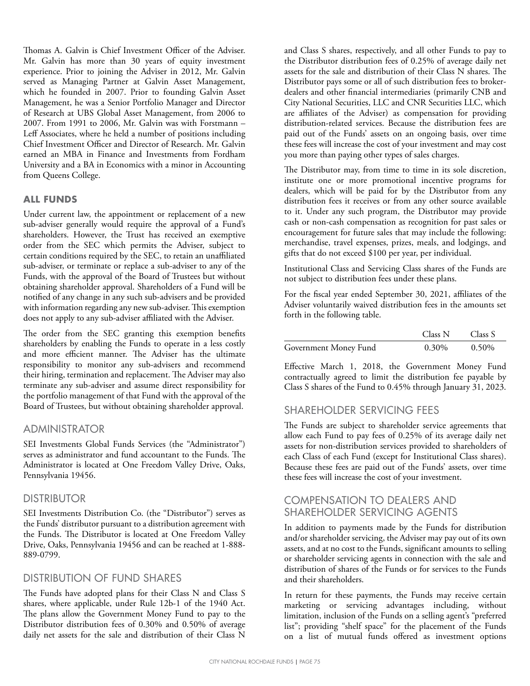Thomas A. Galvin is Chief Investment Officer of the Adviser. Mr. Galvin has more than 30 years of equity investment experience. Prior to joining the Adviser in 2012, Mr. Galvin served as Managing Partner at Galvin Asset Management, which he founded in 2007. Prior to founding Galvin Asset Management, he was a Senior Portfolio Manager and Director of Research at UBS Global Asset Management, from 2006 to 2007. From 1991 to 2006, Mr. Galvin was with Forstmann – Leff Associates, where he held a number of positions including Chief Investment Officer and Director of Research. Mr. Galvin earned an MBA in Finance and Investments from Fordham University and a BA in Economics with a minor in Accounting from Queens College.

#### **ALL FUNDS**

Under current law, the appointment or replacement of a new sub-adviser generally would require the approval of a Fund's shareholders. However, the Trust has received an exemptive order from the SEC which permits the Adviser, subject to certain conditions required by the SEC, to retain an unaffiliated sub-adviser, or terminate or replace a sub-adviser to any of the Funds, with the approval of the Board of Trustees but without obtaining shareholder approval. Shareholders of a Fund will be notified of any change in any such sub-advisers and be provided with information regarding any new sub-adviser. This exemption does not apply to any sub-adviser affiliated with the Adviser.

The order from the SEC granting this exemption benefits shareholders by enabling the Funds to operate in a less costly and more efficient manner. The Adviser has the ultimate responsibility to monitor any sub-advisers and recommend their hiring, termination and replacement. The Adviser may also terminate any sub-adviser and assume direct responsibility for the portfolio management of that Fund with the approval of the Board of Trustees, but without obtaining shareholder approval.

#### ADMINISTRATOR

SEI Investments Global Funds Services (the "Administrator") serves as administrator and fund accountant to the Funds. The Administrator is located at One Freedom Valley Drive, Oaks, Pennsylvania 19456.

#### DISTRIBUTOR

SEI Investments Distribution Co. (the "Distributor") serves as the Funds' distributor pursuant to a distribution agreement with the Funds. The Distributor is located at One Freedom Valley Drive, Oaks, Pennsylvania 19456 and can be reached at 1-888- 889-0799.

#### DISTRIBUTION OF FUND SHARES

The Funds have adopted plans for their Class N and Class S shares, where applicable, under Rule 12b-1 of the 1940 Act. The plans allow the Government Money Fund to pay to the Distributor distribution fees of 0.30% and 0.50% of average daily net assets for the sale and distribution of their Class N

and Class S shares, respectively, and all other Funds to pay to the Distributor distribution fees of 0.25% of average daily net assets for the sale and distribution of their Class N shares. The Distributor pays some or all of such distribution fees to brokerdealers and other financial intermediaries (primarily CNB and City National Securities, LLC and CNR Securities LLC, which are affiliates of the Adviser) as compensation for providing distribution-related services. Because the distribution fees are paid out of the Funds' assets on an ongoing basis, over time these fees will increase the cost of your investment and may cost you more than paying other types of sales charges.

The Distributor may, from time to time in its sole discretion, institute one or more promotional incentive programs for dealers, which will be paid for by the Distributor from any distribution fees it receives or from any other source available to it. Under any such program, the Distributor may provide cash or non-cash compensation as recognition for past sales or encouragement for future sales that may include the following: merchandise, travel expenses, prizes, meals, and lodgings, and gifts that do not exceed \$100 per year, per individual.

Institutional Class and Servicing Class shares of the Funds are not subject to distribution fees under these plans.

For the fiscal year ended September 30, 2021, affiliates of the Adviser voluntarily waived distribution fees in the amounts set forth in the following table.

|                       | Class N | Class S |
|-----------------------|---------|---------|
| Government Money Fund | 0.30%   | 0.50%   |

Effective March 1, 2018, the Government Money Fund contractually agreed to limit the distribution fee payable by Class S shares of the Fund to 0.45% through January 31, 2023.

#### SHAREHOLDER SERVICING FEES

The Funds are subject to shareholder service agreements that allow each Fund to pay fees of 0.25% of its average daily net assets for non-distribution services provided to shareholders of each Class of each Fund (except for Institutional Class shares). Because these fees are paid out of the Funds' assets, over time these fees will increase the cost of your investment.

#### COMPENSATION TO DEALERS AND SHAREHOLDER SERVICING AGENTS

In addition to payments made by the Funds for distribution and/or shareholder servicing, the Adviser may pay out of its own assets, and at no cost to the Funds, significant amounts to selling or shareholder servicing agents in connection with the sale and distribution of shares of the Funds or for services to the Funds and their shareholders.

In return for these payments, the Funds may receive certain marketing or servicing advantages including, without limitation, inclusion of the Funds on a selling agent's "preferred list"; providing "shelf space" for the placement of the Funds on a list of mutual funds offered as investment options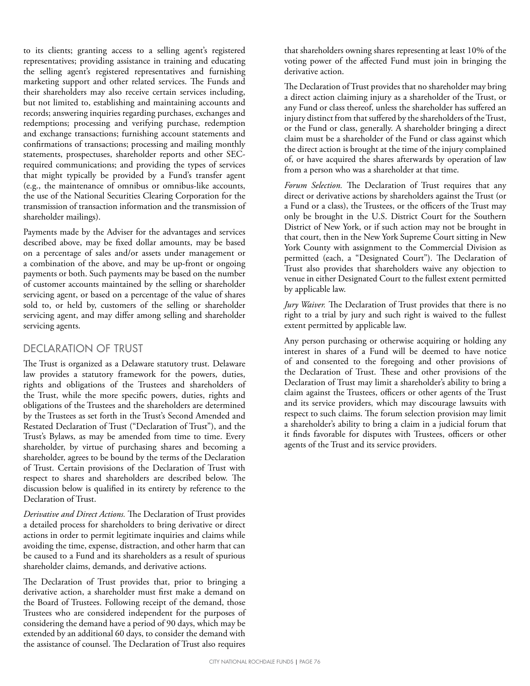to its clients; granting access to a selling agent's registered representatives; providing assistance in training and educating the selling agent's registered representatives and furnishing marketing support and other related services. The Funds and their shareholders may also receive certain services including, but not limited to, establishing and maintaining accounts and records; answering inquiries regarding purchases, exchanges and redemptions; processing and verifying purchase, redemption and exchange transactions; furnishing account statements and confirmations of transactions; processing and mailing monthly statements, prospectuses, shareholder reports and other SECrequired communications; and providing the types of services that might typically be provided by a Fund's transfer agent (e.g., the maintenance of omnibus or omnibus-like accounts, the use of the National Securities Clearing Corporation for the transmission of transaction information and the transmission of shareholder mailings).

Payments made by the Adviser for the advantages and services described above, may be fixed dollar amounts, may be based on a percentage of sales and/or assets under management or a combination of the above, and may be up-front or ongoing payments or both. Such payments may be based on the number of customer accounts maintained by the selling or shareholder servicing agent, or based on a percentage of the value of shares sold to, or held by, customers of the selling or shareholder servicing agent, and may differ among selling and shareholder servicing agents.

## DECLARATION OF TRUST

The Trust is organized as a Delaware statutory trust. Delaware law provides a statutory framework for the powers, duties, rights and obligations of the Trustees and shareholders of the Trust, while the more specific powers, duties, rights and obligations of the Trustees and the shareholders are determined by the Trustees as set forth in the Trust's Second Amended and Restated Declaration of Trust ("Declaration of Trust"), and the Trust's Bylaws, as may be amended from time to time. Every shareholder, by virtue of purchasing shares and becoming a shareholder, agrees to be bound by the terms of the Declaration of Trust. Certain provisions of the Declaration of Trust with respect to shares and shareholders are described below. The discussion below is qualified in its entirety by reference to the Declaration of Trust.

*Derivative and Direct Actions.* The Declaration of Trust provides a detailed process for shareholders to bring derivative or direct actions in order to permit legitimate inquiries and claims while avoiding the time, expense, distraction, and other harm that can be caused to a Fund and its shareholders as a result of spurious shareholder claims, demands, and derivative actions.

The Declaration of Trust provides that, prior to bringing a derivative action, a shareholder must first make a demand on the Board of Trustees. Following receipt of the demand, those Trustees who are considered independent for the purposes of considering the demand have a period of 90 days, which may be extended by an additional 60 days, to consider the demand with the assistance of counsel. The Declaration of Trust also requires that shareholders owning shares representing at least 10% of the voting power of the affected Fund must join in bringing the derivative action.

The Declaration of Trust provides that no shareholder may bring a direct action claiming injury as a shareholder of the Trust, or any Fund or class thereof, unless the shareholder has suffered an injury distinct from that suffered by the shareholders of the Trust, or the Fund or class, generally. A shareholder bringing a direct claim must be a shareholder of the Fund or class against which the direct action is brought at the time of the injury complained of, or have acquired the shares afterwards by operation of law from a person who was a shareholder at that time.

*Forum Selection.* The Declaration of Trust requires that any direct or derivative actions by shareholders against the Trust (or a Fund or a class), the Trustees, or the officers of the Trust may only be brought in the U.S. District Court for the Southern District of New York, or if such action may not be brought in that court, then in the New York Supreme Court sitting in New York County with assignment to the Commercial Division as permitted (each, a "Designated Court"). The Declaration of Trust also provides that shareholders waive any objection to venue in either Designated Court to the fullest extent permitted by applicable law.

*Jury Waiver.* The Declaration of Trust provides that there is no right to a trial by jury and such right is waived to the fullest extent permitted by applicable law.

Any person purchasing or otherwise acquiring or holding any interest in shares of a Fund will be deemed to have notice of and consented to the foregoing and other provisions of the Declaration of Trust. These and other provisions of the Declaration of Trust may limit a shareholder's ability to bring a claim against the Trustees, officers or other agents of the Trust and its service providers, which may discourage lawsuits with respect to such claims. The forum selection provision may limit a shareholder's ability to bring a claim in a judicial forum that it finds favorable for disputes with Trustees, officers or other agents of the Trust and its service providers.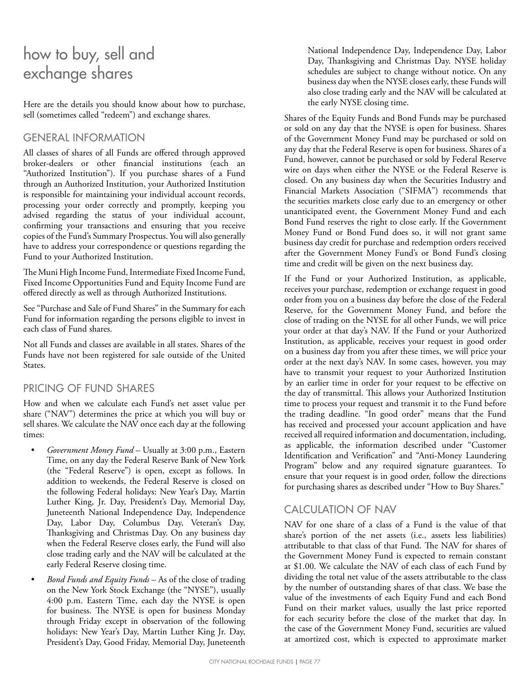# how to buy, sell and exchange shares

Here are the details you should know about how to purchase, sell (sometimes called "redeem") and exchange shares.

## GENERAL INFORMATION

All classes of shares of all Funds are offered through approved broker-dealers or other financial institutions (each an "Authorized Institution"). If you purchase shares of a Fund through an Authorized Institution, your Authorized Institution is responsible for maintaining your individual account records, processing your order correctly and promptly, keeping you advised regarding the status of your individual account, confirming your transactions and ensuring that you receive copies of the Fund's Summary Prospectus. You will also generally have to address your correspondence or questions regarding the Fund to your Authorized Institution.

The Muni High Income Fund, Intermediate Fixed Income Fund, Fixed Income Opportunities Fund and Equity Income Fund are offered directly as well as through Authorized Institutions.

See "Purchase and Sale of Fund Shares" in the Summary for each Fund for information regarding the persons eligible to invest in each class of Fund shares.

Not all Funds and classes are available in all states. Shares of the Funds have not been registered for sale outside of the United States.

## PRICING OF FUND SHARES

How and when we calculate each Fund's net asset value per share ("NAV") determines the price at which you will buy or sell shares. We calculate the NAV once each day at the following times:

- *Government Money Fund*  Usually at 3:00 p.m., Eastern Time, on any day the Federal Reserve Bank of New York (the "Federal Reserve") is open, except as follows. In addition to weekends, the Federal Reserve is closed on the following Federal holidays: New Year's Day, Martin Luther King, Jr. Day, President's Day, Memorial Day, Juneteenth National Independence Day, Independence Day, Labor Day, Columbus Day, Veteran's Day, Thanksgiving and Christmas Day. On any business day when the Federal Reserve closes early, the Fund will also close trading early and the NAV will be calculated at the early Federal Reserve closing time.
- *Bond Funds and Equity Funds* As of the close of trading on the New York Stock Exchange (the "NYSE"), usually 4:00 p.m. Eastern Time, each day the NYSE is open for business. The NYSE is open for business Monday through Friday except in observation of the following holidays: New Year's Day, Martin Luther King Jr. Day, President's Day, Good Friday, Memorial Day, Juneteenth

National Independence Day, Independence Day, Labor Day, Thanksgiving and Christmas Day. NYSE holiday schedules are subject to change without notice. On any business day when the NYSE closes early, these Funds will also close trading early and the NAV will be calculated at the early NYSE closing time.

Shares of the Equity Funds and Bond Funds may be purchased or sold on any day that the NYSE is open for business. Shares of the Government Money Fund may be purchased or sold on any day that the Federal Reserve is open for business. Shares of a Fund, however, cannot be purchased or sold by Federal Reserve wire on days when either the NYSE or the Federal Reserve is closed. On any business day when the Securities Industry and Financial Markets Association ("SIFMA") recommends that the securities markets close early due to an emergency or other unanticipated event, the Government Money Fund and each Bond Fund reserves the right to close early. If the Government Money Fund or Bond Fund does so, it will not grant same business day credit for purchase and redemption orders received after the Government Money Fund's or Bond Fund's closing time and credit will be given on the next business day.

If the Fund or your Authorized Institution, as applicable, receives your purchase, redemption or exchange request in good order from you on a business day before the close of the Federal Reserve, for the Government Money Fund, and before the close of trading on the NYSE for all other Funds, we will price your order at that day's NAV. If the Fund or your Authorized Institution, as applicable, receives your request in good order on a business day from you after these times, we will price your order at the next day's NAV. In some cases, however, you may have to transmit your request to your Authorized Institution by an earlier time in order for your request to be effective on the day of transmittal. This allows your Authorized Institution time to process your request and transmit it to the Fund before the trading deadline. "In good order" means that the Fund has received and processed your account application and have received all required information and documentation, including, as applicable, the information described under "Customer Identification and Verification" and "Anti-Money Laundering Program" below and any required signature guarantees. To ensure that your request is in good order, follow the directions for purchasing shares as described under "How to Buy Shares."

## CALCULATION OF NAV

NAV for one share of a class of a Fund is the value of that share's portion of the net assets (i.e., assets less liabilities) attributable to that class of that Fund. The NAV for shares of the Government Money Fund is expected to remain constant at \$1.00. We calculate the NAV of each class of each Fund by dividing the total net value of the assets attributable to the class by the number of outstanding shares of that class. We base the value of the investments of each Equity Fund and each Bond Fund on their market values, usually the last price reported for each security before the close of the market that day. In the case of the Government Money Fund, securities are valued at amortized cost, which is expected to approximate market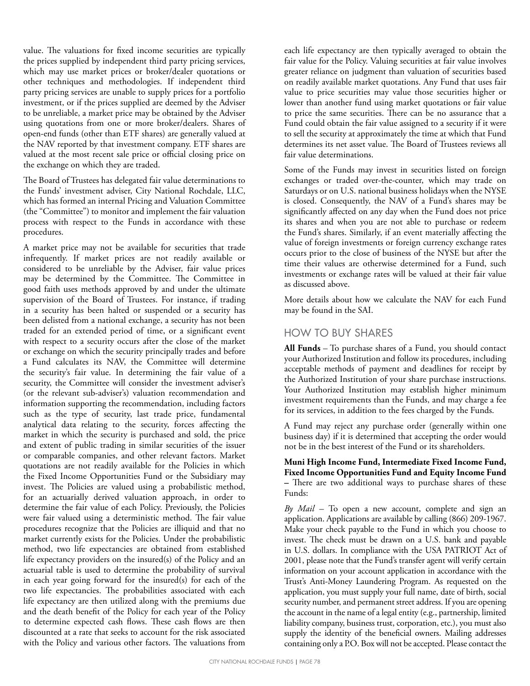value. The valuations for fixed income securities are typically the prices supplied by independent third party pricing services, which may use market prices or broker/dealer quotations or other techniques and methodologies. If independent third party pricing services are unable to supply prices for a portfolio investment, or if the prices supplied are deemed by the Adviser to be unreliable, a market price may be obtained by the Adviser using quotations from one or more broker/dealers. Shares of open-end funds (other than ETF shares) are generally valued at the NAV reported by that investment company. ETF shares are valued at the most recent sale price or official closing price on the exchange on which they are traded.

The Board of Trustees has delegated fair value determinations to the Funds' investment adviser, City National Rochdale, LLC, which has formed an internal Pricing and Valuation Committee (the "Committee") to monitor and implement the fair valuation process with respect to the Funds in accordance with these procedures.

A market price may not be available for securities that trade infrequently. If market prices are not readily available or considered to be unreliable by the Adviser, fair value prices may be determined by the Committee. The Committee in good faith uses methods approved by and under the ultimate supervision of the Board of Trustees. For instance, if trading in a security has been halted or suspended or a security has been delisted from a national exchange, a security has not been traded for an extended period of time, or a significant event with respect to a security occurs after the close of the market or exchange on which the security principally trades and before a Fund calculates its NAV, the Committee will determine the security's fair value. In determining the fair value of a security, the Committee will consider the investment adviser's (or the relevant sub-adviser's) valuation recommendation and information supporting the recommendation, including factors such as the type of security, last trade price, fundamental analytical data relating to the security, forces affecting the market in which the security is purchased and sold, the price and extent of public trading in similar securities of the issuer or comparable companies, and other relevant factors. Market quotations are not readily available for the Policies in which the Fixed Income Opportunities Fund or the Subsidiary may invest. The Policies are valued using a probabilistic method, for an actuarially derived valuation approach, in order to determine the fair value of each Policy. Previously, the Policies were fair valued using a deterministic method. The fair value procedures recognize that the Policies are illiquid and that no market currently exists for the Policies. Under the probabilistic method, two life expectancies are obtained from established life expectancy providers on the insured(s) of the Policy and an actuarial table is used to determine the probability of survival in each year going forward for the insured(s) for each of the two life expectancies. The probabilities associated with each life expectancy are then utilized along with the premiums due and the death benefit of the Policy for each year of the Policy to determine expected cash flows. These cash flows are then discounted at a rate that seeks to account for the risk associated with the Policy and various other factors. The valuations from

each life expectancy are then typically averaged to obtain the fair value for the Policy. Valuing securities at fair value involves greater reliance on judgment than valuation of securities based on readily available market quotations. Any Fund that uses fair value to price securities may value those securities higher or lower than another fund using market quotations or fair value to price the same securities. There can be no assurance that a Fund could obtain the fair value assigned to a security if it were to sell the security at approximately the time at which that Fund determines its net asset value. The Board of Trustees reviews all fair value determinations.

Some of the Funds may invest in securities listed on foreign exchanges or traded over-the-counter, which may trade on Saturdays or on U.S. national business holidays when the NYSE is closed. Consequently, the NAV of a Fund's shares may be significantly affected on any day when the Fund does not price its shares and when you are not able to purchase or redeem the Fund's shares. Similarly, if an event materially affecting the value of foreign investments or foreign currency exchange rates occurs prior to the close of business of the NYSE but after the time their values are otherwise determined for a Fund, such investments or exchange rates will be valued at their fair value as discussed above.

More details about how we calculate the NAV for each Fund may be found in the SAI.

## HOW TO BUY SHARES

**All Funds** – To purchase shares of a Fund, you should contact your Authorized Institution and follow its procedures, including acceptable methods of payment and deadlines for receipt by the Authorized Institution of your share purchase instructions. Your Authorized Institution may establish higher minimum investment requirements than the Funds, and may charge a fee for its services, in addition to the fees charged by the Funds.

A Fund may reject any purchase order (generally within one business day) if it is determined that accepting the order would not be in the best interest of the Fund or its shareholders.

**Muni High Income Fund, Intermediate Fixed Income Fund, Fixed Income Opportunities Fund and Equity Income Fund –** There are two additional ways to purchase shares of these Funds:

*By Mail –* To open a new account, complete and sign an application. Applications are available by calling (866) 209-1967. Make your check payable to the Fund in which you choose to invest. The check must be drawn on a U.S. bank and payable in U.S. dollars. In compliance with the USA PATRIOT Act of 2001, please note that the Fund's transfer agent will verify certain information on your account application in accordance with the Trust's Anti-Money Laundering Program. As requested on the application, you must supply your full name, date of birth, social security number, and permanent street address. If you are opening the account in the name of a legal entity (e.g., partnership, limited liability company, business trust, corporation, etc.), you must also supply the identity of the beneficial owners. Mailing addresses containing only a P.O. Box will not be accepted. Please contact the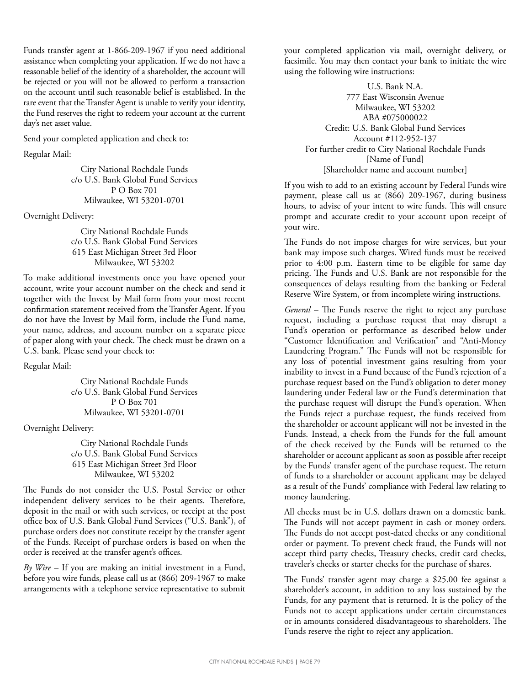Funds transfer agent at 1-866-209-1967 if you need additional assistance when completing your application. If we do not have a reasonable belief of the identity of a shareholder, the account will be rejected or you will not be allowed to perform a transaction on the account until such reasonable belief is established. In the rare event that the Transfer Agent is unable to verify your identity, the Fund reserves the right to redeem your account at the current day's net asset value.

Send your completed application and check to:

Regular Mail:

City National Rochdale Funds c/o U.S. Bank Global Fund Services P O Box 701 Milwaukee, WI 53201-0701

Overnight Delivery:

City National Rochdale Funds c/o U.S. Bank Global Fund Services 615 East Michigan Street 3rd Floor Milwaukee, WI 53202

To make additional investments once you have opened your account, write your account number on the check and send it together with the Invest by Mail form from your most recent confirmation statement received from the Transfer Agent. If you do not have the Invest by Mail form, include the Fund name, your name, address, and account number on a separate piece of paper along with your check. The check must be drawn on a U.S. bank. Please send your check to:

Regular Mail:

City National Rochdale Funds c/o U.S. Bank Global Fund Services P O Box 701 Milwaukee, WI 53201-0701

Overnight Delivery:

City National Rochdale Funds c/o U.S. Bank Global Fund Services 615 East Michigan Street 3rd Floor Milwaukee, WI 53202

The Funds do not consider the U.S. Postal Service or other independent delivery services to be their agents. Therefore, deposit in the mail or with such services, or receipt at the post office box of U.S. Bank Global Fund Services ("U.S. Bank"), of purchase orders does not constitute receipt by the transfer agent of the Funds. Receipt of purchase orders is based on when the order is received at the transfer agent's offices.

*By Wire* – If you are making an initial investment in a Fund, before you wire funds, please call us at (866) 209-1967 to make arrangements with a telephone service representative to submit your completed application via mail, overnight delivery, or facsimile. You may then contact your bank to initiate the wire using the following wire instructions:

U.S. Bank N.A. 777 East Wisconsin Avenue Milwaukee, WI 53202 ABA #075000022 Credit: U.S. Bank Global Fund Services Account #112-952-137 For further credit to City National Rochdale Funds [Name of Fund] [Shareholder name and account number]

If you wish to add to an existing account by Federal Funds wire payment, please call us at (866) 209-1967, during business hours, to advise of your intent to wire funds. This will ensure prompt and accurate credit to your account upon receipt of your wire.

The Funds do not impose charges for wire services, but your bank may impose such charges. Wired funds must be received prior to 4:00 p.m. Eastern time to be eligible for same day pricing. The Funds and U.S. Bank are not responsible for the consequences of delays resulting from the banking or Federal Reserve Wire System, or from incomplete wiring instructions.

*General* – The Funds reserve the right to reject any purchase request, including a purchase request that may disrupt a Fund's operation or performance as described below under "Customer Identification and Verification" and "Anti-Money Laundering Program." The Funds will not be responsible for any loss of potential investment gains resulting from your inability to invest in a Fund because of the Fund's rejection of a purchase request based on the Fund's obligation to deter money laundering under Federal law or the Fund's determination that the purchase request will disrupt the Fund's operation. When the Funds reject a purchase request, the funds received from the shareholder or account applicant will not be invested in the Funds. Instead, a check from the Funds for the full amount of the check received by the Funds will be returned to the shareholder or account applicant as soon as possible after receipt by the Funds' transfer agent of the purchase request. The return of funds to a shareholder or account applicant may be delayed as a result of the Funds' compliance with Federal law relating to money laundering.

All checks must be in U.S. dollars drawn on a domestic bank. The Funds will not accept payment in cash or money orders. The Funds do not accept post-dated checks or any conditional order or payment. To prevent check fraud, the Funds will not accept third party checks, Treasury checks, credit card checks, traveler's checks or starter checks for the purchase of shares.

The Funds' transfer agent may charge a \$25.00 fee against a shareholder's account, in addition to any loss sustained by the Funds, for any payment that is returned. It is the policy of the Funds not to accept applications under certain circumstances or in amounts considered disadvantageous to shareholders. The Funds reserve the right to reject any application.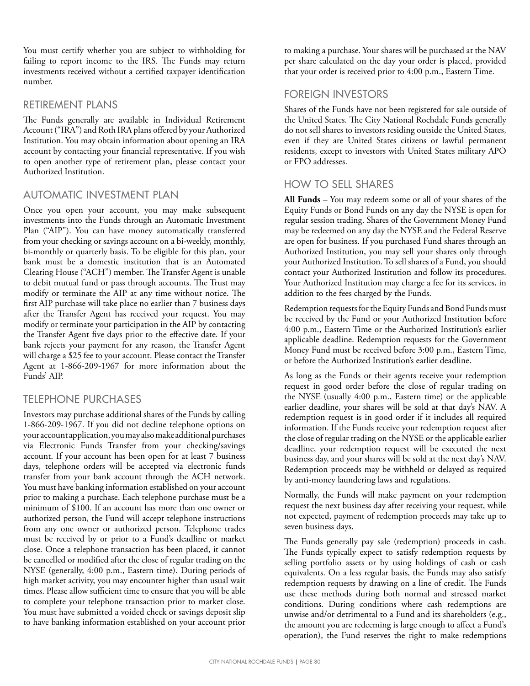You must certify whether you are subject to withholding for failing to report income to the IRS. The Funds may return investments received without a certified taxpayer identification number.

#### RETIREMENT PLANS

The Funds generally are available in Individual Retirement Account ("IRA") and Roth IRA plans offered by your Authorized Institution. You may obtain information about opening an IRA account by contacting your financial representative. If you wish to open another type of retirement plan, please contact your Authorized Institution.

## AUTOMATIC INVESTMENT PLAN

Once you open your account, you may make subsequent investments into the Funds through an Automatic Investment Plan ("AIP"). You can have money automatically transferred from your checking or savings account on a bi-weekly, monthly, bi-monthly or quarterly basis. To be eligible for this plan, your bank must be a domestic institution that is an Automated Clearing House ("ACH") member. The Transfer Agent is unable to debit mutual fund or pass through accounts. The Trust may modify or terminate the AIP at any time without notice. The first AIP purchase will take place no earlier than 7 business days after the Transfer Agent has received your request. You may modify or terminate your participation in the AIP by contacting the Transfer Agent five days prior to the effective date. If your bank rejects your payment for any reason, the Transfer Agent will charge a \$25 fee to your account. Please contact the Transfer Agent at 1-866-209-1967 for more information about the Funds' AIP.

## TELEPHONE PURCHASES

Investors may purchase additional shares of the Funds by calling 1-866-209-1967. If you did not decline telephone options on your account application, you may also make additional purchases via Electronic Funds Transfer from your checking/savings account. If your account has been open for at least 7 business days, telephone orders will be accepted via electronic funds transfer from your bank account through the ACH network. You must have banking information established on your account prior to making a purchase. Each telephone purchase must be a minimum of \$100. If an account has more than one owner or authorized person, the Fund will accept telephone instructions from any one owner or authorized person. Telephone trades must be received by or prior to a Fund's deadline or market close. Once a telephone transaction has been placed, it cannot be cancelled or modified after the close of regular trading on the NYSE (generally, 4:00 p.m., Eastern time). During periods of high market activity, you may encounter higher than usual wait times. Please allow sufficient time to ensure that you will be able to complete your telephone transaction prior to market close. You must have submitted a voided check or savings deposit slip to have banking information established on your account prior

to making a purchase. Your shares will be purchased at the NAV per share calculated on the day your order is placed, provided that your order is received prior to 4:00 p.m., Eastern Time.

## FOREIGN INVESTORS

Shares of the Funds have not been registered for sale outside of the United States. The City National Rochdale Funds generally do not sell shares to investors residing outside the United States, even if they are United States citizens or lawful permanent residents, except to investors with United States military APO or FPO addresses.

## HOW TO SELL SHARES

**All Funds** – You may redeem some or all of your shares of the Equity Funds or Bond Funds on any day the NYSE is open for regular session trading. Shares of the Government Money Fund may be redeemed on any day the NYSE and the Federal Reserve are open for business. If you purchased Fund shares through an Authorized Institution, you may sell your shares only through your Authorized Institution. To sell shares of a Fund, you should contact your Authorized Institution and follow its procedures. Your Authorized Institution may charge a fee for its services, in addition to the fees charged by the Funds.

Redemption requests for the Equity Funds and Bond Funds must be received by the Fund or your Authorized Institution before 4:00 p.m., Eastern Time or the Authorized Institution's earlier applicable deadline. Redemption requests for the Government Money Fund must be received before 3:00 p.m., Eastern Time, or before the Authorized Institution's earlier deadline.

As long as the Funds or their agents receive your redemption request in good order before the close of regular trading on the NYSE (usually 4:00 p.m., Eastern time) or the applicable earlier deadline, your shares will be sold at that day's NAV. A redemption request is in good order if it includes all required information. If the Funds receive your redemption request after the close of regular trading on the NYSE or the applicable earlier deadline, your redemption request will be executed the next business day, and your shares will be sold at the next day's NAV. Redemption proceeds may be withheld or delayed as required by anti-money laundering laws and regulations.

Normally, the Funds will make payment on your redemption request the next business day after receiving your request, while not expected, payment of redemption proceeds may take up to seven business days.

The Funds generally pay sale (redemption) proceeds in cash. The Funds typically expect to satisfy redemption requests by selling portfolio assets or by using holdings of cash or cash equivalents. On a less regular basis, the Funds may also satisfy redemption requests by drawing on a line of credit. The Funds use these methods during both normal and stressed market conditions. During conditions where cash redemptions are unwise and/or detrimental to a Fund and its shareholders (e.g., the amount you are redeeming is large enough to affect a Fund's operation), the Fund reserves the right to make redemptions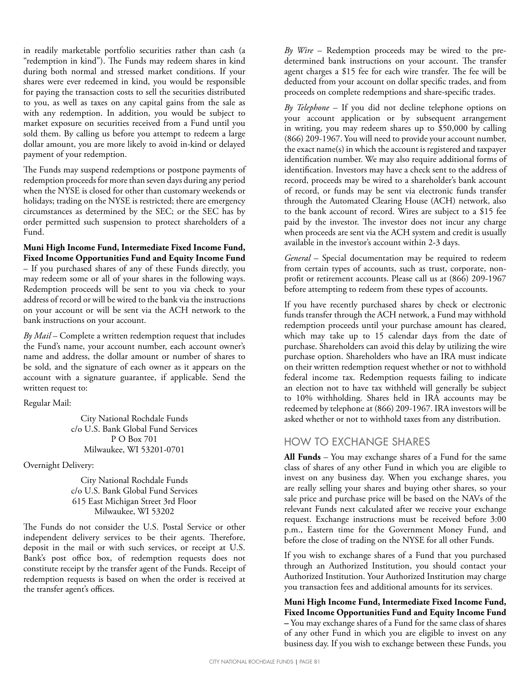in readily marketable portfolio securities rather than cash (a "redemption in kind"). The Funds may redeem shares in kind during both normal and stressed market conditions. If your shares were ever redeemed in kind, you would be responsible for paying the transaction costs to sell the securities distributed to you, as well as taxes on any capital gains from the sale as with any redemption. In addition, you would be subject to market exposure on securities received from a Fund until you sold them. By calling us before you attempt to redeem a large dollar amount, you are more likely to avoid in-kind or delayed payment of your redemption.

The Funds may suspend redemptions or postpone payments of redemption proceeds for more than seven days during any period when the NYSE is closed for other than customary weekends or holidays; trading on the NYSE is restricted; there are emergency circumstances as determined by the SEC; or the SEC has by order permitted such suspension to protect shareholders of a Fund.

**Muni High Income Fund, Intermediate Fixed Income Fund, Fixed Income Opportunities Fund and Equity Income Fund**  – If you purchased shares of any of these Funds directly, you may redeem some or all of your shares in the following ways. Redemption proceeds will be sent to you via check to your address of record or will be wired to the bank via the instructions on your account or will be sent via the ACH network to the bank instructions on your account.

*By Mail* – Complete a written redemption request that includes the Fund's name, your account number, each account owner's name and address, the dollar amount or number of shares to be sold, and the signature of each owner as it appears on the account with a signature guarantee, if applicable. Send the written request to:

Regular Mail:

City National Rochdale Funds c/o U.S. Bank Global Fund Services P O Box 701 Milwaukee, WI 53201-0701

Overnight Delivery:

City National Rochdale Funds c/o U.S. Bank Global Fund Services 615 East Michigan Street 3rd Floor Milwaukee, WI 53202

The Funds do not consider the U.S. Postal Service or other independent delivery services to be their agents. Therefore, deposit in the mail or with such services, or receipt at U.S. Bank's post office box, of redemption requests does not constitute receipt by the transfer agent of the Funds. Receipt of redemption requests is based on when the order is received at the transfer agent's offices.

*By Wire* – Redemption proceeds may be wired to the predetermined bank instructions on your account. The transfer agent charges a \$15 fee for each wire transfer. The fee will be deducted from your account on dollar specific trades, and from proceeds on complete redemptions and share-specific trades.

*By Telephone* – If you did not decline telephone options on your account application or by subsequent arrangement in writing, you may redeem shares up to \$50,000 by calling (866) 209-1967. You will need to provide your account number, the exact name(s) in which the account is registered and taxpayer identification number. We may also require additional forms of identification. Investors may have a check sent to the address of record, proceeds may be wired to a shareholder's bank account of record, or funds may be sent via electronic funds transfer through the Automated Clearing House (ACH) network, also to the bank account of record. Wires are subject to a \$15 fee paid by the investor. The investor does not incur any charge when proceeds are sent via the ACH system and credit is usually available in the investor's account within 2-3 days.

*General* – Special documentation may be required to redeem from certain types of accounts, such as trust, corporate, nonprofit or retirement accounts. Please call us at (866) 209-1967 before attempting to redeem from these types of accounts.

If you have recently purchased shares by check or electronic funds transfer through the ACH network, a Fund may withhold redemption proceeds until your purchase amount has cleared, which may take up to 15 calendar days from the date of purchase. Shareholders can avoid this delay by utilizing the wire purchase option. Shareholders who have an IRA must indicate on their written redemption request whether or not to withhold federal income tax. Redemption requests failing to indicate an election not to have tax withheld will generally be subject to 10% withholding. Shares held in IRA accounts may be redeemed by telephone at (866) 209-1967. IRA investors will be asked whether or not to withhold taxes from any distribution.

## HOW TO EXCHANGE SHARES

**All Funds** – You may exchange shares of a Fund for the same class of shares of any other Fund in which you are eligible to invest on any business day. When you exchange shares, you are really selling your shares and buying other shares, so your sale price and purchase price will be based on the NAVs of the relevant Funds next calculated after we receive your exchange request. Exchange instructions must be received before 3:00 p.m., Eastern time for the Government Money Fund, and before the close of trading on the NYSE for all other Funds.

If you wish to exchange shares of a Fund that you purchased through an Authorized Institution, you should contact your Authorized Institution. Your Authorized Institution may charge you transaction fees and additional amounts for its services.

**Muni High Income Fund, Intermediate Fixed Income Fund, Fixed Income Opportunities Fund and Equity Income Fund –** You may exchange shares of a Fund for the same class of shares of any other Fund in which you are eligible to invest on any business day. If you wish to exchange between these Funds, you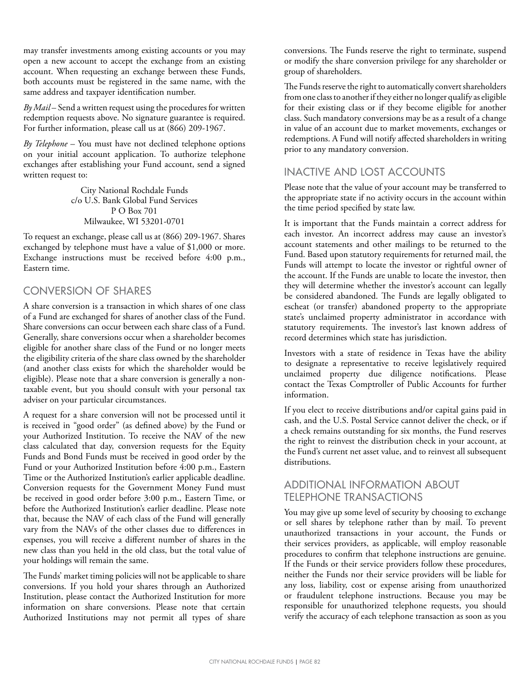may transfer investments among existing accounts or you may open a new account to accept the exchange from an existing account. When requesting an exchange between these Funds, both accounts must be registered in the same name, with the same address and taxpayer identification number.

*By Mail* – Send a written request using the procedures for written redemption requests above. No signature guarantee is required. For further information, please call us at (866) 209-1967.

*By Telephone* – You must have not declined telephone options on your initial account application. To authorize telephone exchanges after establishing your Fund account, send a signed written request to:

> City National Rochdale Funds c/o U.S. Bank Global Fund Services P O Box 701 Milwaukee, WI 53201-0701

To request an exchange, please call us at (866) 209-1967. Shares exchanged by telephone must have a value of \$1,000 or more. Exchange instructions must be received before 4:00 p.m., Eastern time.

## CONVERSION OF SHARES

A share conversion is a transaction in which shares of one class of a Fund are exchanged for shares of another class of the Fund. Share conversions can occur between each share class of a Fund. Generally, share conversions occur when a shareholder becomes eligible for another share class of the Fund or no longer meets the eligibility criteria of the share class owned by the shareholder (and another class exists for which the shareholder would be eligible). Please note that a share conversion is generally a nontaxable event, but you should consult with your personal tax adviser on your particular circumstances.

A request for a share conversion will not be processed until it is received in "good order" (as defined above) by the Fund or your Authorized Institution. To receive the NAV of the new class calculated that day, conversion requests for the Equity Funds and Bond Funds must be received in good order by the Fund or your Authorized Institution before 4:00 p.m., Eastern Time or the Authorized Institution's earlier applicable deadline. Conversion requests for the Government Money Fund must be received in good order before 3:00 p.m., Eastern Time, or before the Authorized Institution's earlier deadline. Please note that, because the NAV of each class of the Fund will generally vary from the NAVs of the other classes due to differences in expenses, you will receive a different number of shares in the new class than you held in the old class, but the total value of your holdings will remain the same.

The Funds' market timing policies will not be applicable to share conversions. If you hold your shares through an Authorized Institution, please contact the Authorized Institution for more information on share conversions. Please note that certain Authorized Institutions may not permit all types of share conversions. The Funds reserve the right to terminate, suspend or modify the share conversion privilege for any shareholder or group of shareholders.

The Funds reserve the right to automatically convert shareholders from one class to another if they either no longer qualify as eligible for their existing class or if they become eligible for another class. Such mandatory conversions may be as a result of a change in value of an account due to market movements, exchanges or redemptions. A Fund will notify affected shareholders in writing prior to any mandatory conversion.

## INACTIVE AND LOST ACCOUNTS

Please note that the value of your account may be transferred to the appropriate state if no activity occurs in the account within the time period specified by state law.

It is important that the Funds maintain a correct address for each investor. An incorrect address may cause an investor's account statements and other mailings to be returned to the Fund. Based upon statutory requirements for returned mail, the Funds will attempt to locate the investor or rightful owner of the account. If the Funds are unable to locate the investor, then they will determine whether the investor's account can legally be considered abandoned. The Funds are legally obligated to escheat (or transfer) abandoned property to the appropriate state's unclaimed property administrator in accordance with statutory requirements. The investor's last known address of record determines which state has jurisdiction.

Investors with a state of residence in Texas have the ability to designate a representative to receive legislatively required unclaimed property due diligence notifications. Please contact the Texas Comptroller of Public Accounts for further information.

If you elect to receive distributions and/or capital gains paid in cash, and the U.S. Postal Service cannot deliver the check, or if a check remains outstanding for six months, the Fund reserves the right to reinvest the distribution check in your account, at the Fund's current net asset value, and to reinvest all subsequent distributions.

## ADDITIONAL INFORMATION ABOUT TELEPHONE TRANSACTIONS

You may give up some level of security by choosing to exchange or sell shares by telephone rather than by mail. To prevent unauthorized transactions in your account, the Funds or their services providers, as applicable, will employ reasonable procedures to confirm that telephone instructions are genuine. If the Funds or their service providers follow these procedures, neither the Funds nor their service providers will be liable for any loss, liability, cost or expense arising from unauthorized or fraudulent telephone instructions. Because you may be responsible for unauthorized telephone requests, you should verify the accuracy of each telephone transaction as soon as you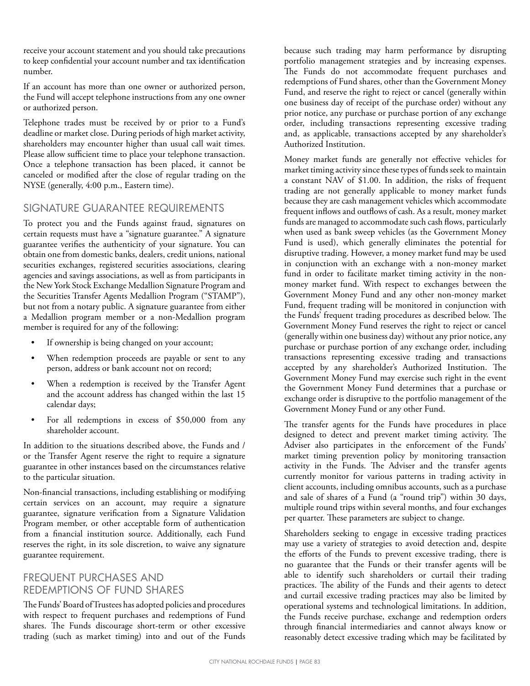receive your account statement and you should take precautions to keep confidential your account number and tax identification number.

If an account has more than one owner or authorized person, the Fund will accept telephone instructions from any one owner or authorized person.

Telephone trades must be received by or prior to a Fund's deadline or market close. During periods of high market activity, shareholders may encounter higher than usual call wait times. Please allow sufficient time to place your telephone transaction. Once a telephone transaction has been placed, it cannot be canceled or modified after the close of regular trading on the NYSE (generally, 4:00 p.m., Eastern time).

## SIGNATURE GUARANTEE REQUIREMENTS

To protect you and the Funds against fraud, signatures on certain requests must have a "signature guarantee." A signature guarantee verifies the authenticity of your signature. You can obtain one from domestic banks, dealers, credit unions, national securities exchanges, registered securities associations, clearing agencies and savings associations, as well as from participants in the New York Stock Exchange Medallion Signature Program and the Securities Transfer Agents Medallion Program ("STAMP"), but not from a notary public. A signature guarantee from either a Medallion program member or a non-Medallion program member is required for any of the following:

- If ownership is being changed on your account;
- When redemption proceeds are payable or sent to any person, address or bank account not on record;
- When a redemption is received by the Transfer Agent and the account address has changed within the last 15 calendar days;
- For all redemptions in excess of \$50,000 from any shareholder account.

In addition to the situations described above, the Funds and / or the Transfer Agent reserve the right to require a signature guarantee in other instances based on the circumstances relative to the particular situation.

Non-financial transactions, including establishing or modifying certain services on an account, may require a signature guarantee, signature verification from a Signature Validation Program member, or other acceptable form of authentication from a financial institution source. Additionally, each Fund reserves the right, in its sole discretion, to waive any signature guarantee requirement.

## FREQUENT PURCHASES AND REDEMPTIONS OF FUND SHARES

The Funds' Board of Trustees has adopted policies and procedures with respect to frequent purchases and redemptions of Fund shares. The Funds discourage short-term or other excessive trading (such as market timing) into and out of the Funds because such trading may harm performance by disrupting portfolio management strategies and by increasing expenses. The Funds do not accommodate frequent purchases and redemptions of Fund shares, other than the Government Money Fund, and reserve the right to reject or cancel (generally within one business day of receipt of the purchase order) without any prior notice, any purchase or purchase portion of any exchange order, including transactions representing excessive trading and, as applicable, transactions accepted by any shareholder's Authorized Institution.

Money market funds are generally not effective vehicles for market timing activity since these types of funds seek to maintain a constant NAV of \$1.00. In addition, the risks of frequent trading are not generally applicable to money market funds because they are cash management vehicles which accommodate frequent inflows and outflows of cash. As a result, money market funds are managed to accommodate such cash flows, particularly when used as bank sweep vehicles (as the Government Money Fund is used), which generally eliminates the potential for disruptive trading. However, a money market fund may be used in conjunction with an exchange with a non-money market fund in order to facilitate market timing activity in the nonmoney market fund. With respect to exchanges between the Government Money Fund and any other non-money market Fund, frequent trading will be monitored in conjunction with the Funds' frequent trading procedures as described below. The Government Money Fund reserves the right to reject or cancel (generally within one business day) without any prior notice, any purchase or purchase portion of any exchange order, including transactions representing excessive trading and transactions accepted by any shareholder's Authorized Institution. The Government Money Fund may exercise such right in the event the Government Money Fund determines that a purchase or exchange order is disruptive to the portfolio management of the Government Money Fund or any other Fund.

The transfer agents for the Funds have procedures in place designed to detect and prevent market timing activity. The Adviser also participates in the enforcement of the Funds' market timing prevention policy by monitoring transaction activity in the Funds. The Adviser and the transfer agents currently monitor for various patterns in trading activity in client accounts, including omnibus accounts, such as a purchase and sale of shares of a Fund (a "round trip") within 30 days, multiple round trips within several months, and four exchanges per quarter. These parameters are subject to change.

Shareholders seeking to engage in excessive trading practices may use a variety of strategies to avoid detection and, despite the efforts of the Funds to prevent excessive trading, there is no guarantee that the Funds or their transfer agents will be able to identify such shareholders or curtail their trading practices. The ability of the Funds and their agents to detect and curtail excessive trading practices may also be limited by operational systems and technological limitations. In addition, the Funds receive purchase, exchange and redemption orders through financial intermediaries and cannot always know or reasonably detect excessive trading which may be facilitated by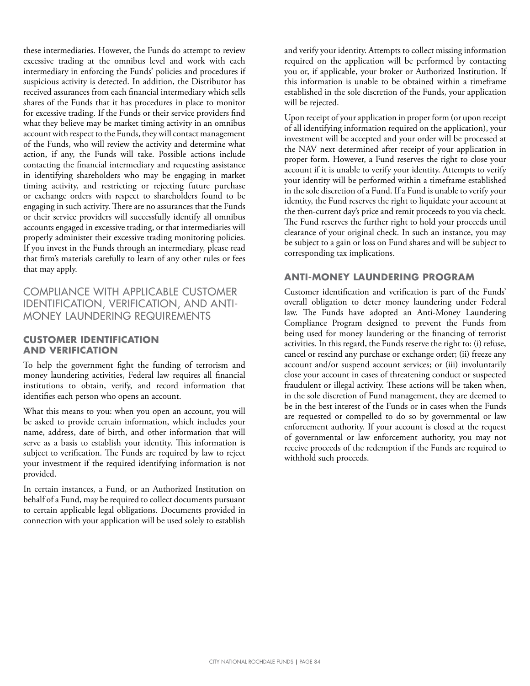these intermediaries. However, the Funds do attempt to review excessive trading at the omnibus level and work with each intermediary in enforcing the Funds' policies and procedures if suspicious activity is detected. In addition, the Distributor has received assurances from each financial intermediary which sells shares of the Funds that it has procedures in place to monitor for excessive trading. If the Funds or their service providers find what they believe may be market timing activity in an omnibus account with respect to the Funds, they will contact management of the Funds, who will review the activity and determine what action, if any, the Funds will take. Possible actions include contacting the financial intermediary and requesting assistance in identifying shareholders who may be engaging in market timing activity, and restricting or rejecting future purchase or exchange orders with respect to shareholders found to be engaging in such activity. There are no assurances that the Funds or their service providers will successfully identify all omnibus accounts engaged in excessive trading, or that intermediaries will properly administer their excessive trading monitoring policies. If you invest in the Funds through an intermediary, please read that firm's materials carefully to learn of any other rules or fees that may apply.

## COMPLIANCE WITH APPLICABLE CUSTOMER IDENTIFICATION, VERIFICATION, AND ANTI-MONEY LAUNDERING REQUIREMENTS

#### **CUSTOMER IDENTIFICATION AND VERIFICATION**

To help the government fight the funding of terrorism and money laundering activities, Federal law requires all financial institutions to obtain, verify, and record information that identifies each person who opens an account.

What this means to you: when you open an account, you will be asked to provide certain information, which includes your name, address, date of birth, and other information that will serve as a basis to establish your identity. This information is subject to verification. The Funds are required by law to reject your investment if the required identifying information is not provided.

In certain instances, a Fund, or an Authorized Institution on behalf of a Fund, may be required to collect documents pursuant to certain applicable legal obligations. Documents provided in connection with your application will be used solely to establish and verify your identity. Attempts to collect missing information required on the application will be performed by contacting you or, if applicable, your broker or Authorized Institution. If this information is unable to be obtained within a timeframe established in the sole discretion of the Funds, your application will be rejected.

Upon receipt of your application in proper form (or upon receipt of all identifying information required on the application), your investment will be accepted and your order will be processed at the NAV next determined after receipt of your application in proper form. However, a Fund reserves the right to close your account if it is unable to verify your identity. Attempts to verify your identity will be performed within a timeframe established in the sole discretion of a Fund. If a Fund is unable to verify your identity, the Fund reserves the right to liquidate your account at the then-current day's price and remit proceeds to you via check. The Fund reserves the further right to hold your proceeds until clearance of your original check. In such an instance, you may be subject to a gain or loss on Fund shares and will be subject to corresponding tax implications.

#### **ANTI-MONEY LAUNDERING PROGRAM**

Customer identification and verification is part of the Funds' overall obligation to deter money laundering under Federal law. The Funds have adopted an Anti-Money Laundering Compliance Program designed to prevent the Funds from being used for money laundering or the financing of terrorist activities. In this regard, the Funds reserve the right to: (i) refuse, cancel or rescind any purchase or exchange order; (ii) freeze any account and/or suspend account services; or (iii) involuntarily close your account in cases of threatening conduct or suspected fraudulent or illegal activity. These actions will be taken when, in the sole discretion of Fund management, they are deemed to be in the best interest of the Funds or in cases when the Funds are requested or compelled to do so by governmental or law enforcement authority. If your account is closed at the request of governmental or law enforcement authority, you may not receive proceeds of the redemption if the Funds are required to withhold such proceeds.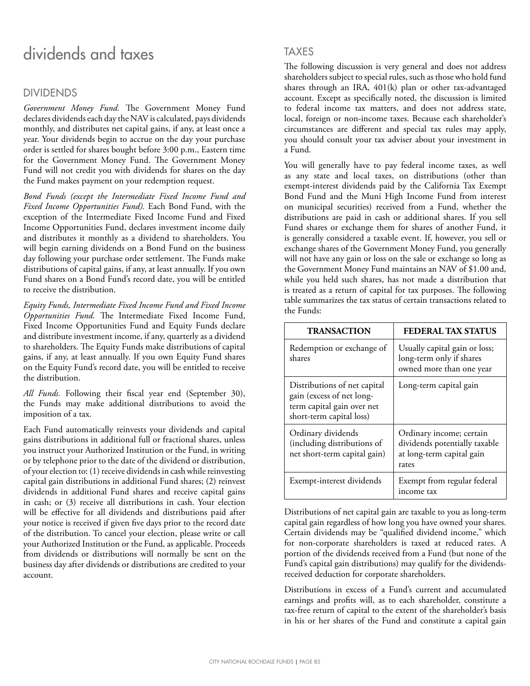# dividends and taxes

## DIVIDENDS

*Government Money Fund.* The Government Money Fund declares dividends each day the NAV is calculated, pays dividends monthly, and distributes net capital gains, if any, at least once a year. Your dividends begin to accrue on the day your purchase order is settled for shares bought before 3:00 p.m., Eastern time for the Government Money Fund. The Government Money Fund will not credit you with dividends for shares on the day the Fund makes payment on your redemption request.

*Bond Funds (except the Intermediate Fixed Income Fund and Fixed Income Opportunities Fund).* Each Bond Fund, with the exception of the Intermediate Fixed Income Fund and Fixed Income Opportunities Fund, declares investment income daily and distributes it monthly as a dividend to shareholders. You will begin earning dividends on a Bond Fund on the business day following your purchase order settlement. The Funds make distributions of capital gains, if any, at least annually. If you own Fund shares on a Bond Fund's record date, you will be entitled to receive the distribution.

*Equity Funds, Intermediate Fixed Income Fund and Fixed Income Opportunities Fund.* The Intermediate Fixed Income Fund, Fixed Income Opportunities Fund and Equity Funds declare and distribute investment income, if any, quarterly as a dividend to shareholders. The Equity Funds make distributions of capital gains, if any, at least annually. If you own Equity Fund shares on the Equity Fund's record date, you will be entitled to receive the distribution.

*All Funds.* Following their fiscal year end (September 30), the Funds may make additional distributions to avoid the imposition of a tax.

Each Fund automatically reinvests your dividends and capital gains distributions in additional full or fractional shares, unless you instruct your Authorized Institution or the Fund, in writing or by telephone prior to the date of the dividend or distribution, of your election to: (1) receive dividends in cash while reinvesting capital gain distributions in additional Fund shares; (2) reinvest dividends in additional Fund shares and receive capital gains in cash; or (3) receive all distributions in cash. Your election will be effective for all dividends and distributions paid after your notice is received if given five days prior to the record date of the distribution. To cancel your election, please write or call your Authorized Institution or the Fund, as applicable. Proceeds from dividends or distributions will normally be sent on the business day after dividends or distributions are credited to your account.

## TAXES

The following discussion is very general and does not address shareholders subject to special rules, such as those who hold fund shares through an IRA, 401(k) plan or other tax-advantaged account. Except as specifically noted, the discussion is limited to federal income tax matters, and does not address state, local, foreign or non-income taxes. Because each shareholder's circumstances are different and special tax rules may apply, you should consult your tax adviser about your investment in a Fund.

You will generally have to pay federal income taxes, as well as any state and local taxes, on distributions (other than exempt-interest dividends paid by the California Tax Exempt Bond Fund and the Muni High Income Fund from interest on municipal securities) received from a Fund, whether the distributions are paid in cash or additional shares. If you sell Fund shares or exchange them for shares of another Fund, it is generally considered a taxable event. If, however, you sell or exchange shares of the Government Money Fund, you generally will not have any gain or loss on the sale or exchange so long as the Government Money Fund maintains an NAV of \$1.00 and, while you held such shares, has not made a distribution that is treated as a return of capital for tax purposes. The following table summarizes the tax status of certain transactions related to the Funds:

| <b>TRANSACTION</b>                                                                                                  | <b>FEDERAL TAX STATUS</b>                                                                       |
|---------------------------------------------------------------------------------------------------------------------|-------------------------------------------------------------------------------------------------|
| Redemption or exchange of<br>shares                                                                                 | Usually capital gain or loss;<br>long-term only if shares<br>owned more than one year           |
| Distributions of net capital<br>gain (excess of net long-<br>term capital gain over net<br>short-term capital loss) | Long-term capital gain                                                                          |
| Ordinary dividends<br>(including distributions of<br>net short-term capital gain)                                   | Ordinary income; certain<br>dividends potentially taxable<br>at long-term capital gain<br>rates |
| Exempt-interest dividends                                                                                           | Exempt from regular federal<br>income tax                                                       |

Distributions of net capital gain are taxable to you as long-term capital gain regardless of how long you have owned your shares. Certain dividends may be "qualified dividend income," which for non-corporate shareholders is taxed at reduced rates. A portion of the dividends received from a Fund (but none of the Fund's capital gain distributions) may qualify for the dividendsreceived deduction for corporate shareholders.

Distributions in excess of a Fund's current and accumulated earnings and profits will, as to each shareholder, constitute a tax-free return of capital to the extent of the shareholder's basis in his or her shares of the Fund and constitute a capital gain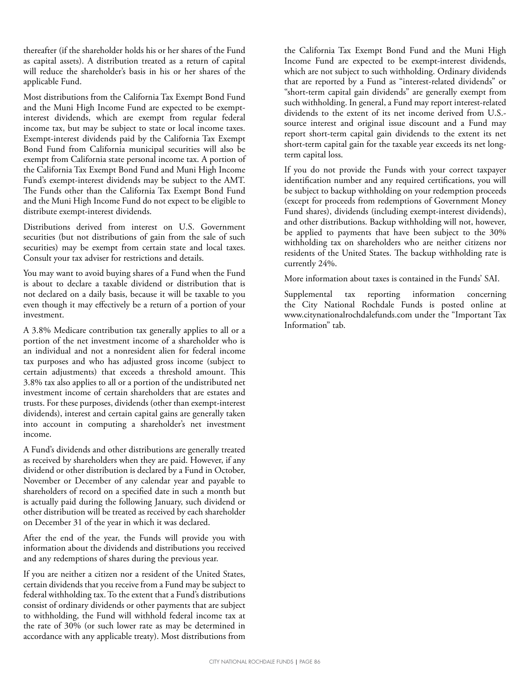thereafter (if the shareholder holds his or her shares of the Fund as capital assets). A distribution treated as a return of capital will reduce the shareholder's basis in his or her shares of the applicable Fund.

Most distributions from the California Tax Exempt Bond Fund and the Muni High Income Fund are expected to be exemptinterest dividends, which are exempt from regular federal income tax, but may be subject to state or local income taxes. Exempt-interest dividends paid by the California Tax Exempt Bond Fund from California municipal securities will also be exempt from California state personal income tax. A portion of the California Tax Exempt Bond Fund and Muni High Income Fund's exempt-interest dividends may be subject to the AMT. The Funds other than the California Tax Exempt Bond Fund and the Muni High Income Fund do not expect to be eligible to distribute exempt-interest dividends.

Distributions derived from interest on U.S. Government securities (but not distributions of gain from the sale of such securities) may be exempt from certain state and local taxes. Consult your tax adviser for restrictions and details.

You may want to avoid buying shares of a Fund when the Fund is about to declare a taxable dividend or distribution that is not declared on a daily basis, because it will be taxable to you even though it may effectively be a return of a portion of your investment.

A 3.8% Medicare contribution tax generally applies to all or a portion of the net investment income of a shareholder who is an individual and not a nonresident alien for federal income tax purposes and who has adjusted gross income (subject to certain adjustments) that exceeds a threshold amount. This 3.8% tax also applies to all or a portion of the undistributed net investment income of certain shareholders that are estates and trusts. For these purposes, dividends (other than exempt-interest dividends), interest and certain capital gains are generally taken into account in computing a shareholder's net investment income.

A Fund's dividends and other distributions are generally treated as received by shareholders when they are paid. However, if any dividend or other distribution is declared by a Fund in October, November or December of any calendar year and payable to shareholders of record on a specified date in such a month but is actually paid during the following January, such dividend or other distribution will be treated as received by each shareholder on December 31 of the year in which it was declared.

After the end of the year, the Funds will provide you with information about the dividends and distributions you received and any redemptions of shares during the previous year.

If you are neither a citizen nor a resident of the United States, certain dividends that you receive from a Fund may be subject to federal withholding tax. To the extent that a Fund's distributions consist of ordinary dividends or other payments that are subject to withholding, the Fund will withhold federal income tax at the rate of 30% (or such lower rate as may be determined in accordance with any applicable treaty). Most distributions from the California Tax Exempt Bond Fund and the Muni High Income Fund are expected to be exempt-interest dividends, which are not subject to such withholding. Ordinary dividends that are reported by a Fund as "interest-related dividends" or "short-term capital gain dividends" are generally exempt from such withholding. In general, a Fund may report interest-related dividends to the extent of its net income derived from U.S. source interest and original issue discount and a Fund may report short-term capital gain dividends to the extent its net short-term capital gain for the taxable year exceeds its net longterm capital loss.

If you do not provide the Funds with your correct taxpayer identification number and any required certifications, you will be subject to backup withholding on your redemption proceeds (except for proceeds from redemptions of Government Money Fund shares), dividends (including exempt-interest dividends), and other distributions. Backup withholding will not, however, be applied to payments that have been subject to the 30% withholding tax on shareholders who are neither citizens nor residents of the United States. The backup withholding rate is currently 24%.

More information about taxes is contained in the Funds' SAI.

Supplemental tax reporting information concerning the City National Rochdale Funds is posted online at www.citynationalrochdalefunds.com under the "Important Tax Information" tab.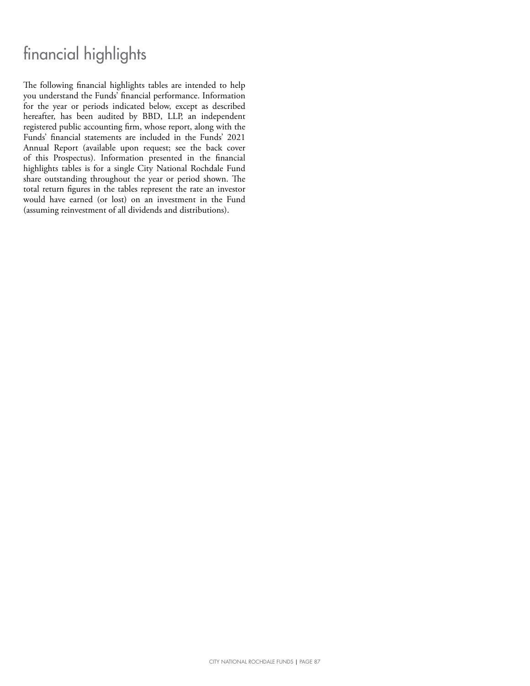# financial highlights

The following financial highlights tables are intended to help you understand the Funds' financial performance. Information for the year or periods indicated below, except as described hereafter, has been audited by BBD, LLP, an independent registered public accounting firm, whose report, along with the Funds' financial statements are included in the Funds' 2021 Annual Report (available upon request; see the back cover of this Prospectus). Information presented in the financial highlights tables is for a single City National Rochdale Fund share outstanding throughout the year or period shown. The total return figures in the tables represent the rate an investor would have earned (or lost) on an investment in the Fund (assuming reinvestment of all dividends and distributions).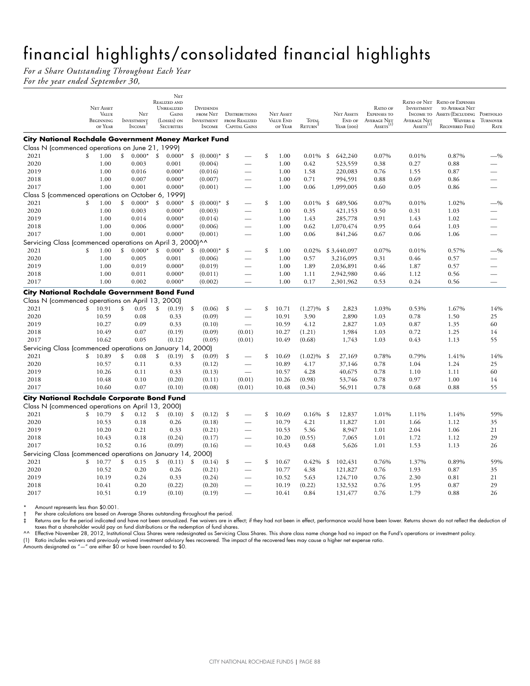# financial highlights/consolidated financial highlights

*For a Share Outstanding Throughout Each Year For the year ended September 30,*

|              |                                                            | <b>NET ASSET</b><br>BEGINNING | <b>VALUE</b><br>OF YEAR | INVESTMENT<br><b>INCOME</b> | <b>NET</b>  | <b>NET</b><br><b>REALIZED AND</b><br>UNREALIZED<br><b>GAINS</b><br>(LOSSES) ON<br><b>SECURITIES</b> |     | <b>DIVIDENDS</b><br>FROM NET<br>INVESTMENT<br><b>INCOME</b> |    | <b>DISTRIBUTIONS</b><br>FROM REALIZED<br><b>CAPITAL GAINS</b> | NET ASSET<br>VALUE END<br>OF YEAR | <b>TOTAL</b><br>RETURN <sup>1</sup> |      | <b>NET ASSETS</b><br>END OF<br>YEAR (000) | RATIO OF<br><b>EXPENSES TO</b><br><b>AVERAGE NET</b><br>$Assers^{(1)}$ | INVESTMENT<br><b>AVERAGE NET</b><br>$Assers^{\left(1\right)}$ | RATIO OF NET RATIO OF EXPENSES<br><b>TO AVERAGE NET</b><br>INCOME TO ASSETS (EXCLUDING PORTFOLIO<br><b>WAIVERS &amp;</b><br><b>RECOVERED FEES)</b> | <b>TURNOVER</b><br>RATE |
|--------------|------------------------------------------------------------|-------------------------------|-------------------------|-----------------------------|-------------|-----------------------------------------------------------------------------------------------------|-----|-------------------------------------------------------------|----|---------------------------------------------------------------|-----------------------------------|-------------------------------------|------|-------------------------------------------|------------------------------------------------------------------------|---------------------------------------------------------------|----------------------------------------------------------------------------------------------------------------------------------------------------|-------------------------|
|              | <b>City National Rochdale Government Money Market Fund</b> |                               |                         |                             |             |                                                                                                     |     |                                                             |    |                                                               |                                   |                                     |      |                                           |                                                                        |                                                               |                                                                                                                                                    |                         |
|              | Class N (commenced operations on June 21, 1999)            |                               |                         |                             |             |                                                                                                     |     |                                                             |    |                                                               |                                   |                                     |      |                                           |                                                                        |                                                               |                                                                                                                                                    |                         |
| 2021         |                                                            | \$                            | 1.00                    | \$                          | $0.000*$ \$ | $0.000*$                                                                                            |     | $$ (0.000)^* $$                                             |    |                                                               | \$<br>1.00                        | $0.01\%$ \$                         |      | 642,240                                   | 0.07%                                                                  | 0.01%                                                         | 0.87%                                                                                                                                              | $-$ %                   |
| 2020         |                                                            |                               | 1.00                    | 0.003                       |             | 0.001                                                                                               |     | (0.004)                                                     |    | $\overline{\phantom{0}}$                                      | 1.00                              | 0.42                                |      | 523,559                                   | 0.38                                                                   | 0.27                                                          | 0.88                                                                                                                                               |                         |
| 2019         |                                                            |                               | 1.00                    | 0.016                       |             | $0.000*$                                                                                            |     | (0.016)                                                     |    | $\overline{\phantom{0}}$                                      | 1.00                              | 1.58                                |      | 220,083                                   | 0.76                                                                   | 1.55                                                          | 0.87                                                                                                                                               |                         |
| 2018         |                                                            |                               | 1.00                    | 0.007                       |             | $0.000*$                                                                                            |     | (0.007)                                                     |    | $\overline{\phantom{0}}$                                      | 1.00                              | 0.71                                |      | 994,591                                   | 0.88                                                                   | 0.69                                                          | 0.86                                                                                                                                               |                         |
| 2017         |                                                            |                               | 1.00                    | 0.001                       |             | $0.000*$                                                                                            |     | (0.001)                                                     |    | $\overline{\phantom{0}}$                                      | 1.00                              | 0.06                                |      | 1,099,005                                 | 0.60                                                                   | 0.05                                                          | 0.86                                                                                                                                               |                         |
|              | Class S (commenced operations on October 6, 1999)          |                               |                         |                             |             |                                                                                                     |     |                                                             |    |                                                               |                                   |                                     |      |                                           |                                                                        |                                                               |                                                                                                                                                    |                         |
| 2021         |                                                            | \$                            | 1.00                    | \$<br>$0.000*$              | - \$        | $0.000*$                                                                                            | \$  | $(0.000)^*$ \$                                              |    | $\overline{\phantom{0}}$                                      | \$<br>1.00                        | 0.01%                               | \$   | 689,506                                   | 0.07%                                                                  | 0.01%                                                         | 1.02%                                                                                                                                              | $-$ %                   |
| 2020         |                                                            |                               | 1.00                    | 0.003                       |             | $0.000*$                                                                                            |     | (0.003)                                                     |    |                                                               | 1.00                              | 0.35                                |      | 421,153                                   | 0.50                                                                   | 0.31                                                          | 1.03                                                                                                                                               |                         |
| 2019         |                                                            |                               | 1.00                    | 0.014                       |             | $0.000*$                                                                                            |     | (0.014)                                                     |    | $\overline{\phantom{0}}$                                      | 1.00                              | 1.43                                |      | 285,778                                   | 0.91                                                                   | 1.43                                                          | 1.02                                                                                                                                               |                         |
| 2018         |                                                            |                               | 1.00                    | 0.006                       |             | $0.000*$                                                                                            |     | (0.006)                                                     |    | ÷.                                                            | 1.00                              | 0.62                                |      | 1,070,474                                 | 0.95                                                                   | 0.64                                                          | 1.03                                                                                                                                               |                         |
| 2017         |                                                            |                               | 1.00                    | 0.001                       |             | $0.000*$                                                                                            |     | (0.001)                                                     |    |                                                               | 1.00                              | 0.06                                |      | 841,246                                   | 0.67                                                                   | 0.06                                                          | 1.06                                                                                                                                               |                         |
|              | Servicing Class (commenced operations on April 3, 2000)^^  |                               |                         |                             |             |                                                                                                     |     |                                                             |    |                                                               |                                   |                                     |      |                                           |                                                                        |                                                               |                                                                                                                                                    |                         |
| 2021         |                                                            | \$                            | 1.00                    | $\mathcal{S}$<br>$0.000*$   |             | $\mathcal{S}$<br>$0.000*$                                                                           | \$  | $(0.000)^*$ \$                                              |    | $\overline{\phantom{0}}$                                      | \$<br>1.00                        | 0.02%                               |      | \$3,440,097                               | 0.07%                                                                  | 0.01%                                                         | 0.57%                                                                                                                                              | $-$ %                   |
| 2020         |                                                            |                               | 1.00                    | 0.005                       |             | 0.001                                                                                               |     | (0.006)                                                     |    | $\overline{\phantom{0}}$                                      | 1.00                              | 0.57                                |      | 3,216,095                                 | 0.31                                                                   | 0.46                                                          | 0.57                                                                                                                                               |                         |
| 2019         |                                                            |                               | 1.00                    | 0.019                       |             | $0.000*$                                                                                            |     | (0.019)                                                     |    |                                                               | 1.00                              | 1.89                                |      | 2,036,891                                 | 0.46                                                                   | 1.87                                                          | 0.57                                                                                                                                               |                         |
| 2018<br>2017 |                                                            |                               | 1.00<br>1.00            | 0.011<br>0.002              |             | $0.000*$<br>$0.000*$                                                                                |     | (0.011)                                                     |    |                                                               | 1.00<br>1.00                      | 1.11<br>0.17                        |      | 2,942,980                                 | 0.46<br>0.53                                                           | 1.12<br>0.24                                                  | 0.56<br>0.56                                                                                                                                       |                         |
|              |                                                            |                               |                         |                             |             |                                                                                                     |     | (0.002)                                                     |    |                                                               |                                   |                                     |      | 2,301,962                                 |                                                                        |                                                               |                                                                                                                                                    |                         |
|              | <b>City National Rochdale Government Bond Fund</b>         |                               |                         |                             |             |                                                                                                     |     |                                                             |    |                                                               |                                   |                                     |      |                                           |                                                                        |                                                               |                                                                                                                                                    |                         |
|              | Class N (commenced operations on April 13, 2000)           |                               |                         |                             |             |                                                                                                     |     |                                                             |    |                                                               |                                   |                                     |      |                                           |                                                                        |                                                               |                                                                                                                                                    |                         |
| 2021         |                                                            | \$10.91                       |                         | 0.05<br>\$                  |             | \$<br>(0.19)                                                                                        | -\$ | (0.06)                                                      | \$ |                                                               | \$<br>10.71                       | $(1.27)\%$ \$                       |      | 2,823                                     | 1.03%                                                                  | 0.53%                                                         | 1.67%                                                                                                                                              | 14%                     |
| 2020         |                                                            |                               | 10.59                   | 0.08                        |             | 0.33                                                                                                |     | (0.09)                                                      |    | $\overline{\phantom{0}}$                                      | 10.91                             | 3.90                                |      | 2,890                                     | 1.03                                                                   | 0.78                                                          | 1.50                                                                                                                                               | 25                      |
| 2019         |                                                            |                               | 10.27                   | 0.09                        |             | 0.33                                                                                                |     | (0.10)                                                      |    |                                                               | 10.59                             | 4.12                                |      | 2,827                                     | 1.03                                                                   | 0.87                                                          | 1.35                                                                                                                                               | 60                      |
| 2018         |                                                            |                               | 10.49                   | 0.07                        |             | (0.19)                                                                                              |     | (0.09)                                                      |    | (0.01)                                                        | 10.27                             | (1.21)                              |      | 1,984                                     | 1.03                                                                   | 0.72                                                          | 1.25                                                                                                                                               | 14                      |
| 2017         |                                                            |                               | 10.62                   | 0.05                        |             | (0.12)                                                                                              |     | (0.05)                                                      |    | (0.01)                                                        | 10.49                             | (0.68)                              |      | 1,743                                     | 1.03                                                                   | 0.43                                                          | 1.13                                                                                                                                               | 55                      |
|              | Servicing Class (commenced operations on January 14, 2000) |                               |                         |                             |             |                                                                                                     |     |                                                             |    |                                                               |                                   |                                     |      |                                           |                                                                        |                                                               |                                                                                                                                                    |                         |
| 2021         |                                                            | \$                            | 10.89                   | \$<br>0.08                  |             | \$<br>(0.19)                                                                                        | Ŝ.  | (0.09)                                                      | s. | $\overline{\phantom{m}}$                                      | \$<br>10.69                       | $(1.02)\%$ \$                       |      | 27,169                                    | 0.78%                                                                  | 0.79%                                                         | 1.41%                                                                                                                                              | 14%                     |
| 2020         |                                                            |                               | 10.57                   | 0.11                        |             | 0.33                                                                                                |     | (0.12)                                                      |    | $\overline{\phantom{0}}$                                      | 10.89                             | 4.17                                |      | 37,146                                    | 0.78                                                                   | 1.04                                                          | 1.24                                                                                                                                               | 25                      |
| 2019         |                                                            |                               | 10.26                   | 0.11                        |             | 0.33                                                                                                |     | (0.13)                                                      |    | $\overline{\phantom{m}}$                                      | 10.57                             | 4.28                                |      | 40,675                                    | 0.78                                                                   | 1.10                                                          | 1.11                                                                                                                                               | 60                      |
| 2018<br>2017 |                                                            |                               | 10.48<br>10.60          | 0.10<br>0.07                |             | (0.20)                                                                                              |     | (0.11)                                                      |    | (0.01)<br>(0.01)                                              | 10.26<br>10.48                    | (0.98)                              |      | 53,746                                    | 0.78<br>0.78                                                           | 0.97<br>0.68                                                  | 1.00<br>0.88                                                                                                                                       | 14<br>55                |
|              |                                                            |                               |                         |                             |             | (0.10)                                                                                              |     | (0.08)                                                      |    |                                                               |                                   | (0.34)                              |      | 56,911                                    |                                                                        |                                                               |                                                                                                                                                    |                         |
|              | <b>City National Rochdale Corporate Bond Fund</b>          |                               |                         |                             |             |                                                                                                     |     |                                                             |    |                                                               |                                   |                                     |      |                                           |                                                                        |                                                               |                                                                                                                                                    |                         |
|              | Class N (commenced operations on April 13, 2000)           |                               |                         |                             |             |                                                                                                     |     |                                                             |    |                                                               |                                   |                                     |      |                                           |                                                                        |                                                               |                                                                                                                                                    |                         |
| 2021         |                                                            | \$10.79                       |                         | \$<br>0.12                  |             | \$<br>(0.10)                                                                                        | -\$ | $(0.12)$ \$                                                 |    |                                                               | \$<br>10.69                       | $0.16\%$ \$                         |      | 12,837                                    | 1.01%                                                                  | 1.11%                                                         | 1.14%                                                                                                                                              | 59%                     |
| 2020         |                                                            |                               | 10.53                   | 0.18                        |             | 0.26                                                                                                |     | (0.18)                                                      |    | $\overline{\phantom{0}}$                                      | 10.79                             | 4.21                                |      | 11,827                                    | 1.01                                                                   | 1.66                                                          | 1.12                                                                                                                                               | 35                      |
| 2019         |                                                            |                               | 10.20                   | 0.21                        |             | 0.33                                                                                                |     | (0.21)                                                      |    | $\overline{\phantom{0}}$                                      | 10.53                             | 5.36                                |      | 8,947                                     | 1.01                                                                   | 2.04                                                          | 1.06                                                                                                                                               | 21                      |
| 2018         |                                                            |                               | 10.43                   | 0.18                        |             | (0.24)                                                                                              |     | (0.17)                                                      |    | $\overline{\phantom{0}}$                                      | 10.20                             | (0.55)                              |      | 7,065                                     | 1.01                                                                   | 1.72                                                          | 1.12                                                                                                                                               | 29                      |
| 2017         |                                                            |                               | 10.52                   | 0.16                        |             | (0.09)                                                                                              |     | (0.16)                                                      |    |                                                               | 10.43                             | 0.68                                |      | 5,626                                     | 1.01                                                                   | 1.53                                                          | 1.13                                                                                                                                               | 26                      |
|              | Servicing Class (commenced operations on January 14, 2000) |                               |                         |                             |             |                                                                                                     |     |                                                             |    |                                                               |                                   |                                     |      |                                           |                                                                        |                                                               |                                                                                                                                                    |                         |
| 2021         |                                                            | \$                            | 10.77                   | $\mathcal{S}$<br>0.15       |             | \$<br>(0.11)                                                                                        | \$  | (0.14)                                                      | s. | -                                                             | \$<br>10.67                       | 0.42%                               | - \$ | 102,431                                   | 0.76%                                                                  | 1.37%                                                         | 0.89%                                                                                                                                              | 59%                     |
| 2020         |                                                            |                               | 10.52                   | 0.20                        |             | 0.26                                                                                                |     | (0.21)                                                      |    | $\overline{\phantom{0}}$                                      | 10.77                             | 4.38                                |      | 121,827                                   | 0.76                                                                   | 1.93                                                          | 0.87                                                                                                                                               | 35                      |
| 2019         |                                                            |                               | 10.19                   | 0.24                        |             | 0.33                                                                                                |     | (0.24)                                                      |    | -                                                             | 10.52                             | 5.63                                |      | 124,710                                   | 0.76                                                                   | 2.30                                                          | 0.81                                                                                                                                               | 21                      |
| 2018         |                                                            |                               | 10.41                   | 0.20                        |             | (0.22)                                                                                              |     | (0.20)                                                      |    | $\overline{\phantom{0}}$                                      | 10.19                             | (0.22)                              |      | 132,532                                   | 0.76                                                                   | 1.95                                                          | 0.87                                                                                                                                               | 29                      |
| 2017         |                                                            |                               | 10.51                   | 0.19                        |             | (0.10)                                                                                              |     | (0.19)                                                      |    | -                                                             | 10.41                             | 0.84                                |      | 131,477                                   | 0.76                                                                   | 1.79                                                          | 0.88                                                                                                                                               | 26                      |

Amount represents less than \$0.001.

Per share calculations are based on Average Shares outstanding throughout the period.

‡ Returns are for the period indicated and have not been annualized. Fee waivers are in effect; if they had not been in effect, performance would have been lower. Returns shown do not reflect the deduction of<br>https://web.t

Amounts designated as " $-$ " are either \$0 or have been rounded to \$0.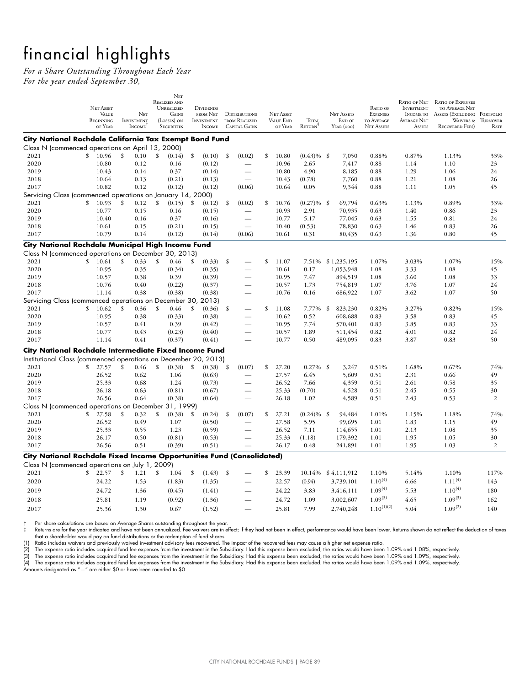# financial highlights

*For a Share Outstanding Throughout Each Year For the year ended September 30,*

|                                                                              | <b>NET ASSET</b><br><b>VALUE</b><br>BEGINNING<br>OF YEAR |               | NET<br>INVESTMENT<br><b>INCOME</b> |              | NET<br><b>REALIZED AND</b><br><b>UNREALIZED</b><br><b>GAINS</b><br>(LOSSES) ON<br><b>SECURITIES</b> | <b>DIVIDENDS</b><br>FROM NET<br>INVESTMENT<br><b>INCOME</b> |               | <b>DISTRIBUTIONS</b><br>FROM REALIZED<br><b>CAPITAL GAINS</b> | NET ASSET<br>VALUE END<br>OF YEAR | <b>TOTAL</b><br>RETURN <sup>+</sup> | <b>NET ASSETS</b><br>END OF<br>YEAR (000) | RATIO OF<br><b>EXPENSES</b><br><b>TO AVERAGE</b><br><b>NET ASSETS</b> | Ratio of Net<br><b>INVESTMENT</b><br>INCOME TO<br><b>AVERAGE NET</b><br><b>ASSETS</b> | <b>RATIO OF EXPENSES</b><br>TO AVERAGE NET<br>ASSETS (EXCLUDING PORTFOLIO<br>WAIVERS &<br><b>RECOVERED FEES)</b> | <b>TURNOVER</b><br>RATE |
|------------------------------------------------------------------------------|----------------------------------------------------------|---------------|------------------------------------|--------------|-----------------------------------------------------------------------------------------------------|-------------------------------------------------------------|---------------|---------------------------------------------------------------|-----------------------------------|-------------------------------------|-------------------------------------------|-----------------------------------------------------------------------|---------------------------------------------------------------------------------------|------------------------------------------------------------------------------------------------------------------|-------------------------|
| City National Rochdale California Tax Exempt Bond Fund                       |                                                          |               |                                    |              |                                                                                                     |                                                             |               |                                                               |                                   |                                     |                                           |                                                                       |                                                                                       |                                                                                                                  |                         |
| Class N (commenced operations on April 13, 2000)                             |                                                          |               |                                    |              |                                                                                                     |                                                             |               |                                                               |                                   |                                     |                                           |                                                                       |                                                                                       |                                                                                                                  |                         |
| 2021                                                                         | \$10.96                                                  | $\mathcal{S}$ | 0.10                               | \$           | (0.14)                                                                                              | \$<br>(0.10)                                                | $\mathcal{S}$ | (0.02)                                                        | \$<br>10.80                       | $(0.43)\%$ \$                       | 7,050                                     | 0.88%                                                                 | 0.87%                                                                                 | 1.13%                                                                                                            | 33%                     |
| 2020                                                                         | 10.80                                                    |               | 0.12                               |              | 0.16                                                                                                | (0.12)                                                      |               | -                                                             | 10.96                             | 2.65                                | 7,417                                     | 0.88                                                                  | 1.14                                                                                  | 1.10                                                                                                             | 23                      |
| 2019                                                                         | 10.43                                                    |               | 0.14                               |              | 0.37                                                                                                | (0.14)                                                      |               | $\overline{\phantom{0}}$                                      | 10.80                             | 4.90                                | 8,185                                     | 0.88                                                                  | 1.29                                                                                  | 1.06                                                                                                             | 24                      |
| 2018                                                                         | 10.64                                                    |               | 0.13                               |              | (0.21)                                                                                              | (0.13)                                                      |               |                                                               | 10.43                             | (0.78)                              | 7,760                                     | 0.88                                                                  | 1.21                                                                                  | 1.08                                                                                                             | 26                      |
| 2017                                                                         | 10.82                                                    |               | 0.12                               |              | (0.12)                                                                                              | (0.12)                                                      |               | (0.06)                                                        | 10.64                             | 0.05                                | 9,344                                     | 0.88                                                                  | 1.11                                                                                  | 1.05                                                                                                             | 45                      |
| Servicing Class (commenced operations on January 14, 2000)                   |                                                          |               |                                    |              |                                                                                                     |                                                             |               |                                                               |                                   |                                     |                                           |                                                                       |                                                                                       |                                                                                                                  |                         |
| 2021                                                                         | \$<br>10.93                                              | \$            | 0.12                               | \$           | (0.15)                                                                                              | \$<br>(0.12)                                                | \$            | (0.02)                                                        | \$<br>10.76                       | $(0.27)\%$ \$                       | 69,794                                    | 0.63%                                                                 | 1.13%                                                                                 | 0.89%                                                                                                            | 33%                     |
| 2020                                                                         | 10.77                                                    |               | 0.15                               |              | 0.16                                                                                                | (0.15)                                                      |               |                                                               | 10.93                             | 2.91                                | 70,935                                    | 0.63                                                                  | 1.40                                                                                  | 0.86                                                                                                             | 23                      |
| 2019                                                                         | 10.40                                                    |               | 0.16                               |              | 0.37                                                                                                | (0.16)                                                      |               |                                                               | 10.77                             | 5.17                                | 77,045                                    | 0.63                                                                  | 1.55                                                                                  | 0.81                                                                                                             | 24                      |
| 2018                                                                         | 10.61                                                    |               | 0.15                               |              | (0.21)                                                                                              | (0.15)                                                      |               |                                                               | 10.40                             | (0.53)                              | 78,830                                    | 0.63                                                                  | 1.46                                                                                  | 0.83                                                                                                             | 26                      |
| 2017                                                                         | 10.79                                                    |               | 0.14                               |              | (0.12)                                                                                              | (0.14)                                                      |               | (0.06)                                                        | 10.61                             | 0.31                                | 80,435                                    | 0.63                                                                  | 1.36                                                                                  | 0.80                                                                                                             | 45                      |
| <b>City National Rochdale Municipal High Income Fund</b>                     |                                                          |               |                                    |              |                                                                                                     |                                                             |               |                                                               |                                   |                                     |                                           |                                                                       |                                                                                       |                                                                                                                  |                         |
| Class N (commenced operations on December 30, 2013)                          |                                                          |               |                                    |              |                                                                                                     |                                                             |               |                                                               |                                   |                                     |                                           |                                                                       |                                                                                       |                                                                                                                  |                         |
| 2021                                                                         | 10.61<br>\$                                              | \$            | 0.33                               | \$           | 0.46                                                                                                | \$<br>$(0.33)$ \$                                           |               |                                                               | \$<br>11.07                       |                                     | 7.51% \$1,235,195                         | 1.07%                                                                 | 3.03%                                                                                 | 1.07%                                                                                                            | 15%                     |
| 2020                                                                         | 10.95                                                    |               | 0.35                               |              | (0.34)                                                                                              | (0.35)                                                      |               | -                                                             | 10.61                             | 0.17                                | 1,053,948                                 | 1.08                                                                  | 3.33                                                                                  | 1.08                                                                                                             | 45                      |
| 2019                                                                         | 10.57                                                    |               | 0.38                               |              | 0.39                                                                                                | (0.39)                                                      |               | ÷.                                                            | 10.95                             | 7.47                                | 894,519                                   | 1.08                                                                  | 3.60                                                                                  | 1.08                                                                                                             | 33                      |
| 2018                                                                         | 10.76                                                    |               | 0.40                               |              | (0.22)                                                                                              | (0.37)                                                      |               | $\overline{\phantom{0}}$                                      | 10.57                             | 1.73                                | 754,819                                   | 1.07                                                                  | 3.76                                                                                  | 1.07                                                                                                             | 24                      |
| 2017                                                                         | 11.14                                                    |               | 0.38                               |              | (0.38)                                                                                              | (0.38)                                                      |               |                                                               | 10.76                             | 0.16                                | 686,922                                   | 1.07                                                                  | 3.62                                                                                  | 1.07                                                                                                             | 50                      |
| Servicing Class (commenced operations on December 30,                        |                                                          |               |                                    |              |                                                                                                     | 2013)                                                       |               |                                                               |                                   |                                     |                                           |                                                                       |                                                                                       |                                                                                                                  |                         |
| 2021                                                                         | 10.62<br>\$                                              | \$            | 0.36                               | \$           | 0.46                                                                                                | \$<br>(0.36)                                                | \$            | $\overline{\phantom{0}}$                                      | \$<br>11.08                       | $7.77\%$ \$                         | 823,230                                   | 0.82%                                                                 | 3.27%                                                                                 | 0.82%                                                                                                            | 15%                     |
| 2020                                                                         | 10.95                                                    |               | 0.38                               |              | (0.33)                                                                                              | (0.38)                                                      |               | $\overline{\phantom{0}}$                                      | 10.62                             | 0.52                                | 608,688                                   | 0.83                                                                  | 3.58                                                                                  | 0.83                                                                                                             | 45                      |
| 2019                                                                         | 10.57                                                    |               | 0.41                               |              | 0.39                                                                                                | (0.42)                                                      |               | $\overline{\phantom{0}}$                                      | 10.95                             | 7.74                                | 570,401                                   | 0.83                                                                  | 3.85                                                                                  | 0.83                                                                                                             | 33                      |
| 2018                                                                         | 10.77                                                    |               | 0.43                               |              | (0.23)                                                                                              | (0.40)                                                      |               | $\overline{\phantom{0}}$                                      | 10.57                             | 1.89                                | 511,454                                   | 0.82                                                                  | 4.01                                                                                  | 0.82                                                                                                             | 24                      |
| 2017                                                                         | 11.14                                                    |               | 0.41                               |              | (0.37)                                                                                              | (0.41)                                                      |               | ÷.                                                            | 10.77                             | 0.50                                | 489,095                                   | 0.83                                                                  | 3.87                                                                                  | 0.83                                                                                                             | 50                      |
| City National Rochdale Intermediate Fixed Income Fund                        |                                                          |               |                                    |              |                                                                                                     |                                                             |               |                                                               |                                   |                                     |                                           |                                                                       |                                                                                       |                                                                                                                  |                         |
| Institutional Class (commenced operations on December 20, 2013)              |                                                          |               |                                    |              |                                                                                                     |                                                             |               |                                                               |                                   |                                     |                                           |                                                                       |                                                                                       |                                                                                                                  |                         |
| 2021                                                                         | \$27.57                                                  | \$            | 0.46                               | \$           | (0.38)                                                                                              | \$<br>$(0.38)$ \$                                           |               | (0.07)                                                        | \$<br>27.20                       | $0.27\%$ \$                         | 3,247                                     | 0.51%                                                                 | 1.68%                                                                                 | 0.67%                                                                                                            | 74%                     |
| 2020                                                                         | 26.52                                                    |               | 0.62                               |              | 1.06                                                                                                | (0.63)                                                      |               |                                                               | 27.57                             | 6.45                                | 5,609                                     | 0.51                                                                  | 2.31                                                                                  | 0.66                                                                                                             | 49                      |
| 2019                                                                         | 25.33                                                    |               | 0.68                               |              | 1.24                                                                                                | (0.73)                                                      |               |                                                               | 26.52                             | 7.66                                | 4,359                                     | 0.51                                                                  | 2.61                                                                                  | 0.58                                                                                                             | 35                      |
| 2018                                                                         | 26.18                                                    |               | 0.63                               |              | (0.81)                                                                                              | (0.67)                                                      |               |                                                               | 25.33                             | (0.70)                              | 4,528                                     | 0.51                                                                  | 2.45                                                                                  | 0.55                                                                                                             | 30                      |
| 2017                                                                         | 26.56                                                    |               | 0.64                               |              | (0.38)                                                                                              | (0.64)                                                      |               |                                                               | 26.18                             | 1.02                                | 4,589                                     | 0.51                                                                  | 2.43                                                                                  | 0.53                                                                                                             | $\overline{2}$          |
| Class N (commenced operations on December 31, 1999)                          |                                                          |               |                                    |              |                                                                                                     |                                                             |               |                                                               |                                   |                                     |                                           |                                                                       |                                                                                       |                                                                                                                  |                         |
| 2021                                                                         | 27.58<br>\$                                              | \$            | 0.32                               | \$           | (0.38)                                                                                              | \$<br>(0.24)                                                | \$            | (0.07)                                                        | \$<br>27.21                       | $(0.24)\%$ \$                       | 94,484                                    | 1.01%                                                                 | 1.15%                                                                                 | 1.18%                                                                                                            | 74%                     |
| 2020                                                                         | 26.52                                                    |               | 0.49                               |              | 1.07                                                                                                | (0.50)                                                      |               |                                                               | 27.58                             | 5.95                                | 99,695                                    | 1.01                                                                  | 1.83                                                                                  | 1.15                                                                                                             | 49                      |
| 2019                                                                         | 25.33                                                    |               | 0.55                               |              | 1.23                                                                                                | (0.59)                                                      |               | $\overline{\phantom{0}}$                                      | 26.52                             | 7.11                                | 114,655                                   | 1.01                                                                  | 2.13                                                                                  | 1.08                                                                                                             | 35                      |
| 2018                                                                         | 26.17                                                    |               | 0.50                               |              | (0.81)                                                                                              | (0.53)                                                      |               |                                                               | 25.33                             | (1.18)                              | 179,392                                   | 1.01                                                                  | 1.95                                                                                  | 1.05                                                                                                             | 30                      |
| 2017                                                                         | 26.56                                                    |               | 0.51                               |              | (0.39)                                                                                              | (0.51)                                                      |               |                                                               | 26.17                             | 0.48                                | 241,891                                   | 1.01                                                                  | 1.95                                                                                  | 1.03                                                                                                             | $\overline{2}$          |
| <b>City National Rochdale Fixed Income Opportunities Fund (Consolidated)</b> |                                                          |               |                                    |              |                                                                                                     |                                                             |               |                                                               |                                   |                                     |                                           |                                                                       |                                                                                       |                                                                                                                  |                         |
| Class N (commenced operations on July 1, 2009)                               |                                                          |               |                                    |              |                                                                                                     |                                                             |               |                                                               |                                   |                                     |                                           |                                                                       |                                                                                       |                                                                                                                  |                         |
| 2021                                                                         | \$22.57                                                  | \$            | 1.21                               | $\mathbf{s}$ | 1.04                                                                                                | \$<br>$(1.43)$ \$                                           |               |                                                               | \$<br>23.39                       |                                     | 10.14% \$4,111,912                        | 1.10%                                                                 | 5.14%                                                                                 | 1.10%                                                                                                            | 117%                    |
| 2020                                                                         | 24.22                                                    |               | 1.53                               |              | (1.83)                                                                                              | (1.35)                                                      |               | $\overline{\phantom{m}}$                                      | 22.57                             | (0.94)                              | 3,739,101                                 | $1.10^{(4)}$                                                          | 6.66                                                                                  | $1.11^{(4)}$                                                                                                     | 143                     |
| 2019                                                                         | 24.72                                                    |               | 1.36                               |              | (0.45)                                                                                              | (1.41)                                                      |               |                                                               | 24.22                             | 3.83                                | 3,416,111                                 | $1.09^{(4)}$                                                          | 5.53                                                                                  | $1.10^{(4)}$                                                                                                     | 180                     |
| 2018                                                                         | 25.81                                                    |               | 1.19                               |              | (0.92)                                                                                              | (1.36)                                                      |               |                                                               | 24.72                             | 1.09                                | 3,002,607                                 | $1.09^{(3)}$                                                          | 4.65                                                                                  | $1.09^{(3)}$                                                                                                     | 162                     |
| 2017                                                                         | 25.36                                                    |               | 1.30                               |              | 0.67                                                                                                | (1.52)                                                      |               |                                                               | 25.81                             | 7.99                                | 2,740,248                                 | $1.10^{(1)(2)}$                                                       | 5.04                                                                                  | $1.09^{(2)}$                                                                                                     | 140                     |
|                                                                              |                                                          |               |                                    |              |                                                                                                     |                                                             |               |                                                               |                                   |                                     |                                           |                                                                       |                                                                                       |                                                                                                                  |                         |

† Per share calculations are based on Average Shares outstanding throughout the year.<br>‡ Returns are for the year indicated and have not been annualized. Fee waivers are in effect; if they had not been in effect, performanc

that a shareholder would pay on fund distributions or the redemption of fund shares.<br>(1) Ratio includes waivers and previously waived investment advisory fees recovered. The impact of the recovered fees may cause a higher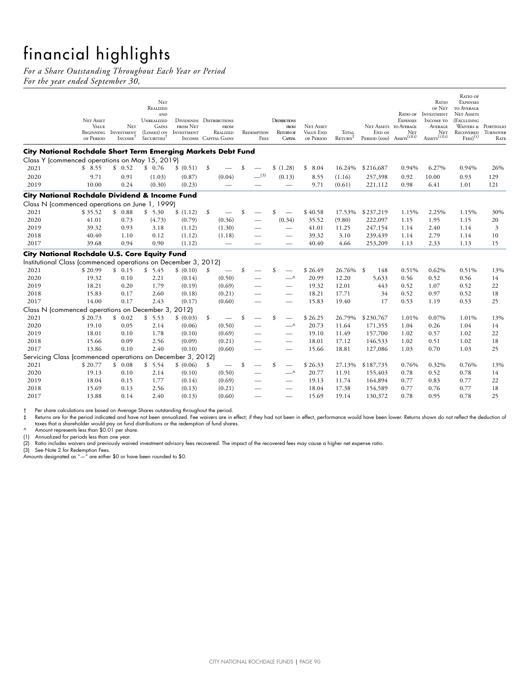# financial highlights

*For a Share Outstanding Throughout Each Year or Period For the year ended September 30,*

|                                                                     | <b>NET ASSET</b><br><b>VALUE</b><br>BEGINNING<br>OF PERIOD | <b>NET</b><br>INVESTMENT<br><b>INCOME</b> | NET<br>REALIZED<br>$\mathbf{AND}$<br>UNREALIZED<br><b>GAINS</b><br>(LOSSES) ON<br><b>SECURITIES</b> | <b>DIVIDENDS DISTRIBUTIONS</b><br>FROM NET<br>INVESTMENT | <b>FROM</b><br>REALIZED<br>INCOME CAPITAL GAINS | REDEMPTION<br>FEES |    | DISTRIBUTIONS<br><b>FROM</b><br>RETURNOF<br><b>CAPTIAL</b> | <b>NET ASSET</b><br>VALUE END<br>OF PERIOD | Total<br>RETURN <sup>+</sup> | <b>NET ASSETS TO AVERAGE</b><br>End of<br>Period (000) | Ratio of<br><b>EXPENSES</b><br>$\underset{\text{ }{\mathbf{A}}\text{ssers}^{(1)(2)}}{\text{Ner}}$ | Ratio<br>OF NET<br>INVESTMENT<br>INCOME TO<br>AVERAGE<br>$\underset{\text{--}}{\text{Assers}}^{\text{NET}}_{\text{(1)(2)}}$ | RATIO OF<br><b>EXPENSES</b><br><b>TO AVERAGE</b><br><b>NET ASSETS</b><br>(Excluding<br>WAIVERS & PORTFOLIO<br>RECOVERED<br>$FES)^{(1)}$ | <b>TURNOVER</b><br>RATE |
|---------------------------------------------------------------------|------------------------------------------------------------|-------------------------------------------|-----------------------------------------------------------------------------------------------------|----------------------------------------------------------|-------------------------------------------------|--------------------|----|------------------------------------------------------------|--------------------------------------------|------------------------------|--------------------------------------------------------|---------------------------------------------------------------------------------------------------|-----------------------------------------------------------------------------------------------------------------------------|-----------------------------------------------------------------------------------------------------------------------------------------|-------------------------|
| <b>City National Rochdale Short Term Emerging Markets Debt Fund</b> |                                                            |                                           |                                                                                                     |                                                          |                                                 |                    |    |                                                            |                                            |                              |                                                        |                                                                                                   |                                                                                                                             |                                                                                                                                         |                         |
| Class Y (commenced operations on May 15, 2019)                      |                                                            |                                           |                                                                                                     |                                                          |                                                 |                    |    |                                                            |                                            |                              |                                                        |                                                                                                   |                                                                                                                             |                                                                                                                                         |                         |
| 2021                                                                | \$8.55                                                     | \$0.52                                    | \$0.76                                                                                              | \$ (0.51)                                                | \$                                              |                    |    | \$(1.28)                                                   | \$8.04                                     | 16.24%                       | \$216,687                                              | 0.94%                                                                                             | 6.27%                                                                                                                       | 0.94%                                                                                                                                   | 26%                     |
| 2020                                                                | 9.71                                                       | 0.91                                      | (1.03)                                                                                              | (0.87)                                                   | (0.04)                                          | $-^{(3)}$          |    | (0.13)                                                     | 8.55                                       | (1.16)                       | 257,398                                                | 0.92                                                                                              | 10.00                                                                                                                       | 0.93                                                                                                                                    | 129                     |
| 2019                                                                | 10.00                                                      | 0.24                                      | (0.30)                                                                                              | (0.23)                                                   |                                                 |                    |    | -                                                          | 9.71                                       | (0.61)                       | 221,112                                                | 0.98                                                                                              | 6.41                                                                                                                        | 1.01                                                                                                                                    | 121                     |
| <b>City National Rochdale Dividend &amp; Income Fund</b>            |                                                            |                                           |                                                                                                     |                                                          |                                                 |                    |    |                                                            |                                            |                              |                                                        |                                                                                                   |                                                                                                                             |                                                                                                                                         |                         |
| Class N (commenced operations on June 1, 1999)                      |                                                            |                                           |                                                                                                     |                                                          |                                                 |                    |    |                                                            |                                            |                              |                                                        |                                                                                                   |                                                                                                                             |                                                                                                                                         |                         |
| 2021                                                                | \$35.52                                                    | \$0.88                                    | \$5.30                                                                                              | \$(1.12)                                                 | \$                                              | \$                 | S  |                                                            | \$40.58                                    | 17.53%                       | \$237,219                                              | 1.15%                                                                                             | 2.25%                                                                                                                       | 1.15%                                                                                                                                   | 30%                     |
| 2020                                                                | 41.01                                                      | 0.73                                      | (4.73)                                                                                              | (0.79)                                                   | (0.36)                                          |                    |    | (0.34)                                                     | 35.52                                      | (9.80)                       | 222,097                                                | 1.15                                                                                              | 1.95                                                                                                                        | 1.15                                                                                                                                    | 20                      |
| 2019                                                                | 39.32                                                      | 0.93                                      | 3.18                                                                                                | (1.12)                                                   | (1.30)                                          |                    |    |                                                            | 41.01                                      | 11.25                        | 247,154                                                | 1.14                                                                                              | 2.40                                                                                                                        | 1.14                                                                                                                                    | 3                       |
| 2018                                                                | 40.40                                                      | 1.10                                      | 0.12                                                                                                | (1.12)                                                   | (1.18)                                          |                    |    |                                                            | 39.32                                      | 3.10                         | 239,439                                                | 1.14                                                                                              | 2.79                                                                                                                        | 1.14                                                                                                                                    | 10                      |
| 2017                                                                | 39.68                                                      | 0.94                                      | 0.90                                                                                                | (1.12)                                                   |                                                 |                    |    |                                                            | 40.40                                      | 4.66                         | 253,209                                                | 1.13                                                                                              | 2.33                                                                                                                        | 1.13                                                                                                                                    | 15                      |
| City National Rochdale U.S. Core Equity Fund                        |                                                            |                                           |                                                                                                     |                                                          |                                                 |                    |    |                                                            |                                            |                              |                                                        |                                                                                                   |                                                                                                                             |                                                                                                                                         |                         |
| Institutional Class (commenced operations on December 3, 2012)      |                                                            |                                           |                                                                                                     |                                                          |                                                 |                    |    |                                                            |                                            |                              |                                                        |                                                                                                   |                                                                                                                             |                                                                                                                                         |                         |
| 2021                                                                | \$20.99                                                    | \$0.15                                    | \$5.45                                                                                              | \$ (0.10)                                                | \$                                              | \$                 | \$ |                                                            | \$26.49                                    | 26.76% \$                    | 148                                                    | 0.51%                                                                                             | 0.62%                                                                                                                       | 0.51%                                                                                                                                   | 13%                     |
| 2020                                                                | 19.32                                                      | 0.10                                      | 2.21                                                                                                | (0.14)                                                   | (0.50)                                          |                    |    | $-^{\wedge}$                                               | 20.99                                      | 12.20                        | 5,633                                                  | 0.56                                                                                              | 0.52                                                                                                                        | 0.56                                                                                                                                    | 14                      |
| 2019                                                                | 18.21                                                      | 0.20                                      | 1.79                                                                                                | (0.19)                                                   | (0.69)                                          |                    |    | -                                                          | 19.32                                      | 12.01                        | 443                                                    | 0.52                                                                                              | 1.07                                                                                                                        | 0.52                                                                                                                                    | 22                      |
| 2018                                                                | 15.83                                                      | 0.17                                      | 2.60                                                                                                | (0.18)                                                   | (0.21)                                          |                    |    |                                                            | 18.21                                      | 17.71                        | 34                                                     | 0.52                                                                                              | 0.97                                                                                                                        | 0.52                                                                                                                                    | 18                      |
| 2017                                                                | 14.00                                                      | 0.17                                      | 2.43                                                                                                | (0.17)                                                   | (0.60)                                          |                    |    |                                                            | 15.83                                      | 19.40                        | 17                                                     | 0.53                                                                                              | 1.19                                                                                                                        | 0.53                                                                                                                                    | 25                      |
| Class N (commenced operations on December 3, 2012)                  |                                                            |                                           |                                                                                                     |                                                          |                                                 |                    |    |                                                            |                                            |                              |                                                        |                                                                                                   |                                                                                                                             |                                                                                                                                         |                         |
| 2021                                                                | \$20.73                                                    | \$0.02                                    | \$5.53                                                                                              | \$ (0.03)                                                | \$                                              | \$                 | \$ |                                                            | \$26.25                                    | 26.79%                       | \$230,767                                              | 1.01%                                                                                             | 0.07%                                                                                                                       | 1.01%                                                                                                                                   | 13%                     |
| 2020                                                                | 19.10                                                      | 0.05                                      | 2.14                                                                                                | (0.06)                                                   | (0.50)                                          |                    |    | $-^{\wedge}$                                               | 20.73                                      | 11.64                        | 171,355                                                | 1.04                                                                                              | 0.26                                                                                                                        | 1.04                                                                                                                                    | 14                      |
| 2019                                                                | 18.01                                                      | 0.10                                      | 1.78                                                                                                | (0.10)                                                   | (0.69)                                          |                    |    |                                                            | 19.10                                      | 11.49                        | 157,700                                                | 1.02                                                                                              | 0.57                                                                                                                        | 1.02                                                                                                                                    | 22                      |
| 2018                                                                | 15.66                                                      | 0.09                                      | 2.56                                                                                                | (0.09)                                                   | (0.21)                                          |                    |    |                                                            | 18.01                                      | 17.12                        | 146,533                                                | 1.02                                                                                              | 0.51                                                                                                                        | 1.02                                                                                                                                    | 18                      |
| 2017                                                                | 13.86                                                      | 0.10                                      | 2.40                                                                                                | (0.10)                                                   | (0.60)                                          |                    |    |                                                            | 15.66                                      | 18.81                        | 127,086                                                | 1.03                                                                                              | 0.70                                                                                                                        | 1.03                                                                                                                                    | 25                      |
| Servicing Class (commenced operations on December 3, 2012)          |                                                            |                                           |                                                                                                     |                                                          |                                                 |                    |    |                                                            |                                            |                              |                                                        |                                                                                                   |                                                                                                                             |                                                                                                                                         |                         |
| 2021                                                                | \$20.77                                                    | \$0.08                                    | \$5.54                                                                                              | \$ (0.06)                                                | \$                                              | \$                 | \$ | $\overbrace{\phantom{12332}}$                              | \$26.33                                    | 27.13%                       | \$187,735                                              | 0.76%                                                                                             | 0.32%                                                                                                                       | 0.76%                                                                                                                                   | 13%                     |
| 2020                                                                | 19.13                                                      | 0.10                                      | 2.14                                                                                                | (0.10)                                                   | (0.50)                                          | -                  |    | $-^{\wedge}$                                               | 20.77                                      | 11.91                        | 155,403                                                | 0.78                                                                                              | 0.52                                                                                                                        | 0.78                                                                                                                                    | 14                      |
| 2019                                                                | 18.04                                                      | 0.15                                      | 1.77                                                                                                | (0.14)                                                   | (0.69)                                          |                    |    |                                                            | 19.13                                      | 11.74                        | 164,894                                                | 0.77                                                                                              | 0.83                                                                                                                        | 0.77                                                                                                                                    | 22                      |
| 2018                                                                | 15.69                                                      | 0.13                                      | 2.56                                                                                                | (0.13)                                                   | (0.21)                                          |                    |    |                                                            | 18.04                                      | 17.38                        | 154,589                                                | 0.77                                                                                              | 0.76                                                                                                                        | 0.77                                                                                                                                    | 18                      |
| 2017                                                                | 13.88                                                      | 0.14                                      | 2.40                                                                                                | (0.13)                                                   | (0.60)                                          |                    |    |                                                            | 15.69                                      | 19.14                        | 130,372                                                | 0.78                                                                                              | 0.95                                                                                                                        | 0.78                                                                                                                                    | 25                      |

† Per share calculations are based on Average Shares outstanding throughout the period.<br>‡ Returns are for the period indicated and have not been annualized. Fee waivers are in effect; if they had not been in effect, perfor

(2) Ratio includes waivers and previously waived investment advisory fees recovered. The impact of the recovered fees may cause a higher net expense ratio.<br>(3) See Note 2 for Redemption Fees.<br>Amounts designated as "—" are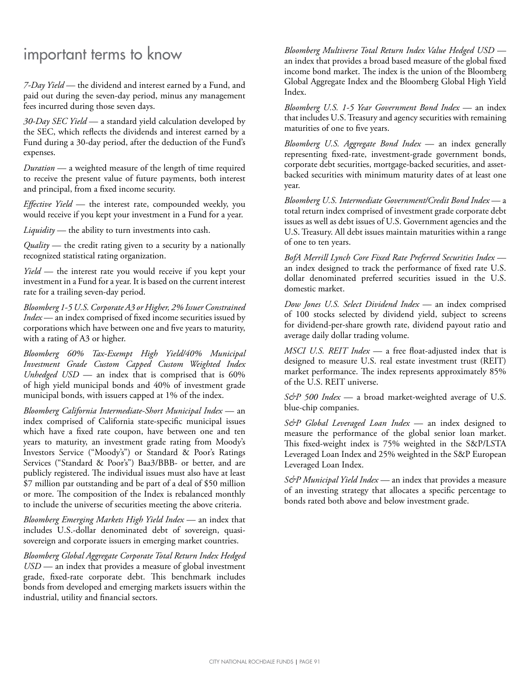## important terms to know

*7-Day Yield* — the dividend and interest earned by a Fund, and paid out during the seven-day period, minus any management fees incurred during those seven days.

*30-Day SEC Yield* — a standard yield calculation developed by the SEC, which reflects the dividends and interest earned by a Fund during a 30-day period, after the deduction of the Fund's expenses.

*Duration* — a weighted measure of the length of time required to receive the present value of future payments, both interest and principal, from a fixed income security.

*Effective Yield* — the interest rate, compounded weekly, you would receive if you kept your investment in a Fund for a year.

*Liquidity* — the ability to turn investments into cash.

*Quality* — the credit rating given to a security by a nationally recognized statistical rating organization.

*Yield* — the interest rate you would receive if you kept your investment in a Fund for a year. It is based on the current interest rate for a trailing seven-day period.

*Bloomberg 1-5 U.S. Corporate A3 or Higher, 2% Issuer Constrained Index* — an index comprised of fixed income securities issued by corporations which have between one and five years to maturity, with a rating of A3 or higher.

*Bloomberg 60% Tax-Exempt High Yield/40% Municipal Investment Grade Custom Capped Custom Weighted Index Unhedged USD* — an index that is comprised that is 60% of high yield municipal bonds and 40% of investment grade municipal bonds, with issuers capped at 1% of the index.

*Bloomberg California Intermediate-Short Municipal Index* — an index comprised of California state-specific municipal issues which have a fixed rate coupon, have between one and ten years to maturity, an investment grade rating from Moody's Investors Service ("Moody's") or Standard & Poor's Ratings Services ("Standard & Poor's") Baa3/BBB- or better, and are publicly registered. The individual issues must also have at least \$7 million par outstanding and be part of a deal of \$50 million or more. The composition of the Index is rebalanced monthly to include the universe of securities meeting the above criteria.

*Bloomberg Emerging Markets High Yield Index* — an index that includes U.S.-dollar denominated debt of sovereign, quasisovereign and corporate issuers in emerging market countries.

*Bloomberg Global Aggregate Corporate Total Return Index Hedged USD* — an index that provides a measure of global investment grade, fixed-rate corporate debt. This benchmark includes bonds from developed and emerging markets issuers within the industrial, utility and financial sectors.

*Bloomberg Multiverse Total Return Index Value Hedged USD* an index that provides a broad based measure of the global fixed income bond market. The index is the union of the Bloomberg Global Aggregate Index and the Bloomberg Global High Yield Index.

*Bloomberg U.S. 1-5 Year Government Bond Index* — an index that includes U.S. Treasury and agency securities with remaining maturities of one to five years.

*Bloomberg U.S. Aggregate Bond Index* — an index generally representing fixed-rate, investment-grade government bonds, corporate debt securities, mortgage-backed securities, and assetbacked securities with minimum maturity dates of at least one year.

*Bloomberg U.S. Intermediate Government/Credit Bond Index* — a total return index comprised of investment grade corporate debt issues as well as debt issues of U.S. Government agencies and the U.S. Treasury. All debt issues maintain maturities within a range of one to ten years.

*BofA Merrill Lynch Core Fixed Rate Preferred Securities Index* an index designed to track the performance of fixed rate U.S. dollar denominated preferred securities issued in the U.S. domestic market.

*Dow Jones U.S. Select Dividend Index* — an index comprised of 100 stocks selected by dividend yield, subject to screens for dividend-per-share growth rate, dividend payout ratio and average daily dollar trading volume.

*MSCI U.S. REIT Index* — a free float-adjusted index that is designed to measure U.S. real estate investment trust (REIT) market performance. The index represents approximately 85% of the U.S. REIT universe.

*S&P 500 Index* — a broad market-weighted average of U.S. blue-chip companies.

*S&P Global Leveraged Loan Index* — an index designed to measure the performance of the global senior loan market. This fixed-weight index is 75% weighted in the S&P/LSTA Leveraged Loan Index and 25% weighted in the S&P European Leveraged Loan Index.

*S&P Municipal Yield Index —* an index that provides a measure of an investing strategy that allocates a specific percentage to bonds rated both above and below investment grade.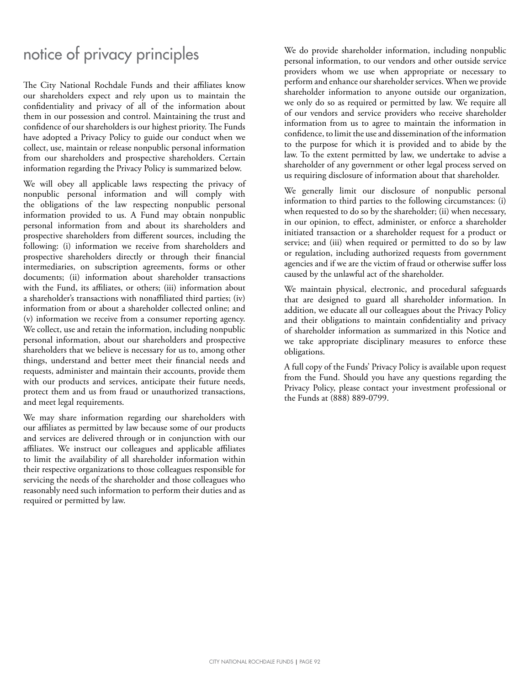# notice of privacy principles

The City National Rochdale Funds and their affiliates know our shareholders expect and rely upon us to maintain the confidentiality and privacy of all of the information about them in our possession and control. Maintaining the trust and confidence of our shareholders is our highest priority. The Funds have adopted a Privacy Policy to guide our conduct when we collect, use, maintain or release nonpublic personal information from our shareholders and prospective shareholders. Certain information regarding the Privacy Policy is summarized below.

We will obey all applicable laws respecting the privacy of nonpublic personal information and will comply with the obligations of the law respecting nonpublic personal information provided to us. A Fund may obtain nonpublic personal information from and about its shareholders and prospective shareholders from different sources, including the following: (i) information we receive from shareholders and prospective shareholders directly or through their financial intermediaries, on subscription agreements, forms or other documents; (ii) information about shareholder transactions with the Fund, its affiliates, or others; (iii) information about a shareholder's transactions with nonaffiliated third parties; (iv) information from or about a shareholder collected online; and (v) information we receive from a consumer reporting agency. We collect, use and retain the information, including nonpublic personal information, about our shareholders and prospective shareholders that we believe is necessary for us to, among other things, understand and better meet their financial needs and requests, administer and maintain their accounts, provide them with our products and services, anticipate their future needs, protect them and us from fraud or unauthorized transactions, and meet legal requirements.

We may share information regarding our shareholders with our affiliates as permitted by law because some of our products and services are delivered through or in conjunction with our affiliates. We instruct our colleagues and applicable affiliates to limit the availability of all shareholder information within their respective organizations to those colleagues responsible for servicing the needs of the shareholder and those colleagues who reasonably need such information to perform their duties and as required or permitted by law.

We do provide shareholder information, including nonpublic personal information, to our vendors and other outside service providers whom we use when appropriate or necessary to perform and enhance our shareholder services. When we provide shareholder information to anyone outside our organization, we only do so as required or permitted by law. We require all of our vendors and service providers who receive shareholder information from us to agree to maintain the information in confidence, to limit the use and dissemination of the information to the purpose for which it is provided and to abide by the law. To the extent permitted by law, we undertake to advise a shareholder of any government or other legal process served on us requiring disclosure of information about that shareholder.

We generally limit our disclosure of nonpublic personal information to third parties to the following circumstances: (i) when requested to do so by the shareholder; (ii) when necessary, in our opinion, to effect, administer, or enforce a shareholder initiated transaction or a shareholder request for a product or service; and (iii) when required or permitted to do so by law or regulation, including authorized requests from government agencies and if we are the victim of fraud or otherwise suffer loss caused by the unlawful act of the shareholder.

We maintain physical, electronic, and procedural safeguards that are designed to guard all shareholder information. In addition, we educate all our colleagues about the Privacy Policy and their obligations to maintain confidentiality and privacy of shareholder information as summarized in this Notice and we take appropriate disciplinary measures to enforce these obligations.

A full copy of the Funds' Privacy Policy is available upon request from the Fund. Should you have any questions regarding the Privacy Policy, please contact your investment professional or the Funds at (888) 889-0799.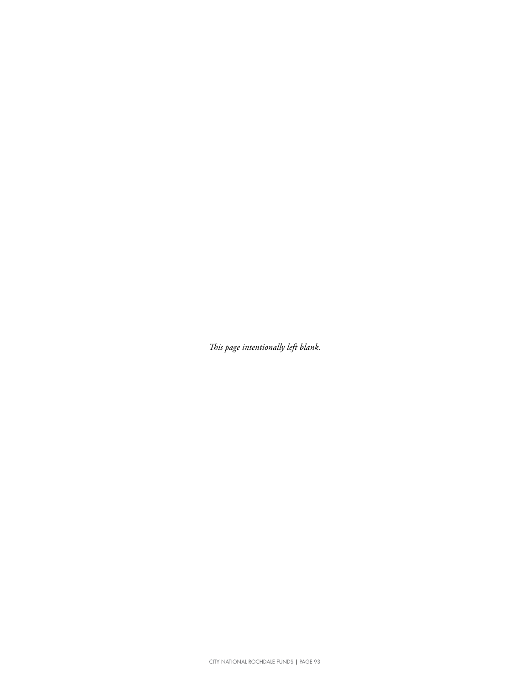*This page intentionally left blank.*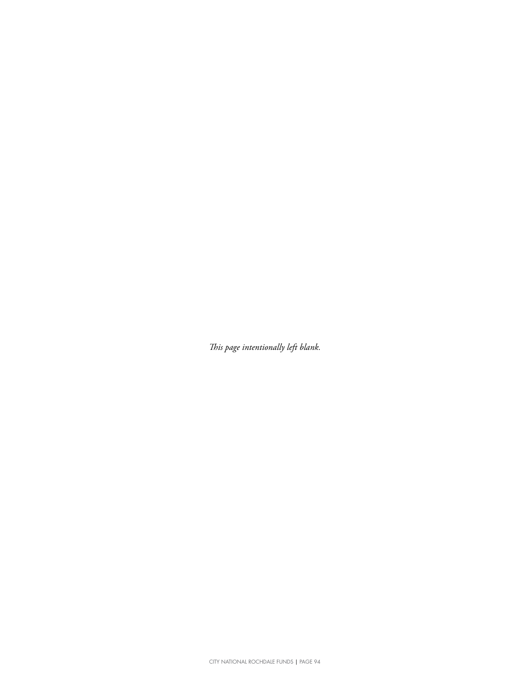*This page intentionally left blank.*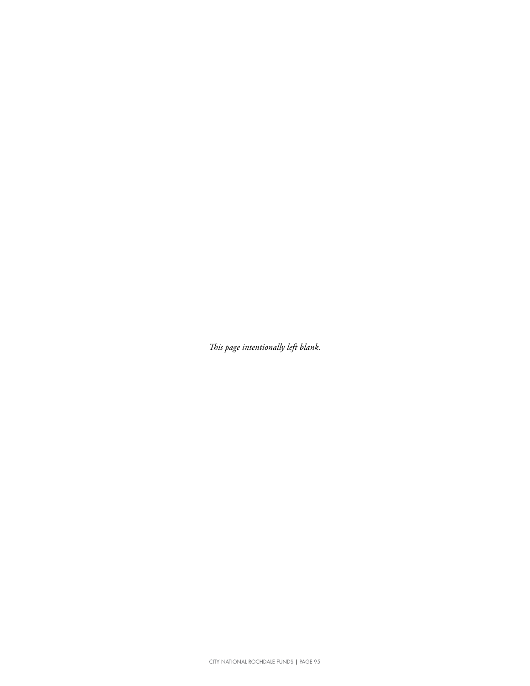*This page intentionally left blank.*